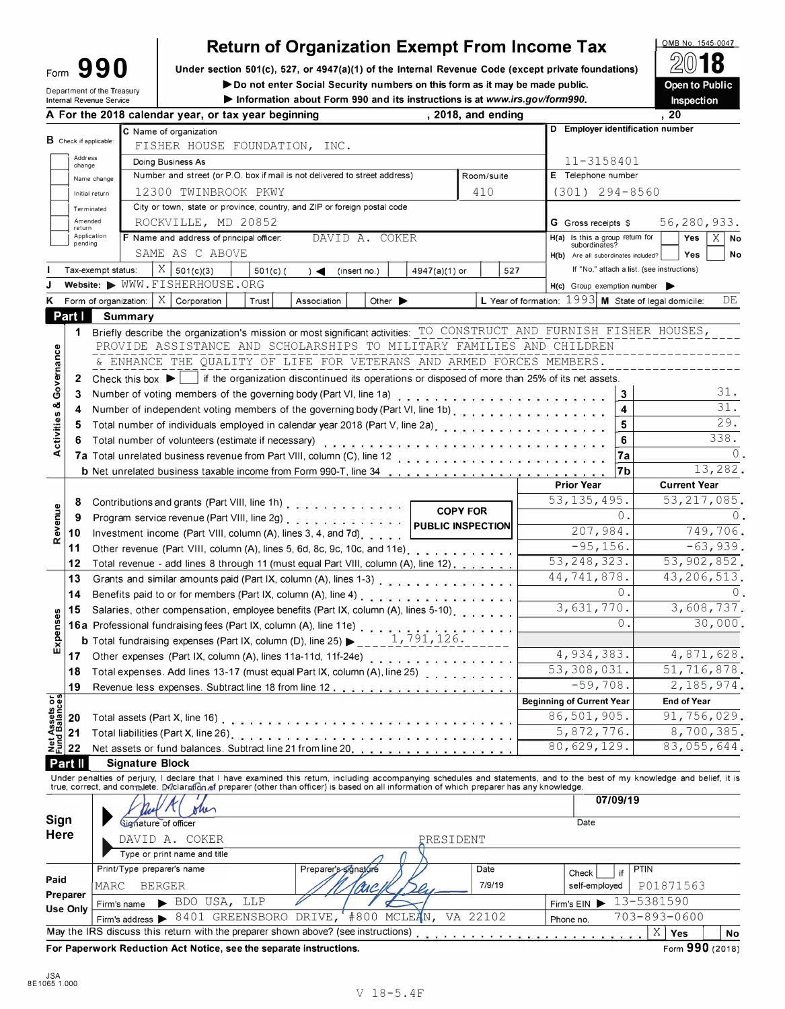| ∙orm | 990 |  |  |
|------|-----|--|--|
|      |     |  |  |

# **Return of Organization Exempt From Income Tax**

Form **990 I** Under section 501(c), 527, or 4947(a)(1) of the Internal Revenue Code (except private foundations)

Department of the Treasury ► ► Do not enter Social Security numbers on this form as it may be made public.<br>
Information about Form 990 and its instructions is at www.irs.gov/form990.

▶ Information about Form 990 and its instructions is at www.irs.gov/form990.

0MB No. 1545-0047  $\frac{2}{2}$ 8 Open to Public Inspection

|                                        |                                  |                                                               |                                                                                                                                                                 | A For the 2018 calendar year, or tax year beginning                                                                                                                                                                           |                        |               |                      |                             | , $2018$ , and ending |            |          |     |                                     |                            |          | ,20                                                                                                                                                                        |
|----------------------------------------|----------------------------------|---------------------------------------------------------------|-----------------------------------------------------------------------------------------------------------------------------------------------------------------|-------------------------------------------------------------------------------------------------------------------------------------------------------------------------------------------------------------------------------|------------------------|---------------|----------------------|-----------------------------|-----------------------|------------|----------|-----|-------------------------------------|----------------------------|----------|----------------------------------------------------------------------------------------------------------------------------------------------------------------------------|
|                                        | $\mathbf B$ Check if applicable: |                                                               |                                                                                                                                                                 | C Name of organization<br>FISHER HOUSE FOUNDATION, INC.                                                                                                                                                                       |                        |               |                      |                             |                       |            |          |     |                                     |                            |          | D Employer identification number                                                                                                                                           |
|                                        | Address<br>change                |                                                               |                                                                                                                                                                 | Doing Business As                                                                                                                                                                                                             |                        |               |                      |                             |                       |            |          |     |                                     | 11-3158401                 |          |                                                                                                                                                                            |
|                                        |                                  | Name change                                                   |                                                                                                                                                                 | Number and street (or P.O. box if mail is not delivered to street address)                                                                                                                                                    |                        |               |                      |                             |                       | Room/suite |          |     | E Telephone number                  |                            |          |                                                                                                                                                                            |
|                                        | Initial return                   |                                                               |                                                                                                                                                                 | 12300 TWINBROOK PKWY                                                                                                                                                                                                          |                        |               |                      |                             |                       | 410        |          |     |                                     | $(301)$ 294-8560           |          |                                                                                                                                                                            |
|                                        | Terminated                       |                                                               |                                                                                                                                                                 | City or town, state or province, country, and ZIP or foreign postal code                                                                                                                                                      |                        |               |                      |                             |                       |            |          |     |                                     |                            |          |                                                                                                                                                                            |
|                                        | Amended<br>return                |                                                               |                                                                                                                                                                 | ROCKVILLE, MD 20852                                                                                                                                                                                                           |                        |               |                      |                             |                       |            |          |     |                                     | <b>G</b> Gross receipts \$ |          | 56,280,933.                                                                                                                                                                |
|                                        | Application<br>pending           |                                                               |                                                                                                                                                                 | F Name and address of principal officer:                                                                                                                                                                                      |                        |               | DAVID A. COKER       |                             |                       |            |          |     | H(a) Is this a group return for     | subordinates?              |          | X.<br>Yes<br>  No                                                                                                                                                          |
|                                        |                                  |                                                               |                                                                                                                                                                 | SAME AS C ABOVE                                                                                                                                                                                                               |                        |               |                      |                             |                       |            |          |     | H(b) Are all subordinates included? |                            |          | No<br>Yes                                                                                                                                                                  |
|                                        |                                  | Tax-exempt status:                                            |                                                                                                                                                                 | $X \mid$<br>501(c)(3)                                                                                                                                                                                                         | $501(c)$ (             | $\rightarrow$ | (insert no.)         |                             | 4947(a)(1) or         |            |          | 527 |                                     |                            |          | If "No," attach a list. (see instructions)                                                                                                                                 |
|                                        |                                  |                                                               |                                                                                                                                                                 | Website: WWW.FISHERHOUSE.ORG                                                                                                                                                                                                  |                        |               |                      |                             |                       |            |          |     | H(c) Group exemption number         |                            |          |                                                                                                                                                                            |
|                                        |                                  |                                                               |                                                                                                                                                                 | Form of organization: $ X $ Corporation                                                                                                                                                                                       | Trust                  | Association   |                      | Other $\blacktriangleright$ |                       |            |          |     |                                     |                            |          | L Year of formation: 1993 M State of legal domicile:<br>DE                                                                                                                 |
|                                        | Part I                           |                                                               | <b>Summary</b>                                                                                                                                                  |                                                                                                                                                                                                                               |                        |               |                      |                             |                       |            |          |     |                                     |                            |          |                                                                                                                                                                            |
|                                        | 1                                |                                                               |                                                                                                                                                                 | Briefly describe the organization's mission or most significant activities: TO CONSTRUCT AND FURNISH FISHER HOUSES,                                                                                                           |                        |               |                      |                             |                       |            |          |     |                                     |                            |          |                                                                                                                                                                            |
|                                        |                                  |                                                               |                                                                                                                                                                 | PROVIDE ASSISTANCE AND SCHOLARSHIPS TO MILITARY FAMILIES AND CHILDREN                                                                                                                                                         |                        |               |                      |                             |                       |            |          |     |                                     |                            |          |                                                                                                                                                                            |
|                                        |                                  |                                                               |                                                                                                                                                                 | & ENHANCE THE OUALITY OF LIFE FOR VETERANS AND ARMED FORCES MEMBERS.                                                                                                                                                          |                        |               |                      |                             |                       |            |          |     |                                     |                            |          |                                                                                                                                                                            |
|                                        | 2                                |                                                               |                                                                                                                                                                 | Check this box $\blacktriangleright$   if the organization discontinued its operations or disposed of more than 25% of its net assets.                                                                                        |                        |               |                      |                             |                       |            |          |     |                                     |                            |          |                                                                                                                                                                            |
| Governance                             | 3                                |                                                               |                                                                                                                                                                 | Number of voting members of the governing body (Part VI, line 1a) when we have a series were also asset that the                                                                                                              |                        |               |                      |                             |                       |            |          |     |                                     |                            | 3        | 31.                                                                                                                                                                        |
| ಳ                                      | 4                                |                                                               |                                                                                                                                                                 | Number of independent voting members of the governing body (Part VI, line 1b)                                                                                                                                                 |                        |               |                      |                             |                       |            |          |     |                                     |                            | 4        | 31.                                                                                                                                                                        |
|                                        | 5                                |                                                               |                                                                                                                                                                 | Total number of individuals employed in calendar year 2018 (Part V, line 2a). An analyzing the contract to the                                                                                                                |                        |               |                      |                             |                       |            |          |     |                                     |                            | 5        | 29.                                                                                                                                                                        |
| Activities                             | 6                                |                                                               |                                                                                                                                                                 | Total number of volunteers (estimate if necessary) and a process and a process and a process and a process of                                                                                                                 |                        |               |                      |                             |                       |            |          |     |                                     |                            | 6        | 338.                                                                                                                                                                       |
|                                        |                                  |                                                               |                                                                                                                                                                 | 7a Total unrelated business revenue from Part VIII, column (C), line 12 and a service contract of the contract of the co                                                                                                      |                        |               |                      |                             |                       |            |          |     |                                     |                            | 7a       |                                                                                                                                                                            |
|                                        |                                  |                                                               |                                                                                                                                                                 | b Net unrelated business taxable income from Form 990-T, line 34 [1] [2] Net unrelated business taxable income from Form 990-T, line 34                                                                                       |                        |               |                      |                             |                       |            |          |     |                                     |                            | 7b       | 13,282.                                                                                                                                                                    |
|                                        |                                  |                                                               |                                                                                                                                                                 |                                                                                                                                                                                                                               |                        |               |                      |                             |                       |            |          |     | <b>Prior Year</b>                   |                            |          | <b>Current Year</b>                                                                                                                                                        |
|                                        | 8                                |                                                               |                                                                                                                                                                 |                                                                                                                                                                                                                               |                        |               |                      |                             |                       |            |          |     | 53, 135, 495.                       |                            |          | 53, 217, 085.                                                                                                                                                              |
|                                        | 9                                |                                                               | Contributions and grants (Part VIII, line 1h)<br><b>COPY FOR</b><br>Program service revenue (Part VIII, line 2g) enterpreeding to the service pubLIC INSPECTION |                                                                                                                                                                                                                               |                        |               |                      |                             |                       |            |          |     | 0.                                  |                            |          |                                                                                                                                                                            |
| Revenue                                | 10                               | Investment income (Part VIII, column (A), lines 3, 4, and 7d) |                                                                                                                                                                 |                                                                                                                                                                                                                               |                        |               |                      |                             |                       |            | 207,984. |     | 749,706.                            |                            |          |                                                                                                                                                                            |
|                                        | 11                               |                                                               |                                                                                                                                                                 | Other revenue (Part VIII, column (A), lines 5, 6d, 8c, 9c, 10c, and 11e).                                                                                                                                                     |                        |               |                      |                             |                       |            |          |     |                                     | $-95, 156.$                |          | $-63,939.$                                                                                                                                                                 |
|                                        | 12                               |                                                               |                                                                                                                                                                 | Total revenue - add lines 8 through 11 (must equal Part VIII, column (A), line 12).                                                                                                                                           |                        |               |                      |                             |                       |            |          |     | 53, 248, 323.                       |                            |          | 53, 902, 852.                                                                                                                                                              |
|                                        | 13                               |                                                               |                                                                                                                                                                 |                                                                                                                                                                                                                               |                        |               |                      |                             |                       |            |          |     | 44,741,878.                         |                            |          | 43,206,513.                                                                                                                                                                |
|                                        | 14                               |                                                               |                                                                                                                                                                 | Benefits paid to or for members (Part IX, column (A), line 4) enterpreteration of the set of the set of the                                                                                                                   |                        |               |                      |                             |                       |            |          |     |                                     |                            | 0.       |                                                                                                                                                                            |
|                                        | 15                               |                                                               |                                                                                                                                                                 | Salaries, other compensation, employee benefits (Part IX, column (A), lines 5-10)                                                                                                                                             |                        |               |                      |                             |                       |            |          |     |                                     | 3,631,770.                 |          | 3,608,737.                                                                                                                                                                 |
| Expenses                               |                                  |                                                               |                                                                                                                                                                 | 16a Professional fundraising fees (Part IX, column (A), line 11e) [11] and the state of the state of the state of the state of the state of the state of the state of the state of the state of the state of the state of the |                        |               |                      |                             |                       |            |          |     |                                     |                            | 0.       | 30,000.                                                                                                                                                                    |
|                                        |                                  |                                                               |                                                                                                                                                                 | <b>b</b> Total fundraising expenses (Part IX, column (D), line 25) $\rightarrow$ 1, 791, 126.                                                                                                                                 |                        |               |                      |                             |                       |            |          |     |                                     |                            |          |                                                                                                                                                                            |
|                                        | 17                               |                                                               |                                                                                                                                                                 |                                                                                                                                                                                                                               |                        |               |                      |                             |                       |            |          |     |                                     | 4,934,383.                 |          | 4,871,628.                                                                                                                                                                 |
|                                        | 18                               |                                                               |                                                                                                                                                                 | Total expenses. Add lines 13-17 (must equal Part IX, column (A), line 25)                                                                                                                                                     |                        |               |                      |                             |                       |            |          |     | 53,308,031.                         |                            |          | 51,716,878.                                                                                                                                                                |
|                                        | 19                               |                                                               |                                                                                                                                                                 | Revenue less expenses. Subtract line 18 from line 12.                                                                                                                                                                         |                        |               |                      |                             |                       |            |          |     |                                     | $-59,708.$                 |          | 2,185,974.                                                                                                                                                                 |
|                                        |                                  |                                                               |                                                                                                                                                                 |                                                                                                                                                                                                                               |                        |               |                      |                             |                       |            |          |     | <b>Beginning of Current Year</b>    |                            |          | End of Year                                                                                                                                                                |
| <b>Net Assets or<br/>Fund Balances</b> | 20                               |                                                               |                                                                                                                                                                 |                                                                                                                                                                                                                               |                        |               |                      |                             |                       |            |          |     | 86,501,905.                         |                            |          | 91,756,029.                                                                                                                                                                |
|                                        | 21                               |                                                               |                                                                                                                                                                 |                                                                                                                                                                                                                               |                        |               |                      |                             |                       |            |          |     |                                     | 5,872,776.                 |          | 8,700,385.                                                                                                                                                                 |
|                                        | 22                               |                                                               |                                                                                                                                                                 | Net assets or fund balances. Subtract line 21 from line 20,                                                                                                                                                                   |                        |               |                      |                             |                       |            |          |     | 80,629,129.                         |                            |          | 83,055,644.                                                                                                                                                                |
|                                        | Part II                          |                                                               | <b>Signature Block</b>                                                                                                                                          |                                                                                                                                                                                                                               |                        |               |                      |                             |                       |            |          |     |                                     |                            |          |                                                                                                                                                                            |
|                                        |                                  |                                                               |                                                                                                                                                                 | true, correct, and controlete. Dilclaration of preparer (other than officer) is based on all information of which preparer has any knowledge.                                                                                 |                        |               |                      |                             |                       |            |          |     |                                     |                            |          | Under penalties of perjury, I declare that I have examined this return, including accompanying schedules and statements, and to the best of my knowledge and belief, it is |
|                                        |                                  |                                                               |                                                                                                                                                                 |                                                                                                                                                                                                                               |                        |               |                      |                             |                       |            |          |     |                                     |                            | 07/09/19 |                                                                                                                                                                            |
|                                        |                                  |                                                               |                                                                                                                                                                 | m                                                                                                                                                                                                                             |                        |               |                      |                             |                       |            |          |     |                                     |                            |          |                                                                                                                                                                            |
| Sign<br><b>Here</b>                    |                                  |                                                               | Signature of officer                                                                                                                                            |                                                                                                                                                                                                                               |                        |               |                      |                             |                       |            |          |     |                                     | Date                       |          |                                                                                                                                                                            |
|                                        |                                  |                                                               |                                                                                                                                                                 | DAVID A. COKER                                                                                                                                                                                                                |                        |               |                      |                             | PRESIDENT             |            |          |     |                                     |                            |          |                                                                                                                                                                            |
|                                        |                                  |                                                               |                                                                                                                                                                 | Type or print name and title                                                                                                                                                                                                  |                        |               |                      |                             |                       |            |          |     |                                     |                            |          |                                                                                                                                                                            |
|                                        |                                  |                                                               | Print/Type preparer's name                                                                                                                                      |                                                                                                                                                                                                                               |                        |               | Preparer's signature |                             |                       |            | Date     |     |                                     | Check                      | if       | <b>PTIN</b>                                                                                                                                                                |
| Paid                                   |                                  | MARC                                                          | <b>BERGER</b>                                                                                                                                                   |                                                                                                                                                                                                                               |                        |               |                      |                             |                       |            | 7/9/19   |     |                                     | self-employed              |          | P01871563                                                                                                                                                                  |
|                                        | Preparer<br><b>Use Only</b>      |                                                               | Firm's name                                                                                                                                                     | $\blacktriangleright$ BDO USA, LLP                                                                                                                                                                                            |                        |               |                      |                             |                       |            |          |     | Firm's EIN                          |                            |          | 13-5381590                                                                                                                                                                 |
|                                        |                                  |                                                               | Firm's address $\blacktriangleright$                                                                                                                            |                                                                                                                                                                                                                               | 8401 GREENSBORO DRIVE, |               | #800 MCLEAN,         |                             |                       | VA 22102   |          |     | Phone no.                           |                            |          | 703-893-0600                                                                                                                                                               |
|                                        |                                  |                                                               |                                                                                                                                                                 | May the IRS discuss this return with the preparer shown above? (see instructions)                                                                                                                                             |                        |               |                      |                             |                       |            |          |     |                                     |                            |          | $X_{\cdot}$<br>Yes<br>No                                                                                                                                                   |

**For Paperwork Reduction Act Notice, see the separate instructions. Form 1990** (2018)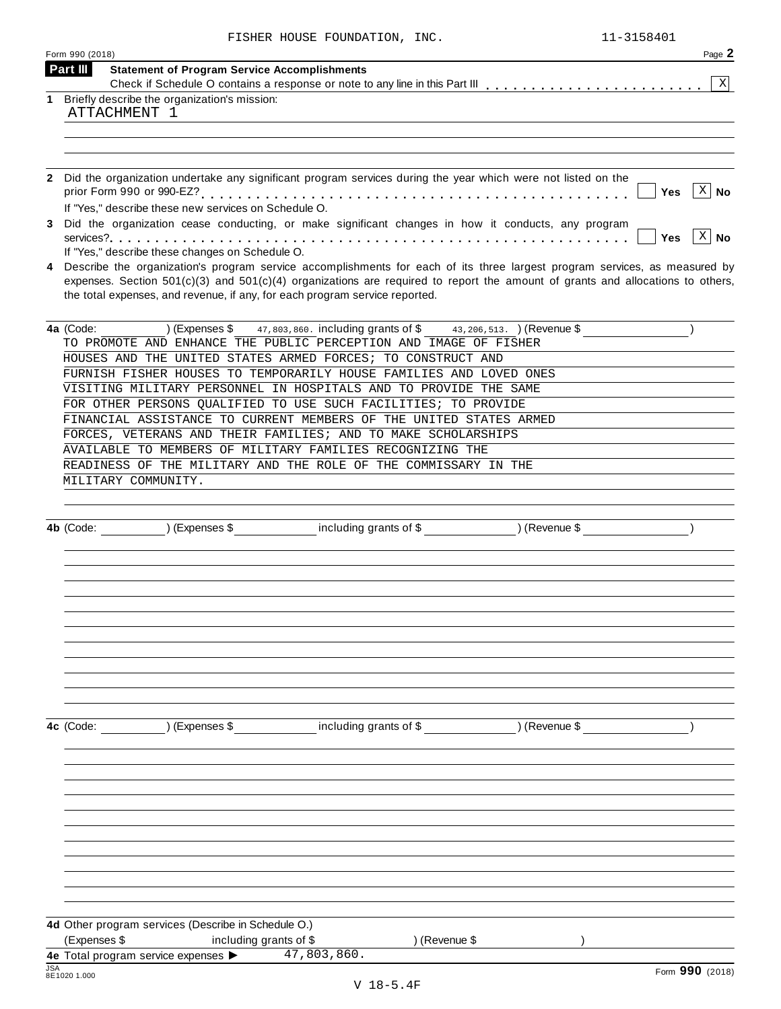|            | Form 990 (2018)                                                                                                                                                               | Page 2          |
|------------|-------------------------------------------------------------------------------------------------------------------------------------------------------------------------------|-----------------|
|            | Part III<br><b>Statement of Program Service Accomplishments</b>                                                                                                               |                 |
| 1          |                                                                                                                                                                               | $\mathbf{X}$    |
|            | Briefly describe the organization's mission:<br>ATTACHMENT 1                                                                                                                  |                 |
|            |                                                                                                                                                                               |                 |
|            |                                                                                                                                                                               |                 |
|            |                                                                                                                                                                               |                 |
|            | Did the organization undertake any significant program services during the year which were not listed on the                                                                  |                 |
|            |                                                                                                                                                                               | $ X $ No<br>Yes |
|            | If "Yes," describe these new services on Schedule O.                                                                                                                          |                 |
|            | Did the organization cease conducting, or make significant changes in how it conducts, any program                                                                            |                 |
|            |                                                                                                                                                                               | $ X $ No<br>Yes |
|            | If "Yes," describe these changes on Schedule O.<br>Describe the organization's program service accomplishments for each of its three largest program services, as measured by |                 |
|            | expenses. Section $501(c)(3)$ and $501(c)(4)$ organizations are required to report the amount of grants and allocations to others,                                            |                 |
|            | the total expenses, and revenue, if any, for each program service reported.                                                                                                   |                 |
|            |                                                                                                                                                                               |                 |
|            | 4a (Code:<br>(Express \$<br>47,803,860. including grants of \$43,206,513. ) (Revenue \$                                                                                       |                 |
|            | TO PROMOTE AND ENHANCE THE PUBLIC PERCEPTION AND IMAGE OF FISHER                                                                                                              |                 |
|            | HOUSES AND THE UNITED STATES ARMED FORCES; TO CONSTRUCT AND                                                                                                                   |                 |
|            | FURNISH FISHER HOUSES TO TEMPORARILY HOUSE FAMILIES AND LOVED ONES                                                                                                            |                 |
|            | VISITING MILITARY PERSONNEL IN HOSPITALS AND TO PROVIDE THE SAME                                                                                                              |                 |
|            | FOR OTHER PERSONS QUALIFIED TO USE SUCH FACILITIES; TO PROVIDE                                                                                                                |                 |
|            | FINANCIAL ASSISTANCE TO CURRENT MEMBERS OF THE UNITED STATES ARMED<br>FORCES, VETERANS AND THEIR FAMILIES; AND TO MAKE SCHOLARSHIPS                                           |                 |
|            | AVAILABLE TO MEMBERS OF MILITARY FAMILIES RECOGNIZING THE                                                                                                                     |                 |
|            | READINESS OF THE MILITARY AND THE ROLE OF THE COMMISSARY IN THE                                                                                                               |                 |
|            | MILITARY COMMUNITY.                                                                                                                                                           |                 |
|            |                                                                                                                                                                               |                 |
|            |                                                                                                                                                                               |                 |
|            | 4b (Code: ) (Expenses \$ including grants of \$ ) (Revenue \$                                                                                                                 |                 |
|            |                                                                                                                                                                               |                 |
|            |                                                                                                                                                                               |                 |
|            |                                                                                                                                                                               |                 |
|            |                                                                                                                                                                               |                 |
|            |                                                                                                                                                                               |                 |
|            |                                                                                                                                                                               |                 |
|            |                                                                                                                                                                               |                 |
|            |                                                                                                                                                                               |                 |
|            |                                                                                                                                                                               |                 |
|            |                                                                                                                                                                               |                 |
|            | including grants of \$ (Revenue \$)<br>) (Expenses \$<br>4c (Code:                                                                                                            |                 |
|            |                                                                                                                                                                               |                 |
|            |                                                                                                                                                                               |                 |
|            |                                                                                                                                                                               |                 |
|            |                                                                                                                                                                               |                 |
|            |                                                                                                                                                                               |                 |
|            |                                                                                                                                                                               |                 |
|            |                                                                                                                                                                               |                 |
|            |                                                                                                                                                                               |                 |
|            |                                                                                                                                                                               |                 |
|            |                                                                                                                                                                               |                 |
|            |                                                                                                                                                                               |                 |
|            | 4d Other program services (Describe in Schedule O.)                                                                                                                           |                 |
|            | (Expenses \$<br>including grants of \$<br>) (Revenue \$                                                                                                                       |                 |
|            | 4e Total program service expenses ><br>47,803,860.                                                                                                                            |                 |
| <b>JSA</b> | 8E1020 1.000                                                                                                                                                                  | Form 990 (2018) |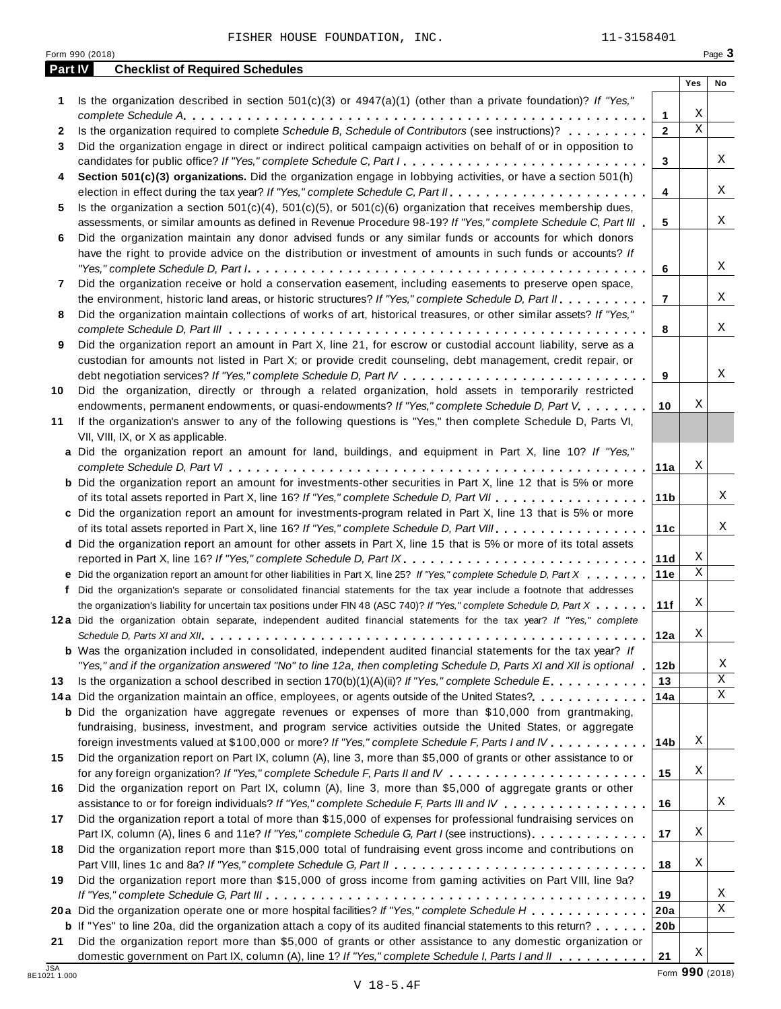**1** Is the organization described in section 501(c)(3) or 4947(a)(1) (other than a private foundation)? *If "Yes,"*

*complete Schedule A* **1** m m m m m m m m m m m m m m m m m m m m m m m m m m m m m m m m m m m m m m m m m m m m m m m m m m m

**Part IV Checklist of Required Schedules**

|                            |                                                                                                                                                | 1               | X,              |                  |
|----------------------------|------------------------------------------------------------------------------------------------------------------------------------------------|-----------------|-----------------|------------------|
| 2                          | Is the organization required to complete Schedule B, Schedule of Contributors (see instructions)?                                              | $\mathbf{2}$    | $\mathbf{X}$    |                  |
| 3                          | Did the organization engage in direct or indirect political campaign activities on behalf of or in opposition to                               |                 |                 |                  |
|                            | candidates for public office? If "Yes," complete Schedule C, Part I                                                                            | 3               |                 | X                |
| 4                          | Section 501(c)(3) organizations. Did the organization engage in lobbying activities, or have a section 501(h)                                  |                 |                 |                  |
|                            |                                                                                                                                                | 4               |                 | X                |
| 5                          | Is the organization a section 501(c)(4), 501(c)(5), or 501(c)(6) organization that receives membership dues,                                   |                 |                 |                  |
|                            | assessments, or similar amounts as defined in Revenue Procedure 98-19? If "Yes," complete Schedule C, Part III                                 | 5               |                 | X                |
| 6                          | Did the organization maintain any donor advised funds or any similar funds or accounts for which donors                                        |                 |                 |                  |
|                            | have the right to provide advice on the distribution or investment of amounts in such funds or accounts? If                                    |                 |                 |                  |
|                            |                                                                                                                                                | 6               |                 | Χ                |
| 7                          | Did the organization receive or hold a conservation easement, including easements to preserve open space,                                      |                 |                 |                  |
|                            | the environment, historic land areas, or historic structures? If "Yes," complete Schedule D, Part II.                                          | 7               |                 | X                |
| 8                          | Did the organization maintain collections of works of art, historical treasures, or other similar assets? If "Yes,"                            |                 |                 |                  |
|                            |                                                                                                                                                | 8               |                 | X                |
|                            | Did the organization report an amount in Part X, line 21, for escrow or custodial account liability, serve as a                                |                 |                 |                  |
| 9                          |                                                                                                                                                |                 |                 |                  |
|                            | custodian for amounts not listed in Part X; or provide credit counseling, debt management, credit repair, or                                   |                 |                 | X                |
|                            |                                                                                                                                                | 9               |                 |                  |
| 10                         | Did the organization, directly or through a related organization, hold assets in temporarily restricted                                        |                 | Χ               |                  |
|                            | endowments, permanent endowments, or quasi-endowments? If "Yes," complete Schedule D, Part V.                                                  | 10              |                 |                  |
| 11                         | If the organization's answer to any of the following questions is "Yes," then complete Schedule D, Parts VI,                                   |                 |                 |                  |
|                            | VII, VIII, IX, or X as applicable.<br>a Did the organization report an amount for land, buildings, and equipment in Part X, line 10? If "Yes," |                 |                 |                  |
|                            |                                                                                                                                                | 11a             | Χ               |                  |
|                            | <b>b</b> Did the organization report an amount for investments-other securities in Part X, line 12 that is 5% or more                          |                 |                 |                  |
|                            |                                                                                                                                                | 11 <sub>b</sub> |                 | X                |
|                            |                                                                                                                                                |                 |                 |                  |
|                            | c Did the organization report an amount for investments-program related in Part X, line 13 that is 5% or more                                  | 11c             |                 | X                |
|                            | of its total assets reported in Part X, line 16? If "Yes," complete Schedule D, Part VIII                                                      |                 |                 |                  |
|                            | d Did the organization report an amount for other assets in Part X, line 15 that is 5% or more of its total assets                             |                 | Χ               |                  |
|                            | reported in Part X, line 16? If "Yes," complete Schedule D, Part IX.                                                                           | 11d             | $\mathbf X$     |                  |
|                            | e Did the organization report an amount for other liabilities in Part X, line 25? If "Yes," complete Schedule D, Part X                        | 11e             |                 |                  |
|                            | f Did the organization's separate or consolidated financial statements for the tax year include a footnote that addresses                      |                 | Χ               |                  |
|                            | the organization's liability for uncertain tax positions under FIN 48 (ASC 740)? If "Yes," complete Schedule D, Part X                         | 11f             |                 |                  |
|                            | 12a Did the organization obtain separate, independent audited financial statements for the tax year? If "Yes," complete                        |                 | Χ               |                  |
|                            |                                                                                                                                                | 12a             |                 |                  |
|                            | <b>b</b> Was the organization included in consolidated, independent audited financial statements for the tax year? If                          |                 |                 |                  |
|                            | "Yes," and if the organization answered "No" to line 12a, then completing Schedule D, Parts XI and XII is optional                             | 12 <sub>b</sub> |                 | X<br>$\mathbf X$ |
| 13                         | Is the organization a school described in section $170(b)(1)(A)(ii)?$ If "Yes," complete Schedule E.                                           | 13              |                 |                  |
|                            | 14a Did the organization maintain an office, employees, or agents outside of the United States?                                                | 14a             |                 | Χ                |
|                            | <b>b</b> Did the organization have aggregate revenues or expenses of more than \$10,000 from grantmaking,                                      |                 |                 |                  |
|                            | fundraising, business, investment, and program service activities outside the United States, or aggregate                                      |                 |                 |                  |
|                            | foreign investments valued at \$100,000 or more? If "Yes," complete Schedule F, Parts I and IV                                                 | 14b             | Χ               |                  |
| 15                         | Did the organization report on Part IX, column (A), line 3, more than \$5,000 of grants or other assistance to or                              |                 |                 |                  |
|                            |                                                                                                                                                | 15              | Χ               |                  |
| 16                         | Did the organization report on Part IX, column (A), line 3, more than \$5,000 of aggregate grants or other                                     |                 |                 |                  |
|                            | assistance to or for foreign individuals? If "Yes," complete Schedule F, Parts III and IV                                                      | 16              |                 | Χ                |
| 17                         | Did the organization report a total of more than \$15,000 of expenses for professional fundraising services on                                 |                 |                 |                  |
|                            | Part IX, column (A), lines 6 and 11e? If "Yes," complete Schedule G, Part I (see instructions).                                                | 17              | Χ               |                  |
| 18                         | Did the organization report more than \$15,000 total of fundraising event gross income and contributions on                                    |                 |                 |                  |
|                            |                                                                                                                                                | 18              | Χ               |                  |
| 19                         | Did the organization report more than \$15,000 of gross income from gaming activities on Part VIII, line 9a?                                   |                 |                 |                  |
|                            |                                                                                                                                                | 19              |                 | Χ                |
|                            | 20a Did the organization operate one or more hospital facilities? If "Yes," complete Schedule H                                                | 20a             |                 | $\mathbf X$      |
|                            | <b>b</b> If "Yes" to line 20a, did the organization attach a copy of its audited financial statements to this return?                          | 20 <sub>b</sub> |                 |                  |
| 21                         | Did the organization report more than \$5,000 of grants or other assistance to any domestic organization or                                    |                 |                 |                  |
|                            | domestic government on Part IX, column (A), line 1? If "Yes," complete Schedule I, Parts I and II                                              | 21              | Χ               |                  |
| <b>JSA</b><br>8E1021 1.000 |                                                                                                                                                |                 | Form 990 (2018) |                  |

**Yes No**

X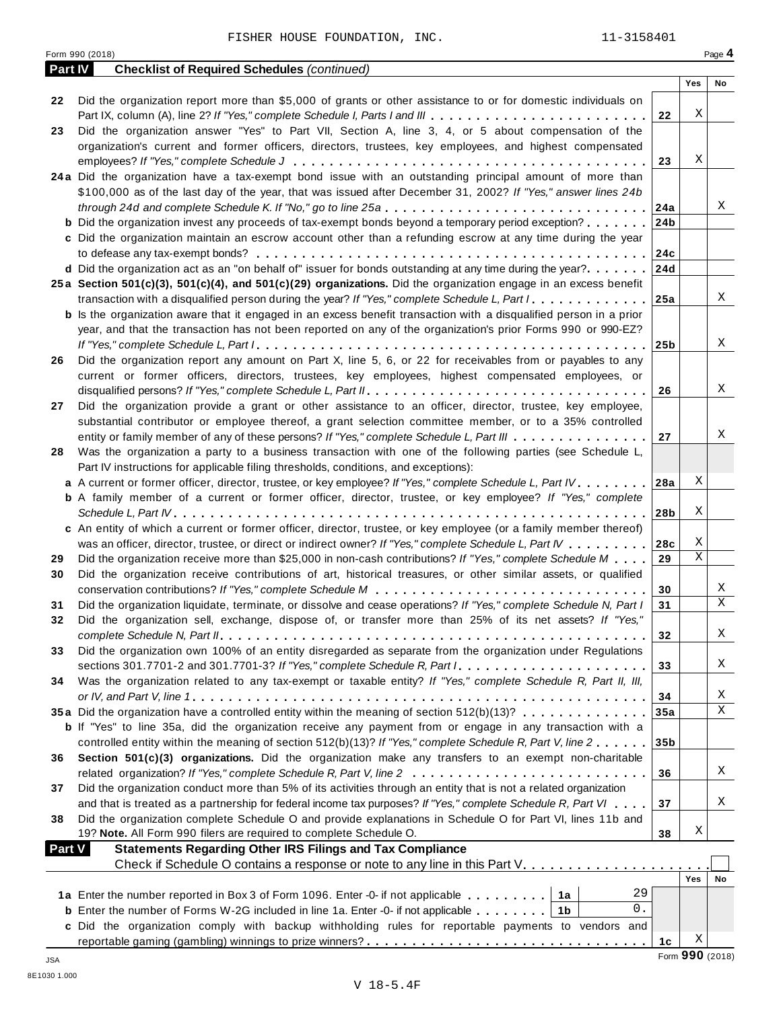Form <sup>990</sup> (2018) Page **4**

| <b>Part IV</b> | <b>Checklist of Required Schedules (continued)</b>                                                                                                                                                                            |                 |                 |    |
|----------------|-------------------------------------------------------------------------------------------------------------------------------------------------------------------------------------------------------------------------------|-----------------|-----------------|----|
|                |                                                                                                                                                                                                                               |                 | Yes             | No |
| 22             | Did the organization report more than \$5,000 of grants or other assistance to or for domestic individuals on<br>Part IX, column (A), line 2? If "Yes," complete Schedule I, Parts I and III                                  | 22              | Χ               |    |
| 23             | Did the organization answer "Yes" to Part VII, Section A, line 3, 4, or 5 about compensation of the                                                                                                                           |                 |                 |    |
|                | organization's current and former officers, directors, trustees, key employees, and highest compensated                                                                                                                       |                 |                 |    |
|                |                                                                                                                                                                                                                               | 23              | Χ               |    |
|                | 24a Did the organization have a tax-exempt bond issue with an outstanding principal amount of more than                                                                                                                       |                 |                 |    |
|                | \$100,000 as of the last day of the year, that was issued after December 31, 2002? If "Yes," answer lines 24b                                                                                                                 |                 |                 |    |
|                |                                                                                                                                                                                                                               | 24a             |                 | Χ  |
|                | <b>b</b> Did the organization invest any proceeds of tax-exempt bonds beyond a temporary period exception?                                                                                                                    | 24 <sub>b</sub> |                 |    |
|                | c Did the organization maintain an escrow account other than a refunding escrow at any time during the year                                                                                                                   |                 |                 |    |
|                |                                                                                                                                                                                                                               | 24c             |                 |    |
|                | d Did the organization act as an "on behalf of" issuer for bonds outstanding at any time during the year?                                                                                                                     | 24d             |                 |    |
|                | 25a Section 501(c)(3), 501(c)(4), and 501(c)(29) organizations. Did the organization engage in an excess benefit                                                                                                              |                 |                 |    |
|                | transaction with a disqualified person during the year? If "Yes," complete Schedule L, Part I                                                                                                                                 | 25a             |                 | X  |
|                | <b>b</b> Is the organization aware that it engaged in an excess benefit transaction with a disqualified person in a prior                                                                                                     |                 |                 |    |
|                | year, and that the transaction has not been reported on any of the organization's prior Forms 990 or 990-EZ?                                                                                                                  |                 |                 |    |
|                |                                                                                                                                                                                                                               | 25 <sub>b</sub> |                 | X  |
| 26             | Did the organization report any amount on Part X, line 5, 6, or 22 for receivables from or payables to any                                                                                                                    |                 |                 |    |
|                | current or former officers, directors, trustees, key employees, highest compensated employees, or                                                                                                                             |                 |                 |    |
|                |                                                                                                                                                                                                                               | 26              |                 | X  |
| 27             | Did the organization provide a grant or other assistance to an officer, director, trustee, key employee,                                                                                                                      |                 |                 |    |
|                | substantial contributor or employee thereof, a grant selection committee member, or to a 35% controlled                                                                                                                       |                 |                 |    |
|                | entity or family member of any of these persons? If "Yes," complete Schedule L, Part III                                                                                                                                      | 27              |                 | Χ  |
| 28             | Was the organization a party to a business transaction with one of the following parties (see Schedule L,                                                                                                                     |                 |                 |    |
|                | Part IV instructions for applicable filing thresholds, conditions, and exceptions):                                                                                                                                           |                 | Χ               |    |
|                | a A current or former officer, director, trustee, or key employee? If "Yes," complete Schedule L, Part IV.<br><b>b</b> A family member of a current or former officer, director, trustee, or key employee? If "Yes," complete | 28a             |                 |    |
|                |                                                                                                                                                                                                                               | 28b             | Χ               |    |
|                | c An entity of which a current or former officer, director, trustee, or key employee (or a family member thereof)                                                                                                             |                 |                 |    |
|                | was an officer, director, trustee, or direct or indirect owner? If "Yes," complete Schedule L, Part IV                                                                                                                        | 28c             | Χ               |    |
| 29             | Did the organization receive more than \$25,000 in non-cash contributions? If "Yes," complete Schedule M                                                                                                                      | 29              | $\mathbf{X}$    |    |
| 30             | Did the organization receive contributions of art, historical treasures, or other similar assets, or qualified                                                                                                                |                 |                 |    |
|                |                                                                                                                                                                                                                               | 30              |                 | Χ  |
| 31             | Did the organization liquidate, terminate, or dissolve and cease operations? If "Yes," complete Schedule N, Part I                                                                                                            | 31              |                 | X  |
| 32             | Did the organization sell, exchange, dispose of, or transfer more than 25% of its net assets? If "Yes,"                                                                                                                       |                 |                 |    |
|                |                                                                                                                                                                                                                               | 32              |                 | Χ  |
| 33             | Did the organization own 100% of an entity disregarded as separate from the organization under Regulations                                                                                                                    |                 |                 |    |
|                |                                                                                                                                                                                                                               | 33              |                 | Χ  |
| 34             | Was the organization related to any tax-exempt or taxable entity? If "Yes," complete Schedule R, Part II, III,                                                                                                                |                 |                 |    |
|                |                                                                                                                                                                                                                               | 34              |                 | Χ  |
|                | 35a Did the organization have a controlled entity within the meaning of section 512(b)(13)?                                                                                                                                   | 35a             |                 | X  |
|                | <b>b</b> If "Yes" to line 35a, did the organization receive any payment from or engage in any transaction with a                                                                                                              |                 |                 |    |
|                | controlled entity within the meaning of section 512(b)(13)? If "Yes," complete Schedule R, Part V, line 2                                                                                                                     | 35 <sub>b</sub> |                 |    |
| 36             | Section 501(c)(3) organizations. Did the organization make any transfers to an exempt non-charitable                                                                                                                          |                 |                 |    |
|                |                                                                                                                                                                                                                               | 36              |                 | Χ  |
| 37             | Did the organization conduct more than 5% of its activities through an entity that is not a related organization                                                                                                              |                 |                 |    |
|                | and that is treated as a partnership for federal income tax purposes? If "Yes," complete Schedule R, Part VI                                                                                                                  | 37              |                 | Χ  |
| 38             | Did the organization complete Schedule O and provide explanations in Schedule O for Part VI, lines 11b and                                                                                                                    |                 |                 |    |
|                | 19? Note. All Form 990 filers are required to complete Schedule O.                                                                                                                                                            | 38              | Χ               |    |
| <b>Part V</b>  | <b>Statements Regarding Other IRS Filings and Tax Compliance</b>                                                                                                                                                              |                 |                 |    |
|                | Check if Schedule O contains a response or note to any line in this Part V.                                                                                                                                                   |                 | Yes             |    |
|                | 29                                                                                                                                                                                                                            |                 |                 | No |
|                | 1a Enter the number reported in Box 3 of Form 1096. Enter -0- if not applicable   1a<br>0.                                                                                                                                    |                 |                 |    |
|                | <b>b</b> Enter the number of Forms W-2G included in line 1a. Enter -0- if not applicable $\ldots \ldots$ ,                                                                                                                    |                 |                 |    |
|                | c Did the organization comply with backup withholding rules for reportable payments to vendors and                                                                                                                            | 1c              | Χ               |    |
|                |                                                                                                                                                                                                                               |                 | Form 990 (2018) |    |
| JSA            |                                                                                                                                                                                                                               |                 |                 |    |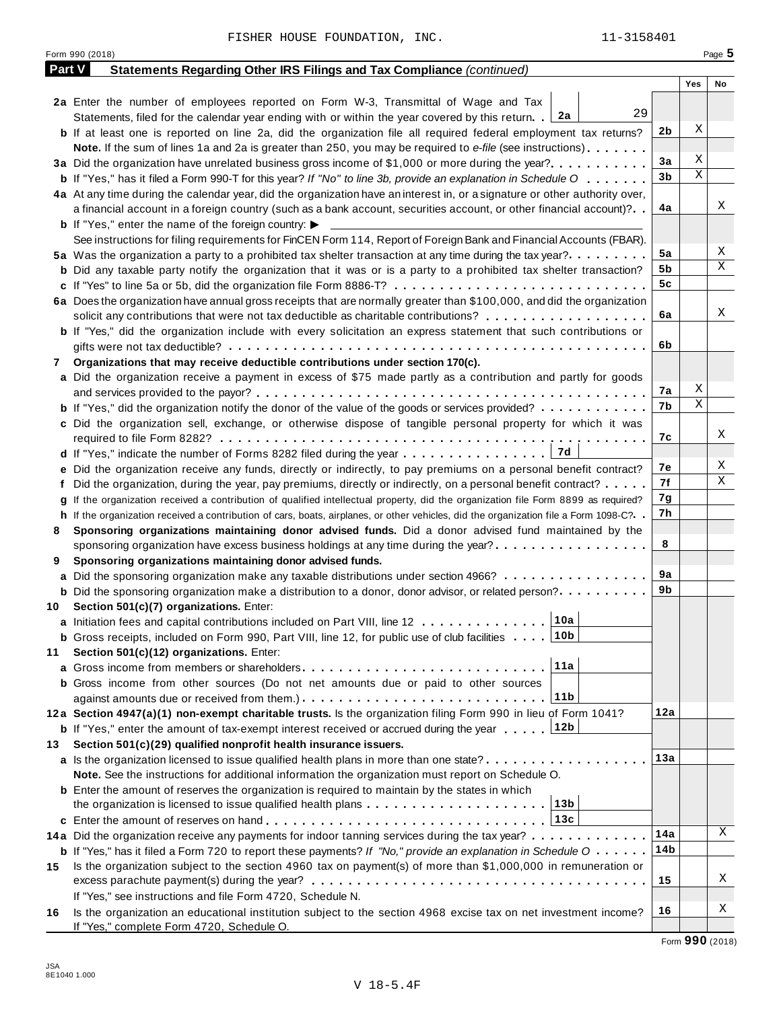| <b>Part V</b> | Statements Regarding Other IRS Filings and Tax Compliance (continued)                                                                        |                |             |    |
|---------------|----------------------------------------------------------------------------------------------------------------------------------------------|----------------|-------------|----|
|               |                                                                                                                                              |                | Yes         | No |
|               | 2a Enter the number of employees reported on Form W-3, Transmittal of Wage and Tax                                                           |                |             |    |
|               | 29<br>2a<br>Statements, filed for the calendar year ending with or within the year covered by this return.                                   |                |             |    |
|               | <b>b</b> If at least one is reported on line 2a, did the organization file all required federal employment tax returns?                      | 2 <sub>b</sub> | Χ           |    |
|               | Note. If the sum of lines 1a and 2a is greater than 250, you may be required to e-file (see instructions)                                    |                |             |    |
|               |                                                                                                                                              | 3a             | Χ           |    |
|               | <b>b</b> If "Yes," has it filed a Form 990-T for this year? If "No" to line 3b, provide an explanation in Schedule O                         | 3 <sub>b</sub> | $\mathbf X$ |    |
|               | 4a At any time during the calendar year, did the organization have an interest in, or a signature or other authority over,                   |                |             |    |
|               | a financial account in a foreign country (such as a bank account, securities account, or other financial account)?                           | 4a             |             | Χ  |
|               | <b>b</b> If "Yes," enter the name of the foreign country: $\blacktriangleright$                                                              |                |             |    |
|               | See instructions for filing requirements for FinCEN Form 114, Report of Foreign Bank and Financial Accounts (FBAR).                          |                |             |    |
|               | 5a Was the organization a party to a prohibited tax shelter transaction at any time during the tax year?                                     | 5a             |             | Χ  |
|               | <b>b</b> Did any taxable party notify the organization that it was or is a party to a prohibited tax shelter transaction?                    | 5b             |             | Χ  |
|               | c If "Yes" to line 5a or 5b, did the organization file Form 8886-T?                                                                          | 5 <sub>c</sub> |             |    |
|               | 6a Does the organization have annual gross receipts that are normally greater than \$100,000, and did the organization                       |                |             |    |
|               | solicit any contributions that were not tax deductible as charitable contributions?                                                          | 6a             |             | Χ  |
|               | <b>b</b> If "Yes," did the organization include with every solicitation an express statement that such contributions or                      |                |             |    |
|               |                                                                                                                                              | 6b             |             |    |
| 7.            | Organizations that may receive deductible contributions under section 170(c).                                                                |                |             |    |
|               | a Did the organization receive a payment in excess of \$75 made partly as a contribution and partly for goods                                |                |             |    |
|               |                                                                                                                                              | 7a             | Χ           |    |
|               | <b>b</b> If "Yes," did the organization notify the donor of the value of the goods or services provided?                                     | 7b             | $\mathbf X$ |    |
|               | c Did the organization sell, exchange, or otherwise dispose of tangible personal property for which it was                                   |                |             |    |
|               |                                                                                                                                              | 7c             |             | Χ  |
|               |                                                                                                                                              |                |             |    |
|               | e Did the organization receive any funds, directly or indirectly, to pay premiums on a personal benefit contract?                            | 7е             |             | Χ  |
|               | f Did the organization, during the year, pay premiums, directly or indirectly, on a personal benefit contract?                               | 7f             |             | Χ  |
|               | g If the organization received a contribution of qualified intellectual property, did the organization file Form 8899 as required?           | 7g             |             |    |
|               | h If the organization received a contribution of cars, boats, airplanes, or other vehicles, did the organization file a Form 1098-C?. .      | 7h             |             |    |
| 8             | Sponsoring organizations maintaining donor advised funds. Did a donor advised fund maintained by the                                         |                |             |    |
|               | sponsoring organization have excess business holdings at any time during the year?                                                           | 8              |             |    |
| 9             | Sponsoring organizations maintaining donor advised funds.                                                                                    |                |             |    |
|               | a Did the sponsoring organization make any taxable distributions under section 4966?                                                         | 9a             |             |    |
|               | <b>b</b> Did the sponsoring organization make a distribution to a donor, donor advisor, or related person?                                   | 9b             |             |    |
| 10            | Section 501(c)(7) organizations. Enter:                                                                                                      |                |             |    |
|               | 10a<br>a Initiation fees and capital contributions included on Part VIII, line 12                                                            |                |             |    |
|               | <b>b</b> Gross receipts, included on Form 990, Part VIII, line 12, for public use of club facilities [10b]                                   |                |             |    |
| 11            | Section 501(c)(12) organizations. Enter:                                                                                                     |                |             |    |
|               | 11a                                                                                                                                          |                |             |    |
|               | <b>b</b> Gross income from other sources (Do not net amounts due or paid to other sources                                                    |                |             |    |
|               | 11 <sub>b</sub><br>against amounts due or received from them.)                                                                               |                |             |    |
|               | 12a Section 4947(a)(1) non-exempt charitable trusts. Is the organization filing Form 990 in lieu of Form 1041?                               | 12a            |             |    |
|               | <b>b</b> If "Yes," enter the amount of tax-exempt interest received or accrued during the year 12b                                           |                |             |    |
| 13            | Section 501(c)(29) qualified nonprofit health insurance issuers.                                                                             |                |             |    |
|               | a Is the organization licensed to issue qualified health plans in more than one state?                                                       | 13а            |             |    |
|               | Note. See the instructions for additional information the organization must report on Schedule O.                                            |                |             |    |
|               | <b>b</b> Enter the amount of reserves the organization is required to maintain by the states in which                                        |                |             |    |
|               | 13 <sub>b</sub><br>the organization is licensed to issue qualified health plans                                                              |                |             |    |
|               | 13c                                                                                                                                          |                |             |    |
|               | 14a Did the organization receive any payments for indoor tanning services during the tax year?                                               | 14a            |             | X  |
|               | <b>b</b> If "Yes," has it filed a Form 720 to report these payments? If "No," provide an explanation in Schedule $0 \cdot \cdot \cdot \cdot$ | 14b            |             |    |
| 15            | Is the organization subject to the section 4960 tax on payment(s) of more than \$1,000,000 in remuneration or                                |                |             |    |
|               |                                                                                                                                              | 15             |             | Χ  |
|               | If "Yes," see instructions and file Form 4720, Schedule N.                                                                                   |                |             |    |
| 16            | Is the organization an educational institution subject to the section 4968 excise tax on net investment income?                              | 16             |             | Χ  |
|               | If "Yes," complete Form 4720, Schedule O.                                                                                                    |                |             |    |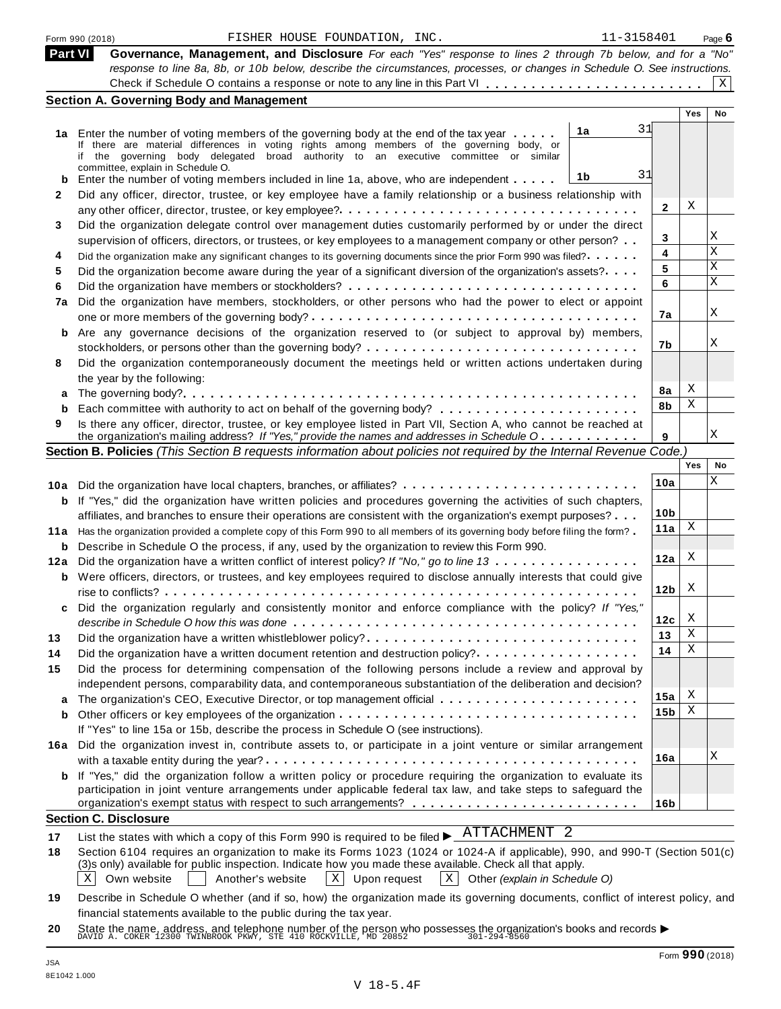|              | 11-3158401<br>FISHER HOUSE FOUNDATION, INC.<br>Form 990 (2018)                                                                                                                                                                          |                 |     | Page $6$ |
|--------------|-----------------------------------------------------------------------------------------------------------------------------------------------------------------------------------------------------------------------------------------|-----------------|-----|----------|
| Part VI      | Governance, Management, and Disclosure For each "Yes" response to lines 2 through 7b below, and for a "No"                                                                                                                              |                 |     |          |
|              | response to line 8a, 8b, or 10b below, describe the circumstances, processes, or changes in Schedule O. See instructions.                                                                                                               |                 |     |          |
|              |                                                                                                                                                                                                                                         |                 |     | X        |
|              | <b>Section A. Governing Body and Management</b>                                                                                                                                                                                         |                 |     |          |
|              |                                                                                                                                                                                                                                         |                 | Yes | No       |
|              | 31<br>1a<br>1a Enter the number of voting members of the governing body at the end of the tax year                                                                                                                                      |                 |     |          |
|              | If there are material differences in voting rights among members of the governing body, or<br>if the governing body delegated broad authority to an executive committee or similar                                                      |                 |     |          |
|              | committee, explain in Schedule O.                                                                                                                                                                                                       |                 |     |          |
| b            | 31<br>1b<br>Enter the number of voting members included in line 1a, above, who are independent                                                                                                                                          |                 |     |          |
| $\mathbf{2}$ | Did any officer, director, trustee, or key employee have a family relationship or a business relationship with                                                                                                                          |                 |     |          |
|              |                                                                                                                                                                                                                                         | $\mathbf{2}$    | Χ   |          |
| 3            | Did the organization delegate control over management duties customarily performed by or under the direct                                                                                                                               |                 |     | Χ        |
|              | supervision of officers, directors, or trustees, or key employees to a management company or other person?                                                                                                                              | 3               |     | X        |
| 4            | Did the organization make any significant changes to its governing documents since the prior Form 990 was filed?                                                                                                                        | 4               |     | X        |
| 5            | Did the organization become aware during the year of a significant diversion of the organization's assets?                                                                                                                              | 5<br>6          |     | X        |
| 6            |                                                                                                                                                                                                                                         |                 |     |          |
| 7a           | Did the organization have members, stockholders, or other persons who had the power to elect or appoint                                                                                                                                 | 7a              |     | Χ        |
|              |                                                                                                                                                                                                                                         |                 |     |          |
| b            | Are any governance decisions of the organization reserved to (or subject to approval by) members,                                                                                                                                       | 7b              |     | Χ        |
|              |                                                                                                                                                                                                                                         |                 |     |          |
| 8            | Did the organization contemporaneously document the meetings held or written actions undertaken during                                                                                                                                  |                 |     |          |
|              | the year by the following:                                                                                                                                                                                                              | 8a              | Χ   |          |
| а            |                                                                                                                                                                                                                                         | 8b              | Χ   |          |
| 9            | Is there any officer, director, trustee, or key employee listed in Part VII, Section A, who cannot be reached at                                                                                                                        |                 |     |          |
|              | the organization's mailing address? If "Yes," provide the names and addresses in Schedule O                                                                                                                                             | 9               |     | X        |
|              | Section B. Policies (This Section B requests information about policies not required by the Internal Revenue Code.)                                                                                                                     |                 |     |          |
|              |                                                                                                                                                                                                                                         |                 | Yes | No       |
|              | 10a Did the organization have local chapters, branches, or affiliates?                                                                                                                                                                  | 10a             |     | Χ        |
|              | <b>b</b> If "Yes," did the organization have written policies and procedures governing the activities of such chapters,                                                                                                                 |                 |     |          |
|              | affiliates, and branches to ensure their operations are consistent with the organization's exempt purposes?                                                                                                                             | 10 <sub>b</sub> |     |          |
|              | 11a Has the organization provided a complete copy of this Form 990 to all members of its governing body before filing the form?                                                                                                         | 11a             | Χ   |          |
| b            | Describe in Schedule O the process, if any, used by the organization to review this Form 990.                                                                                                                                           |                 |     |          |
| 12a          | Did the organization have a written conflict of interest policy? If "No," go to line 13                                                                                                                                                 | 12a             | X   |          |
|              | <b>b</b> Were officers, directors, or trustees, and key employees required to disclose annually interests that could give                                                                                                               |                 |     |          |
|              |                                                                                                                                                                                                                                         | 12 <sub>b</sub> | X   |          |
|              | Did the organization regularly and consistently monitor and enforce compliance with the policy? If "Yes,"                                                                                                                               |                 |     |          |
|              |                                                                                                                                                                                                                                         | 12c             | X   |          |
| 13           | Did the organization have a written whistleblower policy?                                                                                                                                                                               | 13              | Χ   |          |
| 14           | Did the organization have a written document retention and destruction policy?                                                                                                                                                          | 14              | Χ   |          |
| 15           | Did the process for determining compensation of the following persons include a review and approval by                                                                                                                                  |                 |     |          |
|              | independent persons, comparability data, and contemporaneous substantiation of the deliberation and decision?                                                                                                                           |                 |     |          |
| a            |                                                                                                                                                                                                                                         | 15a             | Χ   |          |
| b            |                                                                                                                                                                                                                                         | 15 <sub>b</sub> | Χ   |          |
|              | If "Yes" to line 15a or 15b, describe the process in Schedule O (see instructions).                                                                                                                                                     |                 |     |          |
|              | 16a Did the organization invest in, contribute assets to, or participate in a joint venture or similar arrangement                                                                                                                      |                 |     | Χ        |
|              |                                                                                                                                                                                                                                         | 16a             |     |          |
|              | <b>b</b> If "Yes," did the organization follow a written policy or procedure requiring the organization to evaluate its                                                                                                                 |                 |     |          |
|              | participation in joint venture arrangements under applicable federal tax law, and take steps to safeguard the                                                                                                                           |                 |     |          |
|              | <b>Section C. Disclosure</b>                                                                                                                                                                                                            | 16 <sub>b</sub> |     |          |
|              | ATTACHMENT <sub>2</sub>                                                                                                                                                                                                                 |                 |     |          |
| 17           | List the states with which a copy of this Form 990 is required to be filed $\blacktriangleright$ .                                                                                                                                      |                 |     |          |
| 18           | Section 6104 requires an organization to make its Forms 1023 (1024 or 1024-A if applicable), 990, and 990-T (Section 501(c)<br>(3)s only) available for public inspection. Indicate how you made these available. Check all that apply. |                 |     |          |
|              | $\mathbf{X}$<br>Own website<br>Upon request<br>$X \vert$<br>Χ<br>Another's website<br>Other (explain in Schedule O)                                                                                                                     |                 |     |          |
|              | 19 Describe in Schedule O whether (and if so how) the organization made its governing documents conflict of interest policy and                                                                                                         |                 |     |          |

**19** Describe in Schedule O whether (and if so, how) the organization made its governing documents, conflict of interest policy, and financial statements available to the public during the tax year.

**20** nnancial statements available to the public during the tax year.<br>State the name, address, and telephone number of the person who possesses the organization's books and records<br>DAVID A. COKER 12300 TWINBROOK PKWY, STE 410 R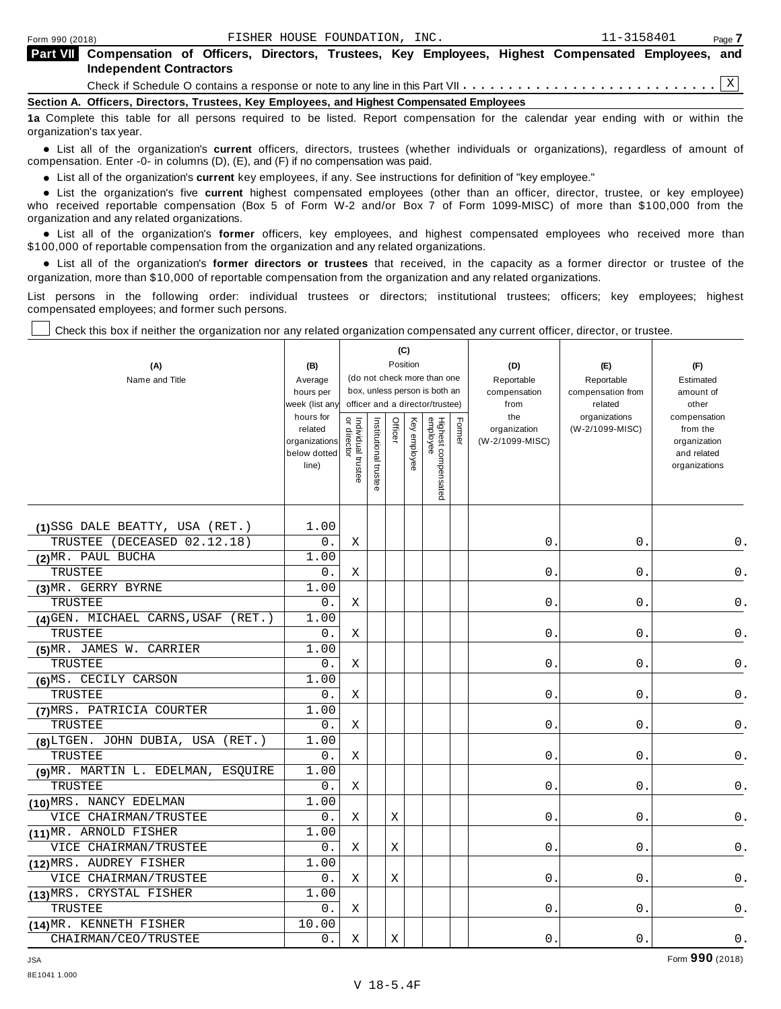| <b>Part VIII</b> Compensation of Officers, Directors, Trustees, Key Employees, Highest Compensated Employees, and<br><b>Independent Contractors</b> |
|-----------------------------------------------------------------------------------------------------------------------------------------------------|
|                                                                                                                                                     |
| Section A. Officers, Directors, Trustees, Key Employees, and Highest Compensated Employees                                                          |
| La a Abdullar alteralitza di ununce un turita in Paral. Nuon concernato fue del colonium del colto ctutto contribuito allo                          |

**1a** Complete this table for all persons required to be listed. Report compensation for the calendar year ending with or within the organization's tax year.

anization's lax year.<br>● List all of the organization's **current** officers, directors, trustees (whether individuals or organizations), regardless of amount of<br>nnensation Enter -0- in columns (D) (E) and (E) if no compensa compensation. Enter -0- in columns (D), (E), and (F) if no compensation was paid.

• List all of the organization's **current** key employees, if any. See instructions for definition of "key employee."<br>● List the experientials five expect highest expressed explores (other than an efficer director of

**Example in the organization's current** key employees, if any. See instructions for definition of key employee.<br>• List the organization's five **current** highest compensated employees (other than an officer, director, trust who received reportable compensation (Box 5 of Form W-2 and/or Box 7 of Form 1099-MISC) of more than \$100,000 from the

organization and any related organizations.<br>• List all of the organization's **former** officers, key employees, and highest compensated employees who received more than<br>\$1.00.000 of reportable componention from the erganiza \$100,000 of reportable compensation from the organization and any related organizations.

% List all of the organization's **former directors or trustees** that received, in the capacity as a former director or trustee of the organization, more than \$10,000 of reportable compensation from the organization and any related organizations.

List persons in the following order: individual trustees or directors; institutional trustees; officers; key employees; highest compensated employees; and former such persons.

Check this box if neither the organization nor any related organization compensated any current officer, director, or trustee.

| (A)                                 | (B)                                                            |                                  |                       |         | (C)<br>Position |                                 |        | (D)                                    | (E)                              | (F)                                                                      |
|-------------------------------------|----------------------------------------------------------------|----------------------------------|-----------------------|---------|-----------------|---------------------------------|--------|----------------------------------------|----------------------------------|--------------------------------------------------------------------------|
| Name and Title                      | Average                                                        |                                  |                       |         |                 | (do not check more than one     |        | Reportable                             | Reportable                       | Estimated                                                                |
|                                     | hours per                                                      |                                  |                       |         |                 | box, unless person is both an   |        | compensation                           | compensation from                | amount of                                                                |
|                                     | week (list any                                                 |                                  |                       |         |                 | officer and a director/trustee) |        | from                                   | related                          | other                                                                    |
|                                     | hours for<br>related<br>organizations<br>below dotted<br>line) | or directo<br>Individual trustee | Institutional trustee | Officer | Key employee    | Highest compensated<br>employee | Former | the<br>organization<br>(W-2/1099-MISC) | organizations<br>(W-2/1099-MISC) | compensation<br>from the<br>organization<br>and related<br>organizations |
| (1)SSG DALE BEATTY, USA (RET.)      | 1.00                                                           |                                  |                       |         |                 |                                 |        |                                        |                                  |                                                                          |
| TRUSTEE (DECEASED 02.12.18)         | 0.                                                             | Χ                                |                       |         |                 |                                 |        | 0.                                     | 0.                               | 0.                                                                       |
| (2) MR. PAUL BUCHA                  | 1.00                                                           |                                  |                       |         |                 |                                 |        |                                        |                                  |                                                                          |
| TRUSTEE                             | 0.                                                             | Χ                                |                       |         |                 |                                 |        | 0.                                     | 0.                               | 0.                                                                       |
| (3) MR. GERRY BYRNE                 | 1.00                                                           |                                  |                       |         |                 |                                 |        |                                        |                                  |                                                                          |
| TRUSTEE                             | 0.                                                             | Χ                                |                       |         |                 |                                 |        | $\overline{0}$ .                       | 0.                               | 0.                                                                       |
| (4) GEN. MICHAEL CARNS, USAF (RET.) | 1.00                                                           |                                  |                       |         |                 |                                 |        |                                        |                                  |                                                                          |
| TRUSTEE                             | 0.                                                             | X                                |                       |         |                 |                                 |        | 0.                                     | 0.                               | $0$ .                                                                    |
| (5) MR. JAMES W. CARRIER            | 1.00                                                           |                                  |                       |         |                 |                                 |        |                                        |                                  |                                                                          |
| TRUSTEE                             | 0.                                                             | Χ                                |                       |         |                 |                                 |        | 0.                                     | 0.                               | 0.                                                                       |
| (6)MS. CECILY CARSON                | 1.00                                                           |                                  |                       |         |                 |                                 |        |                                        |                                  |                                                                          |
| TRUSTEE                             | 0.                                                             | Χ                                |                       |         |                 |                                 |        | 0.                                     | 0.                               | 0.                                                                       |
| (7) MRS. PATRICIA COURTER           | 1.00                                                           |                                  |                       |         |                 |                                 |        |                                        |                                  |                                                                          |
| TRUSTEE                             | 0.                                                             | Χ                                |                       |         |                 |                                 |        | 0.                                     | 0.                               | 0.                                                                       |
| (8) LTGEN. JOHN DUBIA, USA (RET.)   | 1.00                                                           |                                  |                       |         |                 |                                 |        |                                        |                                  |                                                                          |
| TRUSTEE                             | 0.                                                             | X                                |                       |         |                 |                                 |        | 0.                                     | 0.                               | 0.                                                                       |
| (9) MR. MARTIN L. EDELMAN, ESQUIRE  | 1.00                                                           |                                  |                       |         |                 |                                 |        |                                        |                                  |                                                                          |
| TRUSTEE                             | 0.                                                             | Χ                                |                       |         |                 |                                 |        | 0.                                     | 0.                               | $0$ .                                                                    |
| (10) MRS. NANCY EDELMAN             | 1.00                                                           |                                  |                       |         |                 |                                 |        |                                        |                                  |                                                                          |
| VICE CHAIRMAN/TRUSTEE               | 0.                                                             | Χ                                |                       | Χ       |                 |                                 |        | 0.                                     | 0.                               | $0$ .                                                                    |
| (11) MR. ARNOLD FISHER              | 1.00                                                           |                                  |                       |         |                 |                                 |        |                                        |                                  |                                                                          |
| VICE CHAIRMAN/TRUSTEE               | $0$ .                                                          | Χ                                |                       | Х       |                 |                                 |        | 0.                                     | 0.                               | 0.                                                                       |
| (12) MRS. AUDREY FISHER             | 1.00                                                           |                                  |                       |         |                 |                                 |        |                                        |                                  |                                                                          |
| VICE CHAIRMAN/TRUSTEE               | 0.                                                             | Χ                                |                       | Χ       |                 |                                 |        | 0.                                     | 0.                               | 0.                                                                       |
| (13) MRS. CRYSTAL FISHER            | 1.00                                                           |                                  |                       |         |                 |                                 |        |                                        |                                  |                                                                          |
| TRUSTEE                             | 0.                                                             | Χ                                |                       |         |                 |                                 |        | 0.                                     | 0.                               | 0.                                                                       |
| (14) MR. KENNETH FISHER             | 10.00                                                          |                                  |                       |         |                 |                                 |        |                                        |                                  |                                                                          |
| CHAIRMAN/CEO/TRUSTEE                | 0.                                                             | Χ                                |                       | X       |                 |                                 |        | 0.                                     | 0.                               | 0.                                                                       |

JSA Form **990** (2018)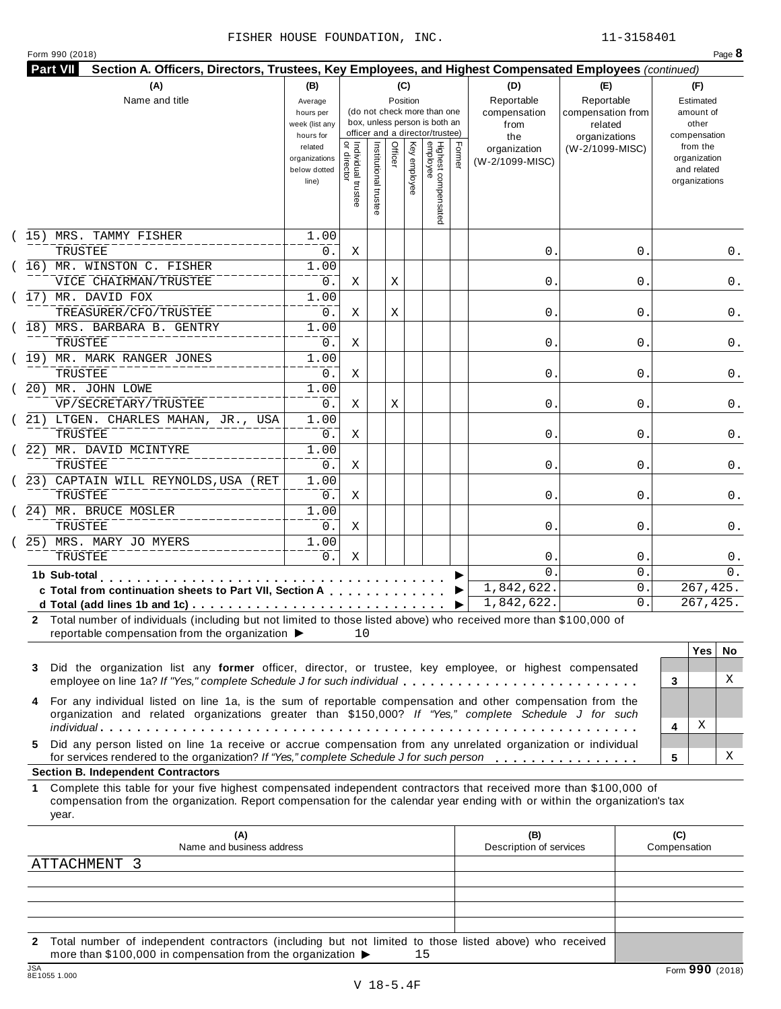|  | Form 990 (2018) |  |
|--|-----------------|--|
|  |                 |  |

|    | (A)<br>Name and title                                                                                                                                                                                                                                     | (B)<br>Average<br>hours per<br>week (list any<br>hours for | (C)<br>(D)<br>(E)<br>Reportable<br>Reportable<br>Position<br>(do not check more than one<br>compensation<br>compensation from<br>box, unless person is both an<br>from<br>related<br>officer and a director/trustee)<br>the<br>organizations |                      | (F)<br>Estimated<br>amount of<br>other<br>compensation |              |                                 |        |                                 |                 |                                                          |
|----|-----------------------------------------------------------------------------------------------------------------------------------------------------------------------------------------------------------------------------------------------------------|------------------------------------------------------------|----------------------------------------------------------------------------------------------------------------------------------------------------------------------------------------------------------------------------------------------|----------------------|--------------------------------------------------------|--------------|---------------------------------|--------|---------------------------------|-----------------|----------------------------------------------------------|
|    |                                                                                                                                                                                                                                                           | related<br>organizations<br>below dotted<br>line)          | Individual trustee<br>  or director                                                                                                                                                                                                          | Institutional truste | Officer                                                | Key employee | Highest compensated<br>employee | Former | organization<br>(W-2/1099-MISC) | (W-2/1099-MISC) | from the<br>organization<br>and related<br>organizations |
|    | 15) MRS. TAMMY FISHER                                                                                                                                                                                                                                     | 1.00                                                       |                                                                                                                                                                                                                                              |                      |                                                        |              |                                 |        |                                 |                 |                                                          |
|    | TRUSTEE                                                                                                                                                                                                                                                   | 0.                                                         | Χ                                                                                                                                                                                                                                            |                      |                                                        |              |                                 |        | 0.                              | 0               | 0.                                                       |
|    | (16) MR. WINSTON C. FISHER<br>VICE CHAIRMAN/TRUSTEE                                                                                                                                                                                                       | 1.00<br>0.                                                 | Χ                                                                                                                                                                                                                                            |                      | Χ                                                      |              |                                 |        | 0.                              | 0               | 0.                                                       |
|    | (17) MR. DAVID FOX                                                                                                                                                                                                                                        | 1.00                                                       |                                                                                                                                                                                                                                              |                      |                                                        |              |                                 |        |                                 |                 |                                                          |
|    | TREASURER/CFO/TRUSTEE                                                                                                                                                                                                                                     | 0.                                                         | Χ                                                                                                                                                                                                                                            |                      | Χ                                                      |              |                                 |        | 0.                              | 0               | 0.                                                       |
|    | (18) MRS. BARBARA B. GENTRY                                                                                                                                                                                                                               | 1.00                                                       |                                                                                                                                                                                                                                              |                      |                                                        |              |                                 |        |                                 |                 |                                                          |
|    | TRUSTEE                                                                                                                                                                                                                                                   | 0.                                                         | Χ                                                                                                                                                                                                                                            |                      |                                                        |              |                                 |        | 0.                              | 0               | 0.                                                       |
|    | (19) MR. MARK RANGER JONES                                                                                                                                                                                                                                | 1.00                                                       |                                                                                                                                                                                                                                              |                      |                                                        |              |                                 |        |                                 |                 |                                                          |
|    | TRUSTEE                                                                                                                                                                                                                                                   | 0.                                                         | Χ                                                                                                                                                                                                                                            |                      |                                                        |              |                                 |        | 0.                              | 0               | 0.                                                       |
|    | (20) MR. JOHN LOWE                                                                                                                                                                                                                                        | 1.00                                                       |                                                                                                                                                                                                                                              |                      |                                                        |              |                                 |        |                                 |                 |                                                          |
|    | VP/SECRETARY/TRUSTEE<br>(21) LTGEN. CHARLES MAHAN, JR., USA                                                                                                                                                                                               | 0.<br>1.00                                                 | Χ                                                                                                                                                                                                                                            |                      | Χ                                                      |              |                                 |        | 0.                              | 0               | 0.                                                       |
|    | TRUSTEE                                                                                                                                                                                                                                                   | 0.                                                         | Χ                                                                                                                                                                                                                                            |                      |                                                        |              |                                 |        | 0.                              | 0               | 0.                                                       |
|    | 22) MR. DAVID MCINTYRE                                                                                                                                                                                                                                    | 1.00                                                       |                                                                                                                                                                                                                                              |                      |                                                        |              |                                 |        |                                 |                 |                                                          |
|    | TRUSTEE                                                                                                                                                                                                                                                   | 0.                                                         | Χ                                                                                                                                                                                                                                            |                      |                                                        |              |                                 |        | 0.                              | 0               | 0.                                                       |
|    | (23) CAPTAIN WILL REYNOLDS, USA (RET                                                                                                                                                                                                                      | 1.00                                                       |                                                                                                                                                                                                                                              |                      |                                                        |              |                                 |        |                                 |                 |                                                          |
|    | TRUSTEE                                                                                                                                                                                                                                                   | 0.                                                         | Χ                                                                                                                                                                                                                                            |                      |                                                        |              |                                 |        | 0.                              | 0               | 0.                                                       |
|    | (24) MR. BRUCE MOSLER                                                                                                                                                                                                                                     | 1.00                                                       |                                                                                                                                                                                                                                              |                      |                                                        |              |                                 |        |                                 |                 |                                                          |
|    | TRUSTEE                                                                                                                                                                                                                                                   | 0.                                                         | Χ                                                                                                                                                                                                                                            |                      |                                                        |              |                                 |        | 0.                              | 0               | 0.                                                       |
|    | 25) MRS. MARY JO MYERS<br>TRUSTEE                                                                                                                                                                                                                         | 1.00<br>0.                                                 | Χ                                                                                                                                                                                                                                            |                      |                                                        |              |                                 |        | 0                               | 0               | 0.                                                       |
|    | 1b Sub-total<br>.                                                                                                                                                                                                                                         |                                                            |                                                                                                                                                                                                                                              |                      |                                                        |              |                                 |        | $\Omega$                        | $\mathbf 0$ .   | 0.                                                       |
|    | c Total from continuation sheets to Part VII, Section A                                                                                                                                                                                                   |                                                            |                                                                                                                                                                                                                                              |                      |                                                        |              |                                 |        | 1,842,622.                      | 0.              | $\overline{267}$ , 425.                                  |
|    |                                                                                                                                                                                                                                                           |                                                            |                                                                                                                                                                                                                                              |                      |                                                        |              |                                 | ▶      | 1,842,622.                      | 0.              | 267,425.                                                 |
|    | 2 Total number of individuals (including but not limited to those listed above) who received more than \$100,000 of<br>reportable compensation from the organization ▶                                                                                    |                                                            | 10                                                                                                                                                                                                                                           |                      |                                                        |              |                                 |        |                                 |                 |                                                          |
|    |                                                                                                                                                                                                                                                           |                                                            |                                                                                                                                                                                                                                              |                      |                                                        |              |                                 |        |                                 |                 | <b>Yes</b><br>No.                                        |
| 3  | Did the organization list any former officer, director, or trustee, key employee, or highest compensated<br>employee on line 1a? If "Yes," complete Schedule J for such individual                                                                        |                                                            |                                                                                                                                                                                                                                              |                      |                                                        |              |                                 |        |                                 |                 | X<br>3                                                   |
| 4  | For any individual listed on line 1a, is the sum of reportable compensation and other compensation from the                                                                                                                                               |                                                            |                                                                                                                                                                                                                                              |                      |                                                        |              |                                 |        |                                 |                 |                                                          |
|    | organization and related organizations greater than \$150,000? If "Yes," complete Schedule J for such                                                                                                                                                     |                                                            |                                                                                                                                                                                                                                              |                      |                                                        |              |                                 |        |                                 |                 |                                                          |
|    |                                                                                                                                                                                                                                                           |                                                            |                                                                                                                                                                                                                                              |                      |                                                        |              |                                 |        |                                 |                 | Χ<br>4                                                   |
| 5. | Did any person listed on line 1a receive or accrue compensation from any unrelated organization or individual<br>for services rendered to the organization? If "Yes," complete Schedule J for such person                                                 |                                                            |                                                                                                                                                                                                                                              |                      |                                                        |              |                                 |        |                                 |                 | X<br>5                                                   |
|    | <b>Section B. Independent Contractors</b>                                                                                                                                                                                                                 |                                                            |                                                                                                                                                                                                                                              |                      |                                                        |              |                                 |        |                                 |                 |                                                          |
| 1. | Complete this table for your five highest compensated independent contractors that received more than \$100,000 of<br>compensation from the organization. Report compensation for the calendar year ending with or within the organization's tax<br>year. |                                                            |                                                                                                                                                                                                                                              |                      |                                                        |              |                                 |        |                                 |                 |                                                          |
|    | (A)                                                                                                                                                                                                                                                       |                                                            |                                                                                                                                                                                                                                              |                      |                                                        |              |                                 |        | (B)                             |                 | (C)                                                      |
|    | Name and business address                                                                                                                                                                                                                                 |                                                            |                                                                                                                                                                                                                                              |                      |                                                        |              |                                 |        | Description of services         |                 | Compensation                                             |
|    | ATTACHMENT 3                                                                                                                                                                                                                                              |                                                            |                                                                                                                                                                                                                                              |                      |                                                        |              |                                 |        |                                 |                 |                                                          |
|    |                                                                                                                                                                                                                                                           |                                                            |                                                                                                                                                                                                                                              |                      |                                                        |              |                                 |        |                                 |                 |                                                          |

**2** Total number of independent contractors (including but not limited to those listed above) who received<br>more than \$100,000 in compensation from the organization  $\rightarrow$  15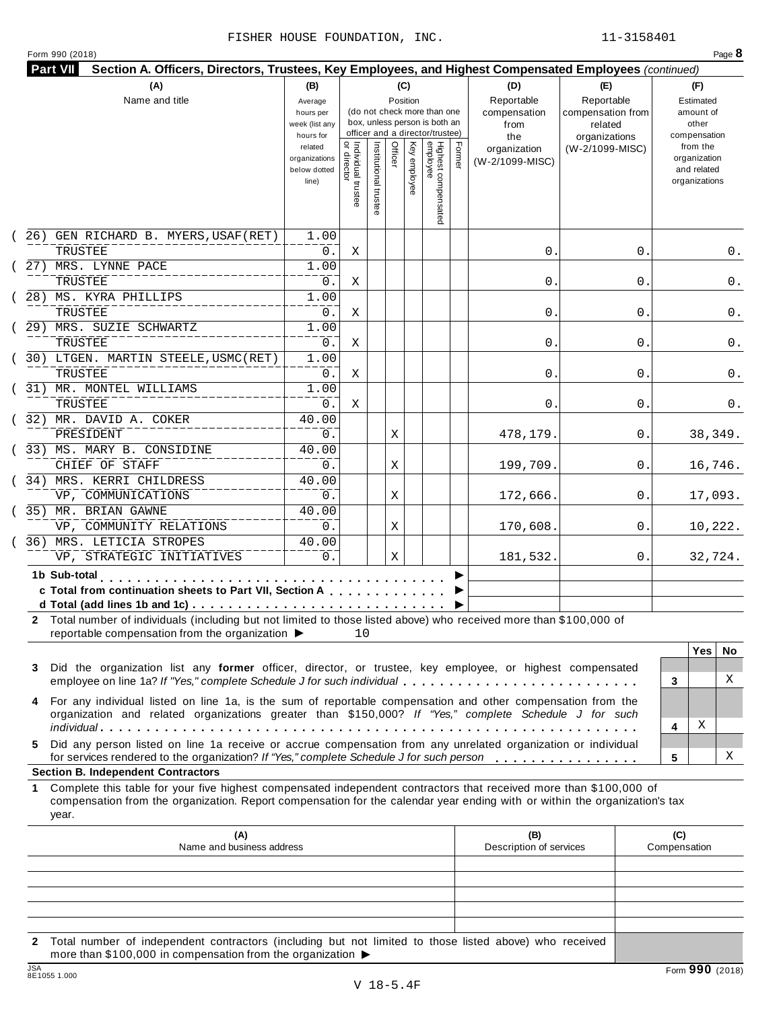|  | Form 990 (2018) |
|--|-----------------|

| <b>Part VII</b><br>Section A. Officers, Directors, Trustees, Key Employees, and Highest Compensated Employees (continued)                                                                                                                                       |                                                                                  |                                          |                       |                 |              |                                                                                                     |        |                                                |                                             |                                                                                   |
|-----------------------------------------------------------------------------------------------------------------------------------------------------------------------------------------------------------------------------------------------------------------|----------------------------------------------------------------------------------|------------------------------------------|-----------------------|-----------------|--------------|-----------------------------------------------------------------------------------------------------|--------|------------------------------------------------|---------------------------------------------|-----------------------------------------------------------------------------------|
| (A)<br>Name and title                                                                                                                                                                                                                                           | (B)<br>Average<br>hours per                                                      |                                          |                       | (C)<br>Position |              | (do not check more than one                                                                         |        | (D)<br>Reportable<br>compensation              | (E)<br>Reportable<br>compensation from      | (F)<br>Estimated<br>amount of                                                     |
|                                                                                                                                                                                                                                                                 | week (list any<br>hours for<br>related<br>organizations<br>below dotted<br>line) | Individual trustee<br> <br>  or director | Institutional trustee | Officer         | Key employee | box, unless person is both an<br>officer and a director/trustee)<br>Highest compensated<br>employee | Former | from<br>the<br>organization<br>(W-2/1099-MISC) | related<br>organizations<br>(W-2/1099-MISC) | other<br>compensation<br>from the<br>organization<br>and related<br>organizations |
|                                                                                                                                                                                                                                                                 |                                                                                  |                                          |                       |                 |              |                                                                                                     |        |                                                |                                             |                                                                                   |
| (26) GEN RICHARD B. MYERS, USAF (RET)<br>TRUSTEE                                                                                                                                                                                                                | 1.00<br>0.                                                                       | Χ                                        |                       |                 |              |                                                                                                     |        | 0.                                             | 0.                                          | 0.                                                                                |
| 27) MRS. LYNNE PACE<br>TRUSTEE                                                                                                                                                                                                                                  | 1.00<br>$0$ .                                                                    | Χ                                        |                       |                 |              |                                                                                                     |        | 0.                                             | 0                                           | 0.                                                                                |
| 28) MS. KYRA PHILLIPS<br>TRUSTEE                                                                                                                                                                                                                                | 1.00<br>$0$ .                                                                    | Χ                                        |                       |                 |              |                                                                                                     |        | 0.                                             | 0                                           | 0.                                                                                |
| 29) MRS. SUZIE SCHWARTZ                                                                                                                                                                                                                                         | 1.00                                                                             |                                          |                       |                 |              |                                                                                                     |        |                                                |                                             |                                                                                   |
| TRUSTEE<br>$(30)$ LTGEN. MARTIN STEELE, USMC(RET)                                                                                                                                                                                                               | 0.<br>1.00                                                                       | Χ                                        |                       |                 |              |                                                                                                     |        | 0.                                             | 0                                           | 0.                                                                                |
| TRUSTEE<br>(31) MR. MONTEL WILLIAMS                                                                                                                                                                                                                             | 0.<br>1.00                                                                       | Χ                                        |                       |                 |              |                                                                                                     |        | 0.                                             | 0                                           | 0.                                                                                |
| TRUSTEE<br>(32) MR. DAVID A. COKER                                                                                                                                                                                                                              | 0.<br>40.00                                                                      | Χ                                        |                       |                 |              |                                                                                                     |        | 0.                                             | 0                                           | 0.                                                                                |
| PRESIDENT<br>(33) MS. MARY B. CONSIDINE                                                                                                                                                                                                                         | 0.<br>40.00                                                                      |                                          |                       | Χ               |              |                                                                                                     |        | 478,179.                                       | 0.                                          | 38,349.                                                                           |
| CHIEF OF STAFF<br>(34) MRS. KERRI CHILDRESS                                                                                                                                                                                                                     | 0.<br>40.00                                                                      |                                          |                       | Χ               |              |                                                                                                     |        | 199,709.                                       | 0.                                          | 16,746.                                                                           |
| VP, COMMUNICATIONS                                                                                                                                                                                                                                              | 0.                                                                               |                                          |                       | Χ               |              |                                                                                                     |        | 172,666.                                       | 0.                                          | 17,093.                                                                           |
| (35) MR. BRIAN GAWNE<br>VP, COMMUNITY RELATIONS                                                                                                                                                                                                                 | 40.00<br>0.                                                                      |                                          |                       | Χ               |              |                                                                                                     |        | 170,608.                                       | 0.                                          | 10,222.                                                                           |
| 36) MRS. LETICIA STROPES<br>VP, STRATEGIC INITIATIVES                                                                                                                                                                                                           | 40.00<br>0.                                                                      |                                          |                       | Χ               |              |                                                                                                     |        | 181,532.                                       | 0.                                          | 32,724.                                                                           |
| 1b Sub-total<br>c Total from continuation sheets to Part VII, Section A<br>2 Total number of individuals (including but not limited to those listed above) who received more than \$100,000 of<br>reportable compensation from the organization ▶               |                                                                                  | 10                                       |                       |                 |              |                                                                                                     |        |                                                |                                             |                                                                                   |
| Did the organization list any former officer, director, or trustee, key employee, or highest compensated<br>3<br>employee on line 1a? If "Yes," complete Schedule J for such individual                                                                         |                                                                                  |                                          |                       |                 |              |                                                                                                     |        |                                                |                                             | <b>Yes</b><br>No.<br>X<br>3                                                       |
| For any individual listed on line 1a, is the sum of reportable compensation and other compensation from the<br>4<br>organization and related organizations greater than \$150,000? If "Yes," complete Schedule J for such                                       |                                                                                  |                                          |                       |                 |              |                                                                                                     |        |                                                |                                             | Χ                                                                                 |
| Did any person listed on line 1a receive or accrue compensation from any unrelated organization or individual<br>5.<br>for services rendered to the organization? If "Yes," complete Schedule J for such person                                                 |                                                                                  |                                          |                       |                 |              |                                                                                                     |        |                                                |                                             | 4<br>х<br>5                                                                       |
| <b>Section B. Independent Contractors</b>                                                                                                                                                                                                                       |                                                                                  |                                          |                       |                 |              |                                                                                                     |        |                                                |                                             |                                                                                   |
| Complete this table for your five highest compensated independent contractors that received more than \$100,000 of<br>1.<br>compensation from the organization. Report compensation for the calendar year ending with or within the organization's tax<br>year. |                                                                                  |                                          |                       |                 |              |                                                                                                     |        |                                                |                                             |                                                                                   |
| (A)<br>Name and business address                                                                                                                                                                                                                                |                                                                                  |                                          |                       |                 |              |                                                                                                     |        | (B)<br>Description of services                 |                                             | (C)<br>Compensation                                                               |
|                                                                                                                                                                                                                                                                 |                                                                                  |                                          |                       |                 |              |                                                                                                     |        |                                                |                                             |                                                                                   |
|                                                                                                                                                                                                                                                                 |                                                                                  |                                          |                       |                 |              |                                                                                                     |        |                                                |                                             |                                                                                   |

**2** Total number of independent contractors (including but not limited to those listed above) who received more than \$100,000 in compensation from the organization  $\blacktriangleright$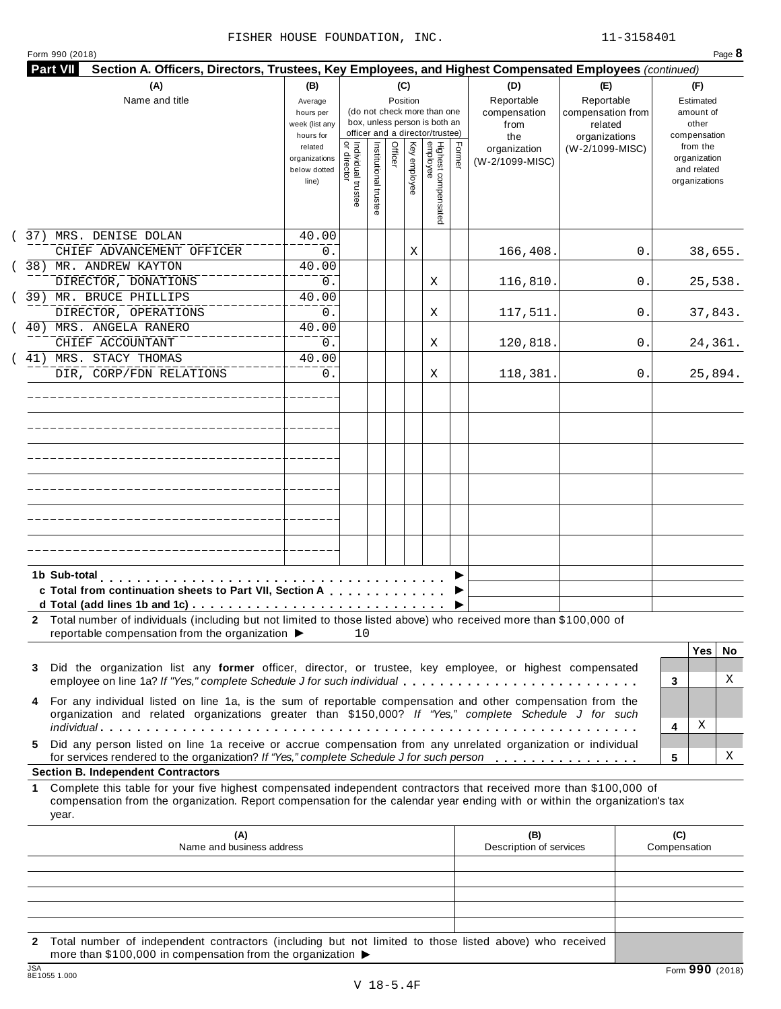| Form 990 (2018) |  |  |
|-----------------|--|--|

| Name and title                                                                                                                                                                                                                                                                                     | (B)<br>Average<br>hours per<br>week (list any<br>hours for |                                     |                       | (C)<br>Position         | (do not check more than one<br>box, unless person is both an<br>officer and a director/trustee) |        | (D)<br>Reportable<br>compensation<br>from<br>the | (E)<br>Reportable<br>compensation from<br>related<br>organizations | (F)<br>Estimated<br>amount of<br>other<br>compensation   |
|----------------------------------------------------------------------------------------------------------------------------------------------------------------------------------------------------------------------------------------------------------------------------------------------------|------------------------------------------------------------|-------------------------------------|-----------------------|-------------------------|-------------------------------------------------------------------------------------------------|--------|--------------------------------------------------|--------------------------------------------------------------------|----------------------------------------------------------|
|                                                                                                                                                                                                                                                                                                    | related<br>organizations<br>below dotted<br>line)          | Individual trustee<br>  or director | Institutional trustee | Officer<br>Key employee | Highest compensated<br>employee                                                                 | Former | organization<br>(W-2/1099-MISC)                  | (W-2/1099-MISC)                                                    | from the<br>organization<br>and related<br>organizations |
| 37) MRS. DENISE DOLAN<br>CHIEF ADVANCEMENT OFFICER                                                                                                                                                                                                                                                 | 40.00<br>0.                                                |                                     |                       | Χ                       |                                                                                                 |        | 166,408.                                         | 0.                                                                 | 38,655.                                                  |
| 38) MR. ANDREW KAYTON<br>DIRECTOR, DONATIONS                                                                                                                                                                                                                                                       | 40.00<br>0.                                                |                                     |                       |                         | X                                                                                               |        | 116,810.                                         | 0.                                                                 | 25,538.                                                  |
| 39) MR. BRUCE PHILLIPS<br>DIRECTOR, OPERATIONS                                                                                                                                                                                                                                                     | 40.00<br>0.                                                |                                     |                       |                         | X                                                                                               |        | 117,511.                                         | 0.                                                                 | 37,843.                                                  |
| 40) MRS. ANGELA RANERO<br>CHIEF ACCOUNTANT                                                                                                                                                                                                                                                         | 40.00<br>0.                                                |                                     |                       |                         | Χ                                                                                               |        | 120,818.                                         | 0.                                                                 | 24,361.                                                  |
| 41) MRS. STACY THOMAS<br>DIR, CORP/FDN RELATIONS                                                                                                                                                                                                                                                   | 40.00<br>0.                                                |                                     |                       |                         | Χ                                                                                               |        | 118,381.                                         | 0.                                                                 | 25,894.                                                  |
|                                                                                                                                                                                                                                                                                                    |                                                            |                                     |                       |                         |                                                                                                 |        |                                                  |                                                                    |                                                          |
|                                                                                                                                                                                                                                                                                                    |                                                            |                                     |                       |                         |                                                                                                 |        |                                                  |                                                                    |                                                          |
|                                                                                                                                                                                                                                                                                                    |                                                            |                                     |                       |                         |                                                                                                 |        |                                                  |                                                                    |                                                          |
|                                                                                                                                                                                                                                                                                                    |                                                            |                                     |                       |                         |                                                                                                 |        |                                                  |                                                                    |                                                          |
|                                                                                                                                                                                                                                                                                                    |                                                            |                                     |                       |                         |                                                                                                 |        |                                                  |                                                                    |                                                          |
| 1b Sub-total<br>c Total from continuation sheets to Part VII, Section A                                                                                                                                                                                                                            |                                                            |                                     |                       |                         |                                                                                                 |        |                                                  |                                                                    |                                                          |
| 2 Total number of individuals (including but not limited to those listed above) who received more than \$100,000 of<br>reportable compensation from the organization ▶                                                                                                                             |                                                            | 10                                  |                       |                         |                                                                                                 |        |                                                  |                                                                    |                                                          |
| Did the organization list any former officer, director, or trustee, key employee, or highest compensated<br>3<br>employee on line 1a? If "Yes," complete Schedule J for such individual                                                                                                            |                                                            |                                     |                       |                         |                                                                                                 |        |                                                  |                                                                    | <b>Yes</b><br>No.<br>X<br>3                              |
| For any individual listed on line 1a, is the sum of reportable compensation and other compensation from the<br>4<br>organization and related organizations greater than \$150,000? If "Yes," complete Schedule J for such                                                                          |                                                            |                                     |                       |                         |                                                                                                 |        |                                                  |                                                                    | х<br>4                                                   |
| Did any person listed on line 1a receive or accrue compensation from any unrelated organization or individual<br>5.<br>for services rendered to the organization? If "Yes," complete Schedule J for such person                                                                                    |                                                            |                                     |                       |                         |                                                                                                 |        |                                                  |                                                                    | х<br>5                                                   |
| <b>Section B. Independent Contractors</b><br>Complete this table for your five highest compensated independent contractors that received more than \$100,000 of<br>1<br>compensation from the organization. Report compensation for the calendar year ending with or within the organization's tax |                                                            |                                     |                       |                         |                                                                                                 |        |                                                  |                                                                    |                                                          |
| year.                                                                                                                                                                                                                                                                                              |                                                            |                                     |                       |                         |                                                                                                 |        | (B)                                              |                                                                    | (C)                                                      |
| (A)<br>Name and business address                                                                                                                                                                                                                                                                   |                                                            |                                     |                       |                         |                                                                                                 |        | Description of services                          |                                                                    | Compensation                                             |
|                                                                                                                                                                                                                                                                                                    |                                                            |                                     |                       |                         |                                                                                                 |        |                                                  |                                                                    |                                                          |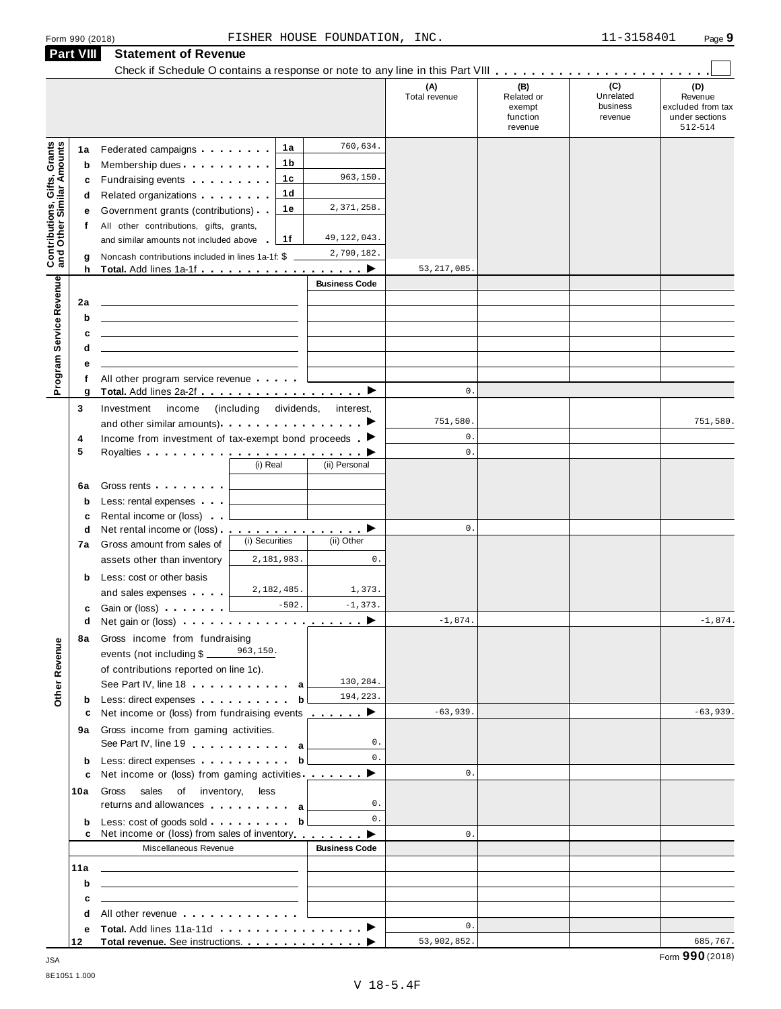|                                                                  | <b>Part VIII</b>            | <b>Statement of Revenue</b>                                                                                                                                                                                                                                                                                                                                                                                                                                        |                                  |                                                     |                      |                                                    |                                         |                                                                  |
|------------------------------------------------------------------|-----------------------------|--------------------------------------------------------------------------------------------------------------------------------------------------------------------------------------------------------------------------------------------------------------------------------------------------------------------------------------------------------------------------------------------------------------------------------------------------------------------|----------------------------------|-----------------------------------------------------|----------------------|----------------------------------------------------|-----------------------------------------|------------------------------------------------------------------|
|                                                                  |                             |                                                                                                                                                                                                                                                                                                                                                                                                                                                                    |                                  |                                                     |                      |                                                    |                                         |                                                                  |
|                                                                  |                             |                                                                                                                                                                                                                                                                                                                                                                                                                                                                    |                                  |                                                     | (A)<br>Total revenue | (B)<br>Related or<br>exempt<br>function<br>revenue | (C)<br>Unrelated<br>business<br>revenue | (D)<br>Revenue<br>excluded from tax<br>under sections<br>512-514 |
| <b>Contributions, Gifts, Grants</b><br>and Other Similar Amounts | 1a<br>b<br>c<br>d<br>е<br>f | Federated campaigns <b>Federated</b><br>Membership dues<br>Fundraising events <b>Fundraising</b><br>Related organizations <b>and the set of the set of the set of the set of the set of the set of the set of the set of the set of the set of the set of the set of the set of the set of the set of the set of the set of the set </b><br>Government grants (contributions)<br>All other contributions, gifts, grants,<br>and similar amounts not included above | 1a<br>1b<br>1c<br>1d<br>1e<br>1f | 760,634.<br>963,150.<br>2,371,258.<br>49, 122, 043. |                      |                                                    |                                         |                                                                  |
|                                                                  | g                           | Noncash contributions included in lines 1a-1f: \$                                                                                                                                                                                                                                                                                                                                                                                                                  |                                  | 2,790,182.                                          | 53, 217, 085.        |                                                    |                                         |                                                                  |
|                                                                  | h                           |                                                                                                                                                                                                                                                                                                                                                                                                                                                                    |                                  | <b>Business Code</b>                                |                      |                                                    |                                         |                                                                  |
| Program Service Revenue                                          | 2a<br>b<br>c<br>d<br>е      | <u> 1989 - John Stein, mars and de Britain and de Britain and de Britain and de Britain and de Britain and de Br</u>                                                                                                                                                                                                                                                                                                                                               |                                  |                                                     |                      |                                                    |                                         |                                                                  |
|                                                                  | f                           | All other program service revenue                                                                                                                                                                                                                                                                                                                                                                                                                                  |                                  |                                                     |                      |                                                    |                                         |                                                                  |
|                                                                  | g                           |                                                                                                                                                                                                                                                                                                                                                                                                                                                                    |                                  |                                                     | $\mathsf{0}$ .       |                                                    |                                         |                                                                  |
|                                                                  | 3                           | Investment<br>income<br>and other similar amounts) $\cdots$ $\cdots$ $\cdots$ $\cdots$                                                                                                                                                                                                                                                                                                                                                                             | (including dividends, interest,  |                                                     | 751,580.             |                                                    |                                         | 751,580.                                                         |
|                                                                  | 4<br>5                      | Income from investment of tax-exempt bond proceeds $\blacktriangleright$                                                                                                                                                                                                                                                                                                                                                                                           | (i) Real                         | (ii) Personal                                       | 0.<br>$\mathbf{0}$ . |                                                    |                                         |                                                                  |
|                                                                  | 6a<br>$\mathbf b$<br>c      | Gross rents <b>Container and Container</b><br>Less: rental expenses<br>Rental income or (loss)                                                                                                                                                                                                                                                                                                                                                                     |                                  |                                                     |                      |                                                    |                                         |                                                                  |
|                                                                  | d                           | Net rental income or (loss) <b>interact in the set of the set of the set of the set of the set of the set of the set of the set of the set of the set of the set of the set of the set of the set of the set of the set of the </b>                                                                                                                                                                                                                                |                                  |                                                     | 0.                   |                                                    |                                         |                                                                  |
|                                                                  | 7a                          | Gross amount from sales of                                                                                                                                                                                                                                                                                                                                                                                                                                         | (i) Securities                   | (ii) Other                                          |                      |                                                    |                                         |                                                                  |
|                                                                  |                             | assets other than inventory                                                                                                                                                                                                                                                                                                                                                                                                                                        | 2,181,983.                       | $\mathsf{0}$ .                                      |                      |                                                    |                                         |                                                                  |
|                                                                  | b                           | Less: cost or other basis<br>and sales expenses with a sales                                                                                                                                                                                                                                                                                                                                                                                                       | 2,182,485.<br>$-502.$            | 1,373.<br>$-1, 373.$                                |                      |                                                    |                                         |                                                                  |
|                                                                  | c<br>d                      | Gain or (loss) <b>Canada</b> Castro Control<br>Net gain or (loss) $\cdots$ $\cdots$ $\cdots$ $\cdots$ $\cdots$ $\cdots$                                                                                                                                                                                                                                                                                                                                            |                                  |                                                     | $-1,874.$            |                                                    |                                         | $-1,874.$                                                        |
|                                                                  |                             | 8a Gross income from fundraising<br>events (not including $\frac{263,150}{100}$ .                                                                                                                                                                                                                                                                                                                                                                                  |                                  |                                                     |                      |                                                    |                                         |                                                                  |
| Other Revenue                                                    |                             | of contributions reported on line 1c).<br>See Part IV, line 18 a                                                                                                                                                                                                                                                                                                                                                                                                   |                                  | 130,284.                                            |                      |                                                    |                                         |                                                                  |
|                                                                  | b                           | Less: direct expenses                                                                                                                                                                                                                                                                                                                                                                                                                                              | b                                | 194,223.                                            |                      |                                                    |                                         |                                                                  |
|                                                                  | c                           | Net income or (loss) from fundraising events $\qquad \qquad \blacktriangleright$<br>9a Gross income from gaming activities.                                                                                                                                                                                                                                                                                                                                        |                                  |                                                     | $-63,939.$           |                                                    |                                         | $-63,939.$                                                       |
|                                                                  | b                           | See Part IV, line 19 a<br>Less: direct expenses b                                                                                                                                                                                                                                                                                                                                                                                                                  |                                  | 0.<br>$\mathbf{0}$ .                                | $\mathbf{0}$ .       |                                                    |                                         |                                                                  |
|                                                                  | c<br>10a                    | Net income or (loss) from gaming activities $\qquad \qquad \blacktriangleright$<br>Gross sales of inventory, less                                                                                                                                                                                                                                                                                                                                                  |                                  |                                                     |                      |                                                    |                                         |                                                                  |
|                                                                  | b                           | returns and allowances a<br>Net income or (loss) from sales of inventory <b>example 1</b> ▶                                                                                                                                                                                                                                                                                                                                                                        |                                  | 0.<br>0.                                            | $\mathbf{0}$ .       |                                                    |                                         |                                                                  |
|                                                                  |                             | Miscellaneous Revenue                                                                                                                                                                                                                                                                                                                                                                                                                                              |                                  | <b>Business Code</b>                                |                      |                                                    |                                         |                                                                  |
|                                                                  |                             |                                                                                                                                                                                                                                                                                                                                                                                                                                                                    |                                  |                                                     |                      |                                                    |                                         |                                                                  |
|                                                                  | 11a                         | <u> 1980 - Jan Sterling von Berling von Berling von Berling von Berling von Berling von Berling von Berling von B</u>                                                                                                                                                                                                                                                                                                                                              |                                  |                                                     |                      |                                                    |                                         |                                                                  |
|                                                                  | b                           | <u>and the state of the state of the state of the state of the state of the state of the state of the state of the state of the state of the state of the state of the state of the state of the state of the state of the state</u>                                                                                                                                                                                                                               |                                  |                                                     |                      |                                                    |                                         |                                                                  |
|                                                                  | c                           | All other revenue                                                                                                                                                                                                                                                                                                                                                                                                                                                  |                                  |                                                     |                      |                                                    |                                         |                                                                  |
|                                                                  | d<br>е                      |                                                                                                                                                                                                                                                                                                                                                                                                                                                                    |                                  |                                                     | $\mathbf{0}$ .       |                                                    |                                         |                                                                  |
|                                                                  | 12                          | Total revenue. See instructions. ▶                                                                                                                                                                                                                                                                                                                                                                                                                                 |                                  |                                                     | 53,902,852.          |                                                    |                                         | 685,767.                                                         |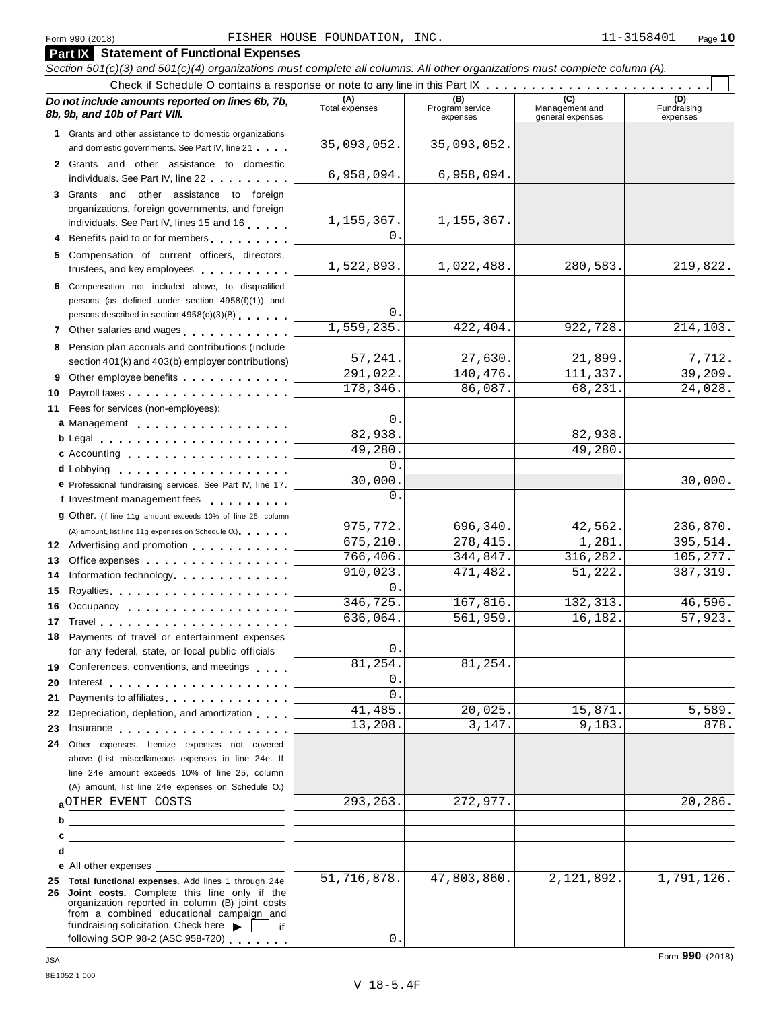|          | <b>Part IX</b> Statement of Functional Expenses                                                                                                                                                                                                                                  |                       |                                    |                                    |                                |
|----------|----------------------------------------------------------------------------------------------------------------------------------------------------------------------------------------------------------------------------------------------------------------------------------|-----------------------|------------------------------------|------------------------------------|--------------------------------|
|          | Section 501(c)(3) and 501(c)(4) organizations must complete all columns. All other organizations must complete column (A).                                                                                                                                                       |                       |                                    |                                    |                                |
|          | Check if Schedule O contains a response or note to any line in this Part IX                                                                                                                                                                                                      |                       |                                    |                                    |                                |
|          | Do not include amounts reported on lines 6b, 7b,<br>8b, 9b, and 10b of Part VIII.                                                                                                                                                                                                | (A)<br>Total expenses | (B)<br>Program service<br>expenses | Management and<br>general expenses | (D)<br>Fundraising<br>expenses |
|          | 1 Grants and other assistance to domestic organizations                                                                                                                                                                                                                          | 35,093,052.           | 35,093,052.                        |                                    |                                |
|          | and domestic governments. See Part IV, line 21                                                                                                                                                                                                                                   |                       |                                    |                                    |                                |
|          | 2 Grants and other assistance to domestic<br>individuals. See Part IV, line 22 <b>Canadian Accord Part II</b>                                                                                                                                                                    | 6,958,094.            | 6,958,094.                         |                                    |                                |
|          | 3 Grants and other assistance to foreign                                                                                                                                                                                                                                         |                       |                                    |                                    |                                |
|          | organizations, foreign governments, and foreign                                                                                                                                                                                                                                  |                       | 1, 155, 367.                       |                                    |                                |
|          | individuals. See Part IV, lines 15 and 16                                                                                                                                                                                                                                        | 1, 155, 367.<br>0     |                                    |                                    |                                |
|          | 4 Benefits paid to or for members                                                                                                                                                                                                                                                |                       |                                    |                                    |                                |
|          | 5 Compensation of current officers, directors,<br>trustees, and key employees expressed as a set of the set of the set of the set of the set of the set of the set of the set of the set of the set of the set of the set of the set of the set of the set of the set of the set | 1,522,893.            | 1,022,488.                         | 280,583.                           | 219,822.                       |
|          | 6 Compensation not included above, to disqualified                                                                                                                                                                                                                               |                       |                                    |                                    |                                |
|          | persons (as defined under section 4958(f)(1)) and                                                                                                                                                                                                                                | 0                     |                                    |                                    |                                |
|          | persons described in section 4958(c)(3)(B)                                                                                                                                                                                                                                       | 1,559,235.            | 422,404.                           | 922,728.                           | 214,103.                       |
|          | 7 Other salaries and wages <b>container and all the salaries</b>                                                                                                                                                                                                                 |                       |                                    |                                    |                                |
|          | 8 Pension plan accruals and contributions (include                                                                                                                                                                                                                               | 57,241.               | 27,630.                            | 21,899.                            | 7,712.                         |
|          | section 401(k) and 403(b) employer contributions)<br>9 Other employee benefits                                                                                                                                                                                                   | 291,022.              | 140,476.                           | 111,337.                           | 39,209.                        |
| 10       | Payroll taxes                                                                                                                                                                                                                                                                    | 178,346.              | 86,087.                            | 68,231.                            | 24,028.                        |
| 11       | Fees for services (non-employees):                                                                                                                                                                                                                                               |                       |                                    |                                    |                                |
|          | a Management                                                                                                                                                                                                                                                                     | 0                     |                                    |                                    |                                |
|          |                                                                                                                                                                                                                                                                                  | 82,938.               |                                    | 82,938.                            |                                |
|          | c Accounting                                                                                                                                                                                                                                                                     | 49,280                |                                    | 49,280.                            |                                |
|          | d Lobbying entering the set of the set of the set of the set of the set of the set of the set of the set of th                                                                                                                                                                   | 0                     |                                    |                                    |                                |
|          | e Professional fundraising services. See Part IV, line 17                                                                                                                                                                                                                        | 30,000                |                                    |                                    | 30,000.                        |
|          | f Investment management fees                                                                                                                                                                                                                                                     | 0                     |                                    |                                    |                                |
|          | <b>g</b> Other. (If line 11g amount exceeds 10% of line 25, column                                                                                                                                                                                                               |                       |                                    |                                    |                                |
|          | (A) amount, list line 11g expenses on Schedule O.)                                                                                                                                                                                                                               | 975,772.<br>675,210.  | 696,340.                           | 42,562.                            | 236,870.                       |
|          | 12 Advertising and promotion                                                                                                                                                                                                                                                     | 766,406.              | 278,415.<br>344,847.               | 1,281.<br>316,282.                 | 395,514.<br>105, 277.          |
| 13       | Office expenses example and the set of the set of the set of the set of the set of the set of the set of the set of the set of the set of the set of the set of the set of the set of the set of the set of the set of the set                                                   | 910,023.              | 471,482.                           | 51,222.                            | 387, 319.                      |
| 14<br>15 | Information technology                                                                                                                                                                                                                                                           | 0                     |                                    |                                    |                                |
| 16       | Occupancy                                                                                                                                                                                                                                                                        | 346, 725.             | 167,816.                           | 132, 313.                          | 46,596.                        |
|          | 17 Travel <b>1996</b> Travel <b>1996</b>                                                                                                                                                                                                                                         | 636,064.              | 561,959.                           | 16, 182.                           | 57,923.                        |
|          | 18 Payments of travel or entertainment expenses                                                                                                                                                                                                                                  |                       |                                    |                                    |                                |
|          | for any federal, state, or local public officials                                                                                                                                                                                                                                | 0                     |                                    |                                    |                                |
|          | 19 Conferences, conventions, and meetings                                                                                                                                                                                                                                        | 81,254.               | 81,254.                            |                                    |                                |
| 20       |                                                                                                                                                                                                                                                                                  | 0                     |                                    |                                    |                                |
| 21       | Payments to affiliates experience and the property of the set of the set of the set of the set of the set of the set of the set of the set of the set of the set of the set of the set of the set of the set of the set of the                                                   | 0                     |                                    |                                    |                                |
| 22       | Depreciation, depletion, and amortization                                                                                                                                                                                                                                        | 41,485.               | 20,025.                            | 15,871.                            | 5,589.                         |
| 23       | Insurance                                                                                                                                                                                                                                                                        | 13,208.               | 3,147.                             | 9,183.                             | 878.                           |
| 24       | Other expenses. Itemize expenses not covered                                                                                                                                                                                                                                     |                       |                                    |                                    |                                |
|          | above (List miscellaneous expenses in line 24e. If<br>line 24e amount exceeds 10% of line 25, column                                                                                                                                                                             |                       |                                    |                                    |                                |
|          | (A) amount, list line 24e expenses on Schedule O.)                                                                                                                                                                                                                               |                       |                                    |                                    |                                |
|          | aOTHER EVENT COSTS                                                                                                                                                                                                                                                               | 293,263.              | 272,977.                           |                                    | 20,286.                        |
| b        | <u> 1989 - Johann Stoff, fransk politik (d. 1989)</u>                                                                                                                                                                                                                            |                       |                                    |                                    |                                |
| c        |                                                                                                                                                                                                                                                                                  |                       |                                    |                                    |                                |
| d        | <u> 1980 - Jan Samuel Barbara, martin a shekara 1980 - An</u>                                                                                                                                                                                                                    |                       |                                    |                                    |                                |
|          | e All other expenses                                                                                                                                                                                                                                                             |                       |                                    |                                    |                                |
|          | 25 Total functional expenses. Add lines 1 through 24e                                                                                                                                                                                                                            | 51,716,878.           | 47,803,860.                        | 2,121,892.                         | 1,791,126.                     |
|          | 26 Joint costs. Complete this line only if the<br>organization reported in column (B) joint costs<br>from a combined educational campaign and                                                                                                                                    |                       |                                    |                                    |                                |
|          | fundraising solicitation. Check here<br>if<br>following SOP 98-2 (ASC 958-720)                                                                                                                                                                                                   | 0                     |                                    |                                    |                                |
|          |                                                                                                                                                                                                                                                                                  |                       |                                    |                                    |                                |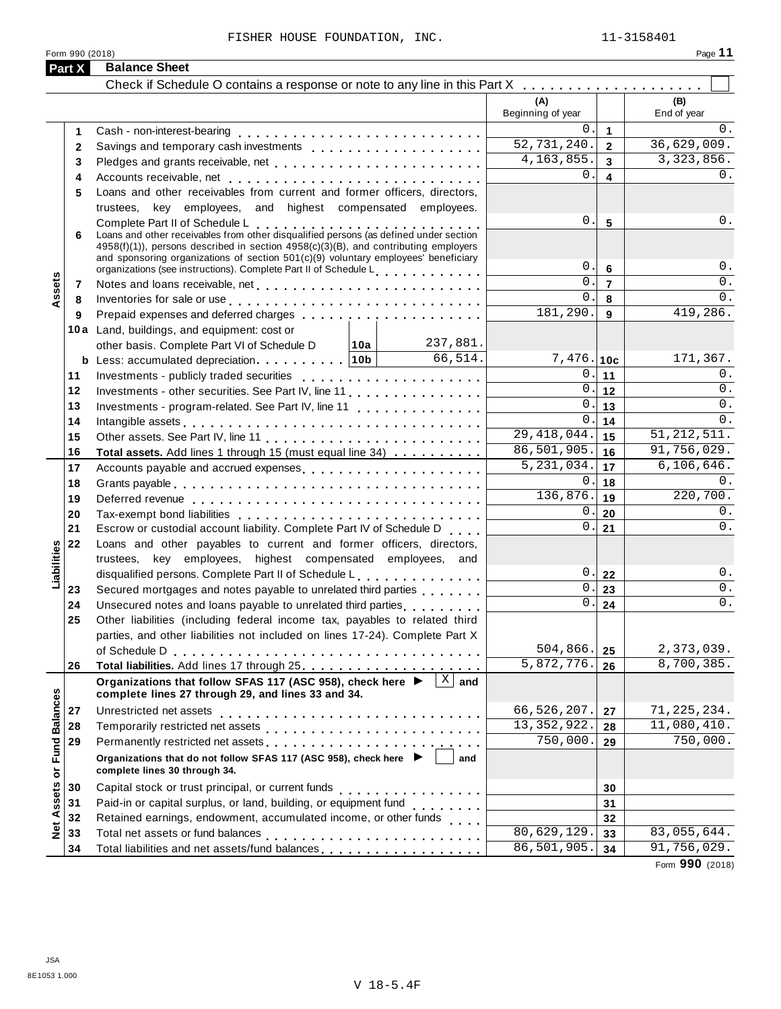| Part X              | Form 990 (2018)<br><b>Balance Sheet</b>                                                                                                                                                                                          |                                          |                     | Page 11            |
|---------------------|----------------------------------------------------------------------------------------------------------------------------------------------------------------------------------------------------------------------------------|------------------------------------------|---------------------|--------------------|
|                     |                                                                                                                                                                                                                                  |                                          |                     |                    |
|                     |                                                                                                                                                                                                                                  | (A)<br>Beginning of year                 |                     | (B)<br>End of year |
| 1                   |                                                                                                                                                                                                                                  | 0.                                       | $\overline{1}$      | $0$ .              |
| $\mathbf{2}$        |                                                                                                                                                                                                                                  | 52,731,240.                              | $\overline{2}$      | 36,629,009.        |
| 3                   | Pledges and grants receivable, net                                                                                                                                                                                               | 4, 163, 855.                             | $\overline{3}$      | 3, 323, 856.       |
| 4                   |                                                                                                                                                                                                                                  | 0.                                       | $\overline{4}$      | 0.                 |
| 5                   | Loans and other receivables from current and former officers, directors,                                                                                                                                                         |                                          |                     |                    |
|                     | trustees, key employees, and highest compensated employees.                                                                                                                                                                      |                                          |                     |                    |
|                     |                                                                                                                                                                                                                                  | 0.                                       | $5\phantom{1}$      | 0.                 |
| 6                   | Complete Part II of Schedule L<br>Loans and other receivables from other disqualified persons (as defined under section                                                                                                          |                                          |                     |                    |
|                     | 4958(f)(1)), persons described in section 4958(c)(3)(B), and contributing employers                                                                                                                                              |                                          |                     |                    |
|                     | and sponsoring organizations of section 501(c)(9) voluntary employees' beneficiary<br>organizations (see instructions). Complete Part II of Schedule Letter Part 1 and 20                                                        | 0.                                       | $6\phantom{1}$      | 0.                 |
| Assets<br>7         |                                                                                                                                                                                                                                  | 0.                                       | $\overline{7}$      | 0.                 |
| 8                   | Inventories for sale or use enterpreteration of the contract of the sale or use of the contract of the contract of the contract of the contract of the contract of the contract of the contract of the contract of the contrac   | 0.                                       | 8                   | $0$ .              |
| 9                   |                                                                                                                                                                                                                                  | 181,290.                                 | 9                   | 419,286.           |
|                     | 10a Land, buildings, and equipment: cost or                                                                                                                                                                                      |                                          |                     |                    |
|                     | 237,881.<br> 10a <br>other basis. Complete Part VI of Schedule D                                                                                                                                                                 |                                          |                     |                    |
|                     | 66,514.<br><b>b</b> Less: accumulated depreciation   10b                                                                                                                                                                         | $7,476.$ 10c                             |                     | 171,367.           |
| 11                  |                                                                                                                                                                                                                                  |                                          | 0.11                | 0.                 |
| 12                  | Investments - other securities. See Part IV, line 11                                                                                                                                                                             |                                          | $\overline{0}$ . 12 | $0$ .              |
| 13                  | Investments - program-related. See Part IV, line 11                                                                                                                                                                              | and the control of the control of<br>0.1 | 13                  | 0.                 |
| 14                  |                                                                                                                                                                                                                                  | $\overline{0}$ .                         | 14                  | $0$ .              |
| 15                  | Intangible assets experience in the contract of the contract of the contract of the contract of the contract of the contract of the contract of the contract of the contract of the contract of the contract of the contract o   | $\overline{29,418,044}.$                 | 15                  | 51, 212, 511.      |
| 16                  | Total assets. Add lines 1 through 15 (must equal line 34)                                                                                                                                                                        | 86,501,905.                              | 16                  | 91,756,029.        |
| 17                  | Accounts payable and accrued expenses                                                                                                                                                                                            | $\overline{5,231,034}.$                  | 17                  | 6, 106, 646.       |
| 18                  |                                                                                                                                                                                                                                  | 0.1                                      | 18                  | $0$ .              |
| 19                  |                                                                                                                                                                                                                                  | 136, 876.                                | 19                  | 220,700.           |
| 20                  |                                                                                                                                                                                                                                  | 0.                                       | 20                  | 0.                 |
| 21                  | Escrow or custodial account liability. Complete Part IV of Schedule D                                                                                                                                                            | 0.1                                      | 21                  | $0$ .              |
| 22                  | Loans and other payables to current and former officers, directors,                                                                                                                                                              |                                          |                     |                    |
|                     | trustees, key employees, highest compensated employees, and                                                                                                                                                                      |                                          |                     |                    |
|                     | disqualified persons. Complete Part II of Schedule L                                                                                                                                                                             | 0.1                                      | 22                  | 0.                 |
| 23                  | Secured mortgages and notes payable to unrelated third parties                                                                                                                                                                   | 0.1                                      | 23                  | 0.                 |
| 24                  | Unsecured notes and loans payable to unrelated third parties                                                                                                                                                                     | 0.                                       | 24                  | $0$ .              |
| 25                  | Other liabilities (including federal income tax, payables to related third                                                                                                                                                       |                                          |                     |                    |
|                     | parties, and other liabilities not included on lines 17-24). Complete Part X                                                                                                                                                     |                                          |                     |                    |
|                     |                                                                                                                                                                                                                                  | 504,866.                                 | 25                  | 2,373,039.         |
| 26                  |                                                                                                                                                                                                                                  | 5,872,776.                               | 26                  | 8,700,385.         |
|                     | $\overline{X}$ and<br>Organizations that follow SFAS 117 (ASC 958), check here ▶                                                                                                                                                 |                                          |                     |                    |
|                     | complete lines 27 through 29, and lines 33 and 34.                                                                                                                                                                               |                                          |                     |                    |
| 27                  | Unrestricted net assets                                                                                                                                                                                                          | 66,526,207.                              | 27                  | 71, 225, 234.      |
| 28                  |                                                                                                                                                                                                                                  | 13, 352, 922.                            | 28                  | 11,080,410.        |
| 29                  | Permanently restricted net assets<br>included: increased: increased: increased: increased: increased: increased: increased: increased: increased: increased: increased: increased: increased: increased: increased: increased: i | 750,000.                                 | 29                  | 750,000.           |
|                     | Organizations that do not follow SFAS 117 (ASC 958), check here ▶<br>complete lines 30 through 34.                                                                                                                               | and                                      |                     |                    |
| 30                  |                                                                                                                                                                                                                                  |                                          | 30                  |                    |
| 31                  | Paid-in or capital surplus, or land, building, or equipment fund<br>                                                                                                                                                             |                                          | 31                  |                    |
| 32                  | Retained earnings, endowment, accumulated income, or other funds                                                                                                                                                                 |                                          | 32                  |                    |
| 33                  |                                                                                                                                                                                                                                  | 80,629,129.                              | 33                  | 83,055,644.        |
| <b>p</b><br>2<br>34 | Total liabilities and net assets/fund balances                                                                                                                                                                                   | 86,501,905.                              | 34                  | 91,756,029.        |

Form **990** (2018)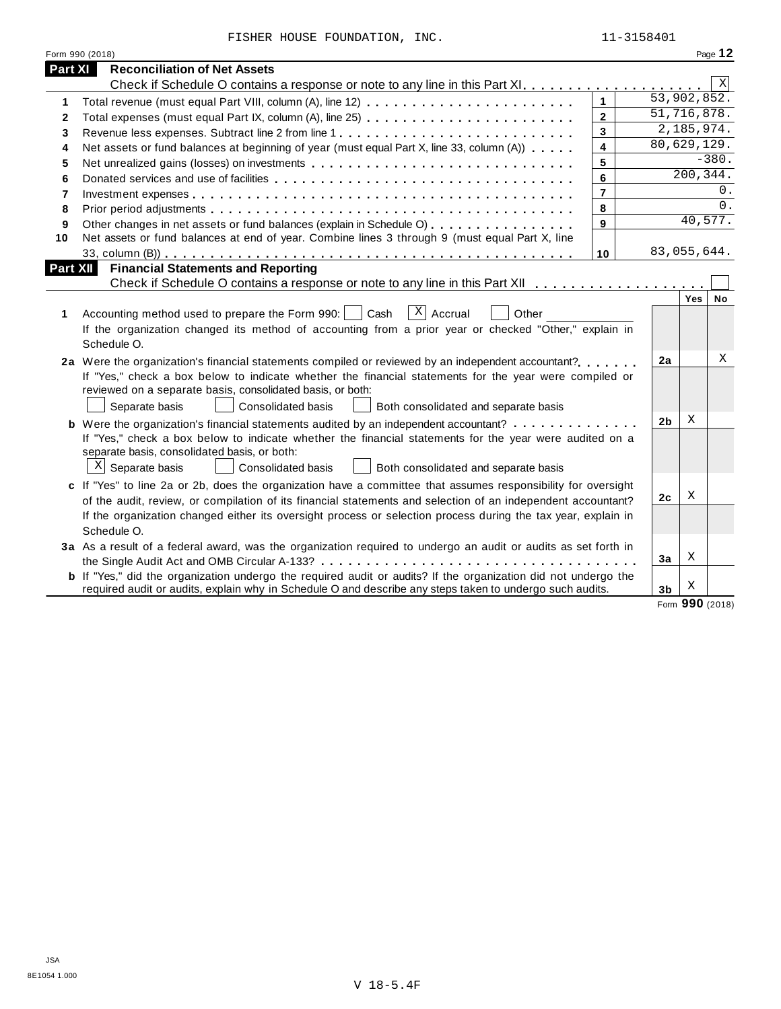FISHER HOUSE FOUNDATION, INC. 11-3158401

|                 | Form 990 (2018)                                                                                                                                                                                                                                                                                                                                            |                |                |             | Page 12     |
|-----------------|------------------------------------------------------------------------------------------------------------------------------------------------------------------------------------------------------------------------------------------------------------------------------------------------------------------------------------------------------------|----------------|----------------|-------------|-------------|
| <b>Part XI</b>  | <b>Reconciliation of Net Assets</b>                                                                                                                                                                                                                                                                                                                        |                |                |             |             |
|                 |                                                                                                                                                                                                                                                                                                                                                            |                |                |             | $\mathbf X$ |
| 1               | Total revenue (must equal Part VIII, column (A), line 12)                                                                                                                                                                                                                                                                                                  | $\mathbf{1}$   |                | 53,902,852. |             |
| $\mathbf{2}$    | Total expenses (must equal Part IX, column (A), line 25)                                                                                                                                                                                                                                                                                                   | $\overline{2}$ |                | 51,716,878. |             |
| 3               | Revenue less expenses. Subtract line 2 from line 1                                                                                                                                                                                                                                                                                                         | $\overline{3}$ |                | 2,185,974.  |             |
| 4               | Net assets or fund balances at beginning of year (must equal Part X, line 33, column (A))                                                                                                                                                                                                                                                                  | $\overline{4}$ |                | 80,629,129. |             |
| 5               |                                                                                                                                                                                                                                                                                                                                                            | 5              |                |             | $-380.$     |
| 6               |                                                                                                                                                                                                                                                                                                                                                            | 6              |                | 200,344.    |             |
| 7               |                                                                                                                                                                                                                                                                                                                                                            | $\overline{7}$ |                |             | $0$ .       |
| 8               |                                                                                                                                                                                                                                                                                                                                                            | 8              |                |             | $0$ .       |
| 9               | Other changes in net assets or fund balances (explain in Schedule O)                                                                                                                                                                                                                                                                                       | 9              |                | 40,577.     |             |
| 10              | Net assets or fund balances at end of year. Combine lines 3 through 9 (must equal Part X, line                                                                                                                                                                                                                                                             |                |                |             |             |
|                 |                                                                                                                                                                                                                                                                                                                                                            | 10             |                | 83,055,644. |             |
| <b>Part XII</b> | <b>Financial Statements and Reporting</b>                                                                                                                                                                                                                                                                                                                  |                |                |             |             |
|                 |                                                                                                                                                                                                                                                                                                                                                            |                |                |             |             |
| 1               | $X$ Accrual<br>Accounting method used to prepare the Form 990:     Cash<br>Other<br>If the organization changed its method of accounting from a prior year or checked "Other," explain in<br>Schedule O.                                                                                                                                                   |                |                | Yes         | No          |
|                 | 2a Were the organization's financial statements compiled or reviewed by an independent accountant?<br>If "Yes," check a box below to indicate whether the financial statements for the year were compiled or<br>reviewed on a separate basis, consolidated basis, or both:<br>Separate basis<br>Consolidated basis<br>Both consolidated and separate basis |                | 2a             |             | Χ           |
|                 | <b>b</b> Were the organization's financial statements audited by an independent accountant?                                                                                                                                                                                                                                                                |                | 2 <sub>b</sub> | Χ           |             |
|                 | If "Yes," check a box below to indicate whether the financial statements for the year were audited on a<br>separate basis, consolidated basis, or both:<br>$X$ Separate basis<br>Consolidated basis<br>Both consolidated and separate basis                                                                                                                |                |                |             |             |
|                 | c If "Yes" to line 2a or 2b, does the organization have a committee that assumes responsibility for oversight                                                                                                                                                                                                                                              |                |                |             |             |
|                 | of the audit, review, or compilation of its financial statements and selection of an independent accountant?                                                                                                                                                                                                                                               |                | 2c             | X           |             |
|                 | If the organization changed either its oversight process or selection process during the tax year, explain in<br>Schedule O.                                                                                                                                                                                                                               |                |                |             |             |
|                 | 3a As a result of a federal award, was the organization required to undergo an audit or audits as set forth in                                                                                                                                                                                                                                             |                |                |             |             |
|                 |                                                                                                                                                                                                                                                                                                                                                            |                | 3a             | х           |             |
|                 | <b>b</b> If "Yes," did the organization undergo the required audit or audits? If the organization did not undergo the<br>required audit or audits, explain why in Schedule O and describe any steps taken to undergo such audits.                                                                                                                          |                | 3 <sub>b</sub> | х           |             |

Form **990** (2018)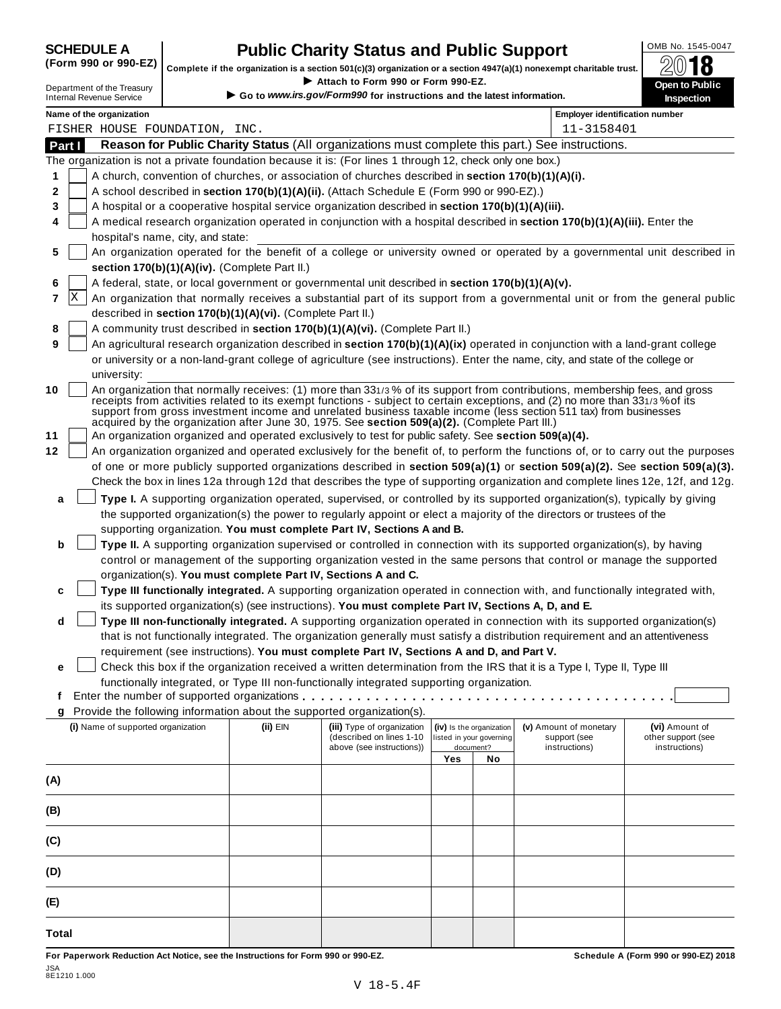# **CHEDULE A Public Charity Status and Public Support**  $\frac{\text{OMB No. 1545-0047}}{\text{OMB}}$

(Form 990 or 990-EZ) complete if the organization is a section 501(c)(3) organization or a section 4947(a)(1) nonexempt charitable trust.  $2018$ 

|        |   |                                                           |                                                            |                                                                                                              |     |                                       | Complete if the organization is a section 501(c)(3) organization or a section $4947(a)(1)$ nonexempt charitable trust.         | ZW IO                                                                                                                            |
|--------|---|-----------------------------------------------------------|------------------------------------------------------------|--------------------------------------------------------------------------------------------------------------|-----|---------------------------------------|--------------------------------------------------------------------------------------------------------------------------------|----------------------------------------------------------------------------------------------------------------------------------|
|        |   | Department of the Treasury                                |                                                            | Attach to Form 990 or Form 990-EZ.<br>Go to www.irs.gov/Form990 for instructions and the latest information. |     |                                       |                                                                                                                                | Open to Public                                                                                                                   |
|        |   | <b>Internal Revenue Service</b>                           |                                                            |                                                                                                              |     |                                       |                                                                                                                                | Inspection                                                                                                                       |
|        |   | Name of the organization<br>FISHER HOUSE FOUNDATION, INC. |                                                            |                                                                                                              |     |                                       | <b>Employer identification number</b><br>11-3158401                                                                            |                                                                                                                                  |
| Part I |   |                                                           |                                                            |                                                                                                              |     |                                       | Reason for Public Charity Status (All organizations must complete this part.) See instructions.                                |                                                                                                                                  |
|        |   |                                                           |                                                            | The organization is not a private foundation because it is: (For lines 1 through 12, check only one box.)    |     |                                       |                                                                                                                                |                                                                                                                                  |
| 1      |   |                                                           |                                                            | A church, convention of churches, or association of churches described in section 170(b)(1)(A)(i).           |     |                                       |                                                                                                                                |                                                                                                                                  |
| 2      |   |                                                           |                                                            | A school described in section 170(b)(1)(A)(ii). (Attach Schedule E (Form 990 or 990-EZ).)                    |     |                                       |                                                                                                                                |                                                                                                                                  |
| 3      |   |                                                           |                                                            | A hospital or a cooperative hospital service organization described in section 170(b)(1)(A)(iii).            |     |                                       |                                                                                                                                |                                                                                                                                  |
| 4      |   |                                                           |                                                            |                                                                                                              |     |                                       | A medical research organization operated in conjunction with a hospital described in section 170(b)(1)(A)(iii). Enter the      |                                                                                                                                  |
|        |   | hospital's name, city, and state:                         |                                                            |                                                                                                              |     |                                       |                                                                                                                                |                                                                                                                                  |
| 5      |   |                                                           |                                                            |                                                                                                              |     |                                       |                                                                                                                                | An organization operated for the benefit of a college or university owned or operated by a governmental unit described in        |
|        |   |                                                           | section 170(b)(1)(A)(iv). (Complete Part II.)              |                                                                                                              |     |                                       |                                                                                                                                |                                                                                                                                  |
| 6      |   |                                                           |                                                            | A federal, state, or local government or governmental unit described in section 170(b)(1)(A)(v).             |     |                                       |                                                                                                                                |                                                                                                                                  |
| 7      | X |                                                           |                                                            |                                                                                                              |     |                                       |                                                                                                                                | An organization that normally receives a substantial part of its support from a governmental unit or from the general public     |
|        |   |                                                           | described in section 170(b)(1)(A)(vi). (Complete Part II.) |                                                                                                              |     |                                       |                                                                                                                                |                                                                                                                                  |
| 8      |   |                                                           |                                                            | A community trust described in section 170(b)(1)(A)(vi). (Complete Part II.)                                 |     |                                       |                                                                                                                                |                                                                                                                                  |
| 9      |   |                                                           |                                                            |                                                                                                              |     |                                       | An agricultural research organization described in section 170(b)(1)(A)(ix) operated in conjunction with a land-grant college  |                                                                                                                                  |
|        |   |                                                           |                                                            |                                                                                                              |     |                                       | or university or a non-land-grant college of agriculture (see instructions). Enter the name, city, and state of the college or |                                                                                                                                  |
|        |   | university:                                               |                                                            |                                                                                                              |     |                                       |                                                                                                                                |                                                                                                                                  |
| 10     |   |                                                           |                                                            |                                                                                                              |     |                                       | An organization that normally receives: (1) more than 331/3% of its support from contributions, membership fees, and gross     |                                                                                                                                  |
|        |   |                                                           |                                                            |                                                                                                              |     |                                       | receipts from activities related to its exempt functions - subject to certain exceptions, and (2) no more than 331/3% of its   |                                                                                                                                  |
|        |   |                                                           |                                                            | acquired by the organization after June 30, 1975. See section 509(a)(2). (Complete Part III.)                |     |                                       | support from gross investment income and unrelated business taxable income (less section 511 tax) from businesses              |                                                                                                                                  |
| 11     |   |                                                           |                                                            | An organization organized and operated exclusively to test for public safety. See section 509(a)(4).         |     |                                       |                                                                                                                                |                                                                                                                                  |
| 12     |   |                                                           |                                                            |                                                                                                              |     |                                       |                                                                                                                                | An organization organized and operated exclusively for the benefit of, to perform the functions of, or to carry out the purposes |
|        |   |                                                           |                                                            |                                                                                                              |     |                                       |                                                                                                                                | of one or more publicly supported organizations described in section 509(a)(1) or section 509(a)(2). See section 509(a)(3).      |
|        |   |                                                           |                                                            |                                                                                                              |     |                                       |                                                                                                                                | Check the box in lines 12a through 12d that describes the type of supporting organization and complete lines 12e, 12f, and 12g.  |
| a      |   |                                                           |                                                            |                                                                                                              |     |                                       | Type I. A supporting organization operated, supervised, or controlled by its supported organization(s), typically by giving    |                                                                                                                                  |
|        |   |                                                           |                                                            |                                                                                                              |     |                                       | the supported organization(s) the power to regularly appoint or elect a majority of the directors or trustees of the           |                                                                                                                                  |
|        |   |                                                           |                                                            | supporting organization. You must complete Part IV, Sections A and B.                                        |     |                                       |                                                                                                                                |                                                                                                                                  |
| b      |   |                                                           |                                                            |                                                                                                              |     |                                       | Type II. A supporting organization supervised or controlled in connection with its supported organization(s), by having        |                                                                                                                                  |
|        |   |                                                           |                                                            |                                                                                                              |     |                                       | control or management of the supporting organization vested in the same persons that control or manage the supported           |                                                                                                                                  |
|        |   |                                                           |                                                            | organization(s). You must complete Part IV, Sections A and C.                                                |     |                                       |                                                                                                                                |                                                                                                                                  |
| c      |   |                                                           |                                                            |                                                                                                              |     |                                       | Type III functionally integrated. A supporting organization operated in connection with, and functionally integrated with,     |                                                                                                                                  |
|        |   |                                                           |                                                            | its supported organization(s) (see instructions). You must complete Part IV, Sections A, D, and E.           |     |                                       |                                                                                                                                |                                                                                                                                  |
| d      |   |                                                           |                                                            |                                                                                                              |     |                                       | Type III non-functionally integrated. A supporting organization operated in connection with its supported organization(s)      |                                                                                                                                  |
|        |   |                                                           |                                                            |                                                                                                              |     |                                       | that is not functionally integrated. The organization generally must satisfy a distribution requirement and an attentiveness   |                                                                                                                                  |
|        |   |                                                           |                                                            | requirement (see instructions). You must complete Part IV, Sections A and D, and Part V.                     |     |                                       |                                                                                                                                |                                                                                                                                  |
| е      |   |                                                           |                                                            |                                                                                                              |     |                                       | Check this box if the organization received a written determination from the IRS that it is a Type I, Type II, Type III        |                                                                                                                                  |
|        |   |                                                           |                                                            | functionally integrated, or Type III non-functionally integrated supporting organization.                    |     |                                       |                                                                                                                                |                                                                                                                                  |
| t      |   |                                                           |                                                            |                                                                                                              |     |                                       |                                                                                                                                |                                                                                                                                  |
| g      |   |                                                           |                                                            | Provide the following information about the supported organization(s).                                       |     |                                       |                                                                                                                                |                                                                                                                                  |
|        |   | (i) Name of supported organization                        | (ii) EIN                                                   | (iii) Type of organization                                                                                   |     | (iv) Is the organization              | (v) Amount of monetary                                                                                                         | (vi) Amount of                                                                                                                   |
|        |   |                                                           |                                                            | (described on lines 1-10<br>above (see instructions))                                                        |     | listed in your governing<br>document? | support (see<br>instructions)                                                                                                  | other support (see<br>instructions)                                                                                              |
|        |   |                                                           |                                                            |                                                                                                              | Yes | No                                    |                                                                                                                                |                                                                                                                                  |
| (A)    |   |                                                           |                                                            |                                                                                                              |     |                                       |                                                                                                                                |                                                                                                                                  |
|        |   |                                                           |                                                            |                                                                                                              |     |                                       |                                                                                                                                |                                                                                                                                  |
| (B)    |   |                                                           |                                                            |                                                                                                              |     |                                       |                                                                                                                                |                                                                                                                                  |
|        |   |                                                           |                                                            |                                                                                                              |     |                                       |                                                                                                                                |                                                                                                                                  |
| (C)    |   |                                                           |                                                            |                                                                                                              |     |                                       |                                                                                                                                |                                                                                                                                  |
|        |   |                                                           |                                                            |                                                                                                              |     |                                       |                                                                                                                                |                                                                                                                                  |
| (D)    |   |                                                           |                                                            |                                                                                                              |     |                                       |                                                                                                                                |                                                                                                                                  |
|        |   |                                                           |                                                            |                                                                                                              |     |                                       |                                                                                                                                |                                                                                                                                  |
| (E)    |   |                                                           |                                                            |                                                                                                              |     |                                       |                                                                                                                                |                                                                                                                                  |
|        |   |                                                           |                                                            |                                                                                                              |     |                                       |                                                                                                                                |                                                                                                                                  |

For Paperwork Reduction Act Notice, see the Instructions for Form 990 or 990-EZ. Schedule A (Form 990 or 990-EZ) 2018

**Total**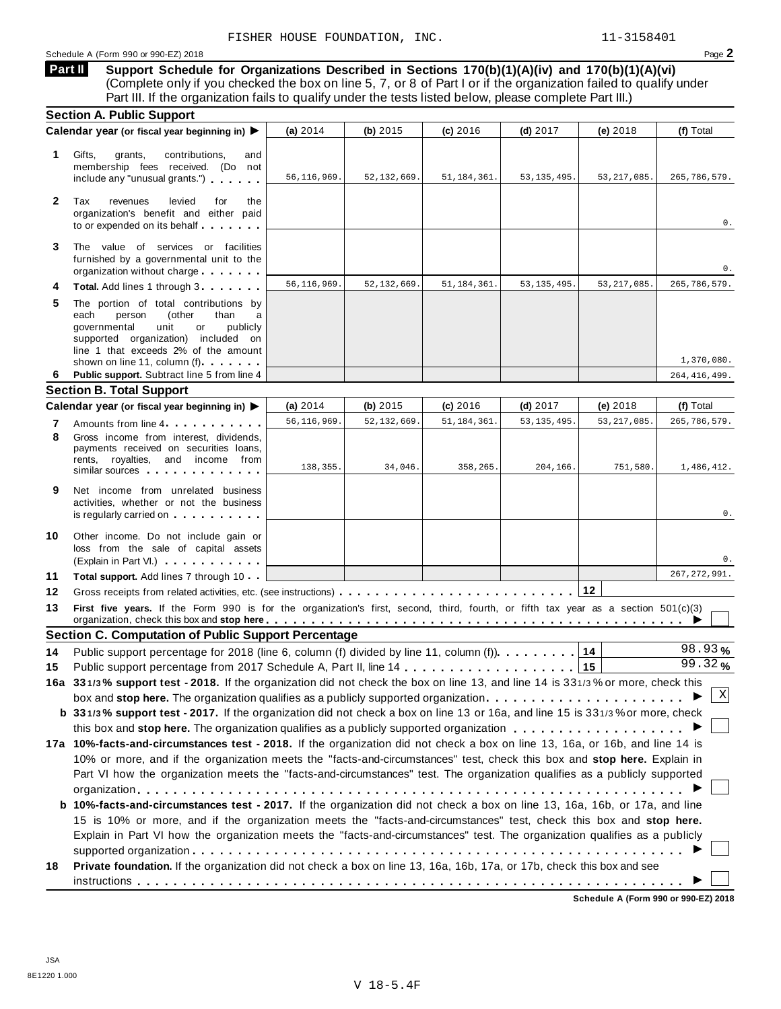### Schedule <sup>A</sup> (Form <sup>990</sup> or 990-EZ) <sup>2018</sup> Page **2**

**Support Schedule for Organizations Described in Sections 170(b)(1)(A)(iv) and 170(b)(1)(A)(vi)** (Complete only if you checked the box on line 5, 7, or 8 of Part I or if the organization failed to qualify under Part III. If the organization fails to qualify under the tests listed below, please complete Part III.) **Part II**

|              | <b>Section A. Public Support</b>                                                                                                                                                                                                                                                                                |               |               |               |               |               |                |
|--------------|-----------------------------------------------------------------------------------------------------------------------------------------------------------------------------------------------------------------------------------------------------------------------------------------------------------------|---------------|---------------|---------------|---------------|---------------|----------------|
|              | Calendar year (or fiscal year beginning in) ▶                                                                                                                                                                                                                                                                   | (a) $2014$    | (b) $2015$    | $(c)$ 2016    | $(d)$ 2017    | (e) 2018      | (f) Total      |
| 1            | Gifts,<br>grants,<br>contributions,<br>and<br>membership fees received. (Do not<br>include any "unusual grants.")                                                                                                                                                                                               | 56, 116, 969. | 52, 132, 669. | 51, 184, 361. | 53, 135, 495. | 53, 217, 085. | 265,786,579.   |
| $\mathbf{2}$ | Tax<br>revenues<br>levied<br>for<br>the<br>organization's benefit and either paid<br>to or expended on its behalf                                                                                                                                                                                               |               |               |               |               |               | 0.             |
| 3            | The value of services or facilities<br>furnished by a governmental unit to the<br>organization without charge                                                                                                                                                                                                   |               |               |               |               |               | 0.             |
| 4            | Total. Add lines 1 through 3                                                                                                                                                                                                                                                                                    | 56, 116, 969. | 52, 132, 669. | 51, 184, 361. | 53, 135, 495. | 53, 217, 085. | 265,786,579.   |
| 5            | The portion of total contributions by<br>each<br>person<br>(other<br>than<br>a<br>governmental<br>unit<br>publicly<br>or<br>supported organization) included on<br>line 1 that exceeds 2% of the amount<br>shown on line 11, column (f).                                                                        |               |               |               |               |               | 1,370,080.     |
| 6            | Public support. Subtract line 5 from line 4                                                                                                                                                                                                                                                                     |               |               |               |               |               | 264, 416, 499. |
|              | <b>Section B. Total Support</b>                                                                                                                                                                                                                                                                                 |               |               |               |               |               |                |
|              | Calendar year (or fiscal year beginning in)                                                                                                                                                                                                                                                                     | (a) $2014$    | (b) $2015$    | $(c)$ 2016    | $(d)$ 2017    | (e) 2018      | (f) Total      |
| 7            | Amounts from line 4                                                                                                                                                                                                                                                                                             | 56, 116, 969. | 52, 132, 669  | 51, 184, 361  | 53, 135, 495. | 53, 217, 085. | 265, 786, 579. |
| 8            | Gross income from interest, dividends,<br>payments received on securities loans,<br>rents, royalties, and income from<br>similar sources experiences                                                                                                                                                            | 138,355.      | 34,046.       | 358,265.      | 204,166.      | 751,580.      | 1,486,412.     |
| 9            | Net income from unrelated business<br>activities, whether or not the business<br>is regularly carried on the control of the state of the state of the state of the state of the state of the state of the state of the state of the state of the state of the state of the state of the state of the state of t |               |               |               |               |               | 0.             |
| 10           | Other income. Do not include gain or<br>loss from the sale of capital assets<br>(Explain in Part VI.)                                                                                                                                                                                                           |               |               |               |               |               | 0.             |
| 11           | Total support. Add lines 7 through 10                                                                                                                                                                                                                                                                           |               |               |               |               |               | 267, 272, 991. |
| 12           |                                                                                                                                                                                                                                                                                                                 |               |               |               |               | 12            |                |
| 13           | First five years. If the Form 990 is for the organization's first, second, third, fourth, or fifth tax year as a section 501(c)(3)<br>organization, check this box and stop here $\ldots \ldots \ldots \ldots \ldots \ldots \ldots \ldots \ldots \ldots \ldots \ldots \ldots$                                   |               |               |               |               |               |                |
|              | <b>Section C. Computation of Public Support Percentage</b>                                                                                                                                                                                                                                                      |               |               |               |               |               |                |
| 14           | Public support percentage for 2018 (line 6, column (f) divided by line 11, column (f)).                                                                                                                                                                                                                         |               |               |               |               | 14            | 98.93%         |
| 15           |                                                                                                                                                                                                                                                                                                                 |               |               |               |               |               | 99.32%         |
|              | 16a 331/3% support test - 2018. If the organization did not check the box on line 13, and line 14 is 331/3% or more, check this                                                                                                                                                                                 |               |               |               |               |               |                |
|              | box and stop here. The organization qualifies as a publicly supported organization                                                                                                                                                                                                                              |               |               |               |               |               | X              |
|              | b 331/3% support test - 2017. If the organization did not check a box on line 13 or 16a, and line 15 is 331/3% or more, check                                                                                                                                                                                   |               |               |               |               |               |                |
|              |                                                                                                                                                                                                                                                                                                                 |               |               |               |               |               |                |
|              | 17a 10%-facts-and-circumstances test - 2018. If the organization did not check a box on line 13, 16a, or 16b, and line 14 is                                                                                                                                                                                    |               |               |               |               |               |                |
|              | 10% or more, and if the organization meets the "facts-and-circumstances" test, check this box and stop here. Explain in                                                                                                                                                                                         |               |               |               |               |               |                |
|              | Part VI how the organization meets the "facts-and-circumstances" test. The organization qualifies as a publicly supported                                                                                                                                                                                       |               |               |               |               |               |                |
|              |                                                                                                                                                                                                                                                                                                                 |               |               |               |               |               |                |
|              | <b>b 10%-facts-and-circumstances test - 2017.</b> If the organization did not check a box on line 13, 16a, 16b, or 17a, and line                                                                                                                                                                                |               |               |               |               |               |                |
|              | 15 is 10% or more, and if the organization meets the "facts-and-circumstances" test, check this box and stop here.                                                                                                                                                                                              |               |               |               |               |               |                |
|              | Explain in Part VI how the organization meets the "facts-and-circumstances" test. The organization qualifies as a publicly                                                                                                                                                                                      |               |               |               |               |               |                |
| 18           | Private foundation. If the organization did not check a box on line 13, 16a, 16b, 17a, or 17b, check this box and see                                                                                                                                                                                           |               |               |               |               |               |                |
|              |                                                                                                                                                                                                                                                                                                                 |               |               |               |               |               |                |
|              |                                                                                                                                                                                                                                                                                                                 |               |               |               |               |               |                |

**Schedule A (Form 990 or 990-EZ) 2018**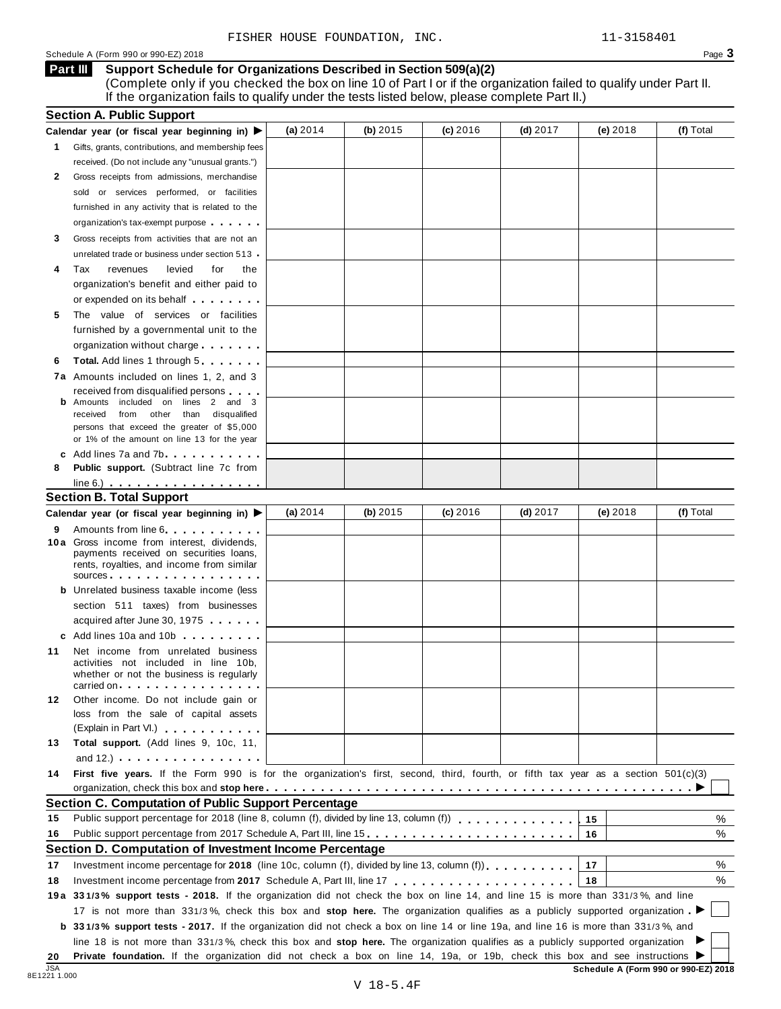(Complete only if you checked the box on line 10 of Part I or if the organization failed to qualify under Part II. If the organization fails to qualify under the tests listed below, please complete Part II.)

|            | <b>Section A. Public Support</b>                                                                                                                                                                                                    |            |          |            |            |            |                                      |
|------------|-------------------------------------------------------------------------------------------------------------------------------------------------------------------------------------------------------------------------------------|------------|----------|------------|------------|------------|--------------------------------------|
|            | Calendar year (or fiscal year beginning in) $\blacktriangleright$                                                                                                                                                                   | (a) 2014   | (b) 2015 | $(c)$ 2016 | $(d)$ 2017 | (e) 2018   | (f) Total                            |
| 1.         | Gifts, grants, contributions, and membership fees                                                                                                                                                                                   |            |          |            |            |            |                                      |
|            | received. (Do not include any "unusual grants.")                                                                                                                                                                                    |            |          |            |            |            |                                      |
| 2          | Gross receipts from admissions, merchandise                                                                                                                                                                                         |            |          |            |            |            |                                      |
|            | or services performed, or facilities<br>sold                                                                                                                                                                                        |            |          |            |            |            |                                      |
|            | furnished in any activity that is related to the                                                                                                                                                                                    |            |          |            |            |            |                                      |
|            | organization's tax-exempt purpose                                                                                                                                                                                                   |            |          |            |            |            |                                      |
| 3          | Gross receipts from activities that are not an                                                                                                                                                                                      |            |          |            |            |            |                                      |
|            | unrelated trade or business under section 513                                                                                                                                                                                       |            |          |            |            |            |                                      |
| 4          | Tax<br>revenues<br>levied<br>for<br>the                                                                                                                                                                                             |            |          |            |            |            |                                      |
|            | organization's benefit and either paid to                                                                                                                                                                                           |            |          |            |            |            |                                      |
|            | or expended on its behalf <b>contained</b> by the set of the set of the set of the set of the set of the set of the set of the set of the set of the set of the set of the set of the set of the set of the set of the set of the s |            |          |            |            |            |                                      |
| 5          | The value of services or facilities                                                                                                                                                                                                 |            |          |            |            |            |                                      |
|            | furnished by a governmental unit to the                                                                                                                                                                                             |            |          |            |            |            |                                      |
|            | organization without charge                                                                                                                                                                                                         |            |          |            |            |            |                                      |
| 6          | Total. Add lines 1 through 5                                                                                                                                                                                                        |            |          |            |            |            |                                      |
|            | 7a Amounts included on lines 1, 2, and 3                                                                                                                                                                                            |            |          |            |            |            |                                      |
|            | received from disqualified persons                                                                                                                                                                                                  |            |          |            |            |            |                                      |
|            | <b>b</b> Amounts included on lines 2 and 3<br>from other than disqualified<br>received                                                                                                                                              |            |          |            |            |            |                                      |
|            | persons that exceed the greater of \$5,000                                                                                                                                                                                          |            |          |            |            |            |                                      |
|            | or 1% of the amount on line 13 for the year                                                                                                                                                                                         |            |          |            |            |            |                                      |
|            | c Add lines 7a and 7b                                                                                                                                                                                                               |            |          |            |            |            |                                      |
| 8          | Public support. (Subtract line 7c from                                                                                                                                                                                              |            |          |            |            |            |                                      |
|            | $line 6.)$ $\ldots$ $\ldots$ $\ldots$ $\ldots$ $\ldots$ $\ldots$ $\ldots$                                                                                                                                                           |            |          |            |            |            |                                      |
|            | <b>Section B. Total Support</b>                                                                                                                                                                                                     |            |          |            |            |            |                                      |
|            | Calendar year (or fiscal year beginning in) ▶                                                                                                                                                                                       | (a) $2014$ | (b) 2015 | $(c)$ 2016 | $(d)$ 2017 | $(e)$ 2018 | (f) Total                            |
| 9          | Amounts from line 6. The state of the state of the state of the state of the state of the state of the state of the state of the state of the state of the state of the state of the state of the state of the state of the st      |            |          |            |            |            |                                      |
|            | 10 a Gross income from interest, dividends,<br>payments received on securities loans,<br>rents, royalties, and income from similar                                                                                                  |            |          |            |            |            |                                      |
|            | sources                                                                                                                                                                                                                             |            |          |            |            |            |                                      |
|            | <b>b</b> Unrelated business taxable income (less                                                                                                                                                                                    |            |          |            |            |            |                                      |
|            | section 511 taxes) from businesses                                                                                                                                                                                                  |            |          |            |            |            |                                      |
|            | acquired after June 30, 1975                                                                                                                                                                                                        |            |          |            |            |            |                                      |
|            | c Add lines 10a and 10b<br>Net income from unrelated business                                                                                                                                                                       |            |          |            |            |            |                                      |
| 11         | activities not included in line 10b,                                                                                                                                                                                                |            |          |            |            |            |                                      |
|            | whether or not the business is regularly                                                                                                                                                                                            |            |          |            |            |            |                                      |
|            | carried on the carried on the control of the care of the control of the control of the control of the control o                                                                                                                     |            |          |            |            |            |                                      |
| 12         | Other income. Do not include gain or                                                                                                                                                                                                |            |          |            |            |            |                                      |
|            | loss from the sale of capital assets                                                                                                                                                                                                |            |          |            |            |            |                                      |
| 13         | (Explain in Part VI.) <b>All Accords</b><br>Total support. (Add lines 9, 10c, 11,                                                                                                                                                   |            |          |            |            |            |                                      |
|            | and $12.$ ) $\cdots$ $\cdots$ $\cdots$ $\cdots$                                                                                                                                                                                     |            |          |            |            |            |                                      |
| 14         | First five years. If the Form 990 is for the organization's first, second, third, fourth, or fifth tax year as a section 501(c)(3)                                                                                                  |            |          |            |            |            |                                      |
|            |                                                                                                                                                                                                                                     |            |          |            |            |            |                                      |
|            | Section C. Computation of Public Support Percentage                                                                                                                                                                                 |            |          |            |            |            |                                      |
| 15         |                                                                                                                                                                                                                                     |            |          |            |            | 15         | %                                    |
| 16         | Public support percentage from 2017 Schedule A, Part III, line 15.                                                                                                                                                                  |            |          |            |            | 16         | %                                    |
|            | Section D. Computation of Investment Income Percentage                                                                                                                                                                              |            |          |            |            |            |                                      |
| 17         | Investment income percentage for 2018 (line 10c, column (f), divided by line 13, column (f)), $\ldots$ , , , , , , ,                                                                                                                |            |          |            |            | 17         | %                                    |
| 18         |                                                                                                                                                                                                                                     |            |          |            |            | 18         | %                                    |
|            | 19a 331/3% support tests - 2018. If the organization did not check the box on line 14, and line 15 is more than 331/3%, and line                                                                                                    |            |          |            |            |            |                                      |
|            | 17 is not more than 331/3%, check this box and stop here. The organization qualifies as a publicly supported organization                                                                                                           |            |          |            |            |            |                                      |
|            | <b>b</b> 331/3% support tests - 2017. If the organization did not check a box on line 14 or line 19a, and line 16 is more than 331/3%, and                                                                                          |            |          |            |            |            |                                      |
|            | line 18 is not more than 331/3%, check this box and stop here. The organization qualifies as a publicly supported organization                                                                                                      |            |          |            |            |            |                                      |
| 20         | Private foundation. If the organization did not check a box on line 14, 19a, or 19b, check this box and see instructions I                                                                                                          |            |          |            |            |            |                                      |
| <b>JSA</b> |                                                                                                                                                                                                                                     |            |          |            |            |            | Schedule A (Form 990 or 990-EZ) 2018 |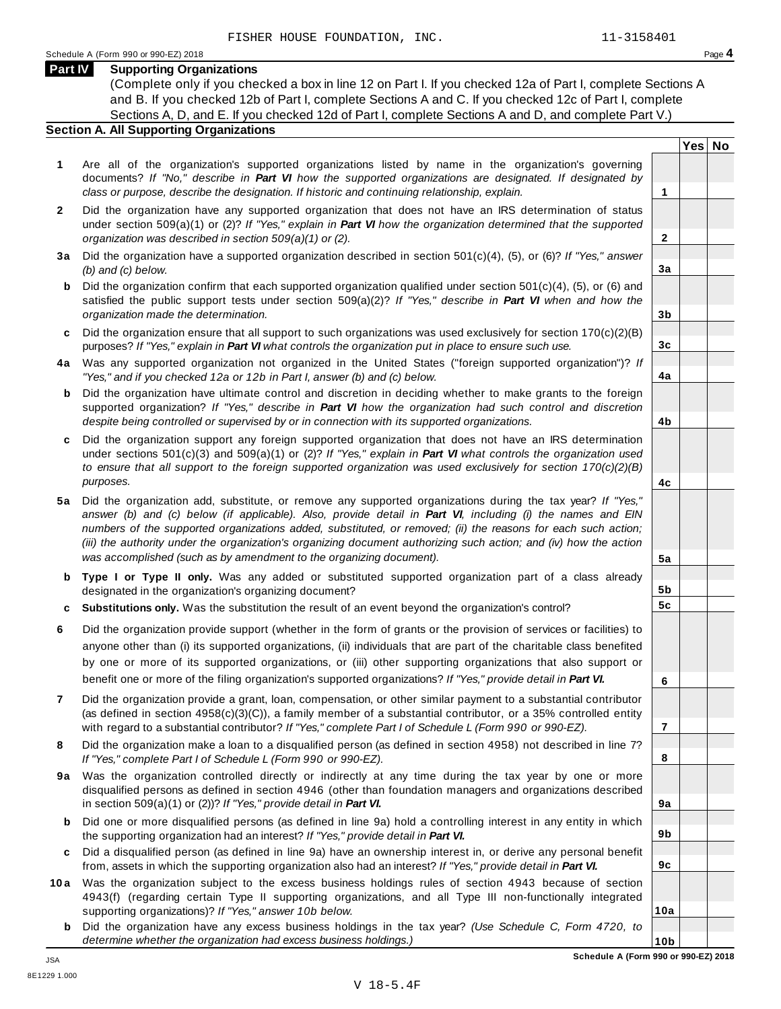## **Part IV Supporting Organizations**

(Complete only if you checked a box in line 12 on Part I. If you checked 12a of Part I, complete Sections A and B. If you checked 12b of Part I, complete Sections A and C. If you checked 12c of Part I, complete Sections A, D, and E. If you checked 12d of Part I, complete Sections A and D, and complete Part V.)

### **Section A. All Supporting Organizations**

- **1** Are all of the organization's supported organizations listed by name in the organization's governing documents? *If "No," describe in Part VI how the supported organizations are designated. If designated by class or purpose, describe the designation. If historic and continuing relationship, explain.* **1**
- **2** Did the organization have any supported organization that does not have an IRS determination of status under section 509(a)(1) or (2)? *If"Yes," explain in Part VI how the organization determined that the supported organization was described in section 509(a)(1) or (2).*
- **3 a** Did the organization have a supported organization described in section 501(c)(4), (5), or (6)? *If "Yes," answer (b) and (c) below.*
- **b** Did the organization confirm that each supported organization qualified under section 501(c)(4), (5), or (6) and | satisfied the public support tests under section 509(a)(2)? *If "Yes," describe in Part VI when and how the organization made the determination.*
- **c** Did the organization ensure that all support to such organizations was used exclusively for section 170(c)(2)(B) purposes? *If"Yes," explain in Part VI what controls the organization put in place to ensure such use.*
- **4 a** Was any supported organization not organized in the United States ("foreign supported organization")? *If "Yes," and if you checked 12a or 12b in Part I, answer (b) and (c) below.*
- **b** Did the organization have ultimate control and discretion in deciding whether to make grants to the foreign | supported organization? *If "Yes," describe in Part VI how the organization had such control and discretion despite being controlled or supervised by or in connection with its supported organizations.*
- **c** Did the organization support any foreign supported organization that does not have an IRS determination under sections 501(c)(3) and 509(a)(1) or (2)? *If "Yes," explain in Part VI what controls the organization used to ensure that all support to the foreign supported organization was used exclusively for section 170(c)(2)(B) purposes.*
- **5 a** Did the organization add, substitute, or remove any supported organizations during the tax year? *If "Yes,"* answer (b) and (c) below (if applicable). Also, provide detail in Part VI, including (i) the names and EIN *numbers of the supported organizations added, substituted, or removed; (ii) the reasons for each such action;* (iii) the authority under the organization's organizing document authorizing such action; and (iv) how the action *was accomplished (such as by amendment to the organizing document).*
- **b Type I or Type II only.** Was any added or substituted supported organization part of a class already designated in the organization's organizing document?
- **c Substitutions only.** Was the substitution the result of an event beyond the organization's control?
- **6** Did the organization provide support (whether in the form of grants or the provision of services or facilities) to anyone other than (i) its supported organizations, (ii) individuals that are part of the charitable class benefited by one or more of its supported organizations, or (iii) other supporting organizations that also support or benefit one or more of the filing organization's supported organizations? *If"Yes," provide detail in Part VI.*
- **7** Did the organization provide a grant, loan, compensation, or other similar payment to a substantial contributor (as defined in section 4958(c)(3)(C)), a family member of a substantial contributor, or a 35% controlled entity with regard to a substantial contributor? *If"Yes," complete Part I of Schedule L (Form 990 or 990-EZ).*
- **8** Did the organization make a loan to a disqualified person (as defined in section 4958) not described in line 7? *If "Yes," complete Part I of Schedule L (Form 990 or 990-EZ).*
- **9a** Was the organization controlled directly or indirectly at any time during the tax year by one or more | disqualified persons as defined in section 4946 (other than foundation managers and organizations described in section 509(a)(1) or (2))? *If"Yes," provide detail in Part VI.*
- **b** Did one or more disqualified persons (as defined in line 9a) hold a controlling interest in any entity in which | the supporting organization had an interest? *If"Yes," provide detail in Part VI.*
- **c** Did a disqualified person (as defined in line 9a) have an ownership interest in, or derive any personal benefit from, assets in which the supporting organization also had an interest? *If"Yes," provide detail in Part VI.*
- **10a** Was the organization subject to the excess business holdings rules of section 4943 because of section | 4943(f) (regarding certain Type II supporting organizations, and all Type III non-functionally integrated supporting organizations)? *If"Yes," answer 10b below.*
	- **b** Did the organization have any excess business holdings in the tax year? *(Use Schedule C, Form 4720, to determine whether the organization had excess business holdings.)*

**Yes No**

**2**

**3a**

**3b**

**3c**

**4a**

**4b**

**4c**

**5a**

**5b 5c**

**6**

**7**

**8**

**9a**

**9b**

**9c**

**10a**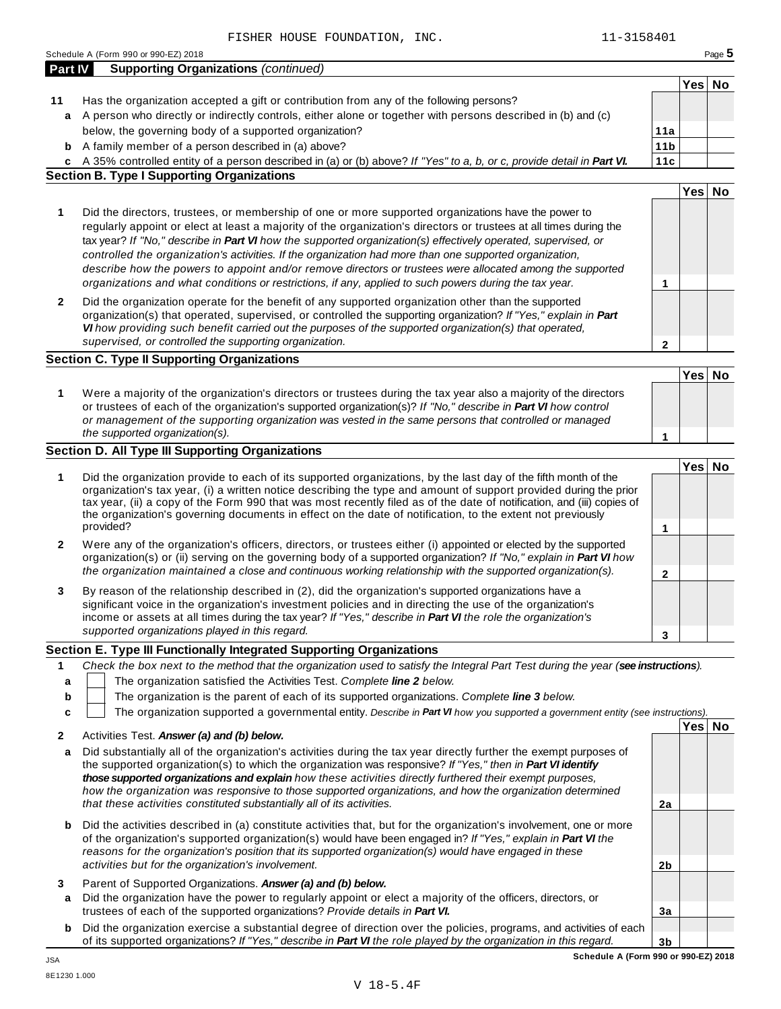|                  | Schedule A (Form 990 or 990-EZ) 2018                                                                                                                                                                                                                                                                                                                                                                                                                                                                                                                                                                                                                                         |                        |        | Page 5 |
|------------------|------------------------------------------------------------------------------------------------------------------------------------------------------------------------------------------------------------------------------------------------------------------------------------------------------------------------------------------------------------------------------------------------------------------------------------------------------------------------------------------------------------------------------------------------------------------------------------------------------------------------------------------------------------------------------|------------------------|--------|--------|
| <b>Part IV</b>   | <b>Supporting Organizations (continued)</b>                                                                                                                                                                                                                                                                                                                                                                                                                                                                                                                                                                                                                                  |                        |        |        |
|                  |                                                                                                                                                                                                                                                                                                                                                                                                                                                                                                                                                                                                                                                                              |                        | Yes No |        |
| 11               | Has the organization accepted a gift or contribution from any of the following persons?                                                                                                                                                                                                                                                                                                                                                                                                                                                                                                                                                                                      |                        |        |        |
|                  | a A person who directly or indirectly controls, either alone or together with persons described in (b) and (c)                                                                                                                                                                                                                                                                                                                                                                                                                                                                                                                                                               |                        |        |        |
|                  | below, the governing body of a supported organization?                                                                                                                                                                                                                                                                                                                                                                                                                                                                                                                                                                                                                       | 11a<br>11 <sub>b</sub> |        |        |
| b                | A family member of a person described in (a) above?                                                                                                                                                                                                                                                                                                                                                                                                                                                                                                                                                                                                                          |                        |        |        |
|                  | c A 35% controlled entity of a person described in (a) or (b) above? If "Yes" to a, b, or c, provide detail in Part VI.<br><b>Section B. Type I Supporting Organizations</b>                                                                                                                                                                                                                                                                                                                                                                                                                                                                                                 | 11c                    |        |        |
|                  |                                                                                                                                                                                                                                                                                                                                                                                                                                                                                                                                                                                                                                                                              |                        | Yes No |        |
| 1                | Did the directors, trustees, or membership of one or more supported organizations have the power to<br>regularly appoint or elect at least a majority of the organization's directors or trustees at all times during the<br>tax year? If "No," describe in Part VI how the supported organization(s) effectively operated, supervised, or<br>controlled the organization's activities. If the organization had more than one supported organization,<br>describe how the powers to appoint and/or remove directors or trustees were allocated among the supported<br>organizations and what conditions or restrictions, if any, applied to such powers during the tax year. | 1                      |        |        |
| 2                | Did the organization operate for the benefit of any supported organization other than the supported<br>organization(s) that operated, supervised, or controlled the supporting organization? If "Yes," explain in Part<br>VI how providing such benefit carried out the purposes of the supported organization(s) that operated,<br>supervised, or controlled the supporting organization.                                                                                                                                                                                                                                                                                   | $\mathbf{2}$           |        |        |
|                  | <b>Section C. Type II Supporting Organizations</b>                                                                                                                                                                                                                                                                                                                                                                                                                                                                                                                                                                                                                           |                        |        |        |
| 1                | Were a majority of the organization's directors or trustees during the tax year also a majority of the directors<br>or trustees of each of the organization's supported organization(s)? If "No," describe in Part VI how control<br>or management of the supporting organization was vested in the same persons that controlled or managed<br>the supported organization(s).                                                                                                                                                                                                                                                                                                | 1                      | Yes No |        |
|                  | <b>Section D. All Type III Supporting Organizations</b>                                                                                                                                                                                                                                                                                                                                                                                                                                                                                                                                                                                                                      |                        |        |        |
| 1                | Did the organization provide to each of its supported organizations, by the last day of the fifth month of the<br>organization's tax year, (i) a written notice describing the type and amount of support provided during the prior<br>tax year, (ii) a copy of the Form 990 that was most recently filed as of the date of notification, and (iii) copies of<br>the organization's governing documents in effect on the date of notification, to the extent not previously<br>provided?                                                                                                                                                                                     | 1                      | Yes No |        |
| 2                | Were any of the organization's officers, directors, or trustees either (i) appointed or elected by the supported<br>organization(s) or (ii) serving on the governing body of a supported organization? If "No," explain in Part VI how<br>the organization maintained a close and continuous working relationship with the supported organization(s).                                                                                                                                                                                                                                                                                                                        | 2                      |        |        |
| 3                | By reason of the relationship described in (2), did the organization's supported organizations have a<br>significant voice in the organization's investment policies and in directing the use of the organization's<br>income or assets at all times during the tax year? If "Yes," describe in Part VI the role the organization's<br>supported organizations played in this regard.                                                                                                                                                                                                                                                                                        | 3                      |        |        |
|                  | Section E. Type III Functionally Integrated Supporting Organizations                                                                                                                                                                                                                                                                                                                                                                                                                                                                                                                                                                                                         |                        |        |        |
| 1<br>a<br>b<br>c | Check the box next to the method that the organization used to satisfy the Integral Part Test during the year (see instructions).<br>The organization satisfied the Activities Test. Complete line 2 below.<br>The organization is the parent of each of its supported organizations. Complete line 3 below.<br>The organization supported a governmental entity. Describe in Part VI how you supported a government entity (see instructions).                                                                                                                                                                                                                              |                        |        |        |
|                  |                                                                                                                                                                                                                                                                                                                                                                                                                                                                                                                                                                                                                                                                              |                        | Yes No |        |
| 2<br>а           | Activities Test. Answer (a) and (b) below.<br>Did substantially all of the organization's activities during the tax year directly further the exempt purposes of<br>the supported organization(s) to which the organization was responsive? If "Yes," then in Part VI identify<br>those supported organizations and explain how these activities directly furthered their exempt purposes,<br>how the organization was responsive to those supported organizations, and how the organization determined<br>that these activities constituted substantially all of its activities.                                                                                            | 2a                     |        |        |
| b                | Did the activities described in (a) constitute activities that, but for the organization's involvement, one or more<br>of the organization's supported organization(s) would have been engaged in? If "Yes," explain in Part VI the<br>reasons for the organization's position that its supported organization(s) would have engaged in these<br>activities but for the organization's involvement.                                                                                                                                                                                                                                                                          | 2b                     |        |        |
| 3<br>a           | Parent of Supported Organizations. Answer (a) and (b) below.<br>Did the organization have the power to regularly appoint or elect a majority of the officers, directors, or                                                                                                                                                                                                                                                                                                                                                                                                                                                                                                  |                        |        |        |
|                  | trustees of each of the supported organizations? Provide details in Part VI.                                                                                                                                                                                                                                                                                                                                                                                                                                                                                                                                                                                                 | 3a                     |        |        |
|                  | <b>b</b> Did the organization exercise a substantial degree of direction over the policies, programs, and activities of each<br>of its supported organizations? If "Yes," describe in Part VI the role played by the organization in this regard.                                                                                                                                                                                                                                                                                                                                                                                                                            | 3 <sub>b</sub>         |        |        |

JSA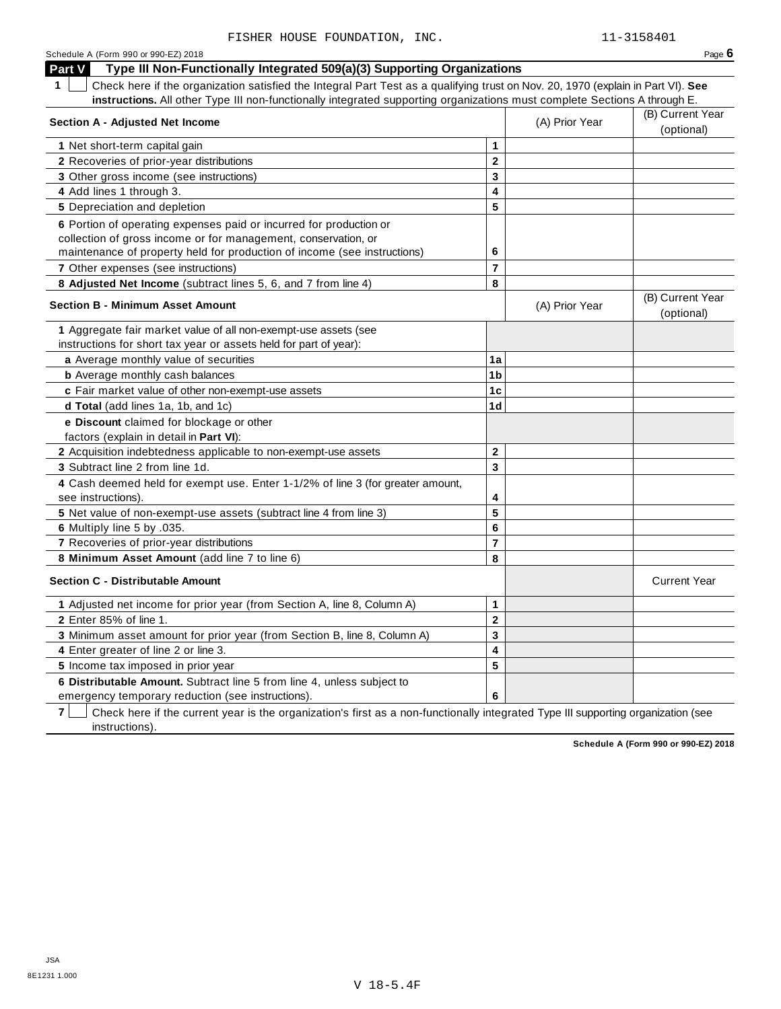| Schedule A (Form 990 or 990-EZ) 2018                                                                                                  |                |                | Page $6$                       |
|---------------------------------------------------------------------------------------------------------------------------------------|----------------|----------------|--------------------------------|
| Type III Non-Functionally Integrated 509(a)(3) Supporting Organizations<br><b>Part V</b>                                              |                |                |                                |
| 1<br>Check here if the organization satisfied the Integral Part Test as a qualifying trust on Nov. 20, 1970 (explain in Part VI). See |                |                |                                |
| instructions. All other Type III non-functionally integrated supporting organizations must complete Sections A through E.             |                |                |                                |
| <b>Section A - Adjusted Net Income</b>                                                                                                |                | (A) Prior Year | (B) Current Year               |
|                                                                                                                                       |                |                | (optional)                     |
| 1 Net short-term capital gain                                                                                                         | $\mathbf{1}$   |                |                                |
| 2 Recoveries of prior-year distributions                                                                                              | $\mathbf{2}$   |                |                                |
| 3 Other gross income (see instructions)                                                                                               | 3              |                |                                |
| 4 Add lines 1 through 3.                                                                                                              | 4              |                |                                |
| 5 Depreciation and depletion                                                                                                          | 5              |                |                                |
| 6 Portion of operating expenses paid or incurred for production or                                                                    |                |                |                                |
| collection of gross income or for management, conservation, or                                                                        |                |                |                                |
| maintenance of property held for production of income (see instructions)                                                              | 6              |                |                                |
| 7 Other expenses (see instructions)                                                                                                   | $\overline{7}$ |                |                                |
| 8 Adjusted Net Income (subtract lines 5, 6, and 7 from line 4)                                                                        | 8              |                |                                |
| <b>Section B - Minimum Asset Amount</b>                                                                                               |                | (A) Prior Year | (B) Current Year<br>(optional) |
| 1 Aggregate fair market value of all non-exempt-use assets (see                                                                       |                |                |                                |
| instructions for short tax year or assets held for part of year):                                                                     |                |                |                                |
| a Average monthly value of securities                                                                                                 | 1a             |                |                                |
| <b>b</b> Average monthly cash balances                                                                                                | 1 <sub>b</sub> |                |                                |
| c Fair market value of other non-exempt-use assets                                                                                    | 1c             |                |                                |
| d Total (add lines 1a, 1b, and 1c)                                                                                                    | 1d             |                |                                |
| e Discount claimed for blockage or other                                                                                              |                |                |                                |
| factors (explain in detail in Part VI):                                                                                               |                |                |                                |
| 2 Acquisition indebtedness applicable to non-exempt-use assets                                                                        | $\mathbf{2}$   |                |                                |
| 3 Subtract line 2 from line 1d.                                                                                                       | 3              |                |                                |
| 4 Cash deemed held for exempt use. Enter 1-1/2% of line 3 (for greater amount,<br>see instructions).                                  | 4              |                |                                |
| 5 Net value of non-exempt-use assets (subtract line 4 from line 3)                                                                    | 5              |                |                                |
| 6 Multiply line 5 by .035.                                                                                                            | 6              |                |                                |
| 7 Recoveries of prior-year distributions                                                                                              | $\overline{7}$ |                |                                |
| 8 Minimum Asset Amount (add line 7 to line 6)                                                                                         | 8              |                |                                |
| <b>Section C - Distributable Amount</b>                                                                                               |                |                | <b>Current Year</b>            |
| 1 Adjusted net income for prior year (from Section A, line 8, Column A)                                                               | 1              |                |                                |
| 2 Enter 85% of line 1.                                                                                                                | $\mathbf 2$    |                |                                |
| 3 Minimum asset amount for prior year (from Section B, line 8, Column A)                                                              | 3              |                |                                |
| 4 Enter greater of line 2 or line 3.                                                                                                  | 4              |                |                                |
| 5 Income tax imposed in prior year                                                                                                    | 5              |                |                                |
| 6 Distributable Amount. Subtract line 5 from line 4, unless subject to                                                                |                |                |                                |
| emergency temporary reduction (see instructions).                                                                                     | 6              |                |                                |

**7** Check here if the current year is the organization's first as a non-functionally integrated Type III supporting organization (see instructions).

**Schedule A (Form 990 or 990-EZ) 2018**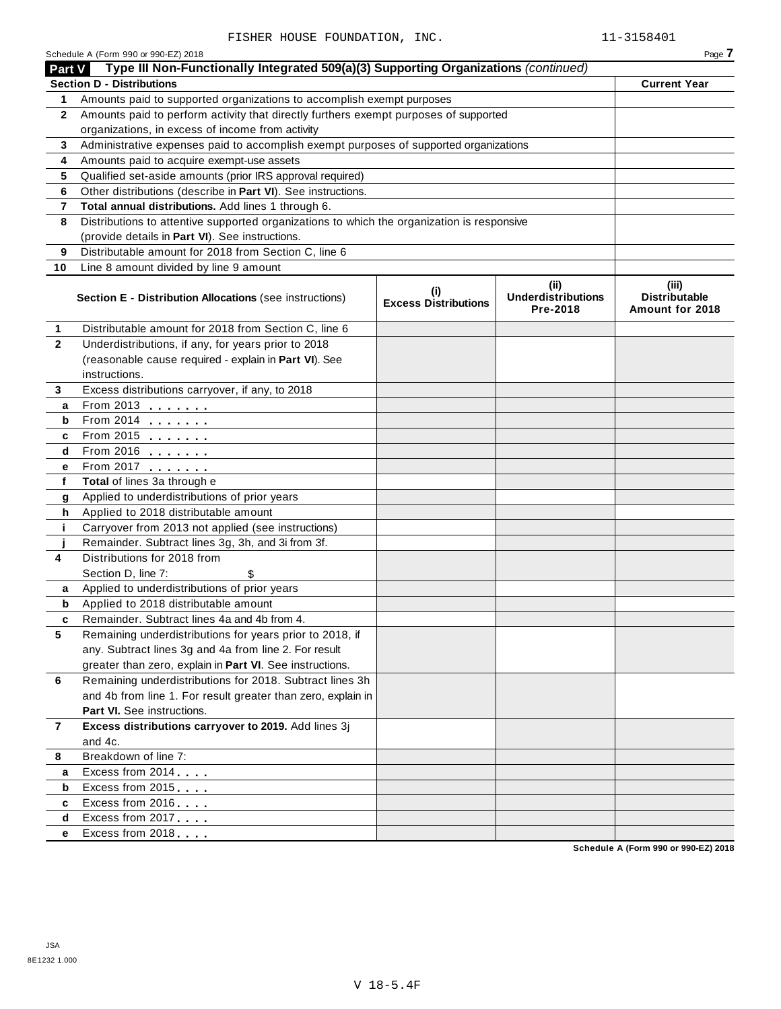|               | Schedule A (Form 990 or 990-EZ) 2018                                                       |                                    |                                               | Page 7                                           |
|---------------|--------------------------------------------------------------------------------------------|------------------------------------|-----------------------------------------------|--------------------------------------------------|
| <b>Part V</b> | Type III Non-Functionally Integrated 509(a)(3) Supporting Organizations (continued)        |                                    |                                               |                                                  |
|               | <b>Section D - Distributions</b>                                                           |                                    |                                               | <b>Current Year</b>                              |
| 1             | Amounts paid to supported organizations to accomplish exempt purposes                      |                                    |                                               |                                                  |
| $\mathbf{2}$  | Amounts paid to perform activity that directly furthers exempt purposes of supported       |                                    |                                               |                                                  |
|               | organizations, in excess of income from activity                                           |                                    |                                               |                                                  |
| 3             | Administrative expenses paid to accomplish exempt purposes of supported organizations      |                                    |                                               |                                                  |
| 4             | Amounts paid to acquire exempt-use assets                                                  |                                    |                                               |                                                  |
| 5             | Qualified set-aside amounts (prior IRS approval required)                                  |                                    |                                               |                                                  |
| 6             | Other distributions (describe in Part VI). See instructions.                               |                                    |                                               |                                                  |
| 7             | Total annual distributions. Add lines 1 through 6.                                         |                                    |                                               |                                                  |
| 8             | Distributions to attentive supported organizations to which the organization is responsive |                                    |                                               |                                                  |
|               | (provide details in Part VI). See instructions.                                            |                                    |                                               |                                                  |
| 9             | Distributable amount for 2018 from Section C, line 6                                       |                                    |                                               |                                                  |
| 10            | Line 8 amount divided by line 9 amount                                                     |                                    |                                               |                                                  |
|               | <b>Section E - Distribution Allocations (see instructions)</b>                             | (i)<br><b>Excess Distributions</b> | (ii)<br><b>Underdistributions</b><br>Pre-2018 | (iii)<br><b>Distributable</b><br>Amount for 2018 |
| 1             | Distributable amount for 2018 from Section C, line 6                                       |                                    |                                               |                                                  |
| $\mathbf{2}$  | Underdistributions, if any, for years prior to 2018                                        |                                    |                                               |                                                  |
|               | (reasonable cause required - explain in Part VI). See                                      |                                    |                                               |                                                  |
|               | instructions.                                                                              |                                    |                                               |                                                  |
| 3             | Excess distributions carryover, if any, to 2018                                            |                                    |                                               |                                                  |
| а             | From 2013                                                                                  |                                    |                                               |                                                  |
| b             |                                                                                            |                                    |                                               |                                                  |
| c             | From 2015 $\frac{1}{2}$                                                                    |                                    |                                               |                                                  |
| d             |                                                                                            |                                    |                                               |                                                  |
| е             | From 2017                                                                                  |                                    |                                               |                                                  |
| f             | Total of lines 3a through e                                                                |                                    |                                               |                                                  |
| g             | Applied to underdistributions of prior years                                               |                                    |                                               |                                                  |
| h             | Applied to 2018 distributable amount                                                       |                                    |                                               |                                                  |
| j.            | Carryover from 2013 not applied (see instructions)                                         |                                    |                                               |                                                  |
|               | Remainder. Subtract lines 3g, 3h, and 3i from 3f.                                          |                                    |                                               |                                                  |
| 4             | Distributions for 2018 from                                                                |                                    |                                               |                                                  |
|               | Section D, line 7:<br>\$                                                                   |                                    |                                               |                                                  |
| a             | Applied to underdistributions of prior years                                               |                                    |                                               |                                                  |
| b             | Applied to 2018 distributable amount                                                       |                                    |                                               |                                                  |
|               | Remainder. Subtract lines 4a and 4b from 4.                                                |                                    |                                               |                                                  |
| 5             | Remaining underdistributions for years prior to 2018, if                                   |                                    |                                               |                                                  |
|               | any. Subtract lines 3g and 4a from line 2. For result                                      |                                    |                                               |                                                  |
|               | greater than zero, explain in Part VI. See instructions.                                   |                                    |                                               |                                                  |
| 6             | Remaining underdistributions for 2018. Subtract lines 3h                                   |                                    |                                               |                                                  |
|               | and 4b from line 1. For result greater than zero, explain in                               |                                    |                                               |                                                  |
|               | Part VI. See instructions.                                                                 |                                    |                                               |                                                  |
| $\mathbf{7}$  | Excess distributions carryover to 2019. Add lines 3j                                       |                                    |                                               |                                                  |
|               | and 4c.                                                                                    |                                    |                                               |                                                  |
| 8             | Breakdown of line 7:                                                                       |                                    |                                               |                                                  |
| a             | Excess from 2014                                                                           |                                    |                                               |                                                  |
| b             | Excess from 2015                                                                           |                                    |                                               |                                                  |
| c             | Excess from 2016                                                                           |                                    |                                               |                                                  |
| d             | Excess from 2017                                                                           |                                    |                                               |                                                  |
| е             | Excess from 2018                                                                           |                                    |                                               |                                                  |

**Schedule A (Form 990 or 990-EZ) 2018**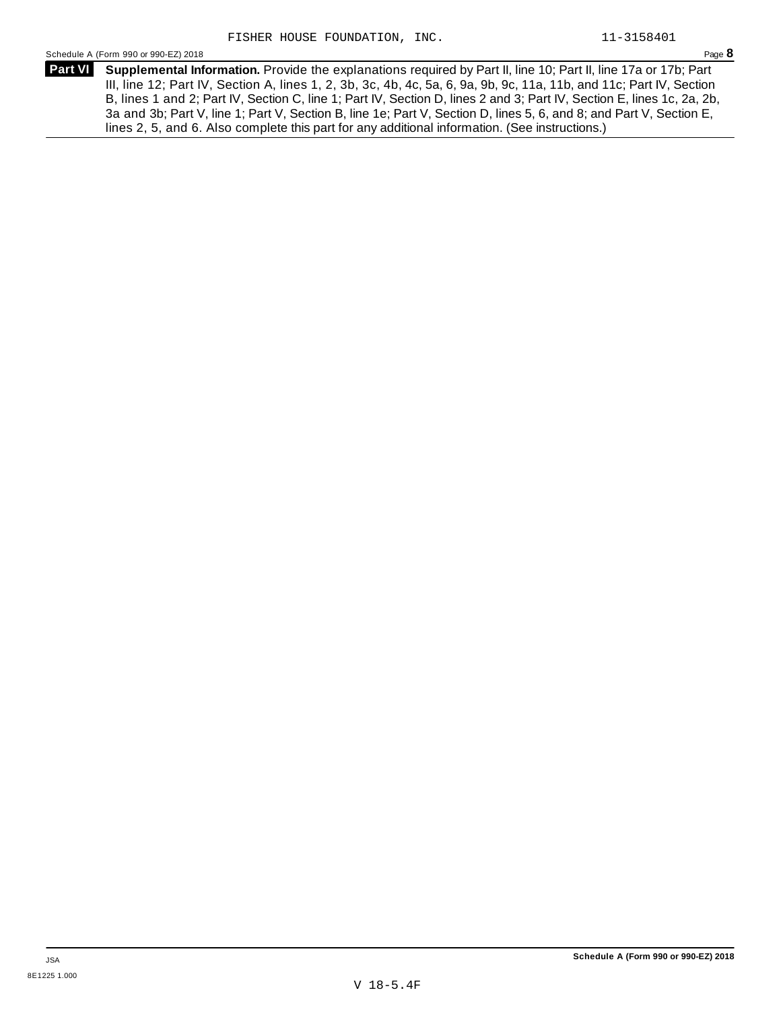Schedule <sup>A</sup> (Form <sup>990</sup> or 990-EZ) <sup>2018</sup> Page **8**

**Supplemental Information.** Provide the explanations required by Part II, line 10; Part II, line 17a or 17b; Part **Part VI** III, line 12; Part IV, Section A, lines 1, 2, 3b, 3c, 4b, 4c, 5a, 6, 9a, 9b, 9c, 11a, 11b, and 11c; Part IV, Section B, lines 1 and 2; Part IV, Section C, line 1; Part IV, Section D, lines 2 and 3; Part IV, Section E, lines 1c, 2a, 2b, 3a and 3b; Part V, line 1; Part V, Section B, line 1e; Part V, Section D, lines 5, 6, and 8; and Part V, Section E, lines 2, 5, and 6. Also complete this part for any additional information. (See instructions.)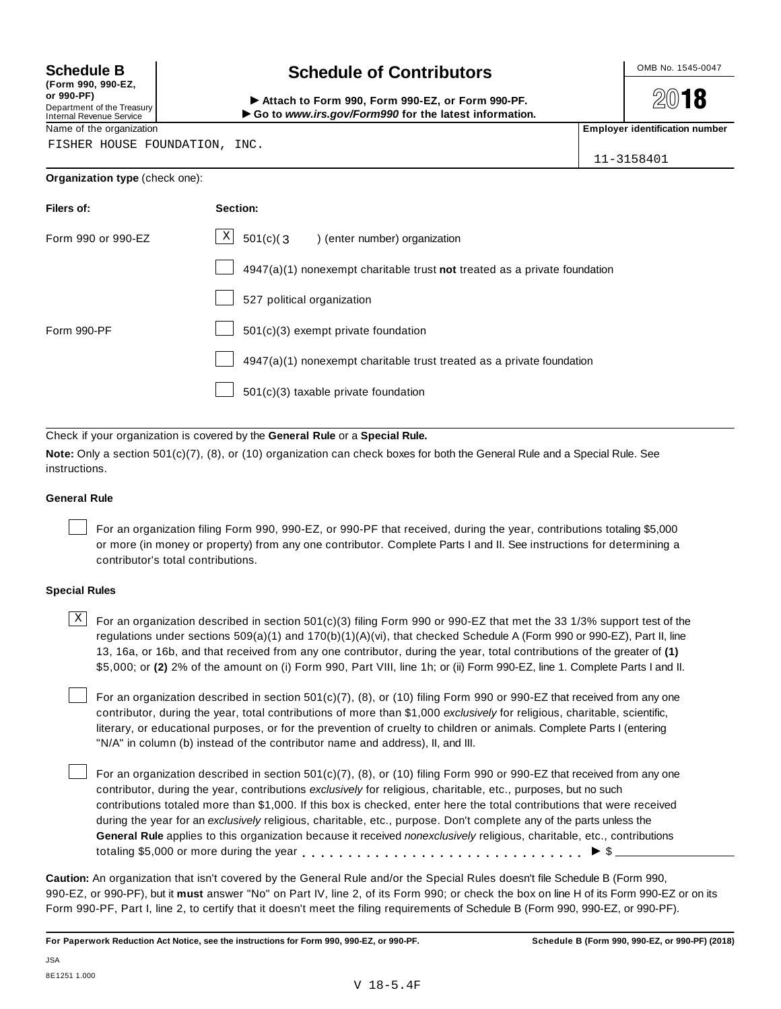**(Form 990, 990-EZ, or 990-PF)** Department of the Treasury<br>Internal Revenue Service

# **Schedule B chedule of Contributors**

(Point issue, sub-Ez,<br>Department of the Treasury internal Revenue Service<br>Department of the Treasury internal Revenue Service internal Revenue Service internal Revenue Service internal<br>Name of the organization internal Re

**2018** 

FISHER HOUSE FOUNDATION, INC.

| 11-3158401 |
|------------|

### **Organization type** (check one):

| Filers of:         | Section:                                                                    |
|--------------------|-----------------------------------------------------------------------------|
| Form 990 or 990-EZ | $\mathbf X$<br>501(c)(3) (enter number) organization                        |
|                    | $4947(a)(1)$ nonexempt charitable trust not treated as a private foundation |
|                    | 527 political organization                                                  |
| Form 990-PF        | $501(c)(3)$ exempt private foundation                                       |
|                    | 4947(a)(1) nonexempt charitable trust treated as a private foundation       |
|                    | 501(c)(3) taxable private foundation                                        |

Check if your organization is covered by the **General Rule** or a **Special Rule.**

**Note:** Only a section 501(c)(7), (8), or (10) organization can check boxes for both the General Rule and a Special Rule. See instructions.

### **General Rule**

For an organization filing Form 990, 990-EZ, or 990-PF that received, during the year, contributions totaling \$5,000 or more (in money or property) from any one contributor. Complete Parts I and II. See instructions for determining a contributor's total contributions.

### **Special Rules**

 $\text{X}$  For an organization described in section 501(c)(3) filing Form 990 or 990-EZ that met the 33 1/3% support test of the regulations under sections 509(a)(1) and 170(b)(1)(A)(vi), that checked Schedule A (Form 990 or 990-EZ), Part II, line 13, 16a, or 16b, and that received from any one contributor, during the year, total contributions of the greater of **(1)** \$5,000; or **(2)** 2% of the amount on (i) Form 990, Part VIII, line 1h; or (ii) Form 990-EZ, line 1. Complete Parts I and II.

For an organization described in section 501(c)(7), (8), or (10) filing Form 990 or 990-EZ that received from any one contributor, during the year, total contributions of more than \$1,000 *exclusively* for religious, charitable, scientific, literary, or educational purposes, or for the prevention of cruelty to children or animals. Complete Parts I (entering "N/A" in column (b) instead of the contributor name and address), II, and III.

For an organization described in section  $501(c)(7)$ , (8), or (10) filing Form 990 or 990-EZ that received from any one contributor, during the year, contributions *exclusively* for religious, charitable, etc., purposes, but no such contributions totaled more than \$1,000. If this box is checked, enter here the total contributions that were received during the year for an *exclusively* religious, charitable, etc., purpose. Don't complete any of the parts unless the **General Rule** applies to this organization because it received *nonexclusively* religious, charitable, etc., contributions totaling \$5,000 or more during the year  $\ldots \ldots \ldots \ldots \ldots \ldots \ldots \ldots \ldots \vdots$ 

**Caution:** An organization that isn't covered by the General Rule and/or the Special Rules doesn't file Schedule B (Form 990, 990-EZ, or 990-PF), but it **must** answer "No" on Part IV, line 2, of its Form 990; or check the box on line H of its Form 990-EZ or on its Form 990-PF, Part I, line 2, to certify that it doesn't meet the filing requirements of Schedule B (Form 990, 990-EZ, or 990-PF).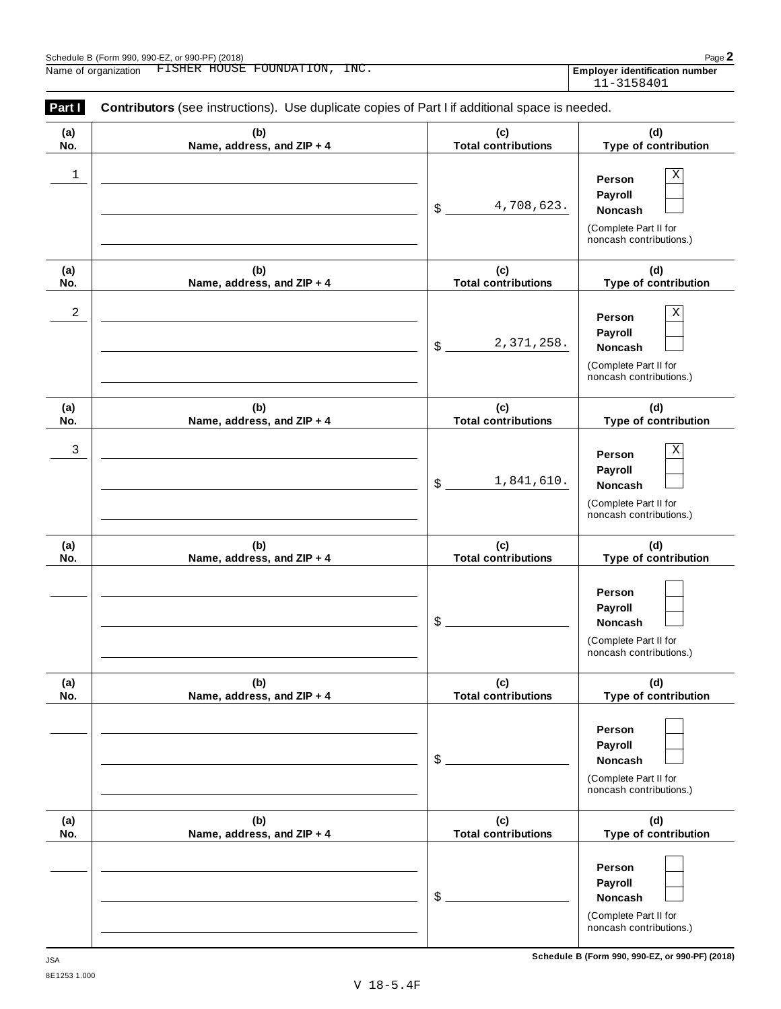| (a)        | (b)                               | (c)                               | (d)                                                                                   |
|------------|-----------------------------------|-----------------------------------|---------------------------------------------------------------------------------------|
| No.        | Name, address, and ZIP + 4        | <b>Total contributions</b>        | Type of contribution                                                                  |
| 1          |                                   | 4,708,623.<br>\$                  | Χ<br>Person<br>Payroll<br>Noncash<br>(Complete Part II for<br>noncash contributions.) |
| (a)<br>No. | (b)<br>Name, address, and ZIP + 4 | (c)<br><b>Total contributions</b> | (d)<br>Type of contribution                                                           |
| 2          |                                   | 2,371,258.<br>\$                  | Χ<br>Person<br>Payroll<br>Noncash<br>(Complete Part II for<br>noncash contributions.) |
| (a)<br>No. | (b)<br>Name, address, and ZIP + 4 | (c)<br><b>Total contributions</b> | (d)<br>Type of contribution                                                           |
| 3          |                                   | 1,841,610.<br>\$                  | Χ<br>Person<br>Payroll<br>Noncash<br>(Complete Part II for<br>noncash contributions.) |
| (a)<br>No. | (b)<br>Name, address, and ZIP + 4 | (c)<br><b>Total contributions</b> | (d)<br>Type of contribution                                                           |
|            |                                   | \$                                | Person<br>Payroll<br>Noncash<br>(Complete Part II for<br>noncash contributions.)      |
| (a)<br>No. | (b)<br>Name, address, and ZIP + 4 | (c)<br><b>Total contributions</b> | (d)<br>Type of contribution                                                           |
|            |                                   | \$                                | Person<br>Payroll<br>Noncash<br>(Complete Part II for<br>noncash contributions.)      |
| (a)<br>No. | (b)<br>Name, address, and ZIP + 4 | (c)<br><b>Total contributions</b> | (d)<br>Type of contribution                                                           |
|            |                                   | \$                                | Person<br>Payroll<br>Noncash<br>(Complete Part II for<br>noncash contributions.)      |

**Schedule B (Form 990, 990-EZ, or 990-PF) (2018)** JSA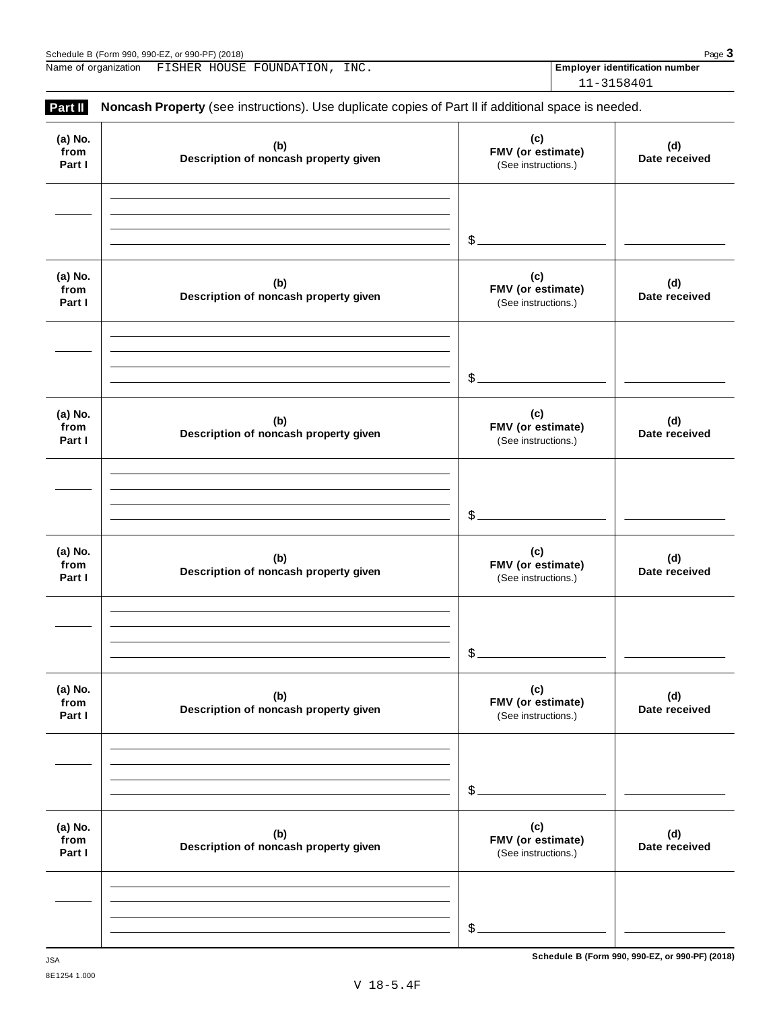| (2018)<br>Schedule<br>or $QQ(1, \mathsf{p})$<br>. 990-E7<br>Form 990<br>. ວວບ.<br>. 990- |  |  |  |   | Page |  |
|------------------------------------------------------------------------------------------|--|--|--|---|------|--|
| $- - - - -$                                                                              |  |  |  | . |      |  |

Name of organization FISHER HOUSE FOUNDATION, INC. **Employer identification number** 

11-3158401

| Part II                   | Noncash Property (see instructions). Use duplicate copies of Part II if additional space is needed. |                                                 |                      |
|---------------------------|-----------------------------------------------------------------------------------------------------|-------------------------------------------------|----------------------|
| (a) No.<br>from<br>Part I | (b)<br>Description of noncash property given                                                        | (c)<br>FMV (or estimate)<br>(See instructions.) | (d)<br>Date received |
|                           |                                                                                                     | $\mathcal{L}_{-}$                               |                      |
| (a) No.<br>from<br>Part I | (b)<br>Description of noncash property given                                                        | (c)<br>FMV (or estimate)<br>(See instructions.) | (d)<br>Date received |
|                           |                                                                                                     | $\mathcal{L}$                                   |                      |
| (a) No.<br>from<br>Part I | (b)<br>Description of noncash property given                                                        | (c)<br>FMV (or estimate)<br>(See instructions.) | (d)<br>Date received |
|                           |                                                                                                     | $\mathcal{L}_{-}$                               |                      |
| (a) No.<br>from<br>Part I | (b)<br>Description of noncash property given                                                        | (c)<br>FMV (or estimate)<br>(See instructions.) | (d)<br>Date received |
|                           |                                                                                                     | \$.                                             |                      |
| (a) No.<br>from<br>Part I | (b)<br>Description of noncash property given                                                        | (c)<br>FMV (or estimate)<br>(See instructions.) | (d)<br>Date received |
|                           |                                                                                                     | $$$ .                                           |                      |
| (a) No.<br>from<br>Part I | (b)<br>Description of noncash property given                                                        | (c)<br>FMV (or estimate)<br>(See instructions.) | (d)<br>Date received |
|                           |                                                                                                     | $\mathcal{L}_{-}$                               |                      |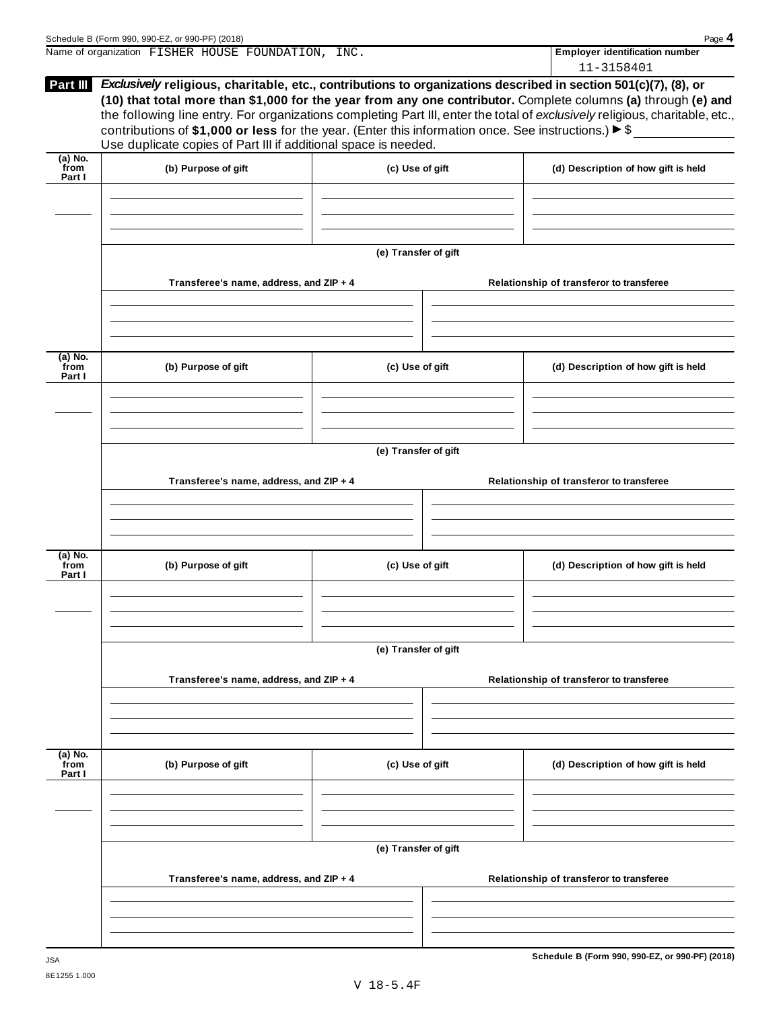|                             | Schedule B (Form 990, 990-EZ, or 990-PF) (2018)                                                                                                                                                                                                                                                           |                      | Page 4                                                                                                                                                                                                                                        |
|-----------------------------|-----------------------------------------------------------------------------------------------------------------------------------------------------------------------------------------------------------------------------------------------------------------------------------------------------------|----------------------|-----------------------------------------------------------------------------------------------------------------------------------------------------------------------------------------------------------------------------------------------|
|                             | Name of organization FISHER HOUSE FOUNDATION, INC.                                                                                                                                                                                                                                                        |                      | Employer identification number<br>11-3158401                                                                                                                                                                                                  |
| Part III                    | Exclusively religious, charitable, etc., contributions to organizations described in section 501(c)(7), (8), or<br>contributions of \$1,000 or less for the year. (Enter this information once. See instructions.) $\triangleright$ \$<br>Use duplicate copies of Part III if additional space is needed. |                      | (10) that total more than \$1,000 for the year from any one contributor. Complete columns (a) through (e) and<br>the following line entry. For organizations completing Part III, enter the total of exclusively religious, charitable, etc., |
| (a) No.<br>`from<br>Part I  | (b) Purpose of gift                                                                                                                                                                                                                                                                                       | (c) Use of gift      | (d) Description of how gift is held                                                                                                                                                                                                           |
|                             |                                                                                                                                                                                                                                                                                                           |                      |                                                                                                                                                                                                                                               |
|                             | Transferee's name, address, and ZIP + 4                                                                                                                                                                                                                                                                   | (e) Transfer of gift | Relationship of transferor to transferee                                                                                                                                                                                                      |
|                             |                                                                                                                                                                                                                                                                                                           |                      |                                                                                                                                                                                                                                               |
| (a) No.<br>from<br>Part I   | (b) Purpose of gift                                                                                                                                                                                                                                                                                       | (c) Use of gift      | (d) Description of how gift is held                                                                                                                                                                                                           |
|                             |                                                                                                                                                                                                                                                                                                           |                      |                                                                                                                                                                                                                                               |
|                             | Transferee's name, address, and ZIP + 4                                                                                                                                                                                                                                                                   | (e) Transfer of gift | Relationship of transferor to transferee                                                                                                                                                                                                      |
|                             |                                                                                                                                                                                                                                                                                                           |                      |                                                                                                                                                                                                                                               |
| (a) No.<br>from<br>Part I   | (b) Purpose of gift                                                                                                                                                                                                                                                                                       | (c) Use of gift      | (d) Description of how gift is held                                                                                                                                                                                                           |
|                             |                                                                                                                                                                                                                                                                                                           |                      |                                                                                                                                                                                                                                               |
|                             | Transferee's name, address, and ZIP + 4                                                                                                                                                                                                                                                                   | (e) Transfer of gift | Relationship of transferor to transferee                                                                                                                                                                                                      |
|                             |                                                                                                                                                                                                                                                                                                           |                      |                                                                                                                                                                                                                                               |
| $(a)$ No.<br>from<br>Part I | (b) Purpose of gift                                                                                                                                                                                                                                                                                       | (c) Use of gift      | (d) Description of how gift is held                                                                                                                                                                                                           |
|                             |                                                                                                                                                                                                                                                                                                           | (e) Transfer of gift |                                                                                                                                                                                                                                               |
|                             | Transferee's name, address, and ZIP + 4                                                                                                                                                                                                                                                                   |                      | Relationship of transferor to transferee                                                                                                                                                                                                      |
|                             |                                                                                                                                                                                                                                                                                                           |                      |                                                                                                                                                                                                                                               |

**Schedule B (Form 990, 990-EZ, or 990-PF) (2018)** JSA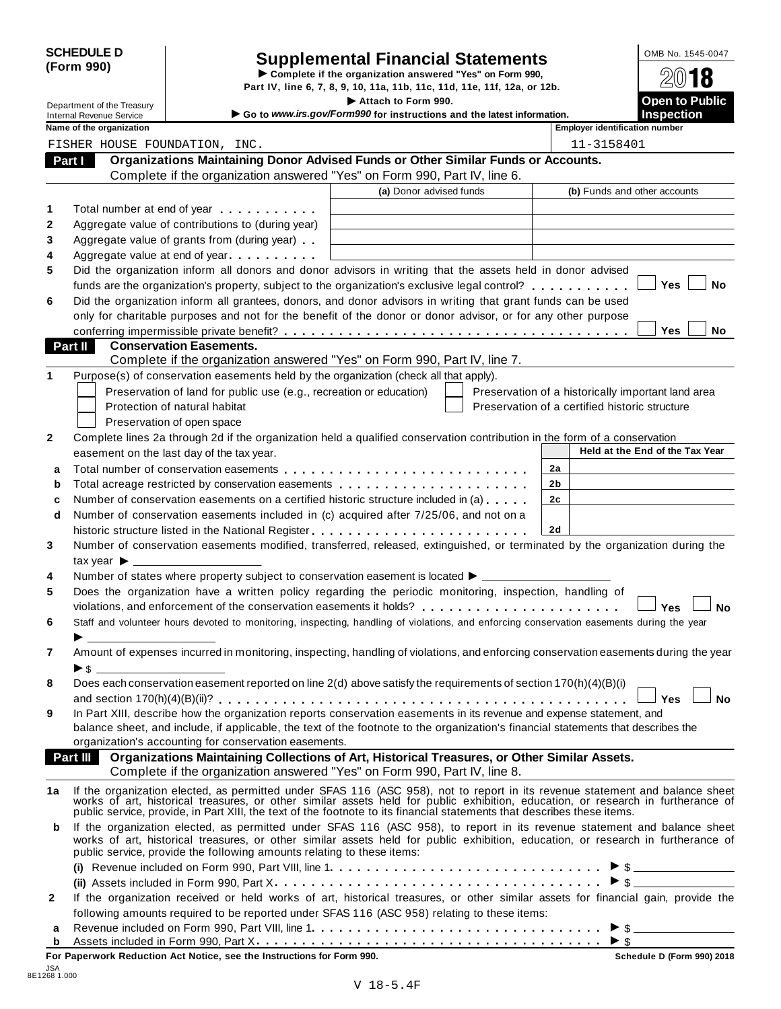|            | <b>SCHEDULE D</b> |  |
|------------|-------------------|--|
| (Form 990) |                   |  |

# SCHEDULE D<br>
Supplemental Financial Statements<br>
Form 990)<br>
Part IV, line 6, 7, 8, 9, 10, 11a, 11b, 11c, 11d, 11e, 11f, 12a, or 12b.<br>
Part IV, line 6, 7, 8, 9, 10, 11a, 11b, 11c, 11d, 11e, 11f, 12a, or 12b.

|                                                             |                                                                                                                                                                                                                               | Part IV, line 6, 7, 8, 9, 10, 11a, 11b, 11c, 11d, 11e, 11f, 12a, or 12b.                                                                                                                                                       |                                                    |                                 |
|-------------------------------------------------------------|-------------------------------------------------------------------------------------------------------------------------------------------------------------------------------------------------------------------------------|--------------------------------------------------------------------------------------------------------------------------------------------------------------------------------------------------------------------------------|----------------------------------------------------|---------------------------------|
| Department of the Treasury                                  |                                                                                                                                                                                                                               | Attach to Form 990.                                                                                                                                                                                                            |                                                    | <b>Open to Public</b>           |
| <b>Internal Revenue Service</b><br>Name of the organization |                                                                                                                                                                                                                               | Go to www.irs.gov/Form990 for instructions and the latest information.                                                                                                                                                         | <b>Employer identification number</b>              | <b>Inspection</b>               |
| FISHER HOUSE FOUNDATION, INC.                               |                                                                                                                                                                                                                               |                                                                                                                                                                                                                                | 11-3158401                                         |                                 |
| Part I                                                      |                                                                                                                                                                                                                               | Organizations Maintaining Donor Advised Funds or Other Similar Funds or Accounts.                                                                                                                                              |                                                    |                                 |
|                                                             |                                                                                                                                                                                                                               | Complete if the organization answered "Yes" on Form 990, Part IV, line 6.                                                                                                                                                      |                                                    |                                 |
|                                                             |                                                                                                                                                                                                                               | (a) Donor advised funds                                                                                                                                                                                                        | (b) Funds and other accounts                       |                                 |
|                                                             | Total number at end of year entitled as a set of the set of the set of the set of the set of the set of the set of the set of the set of the set of the set of the set of the set of the set of the set of the set of the set |                                                                                                                                                                                                                                |                                                    |                                 |
|                                                             | Aggregate value of contributions to (during year)                                                                                                                                                                             |                                                                                                                                                                                                                                |                                                    |                                 |
|                                                             | Aggregate value of grants from (during year)                                                                                                                                                                                  |                                                                                                                                                                                                                                |                                                    |                                 |
|                                                             | Aggregate value at end of year                                                                                                                                                                                                |                                                                                                                                                                                                                                |                                                    |                                 |
|                                                             |                                                                                                                                                                                                                               | Did the organization inform all donors and donor advisors in writing that the assets held in donor advised                                                                                                                     |                                                    |                                 |
|                                                             |                                                                                                                                                                                                                               | funds are the organization's property, subject to the organization's exclusive legal control?                                                                                                                                  |                                                    | <b>Yes</b><br>No                |
|                                                             |                                                                                                                                                                                                                               | Did the organization inform all grantees, donors, and donor advisors in writing that grant funds can be used                                                                                                                   |                                                    |                                 |
|                                                             |                                                                                                                                                                                                                               | only for charitable purposes and not for the benefit of the donor or donor advisor, or for any other purpose                                                                                                                   |                                                    |                                 |
|                                                             |                                                                                                                                                                                                                               |                                                                                                                                                                                                                                |                                                    | <b>Yes</b><br>No.               |
| Part II                                                     | <b>Conservation Easements.</b>                                                                                                                                                                                                |                                                                                                                                                                                                                                |                                                    |                                 |
|                                                             |                                                                                                                                                                                                                               | Complete if the organization answered "Yes" on Form 990, Part IV, line 7.                                                                                                                                                      |                                                    |                                 |
|                                                             |                                                                                                                                                                                                                               | Purpose(s) of conservation easements held by the organization (check all that apply).                                                                                                                                          |                                                    |                                 |
|                                                             | Preservation of land for public use (e.g., recreation or education)                                                                                                                                                           |                                                                                                                                                                                                                                | Preservation of a historically important land area |                                 |
|                                                             | Protection of natural habitat                                                                                                                                                                                                 |                                                                                                                                                                                                                                | Preservation of a certified historic structure     |                                 |
|                                                             | Preservation of open space                                                                                                                                                                                                    |                                                                                                                                                                                                                                |                                                    |                                 |
|                                                             |                                                                                                                                                                                                                               | Complete lines 2a through 2d if the organization held a qualified conservation contribution in the form of a conservation                                                                                                      |                                                    |                                 |
|                                                             | easement on the last day of the tax year.                                                                                                                                                                                     |                                                                                                                                                                                                                                |                                                    | Held at the End of the Tax Year |
|                                                             |                                                                                                                                                                                                                               |                                                                                                                                                                                                                                | 2a                                                 |                                 |
|                                                             |                                                                                                                                                                                                                               | Total acreage restricted by conservation easements                                                                                                                                                                             | 2b                                                 |                                 |
|                                                             |                                                                                                                                                                                                                               | Number of conservation easements on a certified historic structure included in (a)                                                                                                                                             | 2 <sub>c</sub>                                     |                                 |
|                                                             |                                                                                                                                                                                                                               | Number of conservation easements included in (c) acquired after 7/25/06, and not on a                                                                                                                                          |                                                    |                                 |
| d                                                           |                                                                                                                                                                                                                               |                                                                                                                                                                                                                                | 2d                                                 |                                 |
|                                                             |                                                                                                                                                                                                                               | Number of conservation easements modified, transferred, released, extinguished, or terminated by the organization during the                                                                                                   |                                                    |                                 |
|                                                             |                                                                                                                                                                                                                               |                                                                                                                                                                                                                                |                                                    |                                 |
| tax year $\blacktriangleright$ _                            |                                                                                                                                                                                                                               | Number of states where property subject to conservation easement is located ▶ __________                                                                                                                                       |                                                    |                                 |
|                                                             |                                                                                                                                                                                                                               | Does the organization have a written policy regarding the periodic monitoring, inspection, handling of                                                                                                                         |                                                    |                                 |
|                                                             |                                                                                                                                                                                                                               | violations, and enforcement of the conservation easements it holds?                                                                                                                                                            |                                                    | Yes<br><b>No</b>                |
|                                                             |                                                                                                                                                                                                                               | Staff and volunteer hours devoted to monitoring, inspecting, handling of violations, and enforcing conservation easements during the year                                                                                      |                                                    |                                 |
|                                                             |                                                                                                                                                                                                                               |                                                                                                                                                                                                                                |                                                    |                                 |
|                                                             |                                                                                                                                                                                                                               | Amount of expenses incurred in monitoring, inspecting, handling of violations, and enforcing conservation easements during the year                                                                                            |                                                    |                                 |
|                                                             |                                                                                                                                                                                                                               |                                                                                                                                                                                                                                |                                                    |                                 |
|                                                             |                                                                                                                                                                                                                               | Does each conservation easement reported on line 2(d) above satisfy the requirements of section 170(h)(4)(B)(i)                                                                                                                |                                                    |                                 |
|                                                             |                                                                                                                                                                                                                               |                                                                                                                                                                                                                                |                                                    | <b>No</b><br><b>Yes</b>         |
|                                                             |                                                                                                                                                                                                                               | In Part XIII, describe how the organization reports conservation easements in its revenue and expense statement, and                                                                                                           |                                                    |                                 |
|                                                             |                                                                                                                                                                                                                               | balance sheet, and include, if applicable, the text of the footnote to the organization's financial statements that describes the                                                                                              |                                                    |                                 |
|                                                             | organization's accounting for conservation easements.                                                                                                                                                                         |                                                                                                                                                                                                                                |                                                    |                                 |
|                                                             |                                                                                                                                                                                                                               | <b>Part III</b> Organizations Maintaining Collections of Art, Historical Treasures, or Other Similar Assets.                                                                                                                   |                                                    |                                 |
|                                                             |                                                                                                                                                                                                                               | Complete if the organization answered "Yes" on Form 990, Part IV, line 8.                                                                                                                                                      |                                                    |                                 |
| 1a                                                          |                                                                                                                                                                                                                               |                                                                                                                                                                                                                                |                                                    |                                 |
|                                                             |                                                                                                                                                                                                                               | If the organization elected, as permitted under SFAS 116 (ASC 958), not to report in its revenue statement and balance sheet works of art, historical treasures, or other similar assets held for public exhibition, education |                                                    |                                 |
|                                                             |                                                                                                                                                                                                                               | public service, provide, in Part XIII, the text of the footnote to its financial statements that describes these items.                                                                                                        |                                                    |                                 |
| b                                                           |                                                                                                                                                                                                                               | If the organization elected, as permitted under SFAS 116 (ASC 958), to report in its revenue statement and balance sheet                                                                                                       |                                                    |                                 |
|                                                             | public service, provide the following amounts relating to these items:                                                                                                                                                        | works of art, historical treasures, or other similar assets held for public exhibition, education, or research in furtherance of                                                                                               |                                                    |                                 |
|                                                             |                                                                                                                                                                                                                               |                                                                                                                                                                                                                                |                                                    |                                 |
|                                                             |                                                                                                                                                                                                                               |                                                                                                                                                                                                                                |                                                    | $\triangleright$ \$             |
|                                                             |                                                                                                                                                                                                                               | If the organization received or held works of art, historical treasures, or other similar assets for financial gain, provide the                                                                                               |                                                    |                                 |
|                                                             |                                                                                                                                                                                                                               | following amounts required to be reported under SFAS 116 (ASC 958) relating to these items:                                                                                                                                    |                                                    |                                 |
| a                                                           |                                                                                                                                                                                                                               |                                                                                                                                                                                                                                |                                                    |                                 |
|                                                             |                                                                                                                                                                                                                               |                                                                                                                                                                                                                                |                                                    |                                 |

Assets included in Form 990, Part X. . . . . . . . . . . . . **<sup>b</sup>** m m m m m m m m m m m m m m m m m m m m m m m m m m m m m m m m m m m m m m I \$

JSA 8E1268 1.000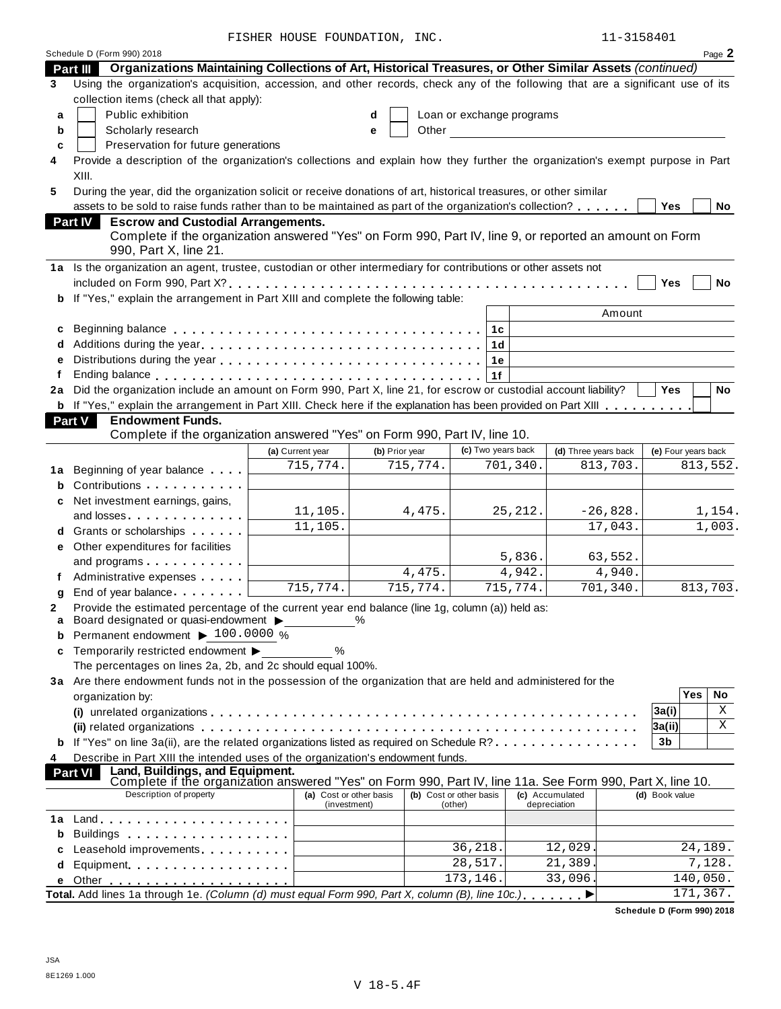FISHER HOUSE FOUNDATION, INC.

| 15840 |  |
|-------|--|
|-------|--|

|        | Schedule D (Form 990) 2018                                                                                                                                                                                                   | ER HOODS FOONDAIION, |                         |                |                         |                           |                      |            |                     |                   | Page 2    |
|--------|------------------------------------------------------------------------------------------------------------------------------------------------------------------------------------------------------------------------------|----------------------|-------------------------|----------------|-------------------------|---------------------------|----------------------|------------|---------------------|-------------------|-----------|
|        | Part III Organizations Maintaining Collections of Art, Historical Treasures, or Other Similar Assets (continued)                                                                                                             |                      |                         |                |                         |                           |                      |            |                     |                   |           |
| 3      | Using the organization's acquisition, accession, and other records, check any of the following that are a significant use of its                                                                                             |                      |                         |                |                         |                           |                      |            |                     |                   |           |
|        | collection items (check all that apply):                                                                                                                                                                                     |                      |                         |                |                         |                           |                      |            |                     |                   |           |
| a      | Public exhibition                                                                                                                                                                                                            |                      | d                       |                |                         | Loan or exchange programs |                      |            |                     |                   |           |
| b      | Scholarly research                                                                                                                                                                                                           |                      | е                       | Other          |                         |                           |                      |            |                     |                   |           |
| C      | Preservation for future generations                                                                                                                                                                                          |                      |                         |                |                         |                           |                      |            |                     |                   |           |
| 4      | Provide a description of the organization's collections and explain how they further the organization's exempt purpose in Part                                                                                               |                      |                         |                |                         |                           |                      |            |                     |                   |           |
|        | XIII.                                                                                                                                                                                                                        |                      |                         |                |                         |                           |                      |            |                     |                   |           |
| 5      | During the year, did the organization solicit or receive donations of art, historical treasures, or other similar<br>assets to be sold to raise funds rather than to be maintained as part of the organization's collection? |                      |                         |                |                         |                           |                      |            | <b>Yes</b>          |                   | No        |
|        | Part IV<br><b>Escrow and Custodial Arrangements.</b>                                                                                                                                                                         |                      |                         |                |                         |                           |                      |            |                     |                   |           |
|        | Complete if the organization answered "Yes" on Form 990, Part IV, line 9, or reported an amount on Form                                                                                                                      |                      |                         |                |                         |                           |                      |            |                     |                   |           |
|        | 990, Part X, line 21.                                                                                                                                                                                                        |                      |                         |                |                         |                           |                      |            |                     |                   |           |
|        | 1a Is the organization an agent, trustee, custodian or other intermediary for contributions or other assets not                                                                                                              |                      |                         |                |                         |                           |                      |            |                     |                   |           |
|        |                                                                                                                                                                                                                              |                      |                         |                |                         |                           |                      |            | Yes                 |                   | No        |
|        | If "Yes," explain the arrangement in Part XIII and complete the following table:                                                                                                                                             |                      |                         |                |                         |                           |                      |            |                     |                   |           |
|        |                                                                                                                                                                                                                              |                      |                         |                |                         |                           |                      | Amount     |                     |                   |           |
| c      |                                                                                                                                                                                                                              |                      |                         |                |                         | 1c                        |                      |            |                     |                   |           |
| d      |                                                                                                                                                                                                                              |                      |                         |                |                         | 1 <sub>d</sub>            |                      |            |                     |                   |           |
| e      |                                                                                                                                                                                                                              |                      |                         |                |                         | 1e                        |                      |            |                     |                   |           |
| f      |                                                                                                                                                                                                                              |                      |                         |                |                         | 1f                        |                      |            |                     |                   |           |
|        | 2a Did the organization include an amount on Form 990, Part X, line 21, for escrow or custodial account liability?                                                                                                           |                      |                         |                |                         |                           |                      |            | <b>Yes</b>          |                   | <b>No</b> |
|        | b If "Yes," explain the arrangement in Part XIII. Check here if the explanation has been provided on Part XIII                                                                                                               |                      |                         |                |                         |                           |                      |            |                     |                   |           |
|        | Part V<br><b>Endowment Funds.</b><br>Complete if the organization answered "Yes" on Form 990, Part IV, line 10.                                                                                                              |                      |                         |                |                         |                           |                      |            |                     |                   |           |
|        |                                                                                                                                                                                                                              | (a) Current year     |                         | (b) Prior year |                         | (c) Two years back        | (d) Three years back |            | (e) Four years back |                   |           |
|        |                                                                                                                                                                                                                              | 715,774.             |                         | 715,774.       |                         | 701, 340.                 |                      | 813,703.   |                     |                   | 813,552.  |
|        | 1a Beginning of year balance<br>Contributions                                                                                                                                                                                |                      |                         |                |                         |                           |                      |            |                     |                   |           |
| b<br>C | Net investment earnings, gains,                                                                                                                                                                                              |                      |                         |                |                         |                           |                      |            |                     |                   |           |
|        | and losses                                                                                                                                                                                                                   | 11,105.              |                         | 4,475.         |                         | 25, 212.                  |                      | $-26,828.$ |                     |                   | 1,154.    |
|        | d Grants or scholarships                                                                                                                                                                                                     | 11,105.              |                         |                |                         |                           |                      | 17,043.    |                     |                   | 1,003.    |
| е      | Other expenditures for facilities                                                                                                                                                                                            |                      |                         |                |                         |                           |                      |            |                     |                   |           |
|        | and programs                                                                                                                                                                                                                 |                      |                         |                |                         | 5,836.                    |                      | 63,552.    |                     |                   |           |
|        | Administrative expenses                                                                                                                                                                                                      |                      |                         | 4,475.         |                         | 4,942.                    |                      | 4,940.     |                     |                   |           |
| g      | End of year balance                                                                                                                                                                                                          | 715,774.             |                         | 715,774.       |                         | 715,774.                  |                      | 701, 340.  |                     |                   | 813,703.  |
| 2      | Provide the estimated percentage of the current year end balance (line 1g, column (a)) held as:                                                                                                                              |                      |                         |                |                         |                           |                      |            |                     |                   |           |
| a      | Board designated or quasi-endowment >                                                                                                                                                                                        |                      | $\frac{0}{0}$           |                |                         |                           |                      |            |                     |                   |           |
| b      | Permanent endowment ▶ 100.0000 %                                                                                                                                                                                             |                      |                         |                |                         |                           |                      |            |                     |                   |           |
| C      | Temporarily restricted endowment ▶                                                                                                                                                                                           | %                    |                         |                |                         |                           |                      |            |                     |                   |           |
|        | The percentages on lines 2a, 2b, and 2c should equal 100%.<br>3a Are there endowment funds not in the possession of the organization that are held and administered for the                                                  |                      |                         |                |                         |                           |                      |            |                     |                   |           |
|        | organization by:                                                                                                                                                                                                             |                      |                         |                |                         |                           |                      |            |                     | <b>Yes</b>        | No        |
|        |                                                                                                                                                                                                                              |                      |                         |                |                         |                           |                      |            | 3a(i)               |                   | Χ         |
|        |                                                                                                                                                                                                                              |                      |                         |                |                         |                           |                      |            | 3a(ii)              |                   | X         |
|        | If "Yes" on line 3a(ii), are the related organizations listed as required on Schedule R?                                                                                                                                     |                      |                         |                |                         |                           |                      |            | 3b                  |                   |           |
| 4      | Describe in Part XIII the intended uses of the organization's endowment funds.                                                                                                                                               |                      |                         |                |                         |                           |                      |            |                     |                   |           |
|        | Land, Buildings, and Equipment.<br><b>Part VI</b>                                                                                                                                                                            |                      |                         |                |                         |                           |                      |            |                     |                   |           |
|        | Complete if the organization answered "Yes" on Form 990, Part IV, line 11a. See Form 990, Part X, line 10.<br>Description of property                                                                                        |                      | (a) Cost or other basis |                | (b) Cost or other basis |                           | (c) Accumulated      |            | (d) Book value      |                   |           |
|        |                                                                                                                                                                                                                              |                      | (investment)            |                | (other)                 |                           | depreciation         |            |                     |                   |           |
|        |                                                                                                                                                                                                                              |                      |                         |                |                         |                           |                      |            |                     |                   |           |
| b      | Buildings                                                                                                                                                                                                                    |                      |                         |                |                         |                           |                      |            |                     |                   |           |
| c      | Leasehold improvements expansion of the set of the set of the set of the set of the set of the set of the set o                                                                                                              |                      |                         |                | 36,218.<br>28,517.      |                           | 12,029<br>21,389     |            |                     | 24,189.<br>7,128. |           |
| d      | Equipment                                                                                                                                                                                                                    |                      |                         |                | 173,146.                |                           | 33,096               |            |                     | 140,050.          |           |
| е      | Total. Add lines 1a through 1e. (Column (d) must equal Form 990, Part X, column (B), line 10c.)                                                                                                                              |                      |                         |                |                         |                           |                      |            |                     | 171, 367.         |           |
|        |                                                                                                                                                                                                                              |                      |                         |                |                         |                           |                      |            |                     |                   |           |

**Schedule D (Form 990) 2018**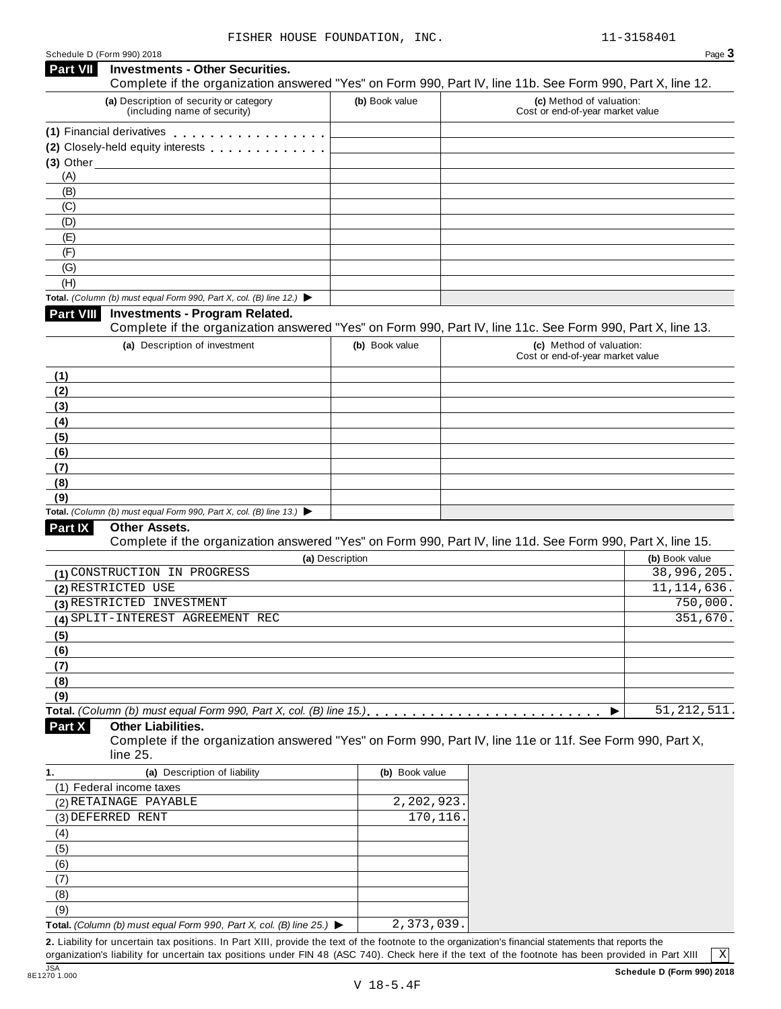| Schedule D (Form 990) 2018 |  |  |
|----------------------------|--|--|
|                            |  |  |

| Part VII                                               |                                                                                          |                 | Page 3                                                                                                     |
|--------------------------------------------------------|------------------------------------------------------------------------------------------|-----------------|------------------------------------------------------------------------------------------------------------|
|                                                        | <b>Investments - Other Securities.</b>                                                   |                 | Complete if the organization answered "Yes" on Form 990, Part IV, line 11b. See Form 990, Part X, line 12. |
|                                                        | (a) Description of security or category<br>(including name of security)                  | (b) Book value  | (c) Method of valuation:<br>Cost or end-of-year market value                                               |
|                                                        | (1) Financial derivatives                                                                |                 |                                                                                                            |
|                                                        | (2) Closely-held equity interests <b>contains the container of the container</b>         |                 |                                                                                                            |
|                                                        | $(3)$ Other                                                                              |                 |                                                                                                            |
| (A)                                                    |                                                                                          |                 |                                                                                                            |
| (B)                                                    |                                                                                          |                 |                                                                                                            |
| (C)                                                    |                                                                                          |                 |                                                                                                            |
| (D)                                                    |                                                                                          |                 |                                                                                                            |
| (E)                                                    |                                                                                          |                 |                                                                                                            |
| (F)                                                    |                                                                                          |                 |                                                                                                            |
| (G)                                                    |                                                                                          |                 |                                                                                                            |
| (H)                                                    | Total. (Column (b) must equal Form 990, Part X, col. (B) line 12.) $\blacktriangleright$ |                 |                                                                                                            |
| <b>Part VIII</b>                                       | <b>Investments - Program Related.</b>                                                    |                 |                                                                                                            |
|                                                        |                                                                                          |                 | Complete if the organization answered "Yes" on Form 990, Part IV, line 11c. See Form 990, Part X, line 13. |
|                                                        | (a) Description of investment                                                            | (b) Book value  | (c) Method of valuation:                                                                                   |
|                                                        |                                                                                          |                 | Cost or end-of-year market value                                                                           |
| (1)                                                    |                                                                                          |                 |                                                                                                            |
| (2)                                                    |                                                                                          |                 |                                                                                                            |
| (3)                                                    |                                                                                          |                 |                                                                                                            |
| (4)                                                    |                                                                                          |                 |                                                                                                            |
| (5)                                                    |                                                                                          |                 |                                                                                                            |
| (6)                                                    |                                                                                          |                 |                                                                                                            |
| (7)                                                    |                                                                                          |                 |                                                                                                            |
| (8)                                                    |                                                                                          |                 |                                                                                                            |
| (9)                                                    |                                                                                          |                 |                                                                                                            |
|                                                        | Total. (Column (b) must equal Form 990, Part X, col. (B) line 13.) $\blacktriangleright$ |                 |                                                                                                            |
| <b>Part IX</b>                                         | <b>Other Assets.</b>                                                                     |                 |                                                                                                            |
|                                                        |                                                                                          |                 | Complete if the organization answered "Yes" on Form 990, Part IV, line 11d. See Form 990, Part X, line 15. |
|                                                        |                                                                                          | (a) Description | (b) Book value                                                                                             |
|                                                        | (1) CONSTRUCTION IN PROGRESS                                                             |                 | 38,996,205.                                                                                                |
|                                                        |                                                                                          |                 | 11, 114, 636.                                                                                              |
|                                                        |                                                                                          |                 |                                                                                                            |
|                                                        | (3) RESTRICTED INVESTMENT                                                                |                 | 750,000.                                                                                                   |
|                                                        | (4) SPLIT-INTEREST AGREEMENT REC                                                         |                 | 351,670.                                                                                                   |
| (2) RESTRICTED USE                                     |                                                                                          |                 |                                                                                                            |
|                                                        |                                                                                          |                 |                                                                                                            |
|                                                        |                                                                                          |                 |                                                                                                            |
|                                                        |                                                                                          |                 |                                                                                                            |
| (9)                                                    |                                                                                          |                 |                                                                                                            |
|                                                        |                                                                                          |                 | 51, 212, 511.<br>▶                                                                                         |
|                                                        | <b>Other Liabilities.</b>                                                                |                 |                                                                                                            |
|                                                        |                                                                                          |                 | Complete if the organization answered "Yes" on Form 990, Part IV, line 11e or 11f. See Form 990, Part X,   |
|                                                        | line 25.                                                                                 |                 |                                                                                                            |
|                                                        | (a) Description of liability                                                             | (b) Book value  |                                                                                                            |
|                                                        | (1) Federal income taxes                                                                 |                 |                                                                                                            |
|                                                        | (2) RETAINAGE PAYABLE                                                                    | 2,202,923       |                                                                                                            |
|                                                        | (3) DEFERRED RENT                                                                        | 170,116.        |                                                                                                            |
| (4)                                                    |                                                                                          |                 |                                                                                                            |
| (5)                                                    |                                                                                          |                 |                                                                                                            |
| (6)                                                    |                                                                                          |                 |                                                                                                            |
| (7)                                                    |                                                                                          |                 |                                                                                                            |
| (5)<br>(6)<br>(7)<br>(8)<br>Part X<br>1.<br>(8)<br>(9) |                                                                                          |                 |                                                                                                            |

organization's liability for uncertain tax positions under FIN 48 (ASC 740). Check here ifthe text of the footnote has been provided in Part XIII

 $\boxed{\text{X}}$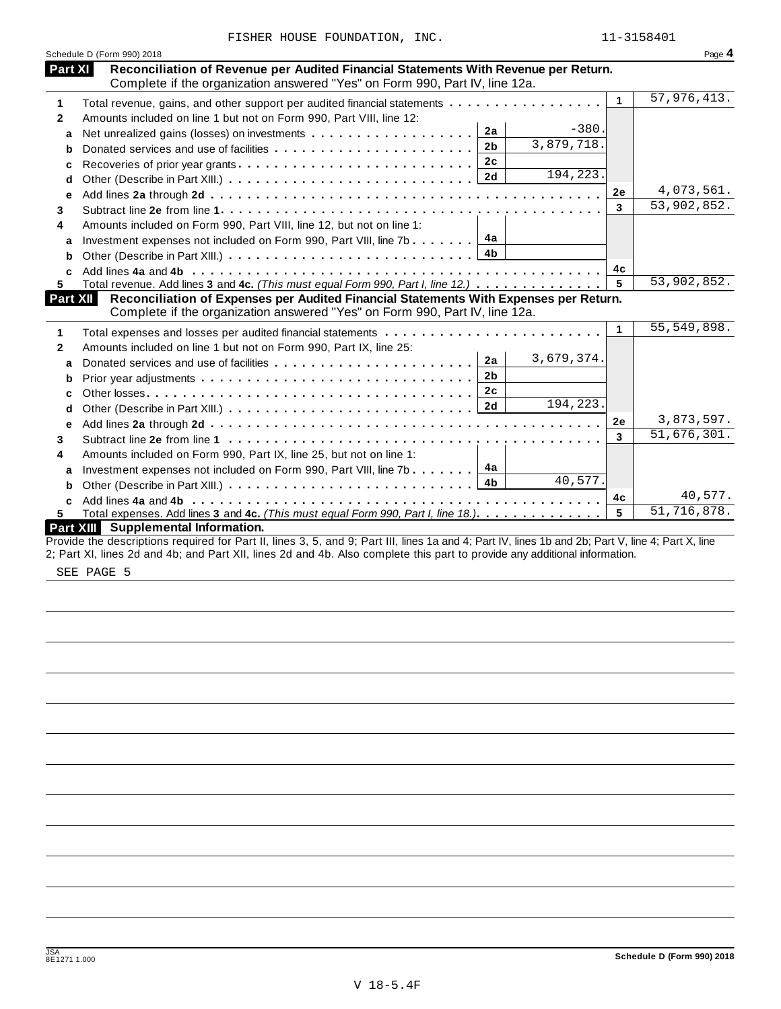|              | Schedule D (Form 990) 2018                                                                                                                                         |              | Page 4        |
|--------------|--------------------------------------------------------------------------------------------------------------------------------------------------------------------|--------------|---------------|
| Part XI      | Reconciliation of Revenue per Audited Financial Statements With Revenue per Return.<br>Complete if the organization answered "Yes" on Form 990, Part IV, line 12a. |              |               |
| 1            | Total revenue, gains, and other support per audited financial statements                                                                                           | $\mathbf{1}$ | 57,976,413.   |
| $\mathbf{2}$ | Amounts included on line 1 but not on Form 990, Part VIII, line 12:                                                                                                |              |               |
| a            | $-380.$<br>2a                                                                                                                                                      |              |               |
| b            | 3,879,718.<br>2 <sub>b</sub>                                                                                                                                       |              |               |
|              |                                                                                                                                                                    |              |               |
| d            | 194,223.                                                                                                                                                           |              |               |
| e            |                                                                                                                                                                    | 2e           | 4,073,561.    |
| 3            |                                                                                                                                                                    | 3            | 53,902,852.   |
| 4            | Amounts included on Form 990, Part VIII, line 12, but not on line 1:                                                                                               |              |               |
|              | Investment expenses not included on Form 990, Part VIII, line 7b 4a                                                                                                |              |               |
| a            | 4 <sub>b</sub>                                                                                                                                                     |              |               |
| b            |                                                                                                                                                                    | 4c           |               |
| C.<br>5.     | Total revenue. Add lines 3 and 4c. (This must equal Form 990, Part I, line 12.)                                                                                    | 5            | 53,902,852.   |
| Part XII     | Reconciliation of Expenses per Audited Financial Statements With Expenses per Return.                                                                              |              |               |
|              | Complete if the organization answered "Yes" on Form 990, Part IV, line 12a.                                                                                        |              |               |
| 1            |                                                                                                                                                                    | 1            | 55, 549, 898. |
| $\mathbf{2}$ | Amounts included on line 1 but not on Form 990, Part IX, line 25:                                                                                                  |              |               |
| a            | 3,679,374.<br>2a<br>Donated services and use of facilities                                                                                                         |              |               |
| b            | 2 <sub>b</sub>                                                                                                                                                     |              |               |
| c            | 2c                                                                                                                                                                 |              |               |
| d            | 194,223.                                                                                                                                                           |              |               |
| e            |                                                                                                                                                                    | 2e           | 3,873,597.    |
| 3            |                                                                                                                                                                    | 3            | 51,676,301.   |
| 4            | Amounts included on Form 990, Part IX, line 25, but not on line 1:                                                                                                 |              |               |
| a            | 4а<br>Investment expenses not included on Form 990, Part VIII, line 7b $\downarrow$                                                                                |              |               |
| b            | 40,577.                                                                                                                                                            |              |               |
| C.           |                                                                                                                                                                    | 4c           | 40,577.       |
| 5.           | Total expenses. Add lines 3 and 4c. (This must equal Form 990, Part I, line 18.).                                                                                  | 5            | 51,716,878.   |
|              | Part XIII Supplemental Information.                                                                                                                                |              |               |
|              | Provide the descriptions required for Part II, lines 3, 5, and 9; Part III, lines 1a and 4; Part IV, lines 1b and 2b; Part V, line 4; Part X, line                 |              |               |
|              | 2; Part XI, lines 2d and 4b; and Part XII, lines 2d and 4b. Also complete this part to provide any additional information.                                         |              |               |

SEE PAGE 5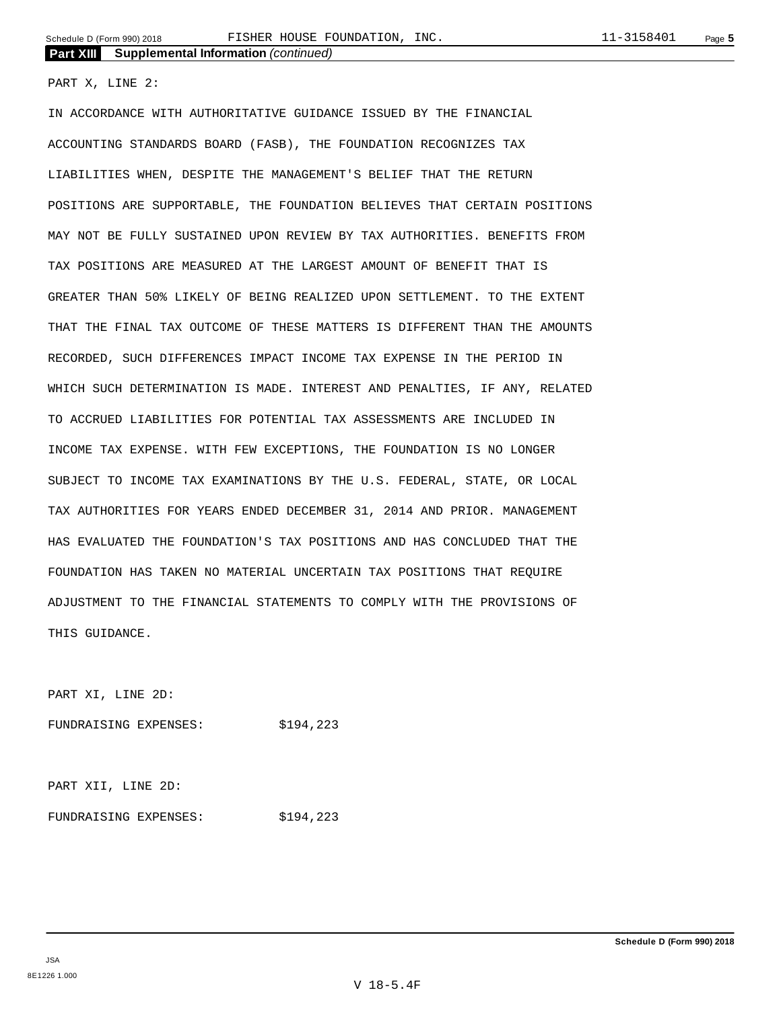PART X, LINE 2:

IN ACCORDANCE WITH AUTHORITATIVE GUIDANCE ISSUED BY THE FINANCIAL ACCOUNTING STANDARDS BOARD (FASB), THE FOUNDATION RECOGNIZES TAX LIABILITIES WHEN, DESPITE THE MANAGEMENT'S BELIEF THAT THE RETURN POSITIONS ARE SUPPORTABLE, THE FOUNDATION BELIEVES THAT CERTAIN POSITIONS MAY NOT BE FULLY SUSTAINED UPON REVIEW BY TAX AUTHORITIES. BENEFITS FROM TAX POSITIONS ARE MEASURED AT THE LARGEST AMOUNT OF BENEFIT THAT IS GREATER THAN 50% LIKELY OF BEING REALIZED UPON SETTLEMENT. TO THE EXTENT THAT THE FINAL TAX OUTCOME OF THESE MATTERS IS DIFFERENT THAN THE AMOUNTS RECORDED, SUCH DIFFERENCES IMPACT INCOME TAX EXPENSE IN THE PERIOD IN WHICH SUCH DETERMINATION IS MADE. INTEREST AND PENALTIES, IF ANY, RELATED TO ACCRUED LIABILITIES FOR POTENTIAL TAX ASSESSMENTS ARE INCLUDED IN INCOME TAX EXPENSE. WITH FEW EXCEPTIONS, THE FOUNDATION IS NO LONGER SUBJECT TO INCOME TAX EXAMINATIONS BY THE U.S. FEDERAL, STATE, OR LOCAL TAX AUTHORITIES FOR YEARS ENDED DECEMBER 31, 2014 AND PRIOR. MANAGEMENT HAS EVALUATED THE FOUNDATION'S TAX POSITIONS AND HAS CONCLUDED THAT THE FOUNDATION HAS TAKEN NO MATERIAL UNCERTAIN TAX POSITIONS THAT REQUIRE ADJUSTMENT TO THE FINANCIAL STATEMENTS TO COMPLY WITH THE PROVISIONS OF THIS GUIDANCE.

PART XI, LINE 2D:

FUNDRAISING EXPENSES: \$194,223

PART XII, LINE 2D:

FUNDRAISING EXPENSES: \$194,223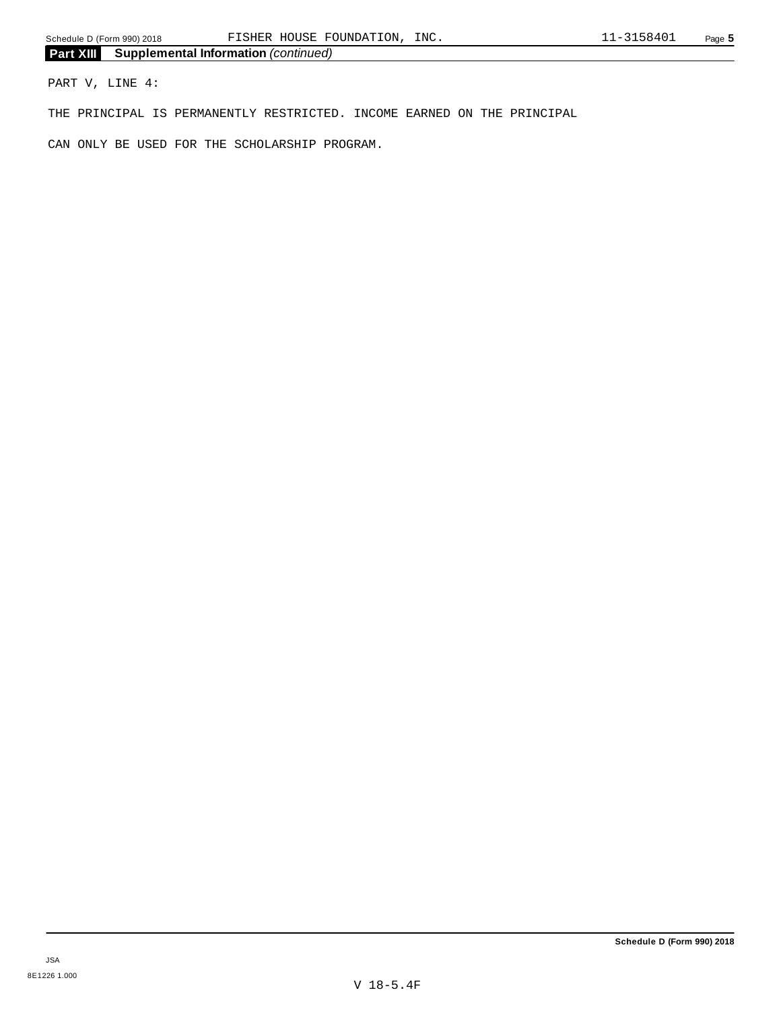PART V, LINE 4:

THE PRINCIPAL IS PERMANENTLY RESTRICTED. INCOME EARNED ON THE PRINCIPAL

CAN ONLY BE USED FOR THE SCHOLARSHIP PROGRAM.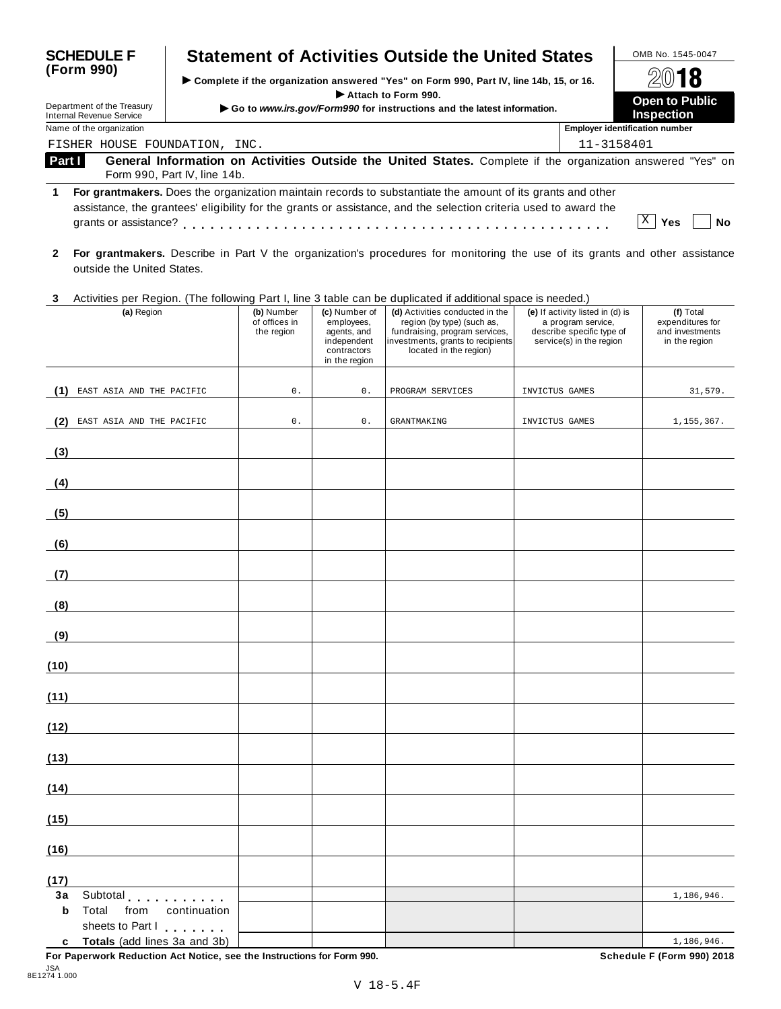| <b>SCHEDULE F</b>                                                                                                                | <b>Statement of Activities Outside the United States</b>                                                                                                                                                                       |                               | OMB No. 1545-0047                     |
|----------------------------------------------------------------------------------------------------------------------------------|--------------------------------------------------------------------------------------------------------------------------------------------------------------------------------------------------------------------------------|-------------------------------|---------------------------------------|
| (Form 990)                                                                                                                       | ► Complete if the organization answered "Yes" on Form 990, Part IV, line 14b, 15, or 16.<br>Attach to Form 990.                                                                                                                | 2018<br><b>Open to Public</b> |                                       |
| Department of the Treasury<br>Go to www.irs.gov/Form990 for instructions and the latest information.<br>Internal Revenue Service |                                                                                                                                                                                                                                |                               | <b>Inspection</b>                     |
| Name of the organization                                                                                                         |                                                                                                                                                                                                                                |                               | <b>Employer identification number</b> |
| FISHER HOUSE FOUNDATION, INC.                                                                                                    |                                                                                                                                                                                                                                |                               | 11-3158401                            |
| Part I                                                                                                                           | General Information on Activities Outside the United States. Complete if the organization answered "Yes" on<br>Form 990, Part IV, line 14b.                                                                                    |                               |                                       |
|                                                                                                                                  | For grantmakers. Does the organization maintain records to substantiate the amount of its grants and other<br>assistance, the grantees' eligibility for the grants or assistance, and the selection criteria used to award the |                               | Χ<br>Yes<br>No                        |
|                                                                                                                                  | A I Forma and the I Beedler's Beattlets acceded to construct formal foods and the second to compute a distinct of                                                                                                              |                               |                                       |

- **2 For grantmakers.** Describe in Part V the organization's procedures for monitoring the use of its grants and other assistance outside the United States.
- **3** Activities per Region. (The following Part I, line 3 table can be duplicated ifadditional space is needed.)

|             | Activities per region. The following Fart I, line 5 table can be duplicated if additional space is needed.)<br>(a) Region | (b) Number                  | (c) Number of                                                            | (d) Activities conducted in the                                                                                             | (e) If activity listed in (d) is                                            | (f) Total                                            |
|-------------|---------------------------------------------------------------------------------------------------------------------------|-----------------------------|--------------------------------------------------------------------------|-----------------------------------------------------------------------------------------------------------------------------|-----------------------------------------------------------------------------|------------------------------------------------------|
|             |                                                                                                                           | of offices in<br>the region | employees,<br>agents, and<br>independent<br>contractors<br>in the region | region (by type) (such as,<br>fundraising, program services,<br>investments, grants to recipients<br>located in the region) | a program service,<br>describe specific type of<br>service(s) in the region | expenditures for<br>and investments<br>in the region |
|             |                                                                                                                           |                             |                                                                          |                                                                                                                             |                                                                             |                                                      |
|             | (1) EAST ASIA AND THE PACIFIC                                                                                             | $\mathbf 0$ .               | $\mathsf{0}$ .                                                           | PROGRAM SERVICES                                                                                                            | INVICTUS GAMES                                                              | 31,579.                                              |
| (2)         | EAST ASIA AND THE PACIFIC                                                                                                 | $0$ .                       | $0$ .                                                                    | <b>GRANTMAKING</b>                                                                                                          | INVICTUS GAMES                                                              | 1,155,367.                                           |
| (3)         |                                                                                                                           |                             |                                                                          |                                                                                                                             |                                                                             |                                                      |
| (4)         |                                                                                                                           |                             |                                                                          |                                                                                                                             |                                                                             |                                                      |
| (5)         | <u> 1990 - Johann Barbara, martxa a</u>                                                                                   |                             |                                                                          |                                                                                                                             |                                                                             |                                                      |
| (6)         | <u> Terminal de la propincia de la propincia de la propincia de la propincia de la propincia de la propincia de l</u>     |                             |                                                                          |                                                                                                                             |                                                                             |                                                      |
| (7)         | <u> 1989 - Johann Barbara, martxa a</u>                                                                                   |                             |                                                                          |                                                                                                                             |                                                                             |                                                      |
| (8)         |                                                                                                                           |                             |                                                                          |                                                                                                                             |                                                                             |                                                      |
| (9)         | <u> 1980 - Johann Barbara, martxa a</u>                                                                                   |                             |                                                                          |                                                                                                                             |                                                                             |                                                      |
| (10)        |                                                                                                                           |                             |                                                                          |                                                                                                                             |                                                                             |                                                      |
| (11)        |                                                                                                                           |                             |                                                                          |                                                                                                                             |                                                                             |                                                      |
| (12)        |                                                                                                                           |                             |                                                                          |                                                                                                                             |                                                                             |                                                      |
| (13)        | <u> 1980 - Johann Barbara, martin a</u>                                                                                   |                             |                                                                          |                                                                                                                             |                                                                             |                                                      |
| (14)        |                                                                                                                           |                             |                                                                          |                                                                                                                             |                                                                             |                                                      |
| (15)        |                                                                                                                           |                             |                                                                          |                                                                                                                             |                                                                             |                                                      |
| (16)        |                                                                                                                           |                             |                                                                          |                                                                                                                             |                                                                             |                                                      |
| (17)        | $\overline{\phantom{a}}$                                                                                                  |                             |                                                                          |                                                                                                                             |                                                                             |                                                      |
| 3a          | Subtotal                                                                                                                  |                             |                                                                          |                                                                                                                             |                                                                             | 1,186,946.                                           |
| $\mathbf b$ | Total<br>from<br>continuation<br>sheets to Part I                                                                         |                             |                                                                          |                                                                                                                             |                                                                             |                                                      |
| c           | Totals (add lines 3a and 3b)                                                                                              |                             |                                                                          |                                                                                                                             |                                                                             | 1,186,946.                                           |

**For Paperwork Reduction Act Notice, see the Instructions for Form 990. Schedule F (Form 990) 2018**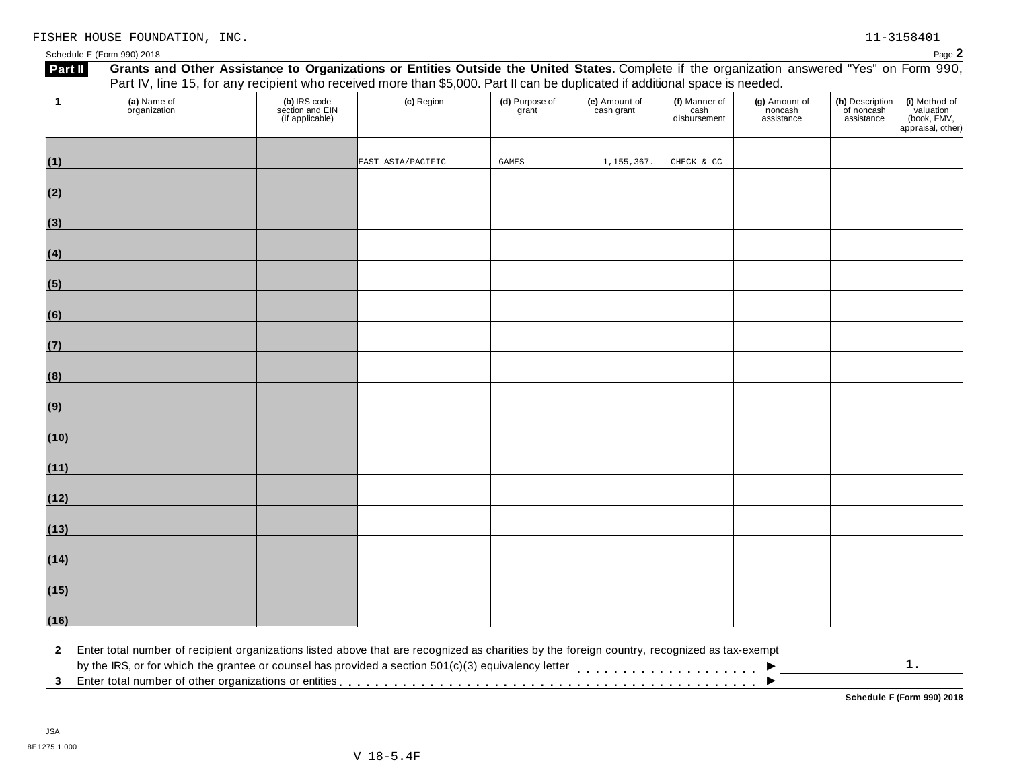Schedule <sup>F</sup> (Form 990) <sup>2018</sup> Page **2**

| $\mathbf{1}$ | (a) Name of<br>organization | (b) IRS code<br>section and EIN<br>(if applicable) | (c) Region        | (d) Purpose of<br>grant | (e) Amount of<br>cash grant | (f) Manner of<br>cash<br>disbursement | (g) Amount of<br>noncash<br>assistance | (h) Description<br>of noncash<br>assistance | (i) Method of<br>valuation<br>(book, FMV,<br>appraisal, other) |
|--------------|-----------------------------|----------------------------------------------------|-------------------|-------------------------|-----------------------------|---------------------------------------|----------------------------------------|---------------------------------------------|----------------------------------------------------------------|
| (1)          |                             |                                                    | EAST ASIA/PACIFIC | GAMES                   | 1,155,367.                  | CHECK & CC                            |                                        |                                             |                                                                |
| (2)          |                             |                                                    |                   |                         |                             |                                       |                                        |                                             |                                                                |
| (3)          |                             |                                                    |                   |                         |                             |                                       |                                        |                                             |                                                                |
| (4)          |                             |                                                    |                   |                         |                             |                                       |                                        |                                             |                                                                |
| (5)          |                             |                                                    |                   |                         |                             |                                       |                                        |                                             |                                                                |
| (6)          |                             |                                                    |                   |                         |                             |                                       |                                        |                                             |                                                                |
| (7)          |                             |                                                    |                   |                         |                             |                                       |                                        |                                             |                                                                |
| (8)          |                             |                                                    |                   |                         |                             |                                       |                                        |                                             |                                                                |
| (9)          |                             |                                                    |                   |                         |                             |                                       |                                        |                                             |                                                                |
| (10)         |                             |                                                    |                   |                         |                             |                                       |                                        |                                             |                                                                |
| (11)         |                             |                                                    |                   |                         |                             |                                       |                                        |                                             |                                                                |
| (12)         |                             |                                                    |                   |                         |                             |                                       |                                        |                                             |                                                                |
| (13)         |                             |                                                    |                   |                         |                             |                                       |                                        |                                             |                                                                |
| (14)         |                             |                                                    |                   |                         |                             |                                       |                                        |                                             |                                                                |
| (15)         |                             |                                                    |                   |                         |                             |                                       |                                        |                                             |                                                                |
| (16)         |                             |                                                    |                   |                         |                             |                                       |                                        |                                             |                                                                |

 $\blacksquare$ <br>by the IRS, or for which the grantee or counsel has provided a section 501(c)(3) equivalency letter<br>3 Enter total number of other organizations or entities  $\overline{\phantom{a}}$ 1.

**Schedule F (Form 990) 2018**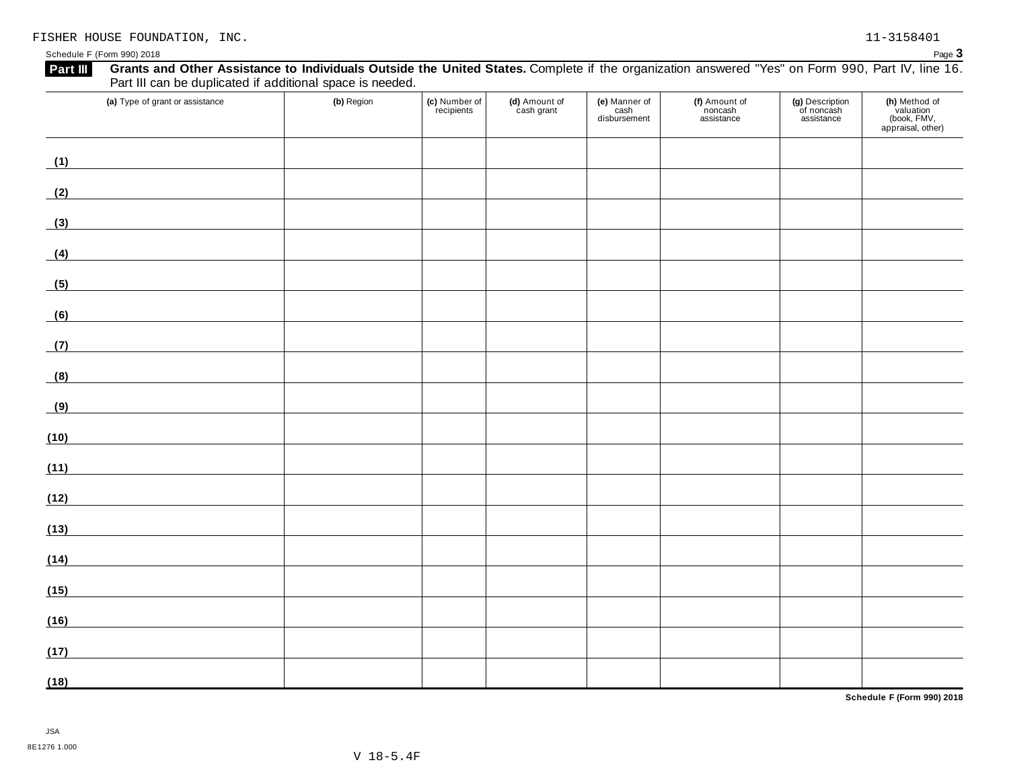| Grants and Other Assistance to Individuals Outside the United States. Complete if the organization answered "Yes" on Form 990, Part IV, line 16.<br>Part III<br>Part III can be duplicated if additional space is needed. |            |                             |                             |                                       |                                        |                                             |                                                                |
|---------------------------------------------------------------------------------------------------------------------------------------------------------------------------------------------------------------------------|------------|-----------------------------|-----------------------------|---------------------------------------|----------------------------------------|---------------------------------------------|----------------------------------------------------------------|
| (a) Type of grant or assistance                                                                                                                                                                                           | (b) Region | (c) Number of<br>recipients | (d) Amount of<br>cash grant | (e) Manner of<br>cash<br>disbursement | (f) Amount of<br>noncash<br>assistance | (g) Description<br>of noncash<br>assistance | (h) Method of<br>valuation<br>(book, FMV,<br>appraisal, other) |
| (1)                                                                                                                                                                                                                       |            |                             |                             |                                       |                                        |                                             |                                                                |
| (2)                                                                                                                                                                                                                       |            |                             |                             |                                       |                                        |                                             |                                                                |
| (3)<br><u> 1989 - Johann Barbara, martxa a</u>                                                                                                                                                                            |            |                             |                             |                                       |                                        |                                             |                                                                |
| (4)<br><u> 1980 - Johann Barbara, martxa a</u>                                                                                                                                                                            |            |                             |                             |                                       |                                        |                                             |                                                                |
| (5)                                                                                                                                                                                                                       |            |                             |                             |                                       |                                        |                                             |                                                                |
| (6)                                                                                                                                                                                                                       |            |                             |                             |                                       |                                        |                                             |                                                                |
| (7)                                                                                                                                                                                                                       |            |                             |                             |                                       |                                        |                                             |                                                                |
| (8)                                                                                                                                                                                                                       |            |                             |                             |                                       |                                        |                                             |                                                                |
| (9)                                                                                                                                                                                                                       |            |                             |                             |                                       |                                        |                                             |                                                                |
| (10)                                                                                                                                                                                                                      |            |                             |                             |                                       |                                        |                                             |                                                                |
| (11)                                                                                                                                                                                                                      |            |                             |                             |                                       |                                        |                                             |                                                                |
| (12)                                                                                                                                                                                                                      |            |                             |                             |                                       |                                        |                                             |                                                                |
| (13)                                                                                                                                                                                                                      |            |                             |                             |                                       |                                        |                                             |                                                                |
| (14)                                                                                                                                                                                                                      |            |                             |                             |                                       |                                        |                                             |                                                                |
| (15)                                                                                                                                                                                                                      |            |                             |                             |                                       |                                        |                                             |                                                                |
| (16)                                                                                                                                                                                                                      |            |                             |                             |                                       |                                        |                                             |                                                                |
| (17)                                                                                                                                                                                                                      |            |                             |                             |                                       |                                        |                                             |                                                                |
| (18)                                                                                                                                                                                                                      |            |                             |                             |                                       |                                        |                                             |                                                                |

**Schedule F (Form 990) 2018**

Schedule <sup>F</sup> (Form 990) <sup>2018</sup> Page **3**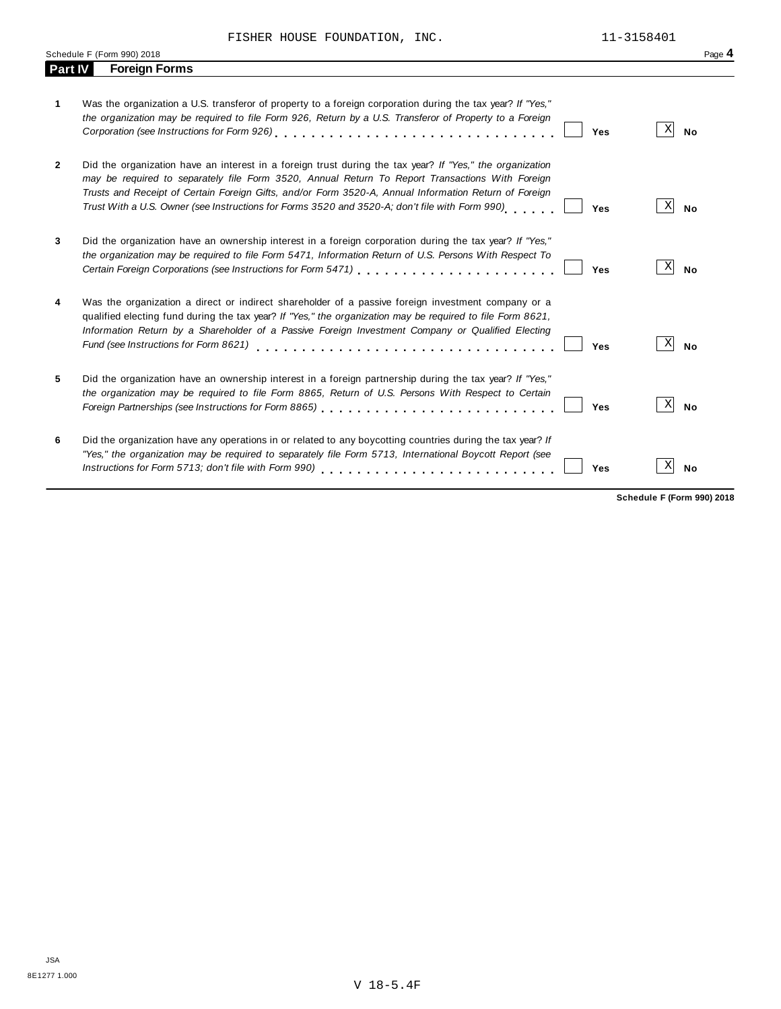|                | Schedule F (Form 990) 2018                                                                                                                                                                                                                                                                                                                                                                                                    | Page 4                       |
|----------------|-------------------------------------------------------------------------------------------------------------------------------------------------------------------------------------------------------------------------------------------------------------------------------------------------------------------------------------------------------------------------------------------------------------------------------|------------------------------|
| <b>Part IV</b> | <b>Foreign Forms</b>                                                                                                                                                                                                                                                                                                                                                                                                          |                              |
| 1              | Was the organization a U.S. transferor of property to a foreign corporation during the tax year? If "Yes,"<br>the organization may be required to file Form 926, Return by a U.S. Transferor of Property to a Foreign<br>Yes                                                                                                                                                                                                  | $\vert X \vert$<br><b>No</b> |
| $\mathbf{2}$   | Did the organization have an interest in a foreign trust during the tax year? If "Yes," the organization<br>may be required to separately file Form 3520, Annual Return To Report Transactions With Foreign<br>Trusts and Receipt of Certain Foreign Gifts, and/or Form 3520-A, Annual Information Return of Foreign<br>Trust With a U.S. Owner (see Instructions for Forms 3520 and 3520-A; don't file with Form 990)<br>Yes | X <br><b>No</b>              |
| 3              | Did the organization have an ownership interest in a foreign corporation during the tax year? If "Yes,"<br>the organization may be required to file Form 5471, Information Return of U.S. Persons With Respect To<br>Certain Foreign Corporations (see Instructions for Form 5471) [10] Certain Foreign Corporations of the Care of<br>Yes                                                                                    | X<br><b>No</b>               |
| 4              | Was the organization a direct or indirect shareholder of a passive foreign investment company or a<br>qualified electing fund during the tax year? If "Yes," the organization may be required to file Form 8621,<br>Information Return by a Shareholder of a Passive Foreign Investment Company or Qualified Electing<br>Fund (see Instructions for Form 8621)<br>Yes                                                         | $\mathbf{x}$<br><b>No</b>    |
| 5              | Did the organization have an ownership interest in a foreign partnership during the tax year? If "Yes,"<br>the organization may be required to file Form 8865, Return of U.S. Persons With Respect to Certain<br>Yes                                                                                                                                                                                                          | $\vert X \vert$<br><b>No</b> |
| 6              | Did the organization have any operations in or related to any boycotting countries during the tax year? If<br>"Yes," the organization may be required to separately file Form 5713, International Boycott Report (see<br>Instructions for Form 5713; don't file with Form 990)<br>Yes                                                                                                                                         | X <br><b>No</b>              |

**Schedule F (Form 990) 2018**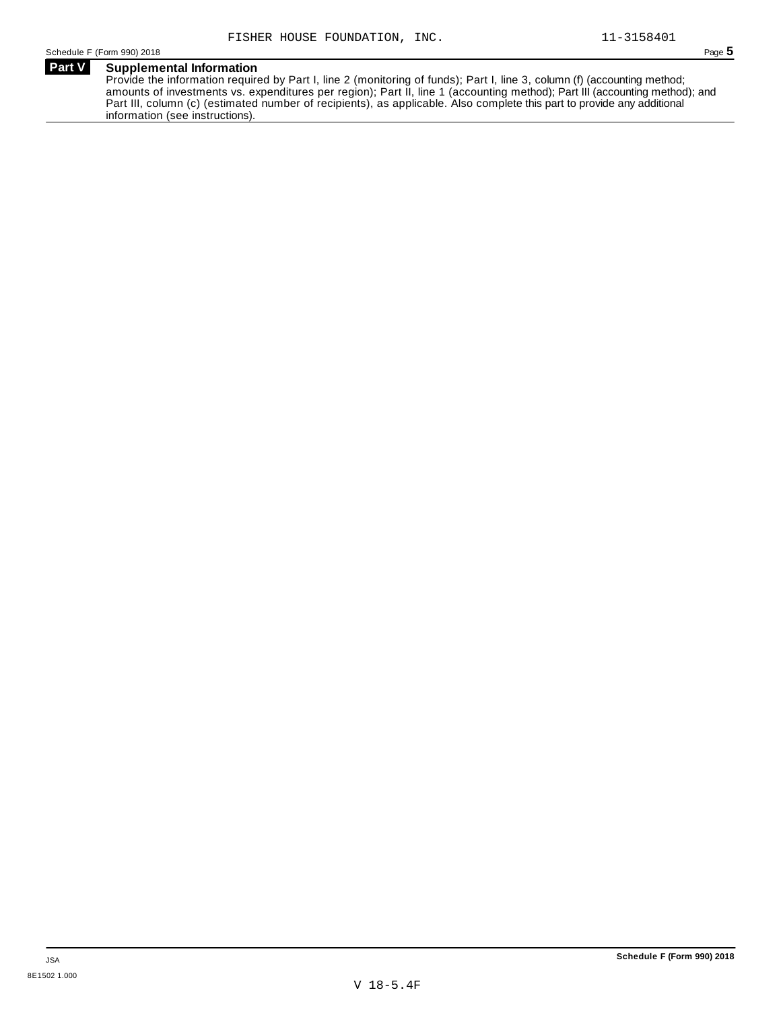### **Part V Supplemental Information** Provide the information required by Part I, line 2 (monitoring of funds); Part I, line 3, column (f) (accounting method; amounts of investments vs. expenditures per region); Part II, line 1 (accounting method); Part III (accounting method); and

Part III, column (c) (estimated number of recipients), as applicable. Also complete this part to provide any additional information (see instructions).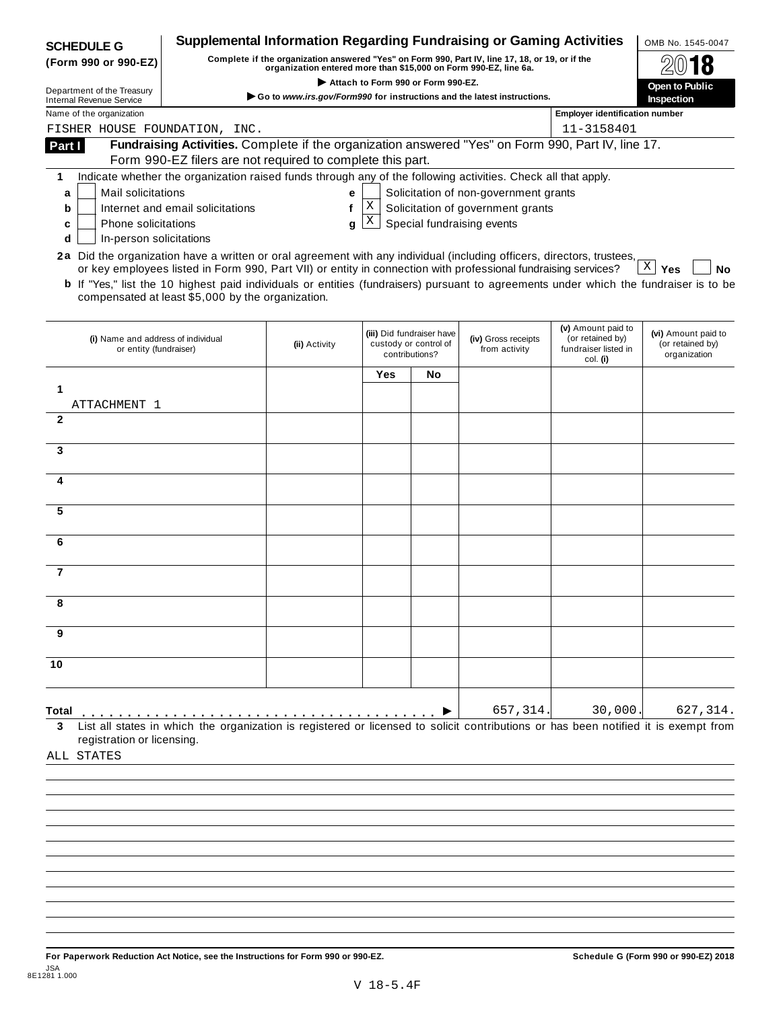| <b>SCHEDULE G</b>                                                                                                                                                                           |                                                                                                                                                                  | Supplemental Information Regarding Fundraising or Gaming Activities     |                                    |                                                                      |                                       |                                                                            | OMB No. 1545-0047                                       |
|---------------------------------------------------------------------------------------------------------------------------------------------------------------------------------------------|------------------------------------------------------------------------------------------------------------------------------------------------------------------|-------------------------------------------------------------------------|------------------------------------|----------------------------------------------------------------------|---------------------------------------|----------------------------------------------------------------------------|---------------------------------------------------------|
| Complete if the organization answered "Yes" on Form 990, Part IV, line 17, 18, or 19, or if the<br>(Form 990 or 990-EZ)<br>organization entered more than \$15,000 on Form 990-EZ, line 6a. |                                                                                                                                                                  |                                                                         |                                    |                                                                      |                                       |                                                                            |                                                         |
|                                                                                                                                                                                             |                                                                                                                                                                  |                                                                         | Attach to Form 990 or Form 990-EZ. |                                                                      |                                       |                                                                            | <b>Open to Public</b>                                   |
| Department of the Treasury<br><b>Internal Revenue Service</b>                                                                                                                               |                                                                                                                                                                  | Go to www.irs.gov/Form990 for instructions and the latest instructions. |                                    |                                                                      |                                       |                                                                            | Inspection                                              |
| Name of the organization                                                                                                                                                                    |                                                                                                                                                                  |                                                                         |                                    |                                                                      |                                       | <b>Employer identification number</b>                                      |                                                         |
| FISHER HOUSE FOUNDATION, INC.                                                                                                                                                               |                                                                                                                                                                  |                                                                         |                                    |                                                                      |                                       | 11-3158401                                                                 |                                                         |
| Part I                                                                                                                                                                                      | Fundraising Activities. Complete if the organization answered "Yes" on Form 990, Part IV, line 17.<br>Form 990-EZ filers are not required to complete this part. |                                                                         |                                    |                                                                      |                                       |                                                                            |                                                         |
| 1                                                                                                                                                                                           | Indicate whether the organization raised funds through any of the following activities. Check all that apply.                                                    |                                                                         |                                    |                                                                      |                                       |                                                                            |                                                         |
| Mail solicitations<br>a                                                                                                                                                                     |                                                                                                                                                                  | е                                                                       |                                    |                                                                      | Solicitation of non-government grants |                                                                            |                                                         |
| b                                                                                                                                                                                           | Internet and email solicitations                                                                                                                                 | f                                                                       | Χ                                  |                                                                      | Solicitation of government grants     |                                                                            |                                                         |
| <b>Phone solicitations</b><br>c                                                                                                                                                             |                                                                                                                                                                  | g                                                                       | X                                  |                                                                      | Special fundraising events            |                                                                            |                                                         |
| In-person solicitations<br>d                                                                                                                                                                |                                                                                                                                                                  |                                                                         |                                    |                                                                      |                                       |                                                                            |                                                         |
| 2a Did the organization have a written or oral agreement with any individual (including officers, directors, trustees,                                                                      |                                                                                                                                                                  |                                                                         |                                    |                                                                      |                                       |                                                                            | Χ                                                       |
| <b>b</b> If "Yes," list the 10 highest paid individuals or entities (fundraisers) pursuant to agreements under which the fundraiser is to be                                                | or key employees listed in Form 990, Part VII) or entity in connection with professional fundraising services?                                                   |                                                                         |                                    |                                                                      |                                       |                                                                            | Yes<br>No                                               |
|                                                                                                                                                                                             | compensated at least \$5,000 by the organization.                                                                                                                |                                                                         |                                    |                                                                      |                                       |                                                                            |                                                         |
|                                                                                                                                                                                             |                                                                                                                                                                  |                                                                         |                                    |                                                                      |                                       |                                                                            |                                                         |
| (i) Name and address of individual<br>or entity (fundraiser)                                                                                                                                |                                                                                                                                                                  | (ii) Activity                                                           |                                    | (iii) Did fundraiser have<br>custody or control of<br>contributions? | (iv) Gross receipts<br>from activity  | (v) Amount paid to<br>(or retained by)<br>fundraiser listed in<br>col. (i) | (vi) Amount paid to<br>(or retained by)<br>organization |
|                                                                                                                                                                                             |                                                                                                                                                                  |                                                                         | Yes                                | No                                                                   |                                       |                                                                            |                                                         |
| 1                                                                                                                                                                                           |                                                                                                                                                                  |                                                                         |                                    |                                                                      |                                       |                                                                            |                                                         |
| ATTACHMENT 1                                                                                                                                                                                |                                                                                                                                                                  |                                                                         |                                    |                                                                      |                                       |                                                                            |                                                         |
| $\mathbf{2}$                                                                                                                                                                                |                                                                                                                                                                  |                                                                         |                                    |                                                                      |                                       |                                                                            |                                                         |
| 3                                                                                                                                                                                           |                                                                                                                                                                  |                                                                         |                                    |                                                                      |                                       |                                                                            |                                                         |
|                                                                                                                                                                                             |                                                                                                                                                                  |                                                                         |                                    |                                                                      |                                       |                                                                            |                                                         |
| 4                                                                                                                                                                                           |                                                                                                                                                                  |                                                                         |                                    |                                                                      |                                       |                                                                            |                                                         |
|                                                                                                                                                                                             |                                                                                                                                                                  |                                                                         |                                    |                                                                      |                                       |                                                                            |                                                         |
| 5                                                                                                                                                                                           |                                                                                                                                                                  |                                                                         |                                    |                                                                      |                                       |                                                                            |                                                         |
|                                                                                                                                                                                             |                                                                                                                                                                  |                                                                         |                                    |                                                                      |                                       |                                                                            |                                                         |
| 6                                                                                                                                                                                           |                                                                                                                                                                  |                                                                         |                                    |                                                                      |                                       |                                                                            |                                                         |
| $\overline{7}$                                                                                                                                                                              |                                                                                                                                                                  |                                                                         |                                    |                                                                      |                                       |                                                                            |                                                         |
|                                                                                                                                                                                             |                                                                                                                                                                  |                                                                         |                                    |                                                                      |                                       |                                                                            |                                                         |
| 8                                                                                                                                                                                           |                                                                                                                                                                  |                                                                         |                                    |                                                                      |                                       |                                                                            |                                                         |
|                                                                                                                                                                                             |                                                                                                                                                                  |                                                                         |                                    |                                                                      |                                       |                                                                            |                                                         |
| 9                                                                                                                                                                                           |                                                                                                                                                                  |                                                                         |                                    |                                                                      |                                       |                                                                            |                                                         |
| 10                                                                                                                                                                                          |                                                                                                                                                                  |                                                                         |                                    |                                                                      |                                       |                                                                            |                                                         |
|                                                                                                                                                                                             |                                                                                                                                                                  |                                                                         |                                    |                                                                      |                                       |                                                                            |                                                         |
|                                                                                                                                                                                             |                                                                                                                                                                  |                                                                         |                                    |                                                                      |                                       |                                                                            |                                                         |
| Total                                                                                                                                                                                       |                                                                                                                                                                  |                                                                         |                                    |                                                                      | 657, 314.                             | 30,000.                                                                    | 627,314.                                                |
| 3                                                                                                                                                                                           | List all states in which the organization is registered or licensed to solicit contributions or has been notified it is exempt from                              |                                                                         |                                    |                                                                      |                                       |                                                                            |                                                         |
| registration or licensing.                                                                                                                                                                  |                                                                                                                                                                  |                                                                         |                                    |                                                                      |                                       |                                                                            |                                                         |
| ALL STATES                                                                                                                                                                                  |                                                                                                                                                                  |                                                                         |                                    |                                                                      |                                       |                                                                            |                                                         |
|                                                                                                                                                                                             |                                                                                                                                                                  |                                                                         |                                    |                                                                      |                                       |                                                                            |                                                         |
|                                                                                                                                                                                             |                                                                                                                                                                  |                                                                         |                                    |                                                                      |                                       |                                                                            |                                                         |
|                                                                                                                                                                                             |                                                                                                                                                                  |                                                                         |                                    |                                                                      |                                       |                                                                            |                                                         |
|                                                                                                                                                                                             |                                                                                                                                                                  |                                                                         |                                    |                                                                      |                                       |                                                                            |                                                         |
|                                                                                                                                                                                             |                                                                                                                                                                  |                                                                         |                                    |                                                                      |                                       |                                                                            |                                                         |
|                                                                                                                                                                                             |                                                                                                                                                                  |                                                                         |                                    |                                                                      |                                       |                                                                            |                                                         |
|                                                                                                                                                                                             |                                                                                                                                                                  |                                                                         |                                    |                                                                      |                                       |                                                                            |                                                         |
|                                                                                                                                                                                             |                                                                                                                                                                  |                                                                         |                                    |                                                                      |                                       |                                                                            |                                                         |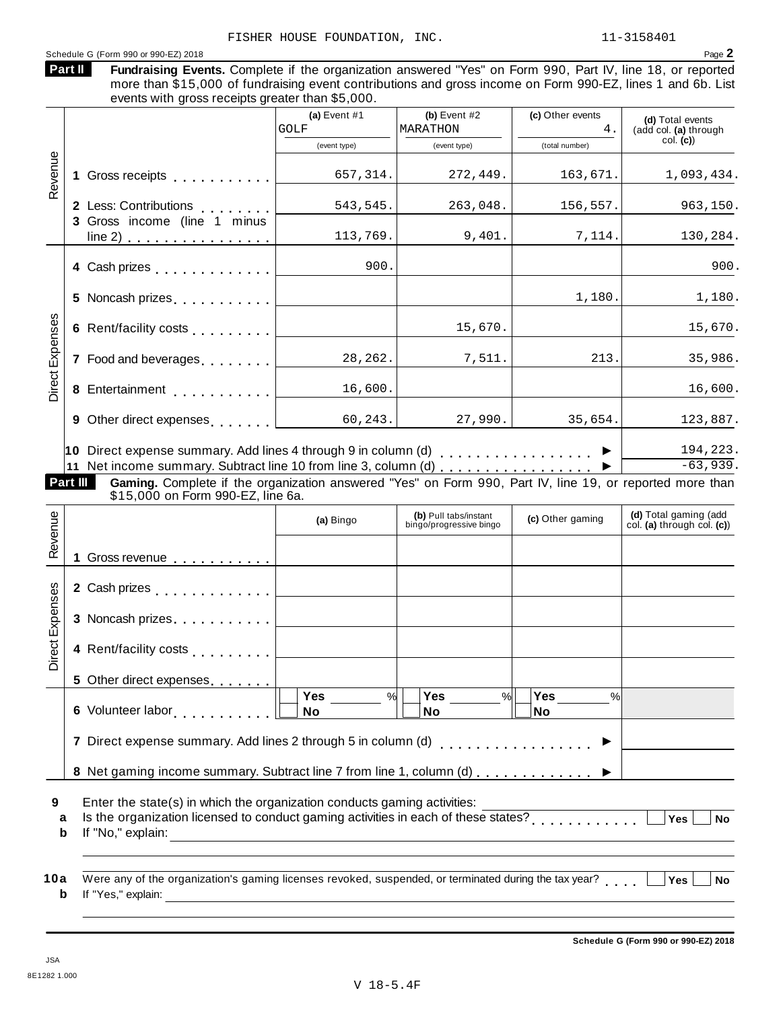|                        | Schedule G (Form 990 or 990-EZ) 2018<br>Part II<br>Fundraising Events. Complete if the organization answered "Yes" on Form 990, Part IV, line 18, or reported<br>more than \$15,000 of fundraising event contributions and gross income on Form 990-EZ, lines 1 and 6b. List                                             |                        |                                                  |                        | Page 2                                              |
|------------------------|--------------------------------------------------------------------------------------------------------------------------------------------------------------------------------------------------------------------------------------------------------------------------------------------------------------------------|------------------------|--------------------------------------------------|------------------------|-----------------------------------------------------|
|                        | events with gross receipts greater than \$5,000.                                                                                                                                                                                                                                                                         | (a) Event $#1$<br>GOLF | (b) Event $#2$<br>MARATHON                       | (c) Other events<br>4. | (d) Total events<br>(add col. (a) through           |
|                        |                                                                                                                                                                                                                                                                                                                          | (event type)           | (event type)                                     | (total number)         | $col.$ (c))                                         |
| Revenue                |                                                                                                                                                                                                                                                                                                                          | 657, 314.              | 272,449.                                         | 163,671.               | 1,093,434.                                          |
|                        | 2 Less: Contributions<br>3 Gross income (line 1 minus                                                                                                                                                                                                                                                                    | 543,545.               | 263,048.                                         | 156, 557.              | 963,150.                                            |
|                        | <u>line 2)  </u>                                                                                                                                                                                                                                                                                                         | 113,769.               | 9,401.                                           | 7,114.                 | 130,284.                                            |
|                        | 4 Cash prizes [19]                                                                                                                                                                                                                                                                                                       | 900.                   |                                                  |                        | 900.                                                |
|                        |                                                                                                                                                                                                                                                                                                                          |                        |                                                  | 1,180.                 | 1,180.                                              |
| <b>Direct Expenses</b> | 6 Rent/facility costs                                                                                                                                                                                                                                                                                                    |                        | 15,670.                                          |                        | 15,670.                                             |
|                        | 7 Food and beverages                                                                                                                                                                                                                                                                                                     | 28,262.                | 7,511.                                           | 213.                   | 35,986.                                             |
|                        | 8 Entertainment                                                                                                                                                                                                                                                                                                          | 16,600.                |                                                  |                        | 16,600.                                             |
|                        | 9 Other direct expenses [1995]                                                                                                                                                                                                                                                                                           | 60, 243.               | 27,990.                                          | 35,654.                | 123,887.                                            |
|                        | 10 Direct expense summary. Add lines 4 through 9 in column (d) $\ldots$ ,,,,,,,,,,,,,,,,<br>11 Net income summary. Subtract line 10 from line 3, column (d)<br>Gaming. Complete if the organization answered "Yes" on Form 990, Part IV, line 19, or reported more than<br>Part III<br>\$15,000 on Form 990-EZ, line 6a. |                        |                                                  |                        | 194,223.<br>$-63,939.$                              |
| enue                   |                                                                                                                                                                                                                                                                                                                          | (a) Bingo              | (b) Pull tabs/instant<br>bingo/progressive bingo | (c) Other gaming       | (d) Total gaming (add<br>col. (a) through col. (c)) |
| Rev                    | Gross revenue<br>1.                                                                                                                                                                                                                                                                                                      |                        |                                                  |                        |                                                     |
|                        | 2 Cash prizes                                                                                                                                                                                                                                                                                                            |                        |                                                  |                        |                                                     |
|                        | 3 Noncash prizes                                                                                                                                                                                                                                                                                                         |                        |                                                  |                        |                                                     |
| Direct Expenses        | 4 Rent/facility costs                                                                                                                                                                                                                                                                                                    |                        |                                                  |                        |                                                     |
|                        | 5 Other direct expenses                                                                                                                                                                                                                                                                                                  |                        |                                                  |                        |                                                     |
|                        |                                                                                                                                                                                                                                                                                                                          | Yes<br>%               | Yes<br>$\frac{9}{6}$                             | Yes<br>%               |                                                     |

8 Net gaming income summary. Subtract line 7 from line 1, column (d)  $\ldots \ldots \ldots$ 

**9** Enter the state(s) in which the organization conducts gaming activities:

Erner the state(s) in which the organization conducts gaming activities.<br> **a** Is the organization licensed to conduct gaming activities in each of these states?<br> **b** If the theoretic state of the state of the states of the **b** If "No," explain:

**10a** Were any of the organization's gaming licenses revoked, suspended, or terminated during the tax year?<br> **a** If "Yes," explain: **b**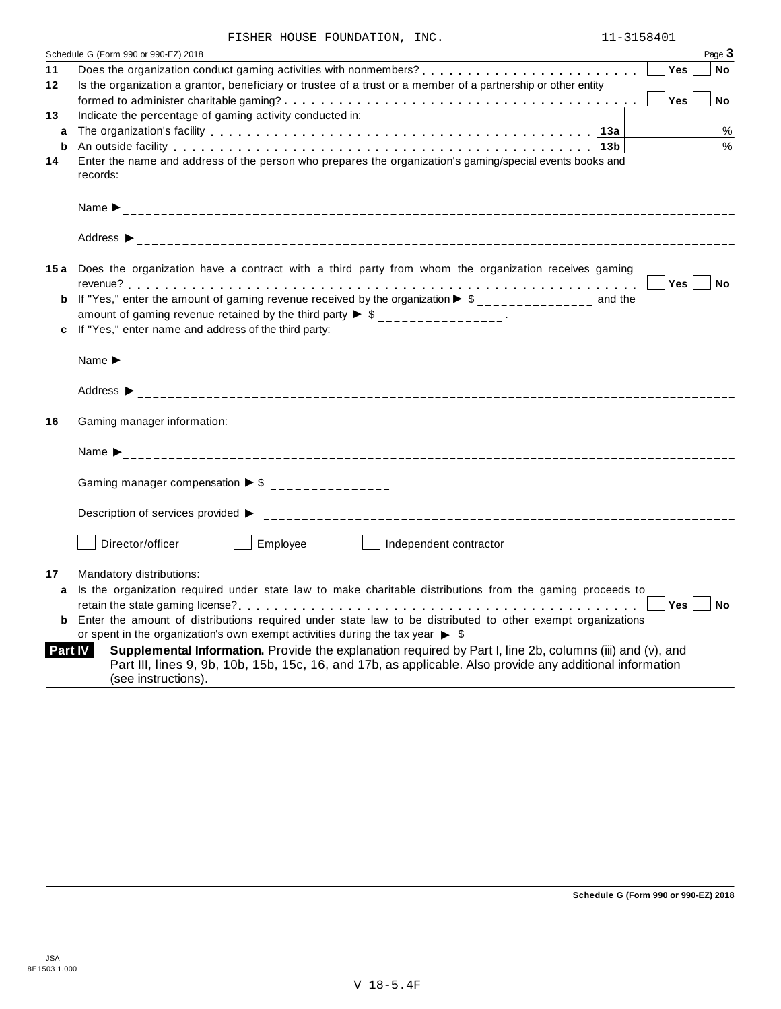|  |  |  | FISHER HOUSE FOUNDATION, | INC. |
|--|--|--|--------------------------|------|
|--|--|--|--------------------------|------|

|                | Page 3<br>Schedule G (Form 990 or 990-EZ) 2018                                                                                                                                                                                         |
|----------------|----------------------------------------------------------------------------------------------------------------------------------------------------------------------------------------------------------------------------------------|
| 11             | Yes<br><b>No</b>                                                                                                                                                                                                                       |
| 12             | Is the organization a grantor, beneficiary or trustee of a trust or a member of a partnership or other entity                                                                                                                          |
|                | Yes<br><b>No</b>                                                                                                                                                                                                                       |
| 13             | Indicate the percentage of gaming activity conducted in:                                                                                                                                                                               |
| a              | The organization's facility enterpresent enterpresent enterpresent enterpresent enterpresent enterpresent enterpresent enterpresent enterpresent enterpresent enterpresent enterpresent enterpresent enterpresent enterpresent<br>%    |
| b              | $\%$<br>An outside facility enterpreteration of the control of the control of the control of the control of the control of the control of the control of the control of the control of the control of the control of the control of th |
| 14             | Enter the name and address of the person who prepares the organization's gaming/special events books and                                                                                                                               |
|                | records:                                                                                                                                                                                                                               |
|                |                                                                                                                                                                                                                                        |
|                |                                                                                                                                                                                                                                        |
|                |                                                                                                                                                                                                                                        |
|                |                                                                                                                                                                                                                                        |
|                |                                                                                                                                                                                                                                        |
|                | 15a Does the organization have a contract with a third party from whom the organization receives gaming                                                                                                                                |
|                | Yes <sub>1</sub><br><b>No</b>                                                                                                                                                                                                          |
| b              | If "Yes," enter the amount of gaming revenue received by the organization $\triangleright$ \$______________ and the                                                                                                                    |
|                | amount of gaming revenue retained by the third party $\triangleright$ \$ _______________.                                                                                                                                              |
| c              | If "Yes," enter name and address of the third party:                                                                                                                                                                                   |
|                |                                                                                                                                                                                                                                        |
|                |                                                                                                                                                                                                                                        |
|                |                                                                                                                                                                                                                                        |
|                |                                                                                                                                                                                                                                        |
| 16             | Gaming manager information:                                                                                                                                                                                                            |
|                |                                                                                                                                                                                                                                        |
|                | Name $\sum_{-2}$                                                                                                                                                                                                                       |
|                |                                                                                                                                                                                                                                        |
|                | Gaming manager compensation $\triangleright$ \$ _______________                                                                                                                                                                        |
|                |                                                                                                                                                                                                                                        |
|                | Description of services provided ▶                                                                                                                                                                                                     |
|                |                                                                                                                                                                                                                                        |
|                | Director/officer<br>Employee<br>Independent contractor                                                                                                                                                                                 |
|                |                                                                                                                                                                                                                                        |
| 17             | Mandatory distributions:                                                                                                                                                                                                               |
| a              | Is the organization required under state law to make charitable distributions from the gaming proceeds to                                                                                                                              |
|                | <b>Yes</b><br><b>No</b>                                                                                                                                                                                                                |
| b              | Enter the amount of distributions required under state law to be distributed to other exempt organizations                                                                                                                             |
|                | or spent in the organization's own exempt activities during the tax year $\triangleright$ \$                                                                                                                                           |
| <b>Part IV</b> | Supplemental Information. Provide the explanation required by Part I, line 2b, columns (iii) and (v), and                                                                                                                              |
|                |                                                                                                                                                                                                                                        |
|                | Part III, lines 9, 9b, 10b, 15b, 15c, 16, and 17b, as applicable. Also provide any additional information<br>(see instructions).                                                                                                       |

÷,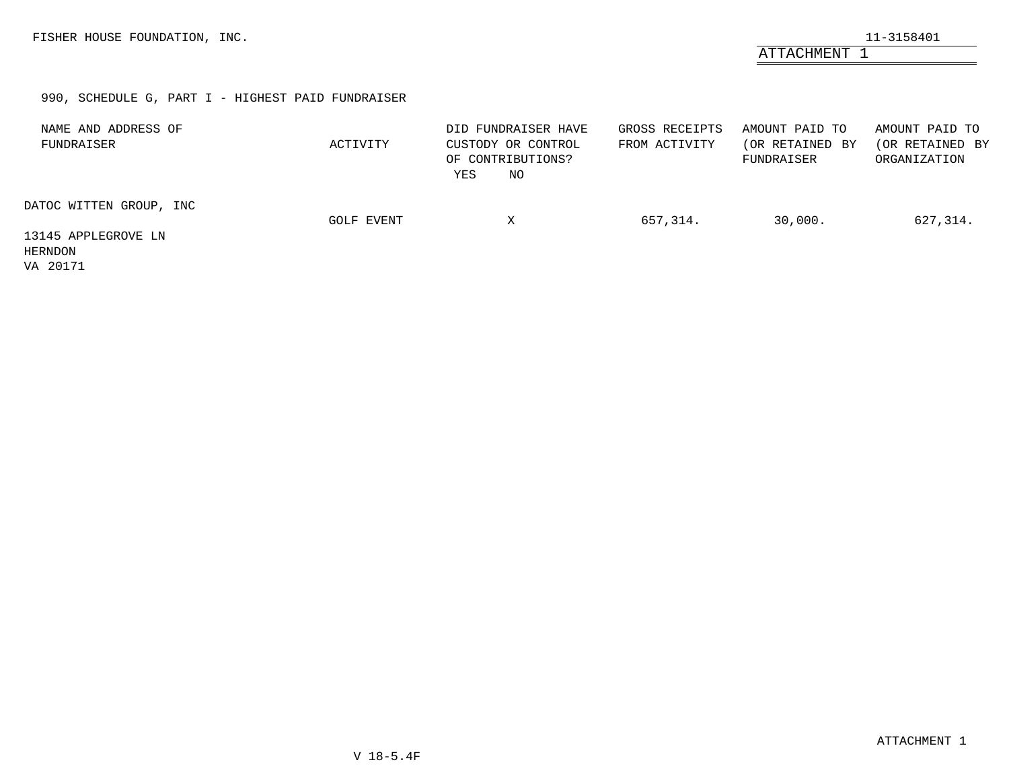ATTACHMENT 1

# 990, SCHEDULE G, PART I - HIGHEST PAID FUNDRAISER

| NAME AND ADDRESS OF<br>FUNDRAISER          | ACTIVITY   | DID FUNDRAISER HAVE<br>CUSTODY OR CONTROL<br>OF CONTRIBUTIONS?<br>YES<br>ΝO | GROSS RECEIPTS<br>FROM ACTIVITY | AMOUNT PAID TO<br>(OR RETAINED BY<br>FUNDRAISER | AMOUNT PAID TO<br>(OR RETAINED BY<br>ORGANIZATION |
|--------------------------------------------|------------|-----------------------------------------------------------------------------|---------------------------------|-------------------------------------------------|---------------------------------------------------|
| DATOC WITTEN GROUP, INC                    | GOLF EVENT | х                                                                           | 657,314.                        | 30,000.                                         | 627,314.                                          |
| 13145 APPLEGROVE LN<br>HERNDON<br>VA 20171 |            |                                                                             |                                 |                                                 |                                                   |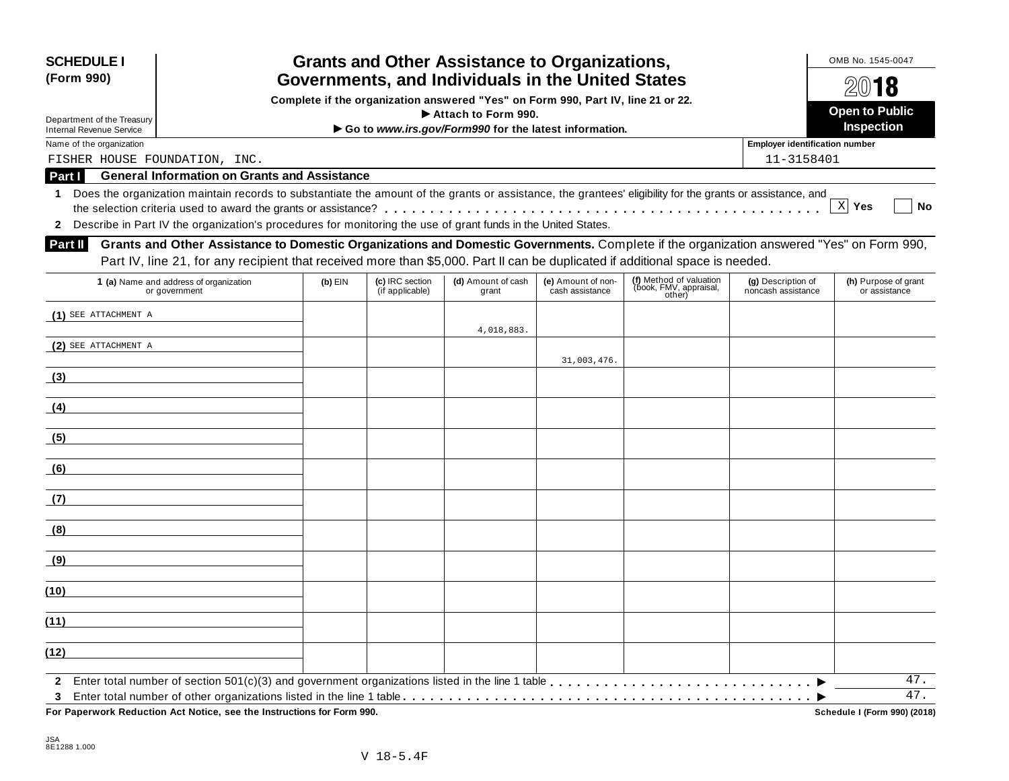| <b>SCHEDULE I</b><br>(Form 990) |                                                                                                                                                            |           |                                    | <b>Grants and Other Assistance to Organizations,</b>  |                                       |                                                             |                                          | OMB No. 1545-0047<br>2018             |  |
|---------------------------------|------------------------------------------------------------------------------------------------------------------------------------------------------------|-----------|------------------------------------|-------------------------------------------------------|---------------------------------------|-------------------------------------------------------------|------------------------------------------|---------------------------------------|--|
|                                 | Governments, and Individuals in the United States<br>Complete if the organization answered "Yes" on Form 990, Part IV, line 21 or 22.                      |           |                                    |                                                       |                                       |                                                             |                                          |                                       |  |
|                                 | Attach to Form 990.<br>Department of the Treasury                                                                                                          |           |                                    |                                                       |                                       |                                                             |                                          |                                       |  |
| <b>Internal Revenue Service</b> |                                                                                                                                                            |           |                                    | Go to www.irs.gov/Form990 for the latest information. |                                       |                                                             |                                          | Inspection                            |  |
| Name of the organization        |                                                                                                                                                            |           |                                    |                                                       |                                       |                                                             | <b>Employer identification number</b>    |                                       |  |
| Part I                          | FISHER HOUSE FOUNDATION, INC.<br><b>General Information on Grants and Assistance</b>                                                                       |           |                                    |                                                       |                                       |                                                             | 11-3158401                               |                                       |  |
| 1.                              | Does the organization maintain records to substantiate the amount of the grants or assistance, the grantees' eligibility for the grants or assistance, and |           |                                    |                                                       |                                       |                                                             |                                          |                                       |  |
|                                 |                                                                                                                                                            |           |                                    |                                                       |                                       |                                                             |                                          | $X$ Yes<br>No                         |  |
|                                 | 2 Describe in Part IV the organization's procedures for monitoring the use of grant funds in the United States.                                            |           |                                    |                                                       |                                       |                                                             |                                          |                                       |  |
| Part II                         | Grants and Other Assistance to Domestic Organizations and Domestic Governments. Complete if the organization answered "Yes" on Form 990,                   |           |                                    |                                                       |                                       |                                                             |                                          |                                       |  |
|                                 | Part IV, line 21, for any recipient that received more than \$5,000. Part II can be duplicated if additional space is needed.                              |           |                                    |                                                       |                                       |                                                             |                                          |                                       |  |
|                                 | 1 (a) Name and address of organization<br>or government                                                                                                    | $(b)$ EIN | (c) IRC section<br>(if applicable) | (d) Amount of cash<br>grant                           | (e) Amount of non-<br>cash assistance | (f) Method of valuation<br>(book, FMV, appraisal,<br>other) | (g) Description of<br>noncash assistance | (h) Purpose of grant<br>or assistance |  |
| (1) SEE ATTACHMENT A            |                                                                                                                                                            |           |                                    | 4,018,883.                                            |                                       |                                                             |                                          |                                       |  |
| (2) SEE ATTACHMENT A            |                                                                                                                                                            |           |                                    |                                                       |                                       |                                                             |                                          |                                       |  |
|                                 |                                                                                                                                                            |           |                                    |                                                       | 31,003,476.                           |                                                             |                                          |                                       |  |
| (3)                             |                                                                                                                                                            |           |                                    |                                                       |                                       |                                                             |                                          |                                       |  |
| (4)                             |                                                                                                                                                            |           |                                    |                                                       |                                       |                                                             |                                          |                                       |  |
| (5)                             |                                                                                                                                                            |           |                                    |                                                       |                                       |                                                             |                                          |                                       |  |
| (6)                             |                                                                                                                                                            |           |                                    |                                                       |                                       |                                                             |                                          |                                       |  |
| (7)                             |                                                                                                                                                            |           |                                    |                                                       |                                       |                                                             |                                          |                                       |  |
| (8)                             |                                                                                                                                                            |           |                                    |                                                       |                                       |                                                             |                                          |                                       |  |
| (9)                             |                                                                                                                                                            |           |                                    |                                                       |                                       |                                                             |                                          |                                       |  |
| (10)                            |                                                                                                                                                            |           |                                    |                                                       |                                       |                                                             |                                          |                                       |  |
| (11)                            |                                                                                                                                                            |           |                                    |                                                       |                                       |                                                             |                                          |                                       |  |
| (12)                            |                                                                                                                                                            |           |                                    |                                                       |                                       |                                                             |                                          |                                       |  |
|                                 |                                                                                                                                                            |           |                                    |                                                       |                                       |                                                             |                                          | 47.                                   |  |
| 3                               |                                                                                                                                                            |           |                                    |                                                       |                                       |                                                             |                                          | $\overline{47}$ .                     |  |
|                                 | For Paperwork Reduction Act Notice, see the Instructions for Form 990.                                                                                     |           |                                    |                                                       |                                       |                                                             |                                          | Schedule I (Form 990) (2018)          |  |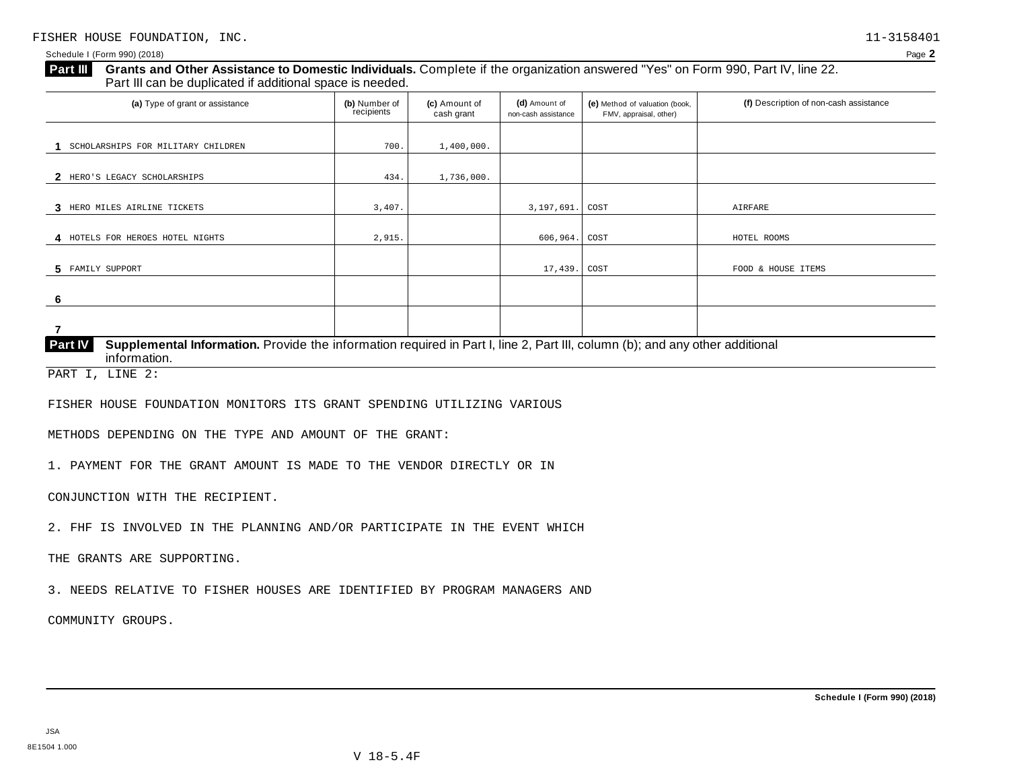# **Grants and Other Assistance to Domestic Individuals.** Complete ifthe organization answered "Yes" on Form 990, Part IV, line 22. **Part III** Grants and Other Assistance to Domestic Individuals<br>Part III can be duplicated if additional space is needed. (a) Type of grant or assistance **(b)** Number of **(c)** Amount of **(d)** Amount of **(e)** Method of valuation (book, **(f)** Description of non-cash assistance FMV, appraisal, other) **(b)** Number of recipients **(d)** Amount of non-cash assistance **(c)** Amount of cash grant **1** SCHOLARSHIPS FOR MILITARY CHILDREN 700. 1,400,000. **2** HERO'S LEGACY SCHOLARSHIPS  $434.$   $1,736,000.$ **3** HERO MILES AIRLINE TICKETS **1.2.407. 3,407. 3,197. 1.3.407. <b>3.197.691.** COST **AIRFARE 4** HOTELS FOR HEROES HOTEL NIGHTS  $\begin{vmatrix} 2,915 \end{vmatrix}$  2,915. **5** FAMILY SUPPORT **6 7 Supplemental Information.** Provide the information required in Part I, line 2, Part III, column (b); and any other additional information. **Part IV** FAMILY SUPPORT TERMS FOOD & HOUSE ITEMS FOOD A LOCAL TERMS FOOD & HOUSE ITEMS FOOD & HOUSE ITEMS PART I, LINE 2:

FISHER HOUSE FOUNDATION MONITORS ITS GRANT SPENDING UTILIZING VARIOUS

METHODS DEPENDING ON THE TYPE AND AMOUNT OF THE GRANT:

1. PAYMENT FOR THE GRANT AMOUNT IS MADE TO THE VENDOR DIRECTLY OR IN

CONJUNCTION WITH THE RECIPIENT.

2. FHF IS INVOLVED IN THE PLANNING AND/OR PARTICIPATE IN THE EVENT WHICH

THE GRANTS ARE SUPPORTING.

3. NEEDS RELATIVE TO FISHER HOUSES ARE IDENTIFIED BY PROGRAM MANAGERS AND

COMMUNITY GROUPS.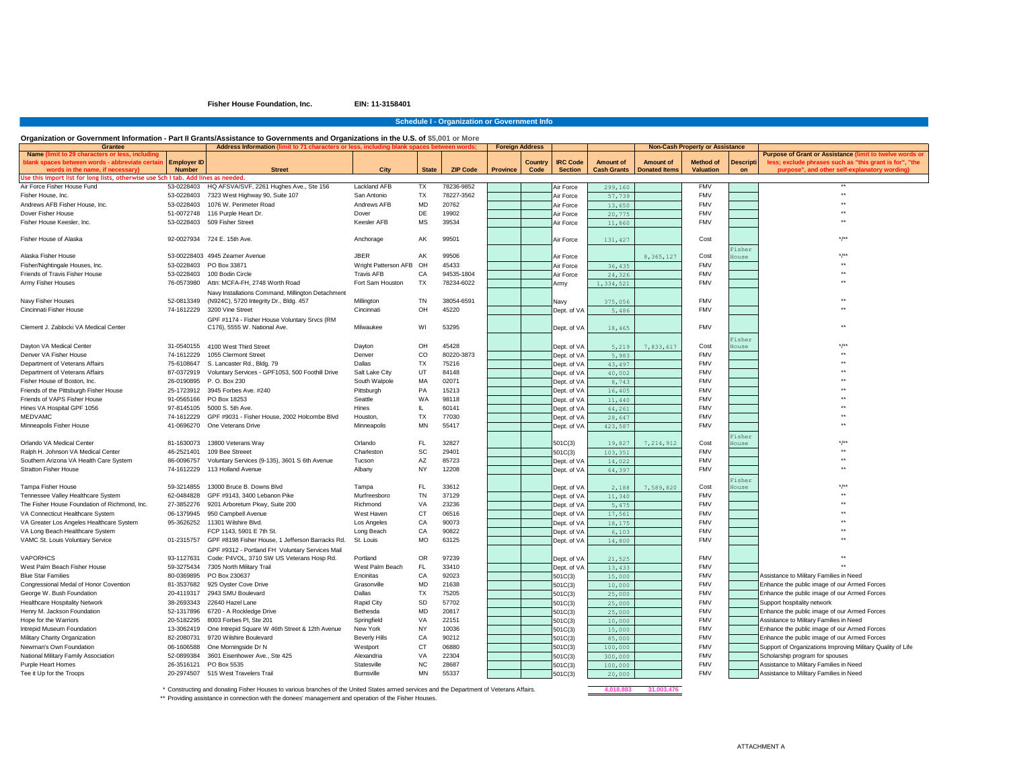**Fisher House Foundation, Inc. EIN: 11-3158401**

|                 |                    |                      | <b>Non-Cash Property or Assistance</b> |                  |                                                             |
|-----------------|--------------------|----------------------|----------------------------------------|------------------|-------------------------------------------------------------|
|                 |                    |                      |                                        |                  | Purpose of Grant or Assistance (limit to twelve words or    |
| <b>IRC Code</b> | <b>Amount of</b>   | <b>Amount of</b>     | <b>Method of</b>                       | <b>Descripti</b> | less; exclude phrases such as "this grant is for", "the     |
| <b>Section</b>  | <b>Cash Grants</b> | <b>Donated Items</b> | <b>Valuation</b>                       | on               | purpose", and other self-explanatory wording)               |
|                 |                    |                      |                                        |                  | $***$                                                       |
| Air Force       | 299,160            |                      | <b>FMV</b>                             |                  | $\star\star$                                                |
| Air Force       | 57,739             |                      | <b>FMV</b>                             |                  | $***$                                                       |
| Air Force       | 13,650             |                      | <b>FMV</b>                             |                  | $***$                                                       |
| Air Force       | 20,775             |                      | <b>FMV</b><br><b>FMV</b>               |                  | $***$                                                       |
| Air Force       | 11,860             |                      |                                        |                  |                                                             |
| Air Force       |                    |                      | Cost                                   |                  | $*/$ *                                                      |
|                 | 131,427            |                      |                                        |                  |                                                             |
| Air Force       |                    | 8, 365, 127          | Cost                                   | Fisher<br>House  | $*$ /**                                                     |
| Air Force       | 36,435             |                      | <b>FMV</b>                             |                  | $***$                                                       |
| Air Force       | 24,326             |                      | <b>FMV</b>                             |                  | $***$                                                       |
| Army            | 1,334,521          |                      | <b>FMV</b>                             |                  | $***$                                                       |
|                 |                    |                      |                                        |                  |                                                             |
| Navy            | 375,056            |                      | <b>FMV</b>                             |                  | $\star\star$                                                |
| Dept. of VA     | 5,486              |                      | <b>FMV</b>                             |                  | $***$                                                       |
|                 |                    |                      |                                        |                  |                                                             |
| Dept. of VA     | 18,465             |                      | <b>FMV</b>                             |                  | $***$                                                       |
|                 |                    |                      |                                        | Fisher           |                                                             |
| Dept. of VA     | 5,219              | 7,833,617            | Cost                                   | House            | $*$ /**                                                     |
| Dept. of VA     | 5,983              |                      | <b>FMV</b>                             |                  | $***$                                                       |
| Dept. of VA     | 43,497             |                      | <b>FMV</b>                             |                  | $***$                                                       |
| Dept. of VA     | 40,002             |                      | <b>FMV</b>                             |                  | $***$                                                       |
| Dept. of VA     | 8,743              |                      | <b>FMV</b>                             |                  | $***$                                                       |
| Dept. of VA     | 16,405             |                      | <b>FMV</b>                             |                  | $***$                                                       |
| Dept. of VA     | 11,440             |                      | <b>FMV</b>                             |                  | $***$                                                       |
| Dept. of VA     | 64,261             |                      | <b>FMV</b>                             |                  | $***$                                                       |
| Dept. of VA     | 28,647             |                      | <b>FMV</b>                             |                  | $***$                                                       |
| Dept. of VA     | 423,587            |                      | <b>FMV</b>                             |                  | $***$                                                       |
|                 |                    |                      |                                        | Fisher           |                                                             |
| 501C(3)         | 19,827             | 7, 214, 912          | Cost                                   | House            | $*/*$                                                       |
| 501C(3)         | 103,351            |                      | <b>FMV</b>                             |                  | $***$                                                       |
| Dept. of VA     | 14,022             |                      | <b>FMV</b>                             |                  | $***$                                                       |
| Dept. of VA     | 64,397             |                      | <b>FMV</b>                             |                  | $***$                                                       |
|                 |                    |                      |                                        | Fisher           |                                                             |
| Dept. of VA     | 2,188              | 7,589,820            | Cost                                   | House            | $*/*$                                                       |
| Dept. of VA     | 11,340             |                      | <b>FMV</b>                             |                  | $***$                                                       |
| Dept. of VA     | 5,475              |                      | <b>FMV</b>                             |                  | $***$                                                       |
| Dept. of VA     | 17,561             |                      | <b>FMV</b>                             |                  | $***$                                                       |
| Dept. of VA     | 18,175             |                      | <b>FMV</b>                             |                  | $***$                                                       |
| Dept. of VA     | 6,103              |                      | <b>FMV</b>                             |                  | $***$                                                       |
| Dept. of VA     | 14,800             |                      | <b>FMV</b>                             |                  | $***$                                                       |
|                 |                    |                      |                                        |                  |                                                             |
| Dept. of VA     | 21,525             |                      | <b>FMV</b>                             |                  | $***$                                                       |
| Dept. of VA     | 13,433             |                      | <b>FMV</b>                             |                  | $***$                                                       |
| 501C(3)         | 15,000             |                      | <b>FMV</b>                             |                  | Assistance to Military Families in Need                     |
| 501C(3)         | 10,000             |                      | <b>FMV</b>                             |                  | Enhance the public image of our Armed Forces                |
| 501C(3)         | 25,000             |                      | <b>FMV</b>                             |                  | Enhance the public image of our Armed Forces                |
| 501C(3)         | 25,000             |                      | <b>FMV</b>                             |                  | Support hospitality network                                 |
| 501C(3)         | 25,000             |                      | <b>FMV</b>                             |                  | Enhance the public image of our Armed Forces                |
| 501C(3)         | 10,000             |                      | <b>FMV</b>                             |                  | Assistance to Military Families in Need                     |
| 501C(3)         | 15,000             |                      | <b>FMV</b>                             |                  | Enhance the public image of our Armed Forces                |
| 501C(3)         | 85,000             |                      | <b>FMV</b>                             |                  | Enhance the public image of our Armed Forces                |
| 501C(3)         | 100,000            |                      | <b>FMV</b>                             |                  | Support of Organizations Improving Military Quality of Life |
| 501C(3)         | 300,000            |                      | <b>FMV</b>                             |                  | Scholarship program for spouses                             |
| 501C(3)         | 100,000            |                      | <b>FMV</b>                             |                  | Assistance to Military Families in Need                     |
| 501C(3)         | 20,000             |                      | <b>FMV</b>                             |                  | Assistance to Military Families in Need                     |

# **Organization or Government Information - Part II Grants/Assistance to Governments and Organizations in the U.S. of \$5,001 or More Name (limit to 29 characters or less, including blank spaces between words - abbreviate certain words in the name, if necessary) Employer ID Number Street City State ZIP Code Province Country Code** Air Force Fisher House Fund 53-0228403 HQ AFSVA/SVF, 2261 Hughes Ave., Ste 156 Lackland AFB TX 78236-9852 Fisher House, Inc. **53-0228403** 7323 West Highway 90, Suite 107 San Antonio TX 78227-3562 Andrews AFB Fisher House, Inc. 63-0228403 1076 W. Perimeter Road Andrews AFB MD 20762 Dover Fisher House **51-0072748** 116 Purple Heart Dr. Dover **DE** 19902 Fisher House Keesler, Inc. 53-0228403 509 Fisher Street Keesler AFB MS 39534 Air Force 11,860 FMV \*\* Fisher House of Alaska 92-0027934 724 E. 15th Ave. Anchorage AK 99501 Air Force Air Force Air Force Air Force Air Anchorage \*/\*\* Alaska Fisher House **63-00228403** 4945 Zeamer Avenue **And Air Force 3,366** AM 99506 AM 99506 Fisher/Nightingale Houses, Inc. 53-0228403 PO Box 33871 Wright Patterson AFB OH 45433 Air Force 36,435 FMV \*\* Friends of Travis Fisher House 63-0228403 100 Bodin Circle Travis AFB CA 94535-1804 Air Force Air Force 24,326 FMV FMV FMV FMV T Army Fisher Houses **76-0573980** Attn: MCFA-FH, 2748 Worth Road Fort Sam Houston TX 78234-6022 Navy Fisher Houses 62-0813349 Navy Installations Command, Millington Detachment (N924C), 5720 Integrity Dr., Bldg. 457 Millington TN 38054-6591 Cincinnati Fisher House 2000 74-1612229 3200 Vine Street Cincinnati OH 45220 Dept. of VA 5,486 FMV FMV FMV FMV T Clement J. Zablocki VA Medical Center GPF #1174 - Fisher House Voluntary Srvcs (RM C176), 5555 W. National Ave. Milwaukee WI 53295 Dayton VA Medical Center **31-0540155** 4100 West Third Street **Dayton** Dayton OH 45428 Denver VA Fisher House **74-1612229 1055 Clermont Street** Denver CO 80220-3873 Denver CO 80210-3873 Dept. of VA 5,983 FMV FMV FMV T Department of Veterans Affairs The Mateurane Relation of Veterans Affairs 75-6108647 S. Lancaster Rd., Bldg. 79 S. Lancaster Rd., Bldg. 79 Dallas 75216 | Dept. of VA | 43, 497 | \*\* Department of Veterans Affairs **87-0372919** Voluntary Services - GPF1053, 500 Foothill Drive Salt Lake City UT 84148 Fisher House of Boston, Inc. 26-0190895 P. O. Box 230 South Walpole MA 02071 | 8,743 | \*\* Friends of the Pittsburgh Fisher House 25-1723912 3945 Forbes Ave. #240 Pittsburgh PA 15213 Friends of VAPS Fisher House 91-0565166 PO Box 18253 Seattle WA 98118 Dept. of VA 11,440 FMV \*\* Hines VA Hospital GPF 1056 97-8145105 5000 S. 5th Ave. Hines IL 60141 Dept. of VA 64,261 FMV \*\* MEDVAMC **74-1612229** GPF #9031 - Fisher House, 2002 Holcombe Blvd Houston, TX 77030 Minneapolis Fisher House 41-0696270 One Veterans Drive Minneapolis MN 55417 Dept. of VA 423,587 FMV \*\* Orlando VA Medical Center **81-1630073** 13800 Veterans Way **Collando Critical Center 32827** 501C(3) 19827 Ralph H. Johnson VA Medical Center **46-2521401** 109 Bee Streeet Charleston SC 29401 Southern Arizona VA Health Care System 86-0096757 Voluntary Services (9-135), 3601 S 6th Avenue Tucson AZ 85723 Stratton Fisher House 2008 74-1612229 113 Holland Avenue Albany NY 12208 NY 12208 Dept. of VA 64,397 FMV FMV FMV FMV 1 Tampa Fisher House The State of the Superior of the State State State State of State State State State State State State State State State State State State State State State State State State State State State State State Tennessee Valley Healthcare System 62-0484828 GPF #9143, 3400 Lebanon Pike Murfreesboro TN 37129 The Fisher House Foundation of Richmond, Inc. 27-3852276 9201 Arboretum Pkwy, Suite 200 Richmond VA 23236 VA Connecticut Healthcare System  $06-1379945$  950 Campbell Avenue West Haven West Haven CT 06516 VA Greater Los Angeles Healthcare System 95-3626252 11301 Wilshire Blvd. Los Angeles CA 90073 VA Long Beach Healthcare System FCP 1143, 5901 E 7th St. Long Beach CA 90822 Dept. of VA 6,103 FMV \*\* VAMC St. Louis Voluntary Service **Channel 311-2315757** GPF #8198 Fisher House, 1 Jefferson Barracks Rd. St. Louis MO 63125 VAPORHCS 93-1127631 Code: P4VOL, 3710 SW US Veterans Hosp Rd. Portland OR 97239 Dept. of VA 21,525 FMV \*\* GPF #9312 - Portland FH Voluntary Services Mail West Palm Beach Fisher House 69-3275434 7305 North Military Trail Trail West Palm Beach FL 33410 Blue Star Families 60-0369895 PO Box 230637 Encinitas CA 92023 And Assistance to Military Families in Need Congressional Medal of Honor Covention 81-3537682 925 Oyster Cove Drive Grasonville Grasonville MD 21638 George W. Bush Foundation 20-4119317 2943 SMU Boulevard Dallas TX 75205 Research 25,000 FMV FMV Enhance the public image of our Armed Forces Healthcare Hospitality Network 38-2693343 22640 Hazel Lane Rapid City SD 57702 501C(3) 25,000 FMV Support hospitality network Henry M. Jackson Foundation **62-1317896 6720 - A Rockledge Drive** Forceston Bethesda MD 20817 Hope for the Warriors **2015 1000 Forbes Pl**, Ste 201 Springfield VA 22151 Intrepid Museum Foundation 13-3062419 One Intrepid Square W 46th Street & 12th Avenue New York NY 10036 Military Charity Organization 82-2080731 9720 Wilshire Boulevard Beverly Hills CA 90212 | 165,000 | 85,000 FMV FMV Enhance the public image of our Armed Forces Newman's Own Foundation 06-1606588 One Morningside Dr N Westport CT 06880 CT 06880 1 100,000 FMV FMV Support of Organizations Improving Military Quality of Life National Military Family Association 62-0899384 3601 Eisenhower Ave., Ste 425 Alexandria Military Family Association 622304 Purple Heart Homes 26-3516121 PO Box 5535 Statesville NC 28687 Statesville NC 28687 NC 28687 NC 28687 NC 28687 NC 28687 NC 28687 NC 28687 NC 28687 NC 28687 NC 28687 Need Tee it Up for the Troops **20-2974507** 515 West Travelers Trail **Burnsville** MN 55337 **Use this import list for long lists, otherwise use Sch I tab. Add lines as needed. Grantee Address Information (limit to 71 characters or less, including blank spaces between words; Foreign Address Non-Cash Property or Assistance**

\* Constructing and donating Fisher Houses to various branches of the United States armed services and the Department of Veterans Affairs. 4,018,883 4,018,883 31,003,476

\*\* Providing assistance in connection with the donees' management and operation of the Fisher Houses.

**Schedule I - Organization or Government Info**

ATTACHMENT A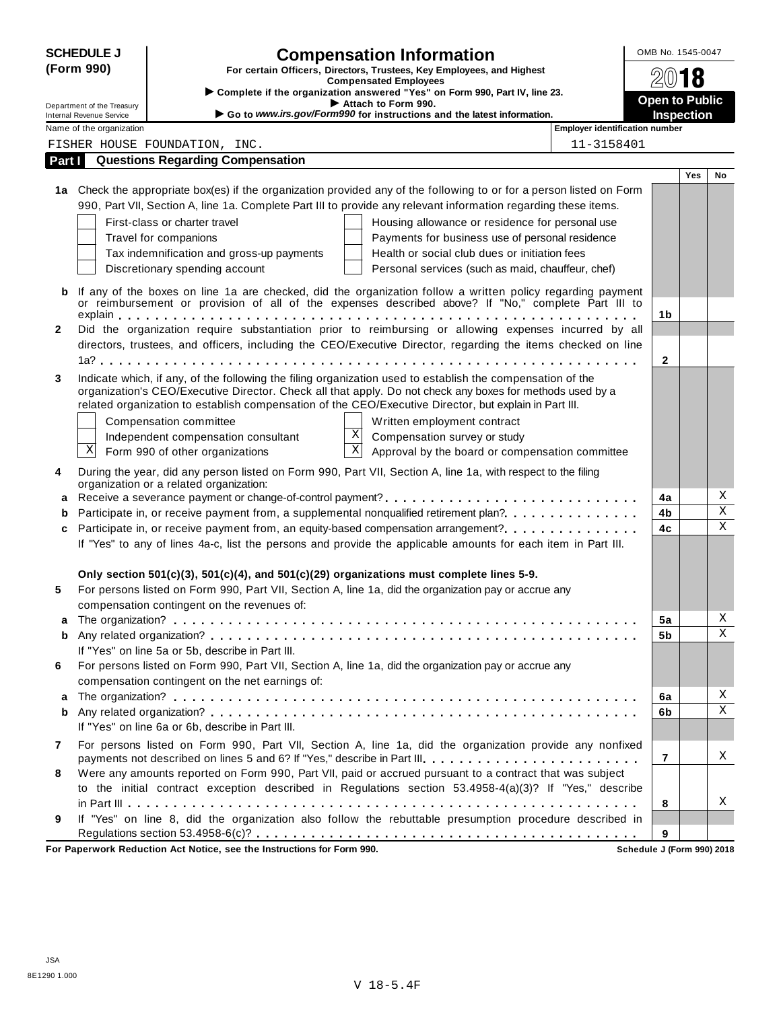|              | <b>SCHEDULE J</b>                                             |                                                                                          | <b>Compensation Information</b>                                                                                                                                                                                                         |                                       | OMB No. 1545-0047                   |     |                         |
|--------------|---------------------------------------------------------------|------------------------------------------------------------------------------------------|-----------------------------------------------------------------------------------------------------------------------------------------------------------------------------------------------------------------------------------------|---------------------------------------|-------------------------------------|-----|-------------------------|
|              | (Form 990)                                                    |                                                                                          | For certain Officers, Directors, Trustees, Key Employees, and Highest                                                                                                                                                                   |                                       |                                     | 18  |                         |
|              |                                                               |                                                                                          | <b>Compensated Employees</b><br>Complete if the organization answered "Yes" on Form 990, Part IV, line 23.                                                                                                                              |                                       |                                     |     |                         |
|              | Department of the Treasury<br><b>Internal Revenue Service</b> |                                                                                          | Attach to Form 990.<br>Go to www.irs.gov/Form990 for instructions and the latest information.                                                                                                                                           |                                       | <b>Open to Public</b><br>Inspection |     |                         |
|              | Name of the organization                                      |                                                                                          |                                                                                                                                                                                                                                         | <b>Employer identification number</b> |                                     |     |                         |
|              |                                                               | FISHER HOUSE FOUNDATION, INC.                                                            |                                                                                                                                                                                                                                         | 11-3158401                            |                                     |     |                         |
| Part I       |                                                               | <b>Questions Regarding Compensation</b>                                                  |                                                                                                                                                                                                                                         |                                       |                                     |     |                         |
|              |                                                               |                                                                                          |                                                                                                                                                                                                                                         |                                       |                                     | Yes | No                      |
|              |                                                               |                                                                                          | 1a Check the appropriate box(es) if the organization provided any of the following to or for a person listed on Form<br>990, Part VII, Section A, line 1a. Complete Part III to provide any relevant information regarding these items. |                                       |                                     |     |                         |
|              |                                                               |                                                                                          |                                                                                                                                                                                                                                         |                                       |                                     |     |                         |
|              |                                                               | First-class or charter travel<br>Travel for companions                                   | Housing allowance or residence for personal use<br>Payments for business use of personal residence                                                                                                                                      |                                       |                                     |     |                         |
|              |                                                               | Tax indemnification and gross-up payments                                                | Health or social club dues or initiation fees                                                                                                                                                                                           |                                       |                                     |     |                         |
|              |                                                               | Discretionary spending account                                                           | Personal services (such as maid, chauffeur, chef)                                                                                                                                                                                       |                                       |                                     |     |                         |
|              |                                                               |                                                                                          |                                                                                                                                                                                                                                         |                                       |                                     |     |                         |
| b            |                                                               |                                                                                          | If any of the boxes on line 1a are checked, did the organization follow a written policy regarding payment<br>or reimbursement or provision of all of the expenses described above? If "No," complete Part III to                       |                                       |                                     |     |                         |
|              |                                                               |                                                                                          |                                                                                                                                                                                                                                         |                                       | 1 <sub>b</sub>                      |     |                         |
| $\mathbf{2}$ |                                                               |                                                                                          | Did the organization require substantiation prior to reimbursing or allowing expenses incurred by all                                                                                                                                   |                                       |                                     |     |                         |
|              |                                                               |                                                                                          | directors, trustees, and officers, including the CEO/Executive Director, regarding the items checked on line                                                                                                                            |                                       |                                     |     |                         |
|              |                                                               |                                                                                          |                                                                                                                                                                                                                                         |                                       | $\mathbf{2}$                        |     |                         |
| 3            |                                                               |                                                                                          | Indicate which, if any, of the following the filing organization used to establish the compensation of the                                                                                                                              |                                       |                                     |     |                         |
|              |                                                               |                                                                                          | organization's CEO/Executive Director. Check all that apply. Do not check any boxes for methods used by a<br>related organization to establish compensation of the CEO/Executive Director, but explain in Part III.                     |                                       |                                     |     |                         |
|              |                                                               |                                                                                          |                                                                                                                                                                                                                                         |                                       |                                     |     |                         |
|              |                                                               | Compensation committee                                                                   | Written employment contract<br>$\mathbf X$<br>Compensation survey or study                                                                                                                                                              |                                       |                                     |     |                         |
|              | Χ                                                             | Independent compensation consultant<br>Form 990 of other organizations                   | $\overline{\mathbf{x}}$<br>Approval by the board or compensation committee                                                                                                                                                              |                                       |                                     |     |                         |
|              |                                                               |                                                                                          |                                                                                                                                                                                                                                         |                                       |                                     |     |                         |
| 4            |                                                               | organization or a related organization:                                                  | During the year, did any person listed on Form 990, Part VII, Section A, line 1a, with respect to the filing                                                                                                                            |                                       |                                     |     |                         |
| a            |                                                               |                                                                                          | Receive a severance payment or change-of-control payment?                                                                                                                                                                               |                                       | 4a                                  |     | Χ                       |
| b            |                                                               |                                                                                          | Participate in, or receive payment from, a supplemental nonqualified retirement plan?                                                                                                                                                   |                                       | 4b                                  |     | $\overline{\textbf{X}}$ |
| c            |                                                               |                                                                                          |                                                                                                                                                                                                                                         |                                       | 4c                                  |     | $\overline{\mathbf{x}}$ |
|              |                                                               |                                                                                          | If "Yes" to any of lines 4a-c, list the persons and provide the applicable amounts for each item in Part III.                                                                                                                           |                                       |                                     |     |                         |
|              |                                                               |                                                                                          |                                                                                                                                                                                                                                         |                                       |                                     |     |                         |
|              |                                                               | Only section 501(c)(3), 501(c)(4), and 501(c)(29) organizations must complete lines 5-9. |                                                                                                                                                                                                                                         |                                       |                                     |     |                         |
| 5            |                                                               |                                                                                          | For persons listed on Form 990, Part VII, Section A, line 1a, did the organization pay or accrue any                                                                                                                                    |                                       |                                     |     |                         |
|              |                                                               | compensation contingent on the revenues of:                                              |                                                                                                                                                                                                                                         |                                       |                                     |     |                         |
| a            |                                                               |                                                                                          |                                                                                                                                                                                                                                         |                                       | 5a                                  |     | Χ<br>$\mathbf X$        |
| b            |                                                               | If "Yes" on line 5a or 5b, describe in Part III.                                         |                                                                                                                                                                                                                                         |                                       | 5b                                  |     |                         |
| 6            |                                                               |                                                                                          | For persons listed on Form 990, Part VII, Section A, line 1a, did the organization pay or accrue any                                                                                                                                    |                                       |                                     |     |                         |
|              |                                                               | compensation contingent on the net earnings of:                                          |                                                                                                                                                                                                                                         |                                       |                                     |     |                         |
| а            |                                                               |                                                                                          |                                                                                                                                                                                                                                         |                                       | 6a                                  |     | Χ                       |
| b            |                                                               |                                                                                          |                                                                                                                                                                                                                                         |                                       | 6b                                  |     | Χ                       |
|              |                                                               | If "Yes" on line 6a or 6b, describe in Part III.                                         |                                                                                                                                                                                                                                         |                                       |                                     |     |                         |
| 7            |                                                               |                                                                                          | For persons listed on Form 990, Part VII, Section A, line 1a, did the organization provide any nonfixed                                                                                                                                 |                                       |                                     |     |                         |
|              |                                                               |                                                                                          | payments not described on lines 5 and 6? If "Yes," describe in Part III.                                                                                                                                                                |                                       | 7                                   |     | X                       |
| 8            |                                                               |                                                                                          | Were any amounts reported on Form 990, Part VII, paid or accrued pursuant to a contract that was subject                                                                                                                                |                                       |                                     |     |                         |
|              |                                                               |                                                                                          | to the initial contract exception described in Regulations section 53.4958-4(a)(3)? If "Yes," describe                                                                                                                                  |                                       |                                     |     |                         |
|              |                                                               |                                                                                          |                                                                                                                                                                                                                                         |                                       | 8                                   |     | X                       |
| 9            |                                                               |                                                                                          | If "Yes" on line 8, did the organization also follow the rebuttable presumption procedure described in                                                                                                                                  |                                       |                                     |     |                         |
|              |                                                               | ark Darkration, Ant Notice, and the                                                      |                                                                                                                                                                                                                                         |                                       | 9                                   |     |                         |

**For Paperwork Reduction Act Notice, see the Instructions for Form 990. Schedule J (Form 990) 2018**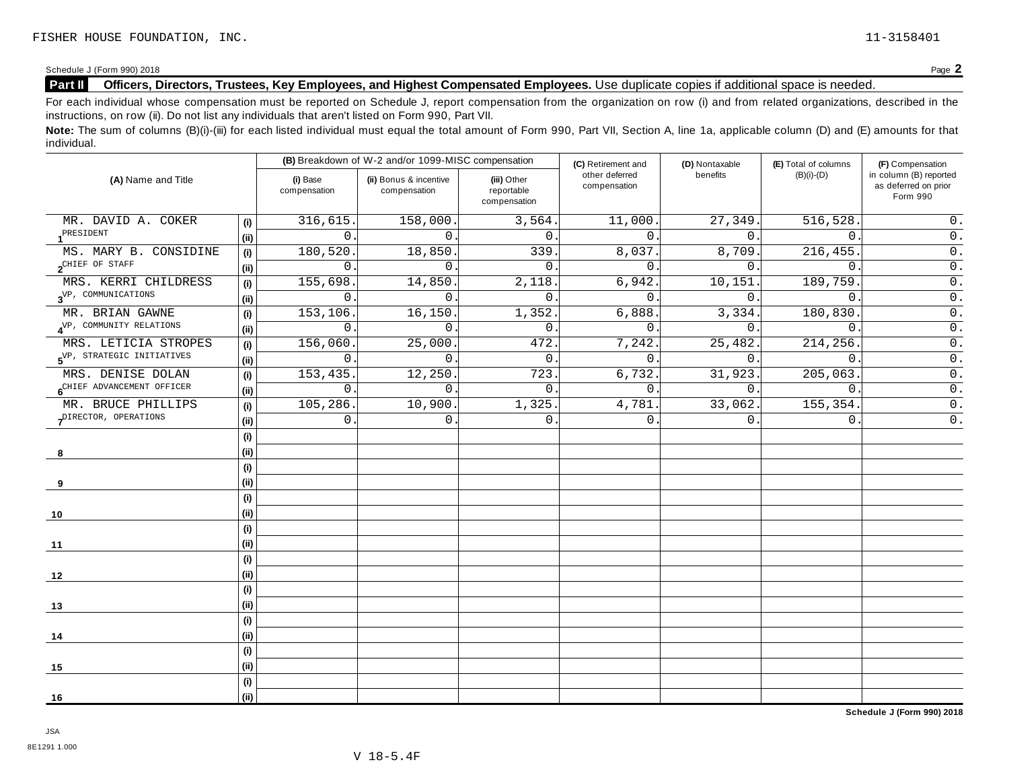Schedule <sup>J</sup> (Form 990) <sup>2018</sup> Page **2**

# **Part II Officers, Directors, Trustees, Key Employees, and Highest Compensated Employees.** Use duplicate copies ifadditional space is needed.

For each individual whose compensation must be reported on Schedule J, report compensation from the organization on row (i) and from related organizations, described in the instructions, on row (ii). Do not list any individuals that aren't listed on Form 990, Part VII.

Note: The sum of columns (B)(i)-(iii) for each listed individual must equal the total amount of Form 990, Part VII, Section A, line 1a, applicable column (D) and (E) amounts for that individual.

| (A) Name and Title                     |      |                          | (B) Breakdown of W-2 and/or 1099-MISC compensation |                                           | (C) Retirement and             | (D) Nontaxable   | (E) Total of columns | (F) Compensation                                           |
|----------------------------------------|------|--------------------------|----------------------------------------------------|-------------------------------------------|--------------------------------|------------------|----------------------|------------------------------------------------------------|
|                                        |      | (i) Base<br>compensation | (ii) Bonus & incentive<br>compensation             | (iii) Other<br>reportable<br>compensation | other deferred<br>compensation | benefits         | $(B)(i)-(D)$         | in column (B) reported<br>as deferred on prior<br>Form 990 |
| MR. DAVID A. COKER                     | (i)  | 316,615.                 | 158,000.                                           | 3,564.                                    | 11,000.                        | 27,349.          | 516,528              | $0$ .                                                      |
| PRESIDENT                              | (ii) | $\Omega$                 | $\Omega$                                           | $\mathbf{0}$ .                            | $\Omega$ .                     | $\Omega$ .       | $\Omega$ .           | $\overline{0}$ .                                           |
| MS. MARY B. CONSIDINE                  | (i)  | 180,520                  | 18,850                                             | 339                                       | 8,037.                         | 8,709.           | 216, 455.            | $\overline{0}$ .                                           |
| $2^{\text{CHIEF OF STAFF}}$            | (i)  | $\mathbf 0$              | $\mathbf{0}$ .                                     | $\mathbf{0}$ .                            | $\mathbf{0}$ .                 | 0.               | $\mathbf{0}$ .       | $0$ .                                                      |
| MRS. KERRI CHILDRESS                   | (i)  | 155,698                  | 14,850                                             | 2,118.                                    | 6,942                          | 10,151           | 189,759.             | $\overline{0}$ .                                           |
| $3^{\text{VP}}$ , COMMUNICATIONS       | (i)  | $\mathbf 0$              | $\Omega$ .                                         | $\mathbf{0}$ .                            | $\mathbf{0}$ .                 | $\overline{0}$ . | $\mathbf{0}$ .       | $\overline{0}$ .                                           |
| MR. BRIAN GAWNE                        | (i)  | 153, 106                 | 16,150                                             | 1,352.                                    | 6,888.                         | 3,334.           | 180,830              | $0$ .                                                      |
| 4 <sup>VP, COMMUNITY RELATIONS</sup>   | (i)  | 0                        | $\mathbf{0}$ .                                     | $\mathsf 0$ .                             | $\mathbf 0$ .                  | 0.               | $\mathbf 0$ .        | $\overline{0}$ .                                           |
| MRS. LETICIA STROPES                   | (i)  | 156,060                  | 25,000                                             | 472.                                      | 7,242.                         | 25,482.          | 214, 256.            | $\overline{0}$ .                                           |
| 5 <sup>VP, STRATEGIC INITIATIVES</sup> | (i)  | $\overline{0}$ .         | $\mathbf{0}$ .                                     | $\mathbf{0}$ .                            | $\mathbf{0}$ .                 | 0.               | $\overline{0}$ .     | $\overline{0}$ .                                           |
| MRS. DENISE DOLAN                      | (i)  | 153,435.                 | 12,250.                                            | 723.                                      | 6,732.                         | 31,923.          | 205,063.             | $\overline{0}$ .                                           |
| 6 <sup>CHIEF</sup> ADVANCEMENT OFFICER | (i)  | $\mathbf 0$              | $\mathbf{0}$ .                                     | $\mathbf{0}$                              | $\mathbf{0}$ .                 | 0.               | $\mathbf 0$          | $\overline{0}$ .                                           |
| MR. BRUCE PHILLIPS                     | (i)  | 105, 286.                | 10,900.                                            | 1,325.                                    | 4,781                          | 33,062.          | 155, 354.            | $\overline{0}$ .                                           |
| PIRECTOR, OPERATIONS                   |      | $\Omega$                 | $\Omega$ .                                         | $\overline{0}$ .                          | $\mathbf{0}$ .                 | 0.               | $\mathbf{0}$ .       | $0$ .                                                      |
|                                        | (i)  |                          |                                                    |                                           |                                |                  |                      |                                                            |
| 8                                      | (ii) |                          |                                                    |                                           |                                |                  |                      |                                                            |
|                                        | (i)  |                          |                                                    |                                           |                                |                  |                      |                                                            |
| 9                                      | (i)  |                          |                                                    |                                           |                                |                  |                      |                                                            |
|                                        | (i)  |                          |                                                    |                                           |                                |                  |                      |                                                            |
| 10                                     | (i)  |                          |                                                    |                                           |                                |                  |                      |                                                            |
|                                        | (i)  |                          |                                                    |                                           |                                |                  |                      |                                                            |
| 11                                     | (i)  |                          |                                                    |                                           |                                |                  |                      |                                                            |
|                                        | (i)  |                          |                                                    |                                           |                                |                  |                      |                                                            |
| 12                                     | (i)  |                          |                                                    |                                           |                                |                  |                      |                                                            |
|                                        | (i)  |                          |                                                    |                                           |                                |                  |                      |                                                            |
| 13                                     | (ii) |                          |                                                    |                                           |                                |                  |                      |                                                            |
|                                        | (i)  |                          |                                                    |                                           |                                |                  |                      |                                                            |
| 14                                     | (i)  |                          |                                                    |                                           |                                |                  |                      |                                                            |
|                                        | (i)  |                          |                                                    |                                           |                                |                  |                      |                                                            |
| 15                                     | (i)  |                          |                                                    |                                           |                                |                  |                      |                                                            |
|                                        | (i)  |                          |                                                    |                                           |                                |                  |                      |                                                            |
| 16                                     | (i)  |                          |                                                    |                                           |                                |                  |                      |                                                            |

**Schedule J (Form 990) 2018**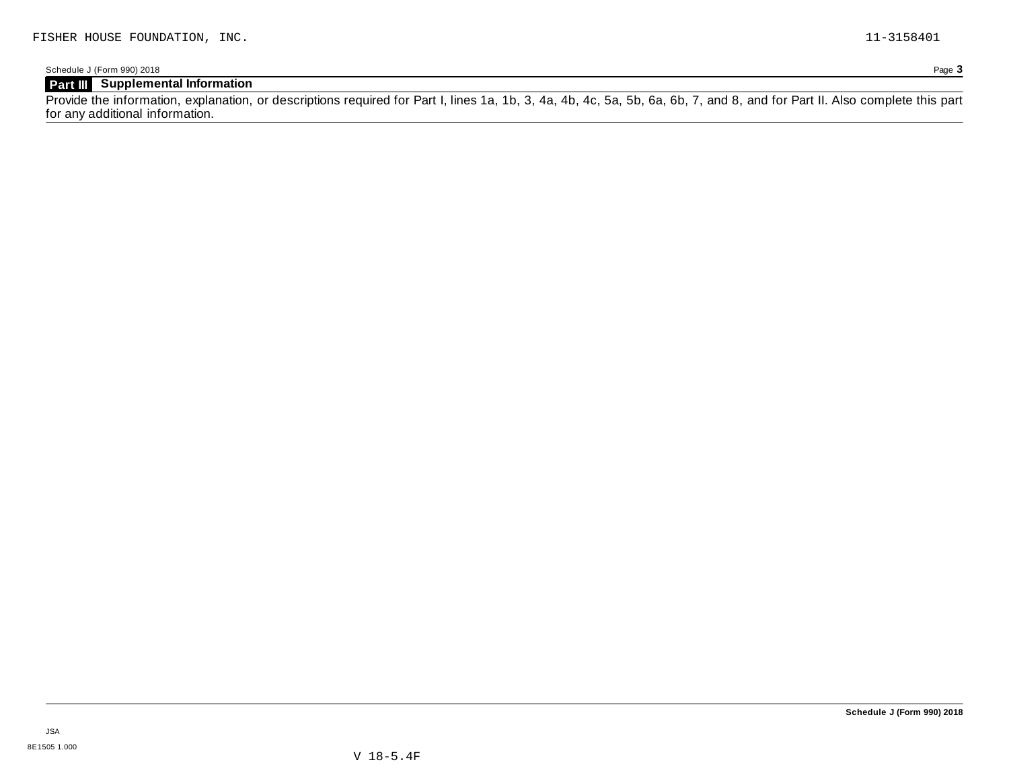# **Part III Supplemental Information**

Provide the information, explanation, or descriptions required for Part I, lines 1a, 1b, 3, 4a, 4b, 4c, 5a, 5b, 6a, 6b, 7, and 8, and for Part II. Also complete this part for any additional information.

JSA 8E1505 1.000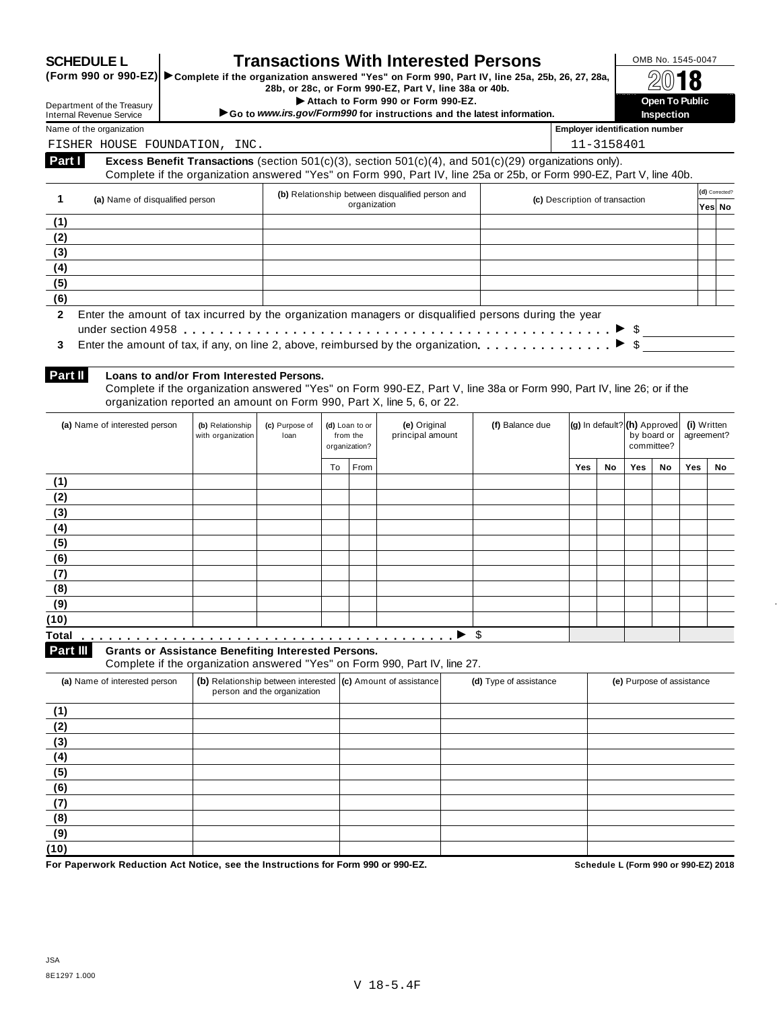|                                                                                                                                    |                                                            |                                       |                                                                                             |                                             |              | <b>Transactions With Interested Persons</b><br>(Form 990 or 990-EZ) > Complete if the organization answered "Yes" on Form 990, Part IV, line 25a, 25b, 26, 27, 28a,                                                            |                        |                                       |            |                                                |                       | OMB No. 1545-0047         |                          |
|------------------------------------------------------------------------------------------------------------------------------------|------------------------------------------------------------|---------------------------------------|---------------------------------------------------------------------------------------------|---------------------------------------------|--------------|--------------------------------------------------------------------------------------------------------------------------------------------------------------------------------------------------------------------------------|------------------------|---------------------------------------|------------|------------------------------------------------|-----------------------|---------------------------|--------------------------|
| Department of the Treasury                                                                                                         |                                                            |                                       |                                                                                             |                                             |              | 28b, or 28c, or Form 990-EZ, Part V, line 38a or 40b.<br>Attach to Form 990 or Form 990-EZ.                                                                                                                                    |                        |                                       |            |                                                | <b>Open To Public</b> |                           |                          |
| <b>Internal Revenue Service</b>                                                                                                    |                                                            |                                       |                                                                                             |                                             |              | Go to www.irs.gov/Form990 for instructions and the latest information.                                                                                                                                                         |                        |                                       |            |                                                | <b>Inspection</b>     |                           |                          |
| Name of the organization                                                                                                           |                                                            |                                       |                                                                                             |                                             |              |                                                                                                                                                                                                                                |                        | <b>Employer identification number</b> |            |                                                |                       |                           |                          |
| FISHER HOUSE FOUNDATION, INC.                                                                                                      |                                                            |                                       |                                                                                             |                                             |              |                                                                                                                                                                                                                                |                        |                                       | 11-3158401 |                                                |                       |                           |                          |
| Part I                                                                                                                             |                                                            |                                       |                                                                                             |                                             |              | Excess Benefit Transactions (section 501(c)(3), section 501(c)(4), and 501(c)(29) organizations only).<br>Complete if the organization answered "Yes" on Form 990, Part IV, line 25a or 25b, or Form 990-EZ, Part V, line 40b. |                        |                                       |            |                                                |                       |                           |                          |
| 1                                                                                                                                  | (a) Name of disqualified person                            |                                       |                                                                                             |                                             | organization | (b) Relationship between disqualified person and                                                                                                                                                                               |                        | (c) Description of transaction        |            |                                                |                       |                           | (d) Corrected?<br>Yes No |
| (1)                                                                                                                                |                                                            |                                       |                                                                                             |                                             |              |                                                                                                                                                                                                                                |                        |                                       |            |                                                |                       |                           |                          |
| (2)                                                                                                                                |                                                            |                                       |                                                                                             |                                             |              |                                                                                                                                                                                                                                |                        |                                       |            |                                                |                       |                           |                          |
| (3)                                                                                                                                |                                                            |                                       |                                                                                             |                                             |              |                                                                                                                                                                                                                                |                        |                                       |            |                                                |                       |                           |                          |
| (4)                                                                                                                                |                                                            |                                       |                                                                                             |                                             |              |                                                                                                                                                                                                                                |                        |                                       |            |                                                |                       |                           |                          |
| (5)                                                                                                                                |                                                            |                                       |                                                                                             |                                             |              |                                                                                                                                                                                                                                |                        |                                       |            |                                                |                       |                           |                          |
| (6)<br>$\mathbf{2}$                                                                                                                |                                                            |                                       |                                                                                             |                                             |              | Enter the amount of tax incurred by the organization managers or disqualified persons during the year                                                                                                                          |                        |                                       |            |                                                |                       |                           |                          |
| Part II                                                                                                                            | Loans to and/or From Interested Persons.                   |                                       |                                                                                             |                                             |              | Complete if the organization answered "Yes" on Form 990-EZ, Part V, line 38a or Form 990, Part IV, line 26; or if the<br>organization reported an amount on Form 990, Part X, line 5, 6, or 22.                                |                        |                                       |            |                                                |                       |                           |                          |
| (a) Name of interested person                                                                                                      |                                                            | (b) Relationship<br>with organization | (c) Purpose of<br>loan                                                                      | (d) Loan to or<br>from the<br>organization? |              | (e) Original<br>principal amount                                                                                                                                                                                               | (f) Balance due        |                                       |            | $(g)$ in default? $(h)$ Approved<br>committee? | by board or           | (i) Written<br>agreement? |                          |
|                                                                                                                                    |                                                            |                                       |                                                                                             | To                                          | From         |                                                                                                                                                                                                                                |                        | <b>Yes</b>                            | No.        | <b>Yes</b>                                     | No.                   | Yes                       | No                       |
| (1)                                                                                                                                |                                                            |                                       |                                                                                             |                                             |              |                                                                                                                                                                                                                                |                        |                                       |            |                                                |                       |                           |                          |
|                                                                                                                                    |                                                            |                                       |                                                                                             |                                             |              |                                                                                                                                                                                                                                |                        |                                       |            |                                                |                       |                           |                          |
|                                                                                                                                    |                                                            |                                       |                                                                                             |                                             |              |                                                                                                                                                                                                                                |                        |                                       |            |                                                |                       |                           |                          |
|                                                                                                                                    |                                                            |                                       |                                                                                             |                                             |              |                                                                                                                                                                                                                                |                        |                                       |            |                                                |                       |                           |                          |
|                                                                                                                                    |                                                            |                                       |                                                                                             |                                             |              |                                                                                                                                                                                                                                |                        |                                       |            |                                                |                       |                           |                          |
|                                                                                                                                    |                                                            |                                       |                                                                                             |                                             |              |                                                                                                                                                                                                                                |                        |                                       |            |                                                |                       |                           |                          |
|                                                                                                                                    |                                                            |                                       |                                                                                             |                                             |              |                                                                                                                                                                                                                                |                        |                                       |            |                                                |                       |                           |                          |
|                                                                                                                                    |                                                            |                                       |                                                                                             |                                             |              |                                                                                                                                                                                                                                |                        |                                       |            |                                                |                       |                           |                          |
|                                                                                                                                    |                                                            |                                       |                                                                                             |                                             |              |                                                                                                                                                                                                                                |                        |                                       |            |                                                |                       |                           |                          |
|                                                                                                                                    |                                                            |                                       |                                                                                             |                                             |              |                                                                                                                                                                                                                                |                        |                                       |            |                                                |                       |                           |                          |
|                                                                                                                                    |                                                            |                                       |                                                                                             |                                             |              |                                                                                                                                                                                                                                |                        |                                       |            |                                                |                       |                           |                          |
|                                                                                                                                    | <b>Grants or Assistance Benefiting Interested Persons.</b> |                                       |                                                                                             |                                             |              | Complete if the organization answered "Yes" on Form 990, Part IV, line 27.                                                                                                                                                     | \$                     |                                       |            |                                                |                       |                           |                          |
| (a) Name of interested person                                                                                                      |                                                            |                                       | (b) Relationship between interested (c) Amount of assistance<br>person and the organization |                                             |              |                                                                                                                                                                                                                                | (d) Type of assistance |                                       |            | (e) Purpose of assistance                      |                       |                           |                          |
|                                                                                                                                    |                                                            |                                       |                                                                                             |                                             |              |                                                                                                                                                                                                                                |                        |                                       |            |                                                |                       |                           |                          |
|                                                                                                                                    |                                                            |                                       |                                                                                             |                                             |              |                                                                                                                                                                                                                                |                        |                                       |            |                                                |                       |                           |                          |
|                                                                                                                                    |                                                            |                                       |                                                                                             |                                             |              |                                                                                                                                                                                                                                |                        |                                       |            |                                                |                       |                           |                          |
|                                                                                                                                    |                                                            |                                       |                                                                                             |                                             |              |                                                                                                                                                                                                                                |                        |                                       |            |                                                |                       |                           |                          |
|                                                                                                                                    |                                                            |                                       |                                                                                             |                                             |              |                                                                                                                                                                                                                                |                        |                                       |            |                                                |                       |                           |                          |
|                                                                                                                                    |                                                            |                                       |                                                                                             |                                             |              |                                                                                                                                                                                                                                |                        |                                       |            |                                                |                       |                           |                          |
| (2)<br>(3)<br>(4)<br>(5)<br>(6)<br>(7)<br>(8)<br>(9)<br>(10)<br>Total<br>Part III<br>(1)<br>(2)<br>(3)<br>(4)<br>(5)<br>(6)<br>(7) |                                                            |                                       |                                                                                             |                                             |              |                                                                                                                                                                                                                                |                        |                                       |            |                                                |                       |                           |                          |
| (8)                                                                                                                                |                                                            |                                       |                                                                                             |                                             |              |                                                                                                                                                                                                                                |                        |                                       |            |                                                |                       |                           |                          |
| (9)<br>(10)                                                                                                                        |                                                            |                                       |                                                                                             |                                             |              |                                                                                                                                                                                                                                |                        |                                       |            |                                                |                       |                           |                          |

 $\ddot{\phantom{a}}$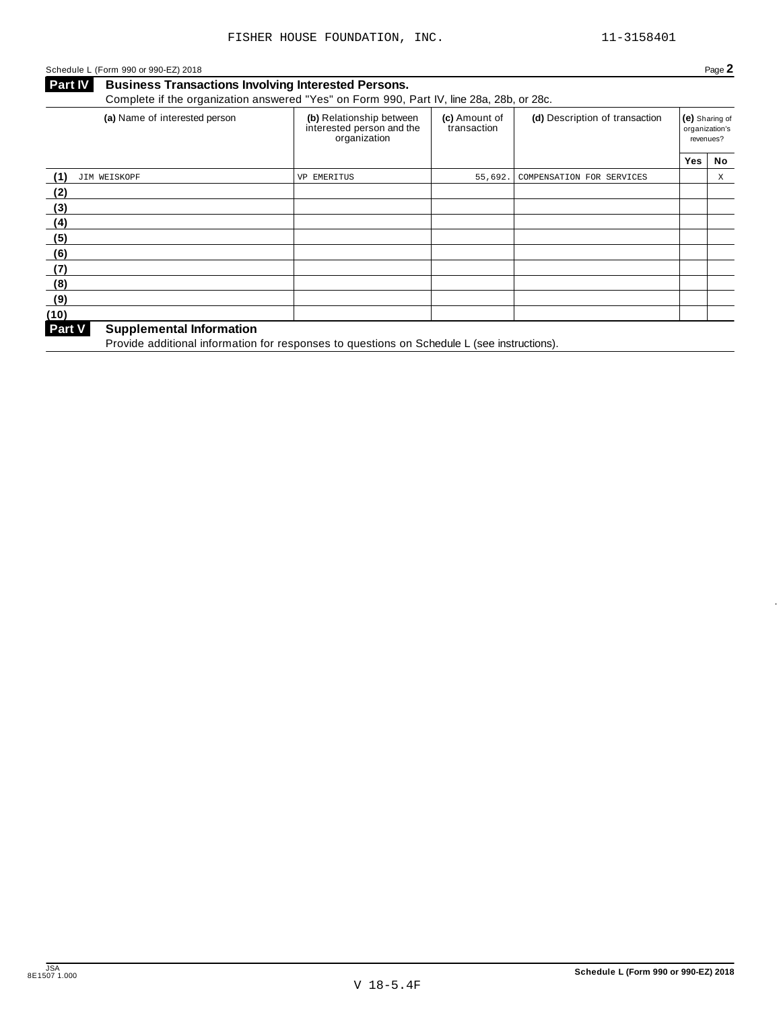### Schedule <sup>L</sup> (Form <sup>990</sup> or 990-EZ) <sup>2018</sup> Page **2**

**Business Transactions Involving Interested Persons. Part IV** Business Transactions Involving Interested Persons.<br>Complete if the organization answered "Yes" on Form 990, Part IV, line 28a, 28b, or 28c.

| (a) Name of interested person                    | (b) Relationship between<br>interested person and the<br>organization | (c) Amount of<br>transaction | (d) Description of transaction | (e) Sharing of<br>revenues? | organization's |
|--------------------------------------------------|-----------------------------------------------------------------------|------------------------------|--------------------------------|-----------------------------|----------------|
|                                                  |                                                                       |                              |                                | <b>Yes</b>                  | No             |
| JIM WEISKOPF<br>(1)                              | VP EMERITUS                                                           | 55,692.                      | COMPENSATION FOR SERVICES      |                             | Χ              |
| (2)                                              |                                                                       |                              |                                |                             |                |
| (3)                                              |                                                                       |                              |                                |                             |                |
| (4)                                              |                                                                       |                              |                                |                             |                |
| (5)                                              |                                                                       |                              |                                |                             |                |
| (6)                                              |                                                                       |                              |                                |                             |                |
| (7)                                              |                                                                       |                              |                                |                             |                |
| (8)                                              |                                                                       |                              |                                |                             |                |
| (9)                                              |                                                                       |                              |                                |                             |                |
| (10)                                             |                                                                       |                              |                                |                             |                |
| <b>Part V</b><br><b>Supplemental Information</b> |                                                                       |                              |                                |                             |                |

**Provide additional information**<br>Provide additional information for responses to questions on Schedule L (see instructions).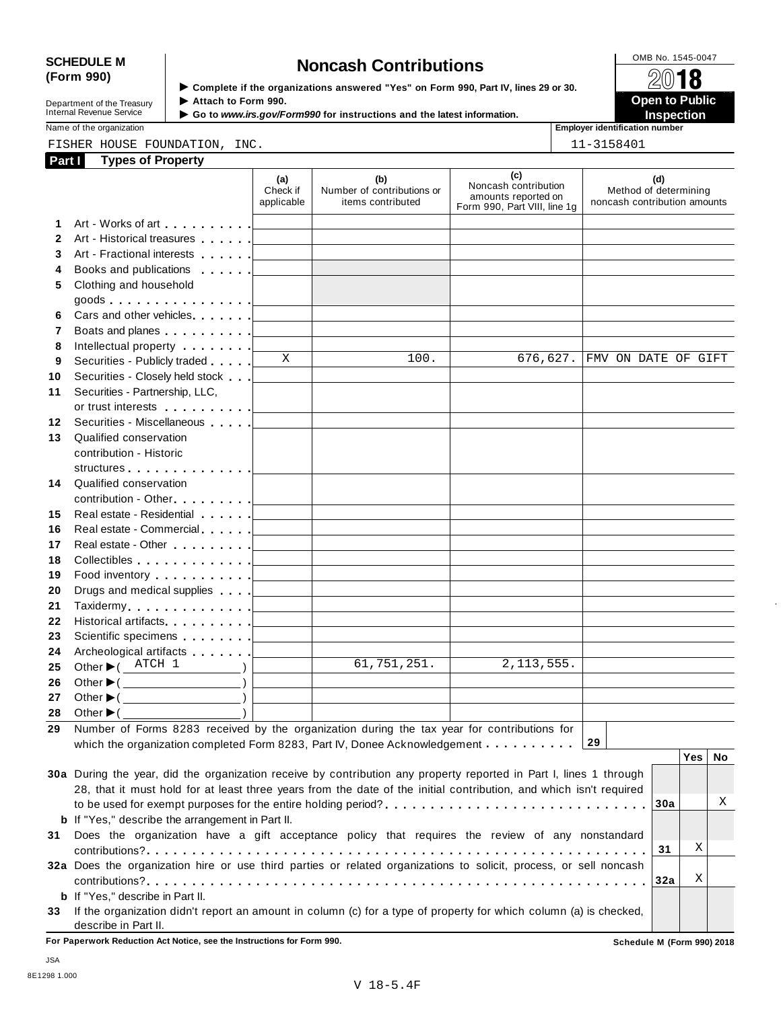# SCHEDULE M<br>
(Form 990) **Schedule Moncash Contributions**<br>  $\begin{array}{r} \hline \text{OMB No. 1545-0047} \\ \hline \end{array}$

| Department of the Treasury |
|----------------------------|
|                            |
| Internal Revenue Service   |
|                            |

**Examplete** if the organizations answered "Yes" on Form 990, Part IV, lines 29 or 30. △<del>Ⅳ</del><br>▶ Attach to Form 990.  $\blacktriangleright$  Attach to Form 990. **Department of the Treasury ▶ Attach to Form 990.**<br>Internal Revenue Service ▶ Go to *www.irs.gov/Form990* for instructions and the latest information.<br>Nome of the organization aumhor

Name of the organization **intervalse of the organization intervalse of the organization intervalse of the organization intervalse of the organization intervalse of the organization intervalse of the organization** 

FISHER HOUSE FOUNDATION, INC. 11-3158401

| Part I   | <b>Types of Property</b>                                                                                                                                                                                                           |                               |                                                                            |                                                                                    |                                                              |
|----------|------------------------------------------------------------------------------------------------------------------------------------------------------------------------------------------------------------------------------------|-------------------------------|----------------------------------------------------------------------------|------------------------------------------------------------------------------------|--------------------------------------------------------------|
|          |                                                                                                                                                                                                                                    | (a)<br>Check if<br>applicable | (b)<br>Number of contributions or<br>items contributed                     | (c)<br>Noncash contribution<br>amounts reported on<br>Form 990, Part VIII, line 1g | (d)<br>Method of determining<br>noncash contribution amounts |
| 1.       |                                                                                                                                                                                                                                    |                               |                                                                            |                                                                                    |                                                              |
| 2        | Art - Historical treasures                                                                                                                                                                                                         |                               |                                                                            |                                                                                    |                                                              |
| 3        |                                                                                                                                                                                                                                    |                               |                                                                            |                                                                                    |                                                              |
| 4        | Books and publications <b>Exercise 1</b>                                                                                                                                                                                           |                               |                                                                            |                                                                                    |                                                              |
| 5        | Clothing and household                                                                                                                                                                                                             |                               |                                                                            |                                                                                    |                                                              |
|          | goods <u> ________</u>                                                                                                                                                                                                             |                               |                                                                            |                                                                                    |                                                              |
| 6        | Cars and other vehicles <b>Cars</b>                                                                                                                                                                                                |                               |                                                                            |                                                                                    |                                                              |
| 7        | Boats and planes <b>Example 20</b> is a set of the set of the set of the set of the set of the set of the set of the set of the set of the set of the set of the set of the set of the set of the set of the set of the set of the |                               | the control of the control of the control of the control of the control of |                                                                                    |                                                              |
| 8        | Intellectual property   ________                                                                                                                                                                                                   |                               |                                                                            |                                                                                    |                                                              |
| 9        | Securities - Publicly traded                                                                                                                                                                                                       | X                             | 100.                                                                       | 676,627.                                                                           | FMV ON DATE OF GIFT                                          |
| 10       |                                                                                                                                                                                                                                    |                               |                                                                            |                                                                                    |                                                              |
| 11       | Securities - Partnership, LLC,                                                                                                                                                                                                     |                               |                                                                            |                                                                                    |                                                              |
|          | or trust interests in the state of the state of the state of the state of the state of the state of the state o                                                                                                                    |                               |                                                                            |                                                                                    |                                                              |
| 12       | Securities - Miscellaneous                                                                                                                                                                                                         |                               |                                                                            |                                                                                    |                                                              |
| 13       | Qualified conservation                                                                                                                                                                                                             |                               |                                                                            |                                                                                    |                                                              |
|          | contribution - Historic                                                                                                                                                                                                            |                               |                                                                            |                                                                                    |                                                              |
|          |                                                                                                                                                                                                                                    |                               |                                                                            |                                                                                    |                                                              |
| 14       | Qualified conservation                                                                                                                                                                                                             |                               |                                                                            |                                                                                    |                                                              |
|          | contribution - Other [19] Dental Property of Law Property 2014                                                                                                                                                                     |                               | the control of the control of the control of the control of the control of |                                                                                    |                                                              |
| 15       |                                                                                                                                                                                                                                    |                               |                                                                            |                                                                                    |                                                              |
| 16       |                                                                                                                                                                                                                                    |                               | the control of the control of the control of the control of the control of |                                                                                    |                                                              |
| 17       | Real estate - Other <b>Calculate - Other</b>                                                                                                                                                                                       |                               |                                                                            |                                                                                    |                                                              |
| 18       | Collectibles entertainment and the collectibles                                                                                                                                                                                    |                               | the control of the control of the control of the control of the control of |                                                                                    |                                                              |
| 19       | Food inventory entering the state of the state of the state of the state of the state of the state of the state of the state of the state of the state of the state of the state of the state of the state of the state of the     |                               | the control of the control of the control of the control of the control of |                                                                                    |                                                              |
| 20<br>21 | Drugs and medical supplies <b>Fig. 1.1 Contains and September</b>                                                                                                                                                                  |                               | the control of the control of the control of the control of the control of |                                                                                    |                                                              |
| 22       | Historical artifacts [19] Nistorical artifacts                                                                                                                                                                                     |                               | <u> 1989 - Johann Barn, amerikansk politiker (</u>                         |                                                                                    |                                                              |
| 23       |                                                                                                                                                                                                                                    |                               | the control of the control of the control of the control of the control of |                                                                                    |                                                              |
| 24       |                                                                                                                                                                                                                                    |                               | the control of the control of the control of the control of the control of |                                                                                    |                                                              |
| 25       | Other $\blacktriangleright$ ( $\frac{\text{ATCH}}{1}$<br>$\overline{\phantom{a}}$                                                                                                                                                  |                               | 61,751,251.                                                                | 2,113,555.                                                                         |                                                              |
| 26       | Other $\blacktriangleright$ ( $\qquad \qquad$                                                                                                                                                                                      |                               |                                                                            |                                                                                    |                                                              |
| 27       | Other $\blacktriangleright$ ( $\qquad$                                                                                                                                                                                             |                               |                                                                            |                                                                                    |                                                              |
| 28       | Other $\blacktriangleright$ ( $\_\_\_\_\_\_\_\_\_$ )                                                                                                                                                                               |                               |                                                                            |                                                                                    |                                                              |
| 29       | Number of Forms 8283 received by the organization during the tax year for contributions for                                                                                                                                        |                               |                                                                            |                                                                                    |                                                              |
|          | which the organization completed Form 8283, Part IV, Donee Acknowledgement                                                                                                                                                         |                               |                                                                            |                                                                                    | 29                                                           |
|          |                                                                                                                                                                                                                                    |                               |                                                                            |                                                                                    | Yes  <br>No                                                  |
|          | 30a During the year, did the organization receive by contribution any property reported in Part I, lines 1 through                                                                                                                 |                               |                                                                            |                                                                                    |                                                              |
|          | 28, that it must hold for at least three years from the date of the initial contribution, and which isn't required                                                                                                                 |                               |                                                                            |                                                                                    |                                                              |
|          |                                                                                                                                                                                                                                    |                               |                                                                            |                                                                                    | Χ<br>30a                                                     |
|          | <b>b</b> If "Yes," describe the arrangement in Part II.                                                                                                                                                                            |                               |                                                                            |                                                                                    |                                                              |
| 31       | Does the organization have a gift acceptance policy that requires the review of any nonstandard                                                                                                                                    |                               |                                                                            |                                                                                    |                                                              |
|          |                                                                                                                                                                                                                                    |                               |                                                                            |                                                                                    | Χ<br>31                                                      |
|          | 32a Does the organization hire or use third parties or related organizations to solicit, process, or sell noncash                                                                                                                  |                               |                                                                            |                                                                                    |                                                              |
|          |                                                                                                                                                                                                                                    |                               |                                                                            |                                                                                    | Χ<br>32a                                                     |
|          | <b>b</b> If "Yes," describe in Part II.                                                                                                                                                                                            |                               |                                                                            |                                                                                    |                                                              |
| 33       | If the organization didn't report an amount in column (c) for a type of property for which column (a) is checked,<br>describe in Part II.                                                                                          |                               |                                                                            |                                                                                    |                                                              |

**For Paperwork Reduction Act Notice, see the Instructions for Form 990. Schedule M (Form 990) 2018**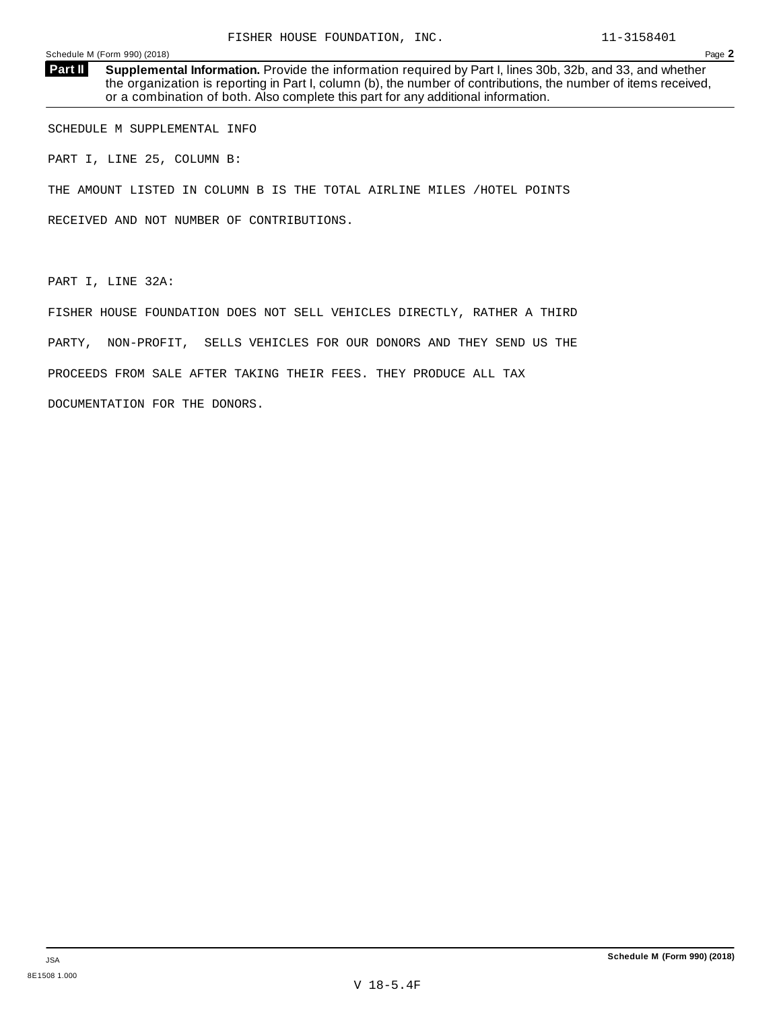**Supplemental Information.** Provide the information required by Part I, lines 30b, 32b, and 33, and whether the organization is reporting in Part I, column (b), the number of contributions, the number of items received, or a combination of both. Also complete this part for any additional information. **Part II**

SCHEDULE M SUPPLEMENTAL INFO

PART I, LINE 25, COLUMN B:

THE AMOUNT LISTED IN COLUMN B IS THE TOTAL AIRLINE MILES /HOTEL POINTS

RECEIVED AND NOT NUMBER OF CONTRIBUTIONS.

PART I, LINE 32A:

FISHER HOUSE FOUNDATION DOES NOT SELL VEHICLES DIRECTLY, RATHER A THIRD PARTY, NON-PROFIT, SELLS VEHICLES FOR OUR DONORS AND THEY SEND US THE PROCEEDS FROM SALE AFTER TAKING THEIR FEES. THEY PRODUCE ALL TAX DOCUMENTATION FOR THE DONORS.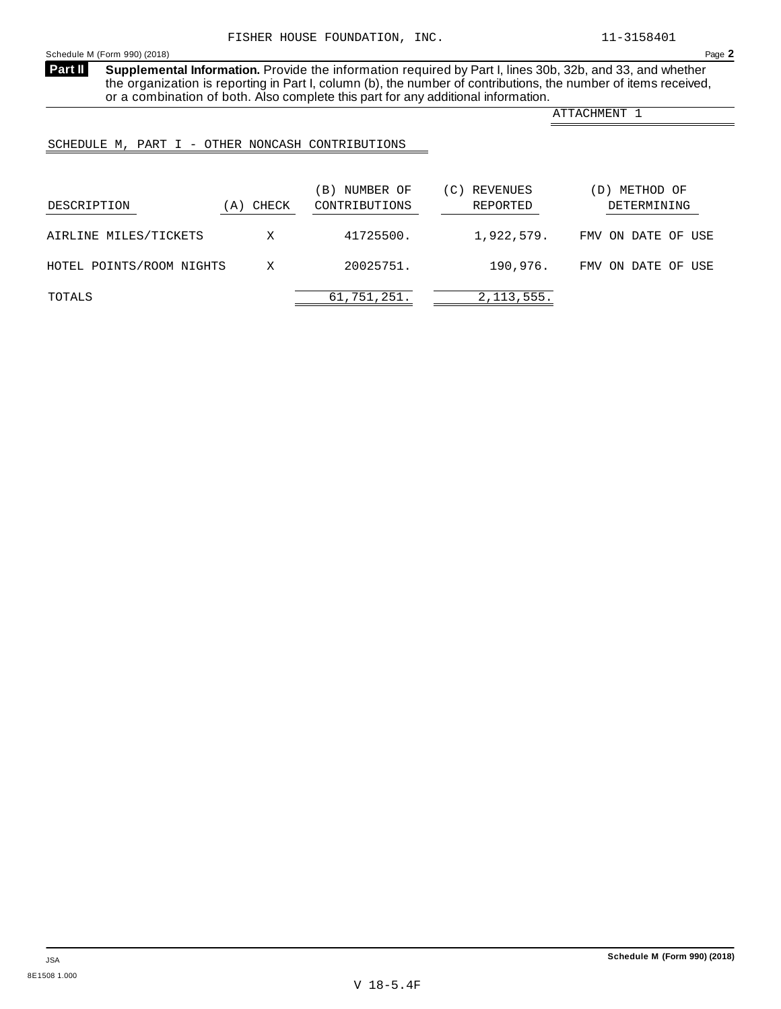**Supplemental Information.** Provide the information required by Part I, lines 30b, 32b, and 33, and whether the organization is reporting in Part I, column (b), the number of contributions, the number of items received, or a combination of both. Also complete this part for any additional information. **Part II**

ATTACHMENT 1

# SCHEDULE M, PART I - OTHER NONCASH CONTRIBUTIONS

| DESCRIPTION              | (A) CHECK | NUMBER OF<br>$\vert B \vert$<br>CONTRIBUTIONS | REVENUES<br>(C)<br>REPORTED | METHOD OF<br>$\mathbf{D}$<br>DETERMINING |
|--------------------------|-----------|-----------------------------------------------|-----------------------------|------------------------------------------|
| AIRLINE MILES/TICKETS    | X         | 41725500.                                     | 1,922,579.                  | FMV ON DATE OF USE                       |
| HOTEL POINTS/ROOM NIGHTS | X         | 20025751.                                     | 190,976.                    | FMV ON DATE OF USE                       |
| TOTALS                   |           | 61,751,251.                                   | 2, 113, 555.                |                                          |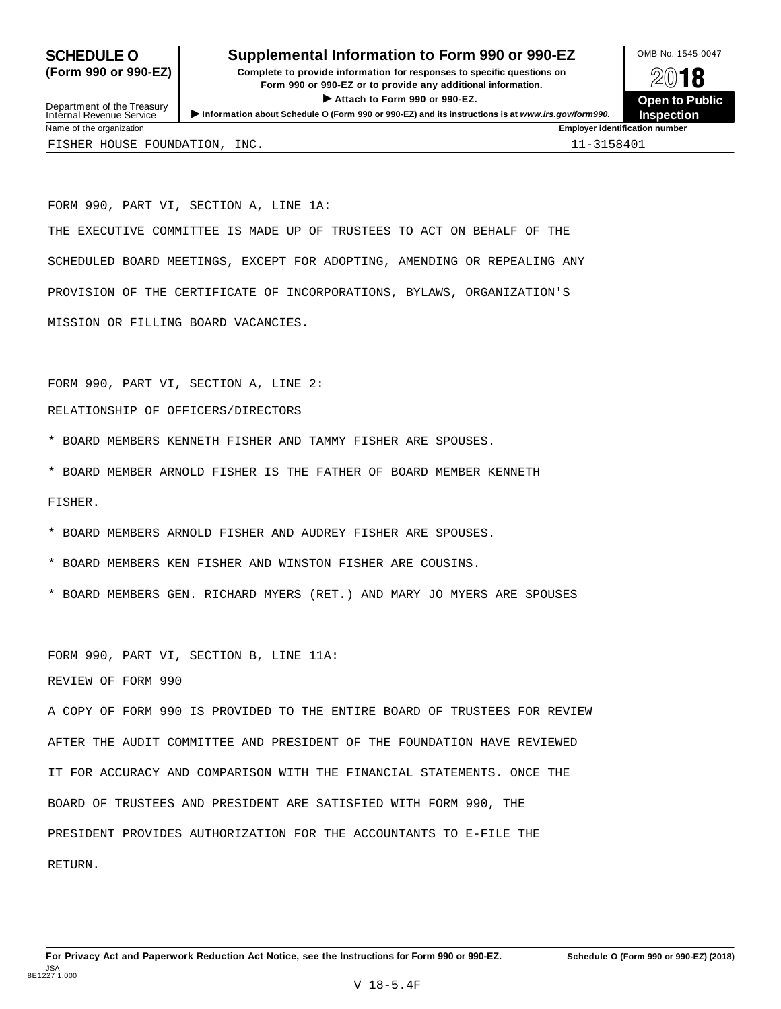# **SCHEDULE O** Supplemental Information to Form 990 or 990-EZ DMB No. 1545-0047

**(Form 990 or 990-EZ) Complete to provide information for responses to specific questions on** plete to provide information for responses to specific questions on  $\mathbb{Z}^{0}$  **18 EV I O**<br>
■ Attach to Form 990 or 990-EZ. Depen to Public<br>
■ Public Public Public



Department of the Treasury<br>Internal Revenue Service Department of the Treasury <br>Depen to Public<br>Name of the organization<br>Name of the organization<br>Name of the organization<br>Name of the organization<br>Inspection FISHER HOUSE FOUNDATION, INC.  $|11-3158401$ 

FORM 990, PART VI, SECTION A, LINE 1A: THE EXECUTIVE COMMITTEE IS MADE UP OF TRUSTEES TO ACT ON BEHALF OF THE SCHEDULED BOARD MEETINGS, EXCEPT FOR ADOPTING, AMENDING OR REPEALING ANY PROVISION OF THE CERTIFICATE OF INCORPORATIONS, BYLAWS, ORGANIZATION'S MISSION OR FILLING BOARD VACANCIES.

FORM 990, PART VI, SECTION A, LINE 2:

## RELATIONSHIP OF OFFICERS/DIRECTORS

- \* BOARD MEMBERS KENNETH FISHER AND TAMMY FISHER ARE SPOUSES.
- \* BOARD MEMBER ARNOLD FISHER IS THE FATHER OF BOARD MEMBER KENNETH

FISHER.

- \* BOARD MEMBERS ARNOLD FISHER AND AUDREY FISHER ARE SPOUSES.
- \* BOARD MEMBERS KEN FISHER AND WINSTON FISHER ARE COUSINS.
- \* BOARD MEMBERS GEN. RICHARD MYERS (RET.) AND MARY JO MYERS ARE SPOUSES

FORM 990, PART VI, SECTION B, LINE 11A:

REVIEW OF FORM 990

A COPY OF FORM 990 IS PROVIDED TO THE ENTIRE BOARD OF TRUSTEES FOR REVIEW AFTER THE AUDIT COMMITTEE AND PRESIDENT OF THE FOUNDATION HAVE REVIEWED IT FOR ACCURACY AND COMPARISON WITH THE FINANCIAL STATEMENTS. ONCE THE BOARD OF TRUSTEES AND PRESIDENT ARE SATISFIED WITH FORM 990, THE PRESIDENT PROVIDES AUTHORIZATION FOR THE ACCOUNTANTS TO E-FILE THE RETURN.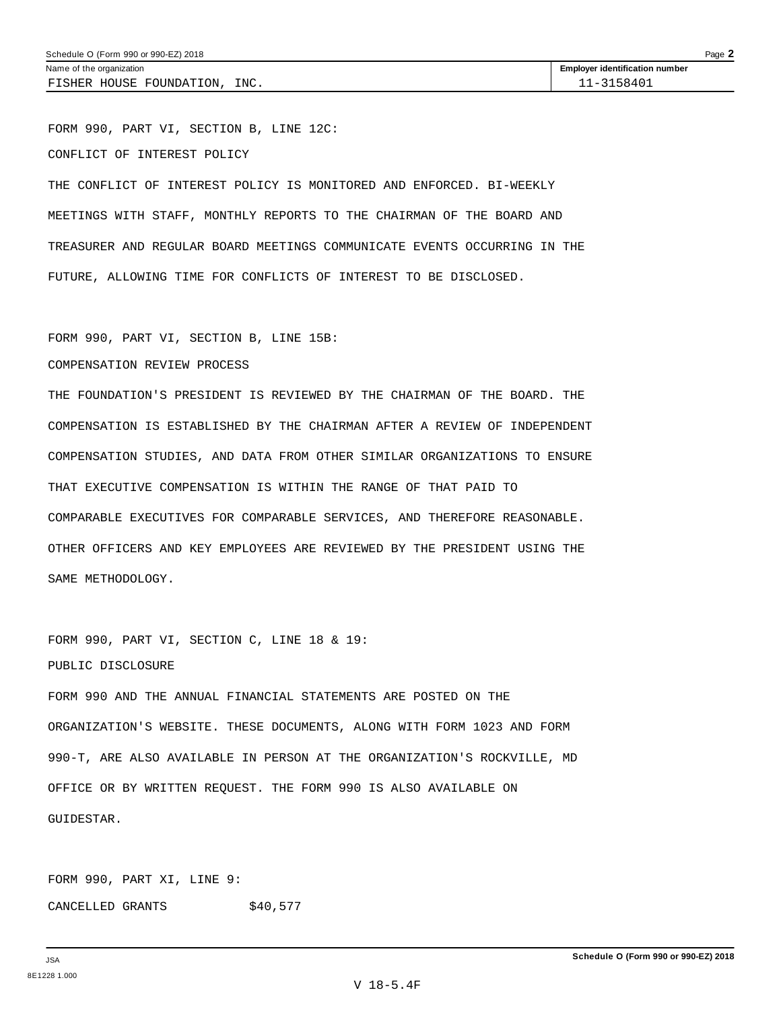FISHER HOUSE FOUNDATION, INC.  $\vert$  11-3158401

FORM 990, PART VI, SECTION B, LINE 12C: CONFLICT OF INTEREST POLICY

THE CONFLICT OF INTEREST POLICY IS MONITORED AND ENFORCED. BI-WEEKLY MEETINGS WITH STAFF, MONTHLY REPORTS TO THE CHAIRMAN OF THE BOARD AND TREASURER AND REGULAR BOARD MEETINGS COMMUNICATE EVENTS OCCURRING IN THE FUTURE, ALLOWING TIME FOR CONFLICTS OF INTEREST TO BE DISCLOSED.

FORM 990, PART VI, SECTION B, LINE 15B:

COMPENSATION REVIEW PROCESS

THE FOUNDATION'S PRESIDENT IS REVIEWED BY THE CHAIRMAN OF THE BOARD. THE COMPENSATION IS ESTABLISHED BY THE CHAIRMAN AFTER A REVIEW OF INDEPENDENT COMPENSATION STUDIES, AND DATA FROM OTHER SIMILAR ORGANIZATIONS TO ENSURE THAT EXECUTIVE COMPENSATION IS WITHIN THE RANGE OF THAT PAID TO COMPARABLE EXECUTIVES FOR COMPARABLE SERVICES, AND THEREFORE REASONABLE. OTHER OFFICERS AND KEY EMPLOYEES ARE REVIEWED BY THE PRESIDENT USING THE SAME METHODOLOGY.

FORM 990, PART VI, SECTION C, LINE 18 & 19: PUBLIC DISCLOSURE

FORM 990 AND THE ANNUAL FINANCIAL STATEMENTS ARE POSTED ON THE ORGANIZATION'S WEBSITE. THESE DOCUMENTS, ALONG WITH FORM 1023 AND FORM 990-T, ARE ALSO AVAILABLE IN PERSON AT THE ORGANIZATION'S ROCKVILLE, MD OFFICE OR BY WRITTEN REQUEST. THE FORM 990 IS ALSO AVAILABLE ON GUIDESTAR.

FORM 990, PART XI, LINE 9: CANCELLED GRANTS \$40,577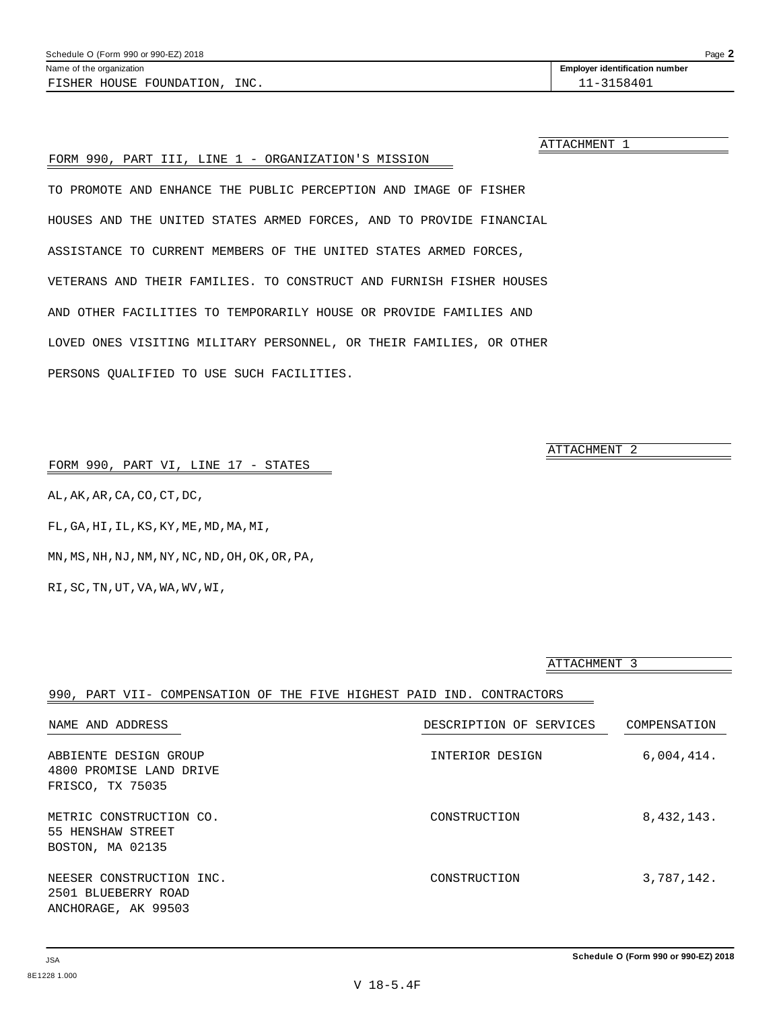**Schedule O (Form 990 or 990-EZ) 2018**

990, PART VII- COMPENSATION OF THE FIVE HIGHEST PAID IND. CONTRACTORS NAME AND ADDRESS DESCRIPTION OF SERVICES COMPENSATION

4800 PROMISE LAND DRIVE FRISCO, TX 75035

METRIC CONSTRUCTION CO.  $\sim$  construction  $\sim$  8,432,143. 55 HENSHAW STREET BOSTON, MA 02135

NEESER CONSTRUCTION INC.  $\sim$  CONSTRUCTION 3,787,142. 2501 BLUEBERRY ROAD ANCHORAGE, AK 99503

ABBIENTE DESIGN GROUP **INTERIOR DESIGN** 6,004,414.

RI,SC,TN,UT,VA,WA,WV,WI,

|  |  |  |  |  |  |  | FORM 990, PART VI, LINE 17 - STATES |
|--|--|--|--|--|--|--|-------------------------------------|
|--|--|--|--|--|--|--|-------------------------------------|

AL,AK,AR,CA,CO,CT,DC,

FL,GA,HI,IL,KS,KY,ME,MD,MA,MI,

MN,MS,NH,NJ,NM,NY,NC,ND,OH,OK,OR,PA,

ATTACHMENT 1

# FORM 990, PART III, LINE 1 - ORGANIZATION'S MISSION

TO PROMOTE AND ENHANCE THE PUBLIC PERCEPTION AND IMAGE OF FISHER HOUSES AND THE UNITED STATES ARMED FORCES, AND TO PROVIDE FINANCIAL ASSISTANCE TO CURRENT MEMBERS OF THE UNITED STATES ARMED FORCES, VETERANS AND THEIR FAMILIES. TO CONSTRUCT AND FURNISH FISHER HOUSES AND OTHER FACILITIES TO TEMPORARILY HOUSE OR PROVIDE FAMILIES AND LOVED ONES VISITING MILITARY PERSONNEL, OR THEIR FAMILIES, OR OTHER PERSONS QUALIFIED TO USE SUCH FACILITIES.

ATTACHMENT 2

ATTACHMENT 3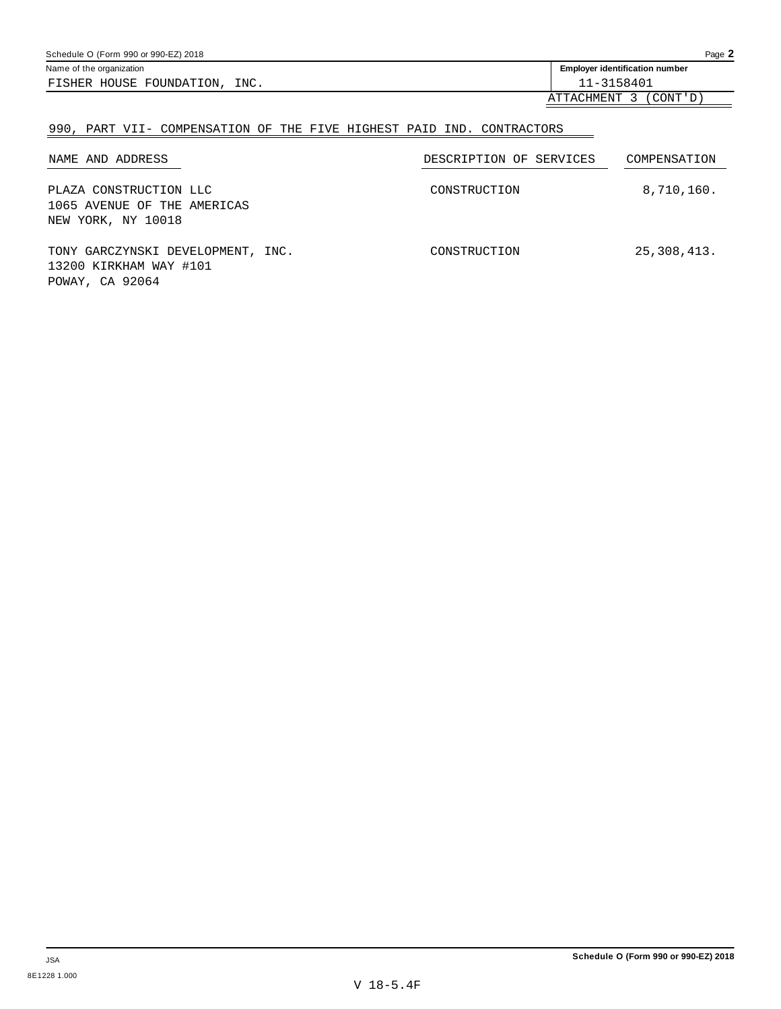| Schedule O (Form 990 or 990-EZ) 2018 |                                                                           | Page $\blacktriangle$ |
|--------------------------------------|---------------------------------------------------------------------------|-----------------------|
| Name of the organization             | <b>Employer identification number</b>                                     |                       |
| INC.<br>FISHER HOUSE FOUNDATION,     | 11-3158401                                                                |                       |
|                                      | $\sim$<br>$\sim$ $\sim$ $\sim$ $\sim$ $\sim$ $\sim$<br>, mm , otti contro |                       |

ATTACHMENT 3 (CONT'D)

# 990, PART VII- COMPENSATION OF THE FIVE HIGHEST PAID IND. CONTRACTORS

| NAME AND ADDRESS                                                               | DESCRIPTION OF SERVICES | COMPENSATION |
|--------------------------------------------------------------------------------|-------------------------|--------------|
| PLAZA CONSTRUCTION LLC<br>1065 AVENUE OF THE AMERICAS<br>NEW YORK, NY 10018    | CONSTRUCTION            | 8,710,160.   |
| TONY GARCZYNSKI DEVELOPMENT, INC.<br>13200 KIRKHAM WAY #101<br>POWAY, CA 92064 | CONSTRUCTION            | 25,308,413.  |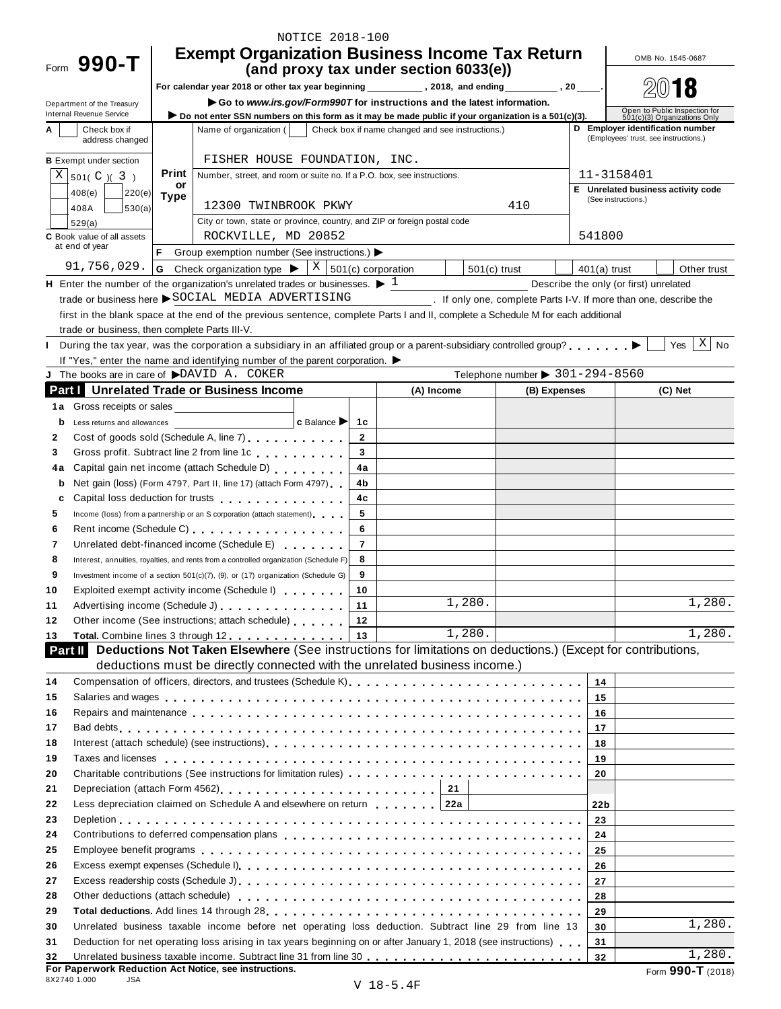|                                               |             | NOTICE 2018-100                                                                                                                                                                                                                |                |                                                                   |                                                |                 |                                                                           |
|-----------------------------------------------|-------------|--------------------------------------------------------------------------------------------------------------------------------------------------------------------------------------------------------------------------------|----------------|-------------------------------------------------------------------|------------------------------------------------|-----------------|---------------------------------------------------------------------------|
|                                               |             | <b>Exempt Organization Business Income Tax Return</b>                                                                                                                                                                          |                |                                                                   |                                                |                 | OMB No. 1545-0687                                                         |
| Form 990-T                                    |             |                                                                                                                                                                                                                                |                | (and proxy tax under section 6033(e))                             |                                                |                 |                                                                           |
|                                               |             |                                                                                                                                                                                                                                |                |                                                                   |                                                |                 |                                                                           |
| Department of the Treasury                    |             | Go to www.irs.gov/Form990T for instructions and the latest information.                                                                                                                                                        |                |                                                                   |                                                |                 |                                                                           |
| Internal Revenue Service                      |             | Do not enter SSN numbers on this form as it may be made public if your organization is a 501(c)(3).                                                                                                                            |                |                                                                   |                                                |                 | Open to Public Inspection for<br>501(c)(3) Organizations Only             |
| Check box if<br>address changed               |             | Name of organization (                                                                                                                                                                                                         |                | Check box if name changed and see instructions.)                  |                                                |                 | D Employer identification number<br>(Employees' trust, see instructions.) |
|                                               |             | FISHER HOUSE FOUNDATION, INC.                                                                                                                                                                                                  |                |                                                                   |                                                |                 |                                                                           |
| <b>B</b> Exempt under section                 |             |                                                                                                                                                                                                                                |                |                                                                   |                                                |                 |                                                                           |
| $X \mid 501(C) (3)$                           | Print<br>or | Number, street, and room or suite no. If a P.O. box, see instructions.                                                                                                                                                         |                |                                                                   |                                                |                 | 11-3158401                                                                |
| 408(e)<br>220(e)                              | <b>Type</b> |                                                                                                                                                                                                                                |                |                                                                   |                                                |                 | E Unrelated business activity code<br>(See instructions.)                 |
| 408A<br>530(a)                                |             | 12300 TWINBROOK PKWY<br>City or town, state or province, country, and ZIP or foreign postal code                                                                                                                               |                |                                                                   | 410                                            |                 |                                                                           |
| 529(a)<br><b>C</b> Book value of all assets   |             | ROCKVILLE, MD 20852                                                                                                                                                                                                            |                |                                                                   |                                                | 541800          |                                                                           |
| at end of year                                | F.          | Group exemption number (See instructions.)                                                                                                                                                                                     |                |                                                                   |                                                |                 |                                                                           |
| 91,756,029.                                   |             | <b>G</b> Check organization type $\triangleright$ $\mid$ X $\mid$ 501(c) corporation                                                                                                                                           |                | $501(c)$ trust                                                    |                                                | $401(a)$ trust  | Other trust                                                               |
|                                               |             | H Enter the number of the organization's unrelated trades or businesses. $\blacktriangleright$ 1                                                                                                                               |                |                                                                   |                                                |                 | Describe the only (or first) unrelated                                    |
|                                               |             | trade or business here SOCIAL MEDIA ADVERTISING                                                                                                                                                                                |                | . If only one, complete Parts I-V. If more than one, describe the |                                                |                 |                                                                           |
|                                               |             | first in the blank space at the end of the previous sentence, complete Parts I and II, complete a Schedule M for each additional                                                                                               |                |                                                                   |                                                |                 |                                                                           |
| trade or business, then complete Parts III-V. |             |                                                                                                                                                                                                                                |                |                                                                   |                                                |                 |                                                                           |
|                                               |             | During the tax year, was the corporation a subsidiary in an affiliated group or a parent-subsidiary controlled group?                                                                                                          |                |                                                                   |                                                |                 | $X \mid No$<br>Yes                                                        |
|                                               |             | If "Yes," enter the name and identifying number of the parent corporation.                                                                                                                                                     |                |                                                                   |                                                |                 |                                                                           |
| J The books are in care of DAVID A. COKER     |             |                                                                                                                                                                                                                                |                |                                                                   | Telephone number $\triangleright$ 301-294-8560 |                 |                                                                           |
|                                               |             | <b>Part   Unrelated Trade or Business Income</b>                                                                                                                                                                               |                | (A) Income                                                        | (B) Expenses                                   |                 | (C) Net                                                                   |
| 1a Gross receipts or sales                    |             |                                                                                                                                                                                                                                |                |                                                                   |                                                |                 |                                                                           |
| b<br>Less returns and allowances              |             | $ c$ Balance $ c $                                                                                                                                                                                                             | 1c             |                                                                   |                                                |                 |                                                                           |
| $\mathbf{2}$                                  |             | Cost of goods sold (Schedule A, line 7) cost of goods sold (Schedule A, line 7)                                                                                                                                                | $\mathbf{2}$   |                                                                   |                                                |                 |                                                                           |
| 3                                             |             | Gross profit. Subtract line 2 from line 1c                                                                                                                                                                                     | 3              |                                                                   |                                                |                 |                                                                           |
| 4a                                            |             | Capital gain net income (attach Schedule D)                                                                                                                                                                                    | 4a             |                                                                   |                                                |                 |                                                                           |
| b                                             |             | Net gain (loss) (Form 4797, Part II, line 17) (attach Form 4797)                                                                                                                                                               | 4b             |                                                                   |                                                |                 |                                                                           |
| c                                             |             | Capital loss deduction for trusts experience and the capital loss deduction for trusts                                                                                                                                         | 4c             |                                                                   |                                                |                 |                                                                           |
| 5                                             |             | Income (loss) from a partnership or an S corporation (attach statement)                                                                                                                                                        | 5              |                                                                   |                                                |                 |                                                                           |
| 6                                             |             | Rent income (Schedule C) experience in the set of the set of the set of the set of the set of the set of the set of the set of the set of the set of the set of the set of the set of the set of the set of the set of the set | 6              |                                                                   |                                                |                 |                                                                           |
| 7                                             |             | Unrelated debt-financed income (Schedule E)                                                                                                                                                                                    | $\overline{7}$ |                                                                   |                                                |                 |                                                                           |
| 8                                             |             | Interest, annuities, royalties, and rents from a controlled organization (Schedule F)                                                                                                                                          | 8              |                                                                   |                                                |                 |                                                                           |
| 9                                             |             | Investment income of a section 501(c)(7), (9), or (17) organization (Schedule G)                                                                                                                                               | 9              |                                                                   |                                                |                 |                                                                           |
| 10                                            |             | Exploited exempt activity income (Schedule I) exploited exempt activity income (Schedule I)<br>Advertising income (Schedule J) [10] Advertising income (Schedule J)                                                            | 10<br>11       | 1,280.                                                            |                                                |                 | 1,280.                                                                    |
| 11<br>12                                      |             | Other income (See instructions; attach schedule)                                                                                                                                                                               | $\sqrt{12}$    |                                                                   |                                                |                 |                                                                           |
| 13                                            |             | Total. Combine lines 3 through 12 13                                                                                                                                                                                           |                | 1,280.                                                            |                                                |                 | 1,280.                                                                    |
|                                               |             | <b>Part II</b> Deductions Not Taken Elsewhere (See instructions for limitations on deductions.) (Except for contributions,                                                                                                     |                |                                                                   |                                                |                 |                                                                           |
|                                               |             | deductions must be directly connected with the unrelated business income.)                                                                                                                                                     |                |                                                                   |                                                |                 |                                                                           |
| 14                                            |             | Compensation of officers, directors, and trustees (Schedule K).                                                                                                                                                                |                |                                                                   |                                                | 14              |                                                                           |
| 15                                            |             | Salaries and wages enterpreteration of the state of the state of the state of the state of the state of the state of the state of the state of the state of the state of the state of the state of the state of the state of t |                |                                                                   |                                                | 15              |                                                                           |
| 16                                            |             | Repairs and maintenance enterpreteration of the contract of the contract of the contract of the contract of the contract of the contract of the contract of the contract of the contract of the contract of the contract of th |                |                                                                   |                                                | 16              |                                                                           |
| 17                                            |             |                                                                                                                                                                                                                                |                |                                                                   |                                                | 17 <sup>2</sup> |                                                                           |
| 18                                            |             | Interest (attach schedule) (see instructions)<br>                                                                                                                                                                              |                |                                                                   |                                                | 18              |                                                                           |
| 19                                            |             |                                                                                                                                                                                                                                |                |                                                                   |                                                | 19              |                                                                           |
| 20                                            |             |                                                                                                                                                                                                                                |                |                                                                   |                                                | 20              |                                                                           |
| 21                                            |             | Depreciation (attach Form 4562) $\ldots \ldots \ldots \ldots \ldots \ldots \ldots \ldots$ 21                                                                                                                                   |                |                                                                   |                                                |                 |                                                                           |
| 22                                            |             | Less depreciation claimed on Schedule A and elsewhere on return 1.1.1.1 22a                                                                                                                                                    |                |                                                                   |                                                | 22 <sub>b</sub> |                                                                           |
| 23                                            |             |                                                                                                                                                                                                                                |                |                                                                   |                                                | 23              |                                                                           |
| 24                                            |             |                                                                                                                                                                                                                                |                |                                                                   |                                                | 24              |                                                                           |
| 25                                            |             |                                                                                                                                                                                                                                |                |                                                                   |                                                | 25              |                                                                           |
| 26                                            |             |                                                                                                                                                                                                                                |                |                                                                   |                                                | 26              |                                                                           |
| 27                                            |             |                                                                                                                                                                                                                                |                |                                                                   |                                                | 27              |                                                                           |
| 28                                            |             | Other deductions (attach schedule) enterpretation of the set of the schedule of the schedule of the schedule o                                                                                                                 |                |                                                                   |                                                | 28              |                                                                           |
| 29                                            |             |                                                                                                                                                                                                                                |                |                                                                   |                                                | 29              | 1,280.                                                                    |
| 30                                            |             | Unrelated business taxable income before net operating loss deduction. Subtract line 29 from line 13                                                                                                                           |                |                                                                   |                                                | 30              |                                                                           |
| 31                                            |             | Deduction for net operating loss arising in tax years beginning on or after January 1, 2018 (see instructions)                                                                                                                 |                |                                                                   |                                                | 31              | 1,280.                                                                    |
| 32                                            |             | For Paperwork Reduction Act Notice, see instructions.                                                                                                                                                                          |                |                                                                   |                                                | 32              | Form 990-T (2018)                                                         |
| 8X2740 1.000<br>JSA                           |             |                                                                                                                                                                                                                                |                | <b>TT 10 E 4 TH</b>                                               |                                                |                 |                                                                           |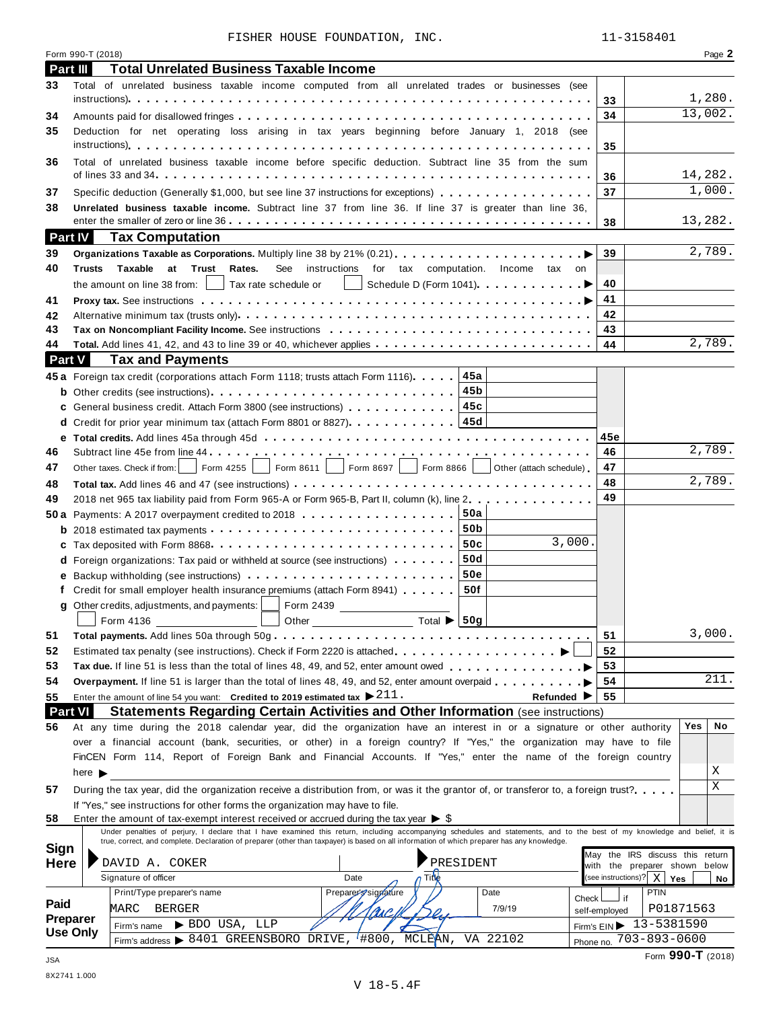|  | FISHER HOUSE FOUNDATION. | INC. |
|--|--------------------------|------|
|  |                          |      |

|                 | FISHER HOUSE FOUNDATION, INC.                                                                                                                                                                                                                                                                                             | 11-3158401                                       |                   |
|-----------------|---------------------------------------------------------------------------------------------------------------------------------------------------------------------------------------------------------------------------------------------------------------------------------------------------------------------------|--------------------------------------------------|-------------------|
|                 | Form 990-T (2018)                                                                                                                                                                                                                                                                                                         |                                                  | Page 2            |
| <b>Part III</b> | <b>Total Unrelated Business Taxable Income</b>                                                                                                                                                                                                                                                                            |                                                  |                   |
| 33              | Total of unrelated business taxable income computed from all unrelated trades or businesses (see                                                                                                                                                                                                                          |                                                  |                   |
|                 |                                                                                                                                                                                                                                                                                                                           | 33                                               | 1,280.            |
| 34              |                                                                                                                                                                                                                                                                                                                           | 34                                               | 13,002.           |
| 35              | Deduction for net operating loss arising in tax years beginning before January 1, 2018 (see                                                                                                                                                                                                                               |                                                  |                   |
|                 |                                                                                                                                                                                                                                                                                                                           | 35                                               |                   |
| 36              | Total of unrelated business taxable income before specific deduction. Subtract line 35 from the sum                                                                                                                                                                                                                       |                                                  |                   |
|                 |                                                                                                                                                                                                                                                                                                                           | 36                                               | 14,282.           |
| 37              | Specific deduction (Generally \$1,000, but see line 37 instructions for exceptions)                                                                                                                                                                                                                                       | 37                                               | 1,000.            |
| 38              | Unrelated business taxable income. Subtract line 37 from line 36. If line 37 is greater than line 36,                                                                                                                                                                                                                     |                                                  | 13,282.           |
| Part IV         |                                                                                                                                                                                                                                                                                                                           | 38                                               |                   |
| 39              | <b>Tax Computation</b>                                                                                                                                                                                                                                                                                                    | 39                                               | 2,789.            |
| 40              | <b>Trusts</b><br>Taxable<br>at Trust Rates.<br>See instructions for tax computation. Income tax on                                                                                                                                                                                                                        |                                                  |                   |
|                 | Tax rate schedule or<br>Schedule D (Form 1041) <b>All D</b><br>the amount on line 38 from:                                                                                                                                                                                                                                | 40                                               |                   |
| 41              |                                                                                                                                                                                                                                                                                                                           | 41                                               |                   |
| 42              |                                                                                                                                                                                                                                                                                                                           | 42                                               |                   |
| 43              |                                                                                                                                                                                                                                                                                                                           | 43                                               |                   |
| 44              |                                                                                                                                                                                                                                                                                                                           | 44                                               | 2,789.            |
| <b>Part V</b>   | <b>Tax and Payments</b>                                                                                                                                                                                                                                                                                                   |                                                  |                   |
|                 | 45a Foreign tax credit (corporations attach Form 1118; trusts attach Form 1116). 45a                                                                                                                                                                                                                                      |                                                  |                   |
|                 |                                                                                                                                                                                                                                                                                                                           |                                                  |                   |
|                 | c General business credit. Attach Form 3800 (see instructions) 15c                                                                                                                                                                                                                                                        |                                                  |                   |
|                 | d Credit for prior year minimum tax (attach Form 8801 or 8827). 45d                                                                                                                                                                                                                                                       |                                                  |                   |
|                 |                                                                                                                                                                                                                                                                                                                           | 45e                                              |                   |
| 46              |                                                                                                                                                                                                                                                                                                                           | 46                                               | 2,789.            |
| 47              | $\vert$ Form 4255 $\vert$ Form 8611 $\vert$ Form 8697 $\vert$ Form 8866 $\vert$ Other (attach schedule)<br>Other taxes. Check if from:                                                                                                                                                                                    | 47                                               |                   |
| 48              |                                                                                                                                                                                                                                                                                                                           | 48                                               | 2,789.            |
| 49              | 2018 net 965 tax liability paid from Form 965-A or Form 965-B, Part II, column (k), line 2                                                                                                                                                                                                                                | 49                                               |                   |
|                 | 50 a Payments: A 2017 overpayment credited to 2018 $\ldots$ 50a                                                                                                                                                                                                                                                           |                                                  |                   |
|                 |                                                                                                                                                                                                                                                                                                                           |                                                  |                   |
|                 | 3,000.                                                                                                                                                                                                                                                                                                                    |                                                  |                   |
|                 | 50d<br><b>d</b> Foreign organizations: Tax paid or withheld at source (see instructions) $\cdots$                                                                                                                                                                                                                         |                                                  |                   |
|                 | <b>50e</b><br>50f                                                                                                                                                                                                                                                                                                         |                                                  |                   |
|                 | f Credit for small employer health insurance premiums (attach Form 8941)                                                                                                                                                                                                                                                  |                                                  |                   |
|                 | g Other credits, adjustments, and payments:<br>Form 2439 _____________________<br>Form 4136 and the state of the state of the state of the state of the state of the state of the state of the s                                                                                                                          |                                                  |                   |
| 51              |                                                                                                                                                                                                                                                                                                                           | 51                                               | 3,000.            |
| 52              |                                                                                                                                                                                                                                                                                                                           | 52                                               |                   |
| 53              |                                                                                                                                                                                                                                                                                                                           | 53                                               |                   |
| 54              | Overpayment. If line 51 is larger than the total of lines 48, 49, and 52, enter amount overpaid $\dots \dots \dots$                                                                                                                                                                                                       | 54                                               | 211.              |
| 55              | Enter the amount of line 54 you want: Credited to 2019 estimated tax $\blacktriangleright$ 211.<br>Refunded $\blacktriangleright$                                                                                                                                                                                         | 55                                               |                   |
| <b>Part VI</b>  | Statements Regarding Certain Activities and Other Information (see instructions)                                                                                                                                                                                                                                          |                                                  |                   |
| 56              | At any time during the 2018 calendar year, did the organization have an interest in or a signature or other authority                                                                                                                                                                                                     |                                                  | No<br>Yes         |
|                 | over a financial account (bank, securities, or other) in a foreign country? If "Yes," the organization may have to file                                                                                                                                                                                                   |                                                  |                   |
|                 | FinCEN Form 114, Report of Foreign Bank and Financial Accounts. If "Yes," enter the name of the foreign country                                                                                                                                                                                                           |                                                  |                   |
|                 | here $\blacktriangleright$                                                                                                                                                                                                                                                                                                |                                                  | Χ                 |
| 57              | During the tax year, did the organization receive a distribution from, or was it the grantor of, or transferor to, a foreign trust?                                                                                                                                                                                       |                                                  | X                 |
|                 | If "Yes," see instructions for other forms the organization may have to file.                                                                                                                                                                                                                                             |                                                  |                   |
| 58              | Enter the amount of tax-exempt interest received or accrued during the tax year $\triangleright$ \$                                                                                                                                                                                                                       |                                                  |                   |
|                 | Under penalties of perjury, I declare that I have examined this return, including accompanying schedules and statements, and to the best of my knowledge and belief, it is<br>true, correct, and complete. Declaration of preparer (other than taxpayer) is based on all information of which preparer has any knowledge. |                                                  |                   |
| Sign            |                                                                                                                                                                                                                                                                                                                           | May the IRS discuss this return                  |                   |
| <b>Here</b>     | DAVID A. COKER<br>PRESIDENT<br>Title<br>Signature of officer<br>Date                                                                                                                                                                                                                                                      | with the preparer shown below                    |                   |
|                 | Preparer Signature<br>Print/Type preparer's name<br>Date                                                                                                                                                                                                                                                                  | (see instructions)? $X \mid Y$ es<br><b>PTIN</b> | No                |
| Paid            | Check l<br>7/9/19                                                                                                                                                                                                                                                                                                         | if                                               |                   |
| <b>Preparer</b> | MARC<br>BERGER<br>Ms C.<br>$\blacktriangleright$ BDO USA, LLP                                                                                                                                                                                                                                                             | self-employed<br>Firm's $EIN$ $13 - 5381590$     | P01871563         |
|                 | Firm's name<br>Use Only<br>Firm's address ▶ 8401 GREENSBORO DRIVE, '#800, MCLEAN,<br>VA 22102                                                                                                                                                                                                                             | Phone no. 703-893-0600                           |                   |
|                 |                                                                                                                                                                                                                                                                                                                           |                                                  | Form 990-T (2018) |
| <b>JSA</b>      |                                                                                                                                                                                                                                                                                                                           |                                                  |                   |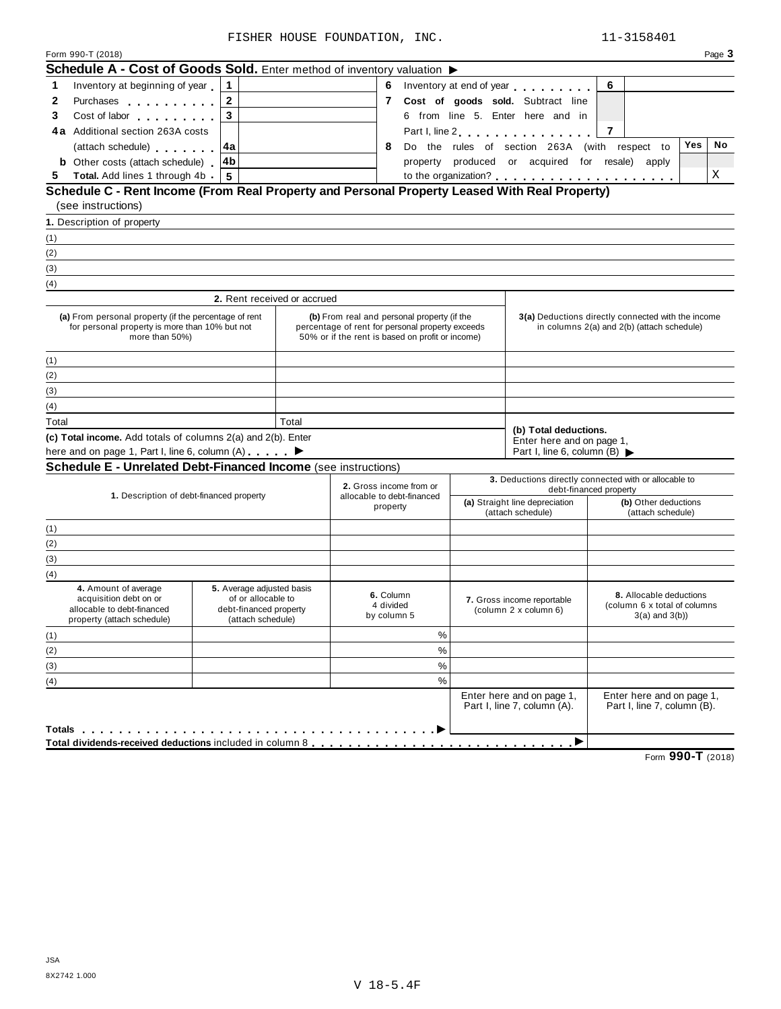| Schedule A - Cost of Goods Sold. Enter method of inventory valuation $\blacktriangleright$                                                                                                                                                   |                                             |       |                                                                                                      |      |  |                                                                                                  |                                                          |           |  |
|----------------------------------------------------------------------------------------------------------------------------------------------------------------------------------------------------------------------------------------------|---------------------------------------------|-------|------------------------------------------------------------------------------------------------------|------|--|--------------------------------------------------------------------------------------------------|----------------------------------------------------------|-----------|--|
| Inventory at beginning of year<br>1                                                                                                                                                                                                          | $\mathbf 1$                                 |       |                                                                                                      |      |  | 6 Inventory at end of year <b>contained 6</b> Inventory at end of year                           | 6                                                        |           |  |
| 2<br>Purchases <b>All According to the Contract of Table 19.</b>                                                                                                                                                                             | $\mathbf{2}$                                |       |                                                                                                      |      |  | 7 Cost of goods sold. Subtract line                                                              |                                                          |           |  |
| 3<br>Cost of labor the cost of labor                                                                                                                                                                                                         | $\overline{\mathbf{3}}$                     |       |                                                                                                      |      |  | 6 from line 5. Enter here and in                                                                 |                                                          |           |  |
| 4a Additional section 263A costs                                                                                                                                                                                                             |                                             |       |                                                                                                      |      |  | Part I, line 2                                                                                   | 7                                                        |           |  |
| (attach schedule) expansion of                                                                                                                                                                                                               | 4a                                          |       | 8                                                                                                    |      |  | Do the rules of section 263A (with respect to                                                    |                                                          | No<br>Yes |  |
| 4b<br><b>b</b> Other costs (attach schedule)                                                                                                                                                                                                 |                                             |       |                                                                                                      |      |  | property produced or acquired for resale) apply                                                  |                                                          |           |  |
| <b>Total.</b> Add lines 1 through 4b<br>5.                                                                                                                                                                                                   | 5                                           |       |                                                                                                      |      |  |                                                                                                  |                                                          | Χ         |  |
| Schedule C - Rent Income (From Real Property and Personal Property Leased With Real Property)                                                                                                                                                |                                             |       |                                                                                                      |      |  |                                                                                                  |                                                          |           |  |
| (see instructions)                                                                                                                                                                                                                           |                                             |       |                                                                                                      |      |  |                                                                                                  |                                                          |           |  |
| 1. Description of property                                                                                                                                                                                                                   |                                             |       |                                                                                                      |      |  |                                                                                                  |                                                          |           |  |
| (1)                                                                                                                                                                                                                                          |                                             |       |                                                                                                      |      |  |                                                                                                  |                                                          |           |  |
| (2)                                                                                                                                                                                                                                          |                                             |       |                                                                                                      |      |  |                                                                                                  |                                                          |           |  |
| (3)                                                                                                                                                                                                                                          |                                             |       |                                                                                                      |      |  |                                                                                                  |                                                          |           |  |
| (4)                                                                                                                                                                                                                                          |                                             |       |                                                                                                      |      |  |                                                                                                  |                                                          |           |  |
|                                                                                                                                                                                                                                              | 2. Rent received or accrued                 |       |                                                                                                      |      |  |                                                                                                  |                                                          |           |  |
| (a) From personal property (if the percentage of rent<br>for personal property is more than 10% but not                                                                                                                                      |                                             |       | (b) From real and personal property (if the                                                          |      |  | 3(a) Deductions directly connected with the income<br>in columns 2(a) and 2(b) (attach schedule) |                                                          |           |  |
| more than 50%)                                                                                                                                                                                                                               |                                             |       | percentage of rent for personal property exceeds<br>50% or if the rent is based on profit or income) |      |  |                                                                                                  |                                                          |           |  |
|                                                                                                                                                                                                                                              |                                             |       |                                                                                                      |      |  |                                                                                                  |                                                          |           |  |
| (1)<br>(2)                                                                                                                                                                                                                                   |                                             |       |                                                                                                      |      |  |                                                                                                  |                                                          |           |  |
|                                                                                                                                                                                                                                              |                                             |       |                                                                                                      |      |  |                                                                                                  |                                                          |           |  |
|                                                                                                                                                                                                                                              |                                             |       |                                                                                                      |      |  |                                                                                                  |                                                          |           |  |
|                                                                                                                                                                                                                                              |                                             |       |                                                                                                      |      |  |                                                                                                  |                                                          |           |  |
|                                                                                                                                                                                                                                              |                                             |       |                                                                                                      |      |  |                                                                                                  |                                                          |           |  |
|                                                                                                                                                                                                                                              |                                             | Total |                                                                                                      |      |  | (b) Total deductions.                                                                            |                                                          |           |  |
|                                                                                                                                                                                                                                              |                                             |       |                                                                                                      |      |  | Enter here and on page 1,                                                                        |                                                          |           |  |
|                                                                                                                                                                                                                                              |                                             |       |                                                                                                      |      |  | Part I, line 6, column (B)                                                                       |                                                          |           |  |
|                                                                                                                                                                                                                                              |                                             |       |                                                                                                      |      |  |                                                                                                  | 3. Deductions directly connected with or allocable to    |           |  |
| 1. Description of debt-financed property                                                                                                                                                                                                     |                                             |       | 2. Gross income from or<br>allocable to debt-financed                                                |      |  |                                                                                                  | debt-financed property                                   |           |  |
|                                                                                                                                                                                                                                              |                                             |       | property                                                                                             |      |  | (a) Straight line depreciation<br>(attach schedule)                                              | (b) Other deductions<br>(attach schedule)                |           |  |
|                                                                                                                                                                                                                                              |                                             |       |                                                                                                      |      |  |                                                                                                  |                                                          |           |  |
|                                                                                                                                                                                                                                              |                                             |       |                                                                                                      |      |  |                                                                                                  |                                                          |           |  |
|                                                                                                                                                                                                                                              |                                             |       |                                                                                                      |      |  |                                                                                                  |                                                          |           |  |
| (3)<br>(4)<br>Total<br>(c) Total income. Add totals of columns 2(a) and 2(b). Enter<br>here and on page 1, Part I, line 6, column (A) ▶<br><b>Schedule E - Unrelated Debt-Financed Income</b> (see instructions)<br>(1)<br>(2)<br>(3)<br>(4) |                                             |       |                                                                                                      |      |  |                                                                                                  |                                                          |           |  |
| 4. Amount of average                                                                                                                                                                                                                         | 5. Average adjusted basis                   |       |                                                                                                      |      |  |                                                                                                  |                                                          |           |  |
| acquisition debt on or                                                                                                                                                                                                                       | of or allocable to                          |       | 6. Column<br>4 divided                                                                               |      |  | 7. Gross income reportable                                                                       | 8. Allocable deductions<br>(column 6 x total of columns  |           |  |
| allocable to debt-financed<br>property (attach schedule)                                                                                                                                                                                     | debt-financed property<br>(attach schedule) |       | by column 5                                                                                          |      |  | (column 2 x column 6)                                                                            | $3(a)$ and $3(b)$ )                                      |           |  |
|                                                                                                                                                                                                                                              |                                             |       |                                                                                                      | %    |  |                                                                                                  |                                                          |           |  |
|                                                                                                                                                                                                                                              |                                             |       |                                                                                                      | $\%$ |  |                                                                                                  |                                                          |           |  |
| (1)<br>(2)<br>(3)                                                                                                                                                                                                                            |                                             |       |                                                                                                      | $\%$ |  |                                                                                                  |                                                          |           |  |
| (4)                                                                                                                                                                                                                                          |                                             |       |                                                                                                      | $\%$ |  |                                                                                                  |                                                          |           |  |
|                                                                                                                                                                                                                                              |                                             |       |                                                                                                      |      |  | Enter here and on page 1,<br>Part I, line 7, column (A).                                         | Enter here and on page 1,<br>Part I, line 7, column (B). |           |  |

Form **990-T** (2018)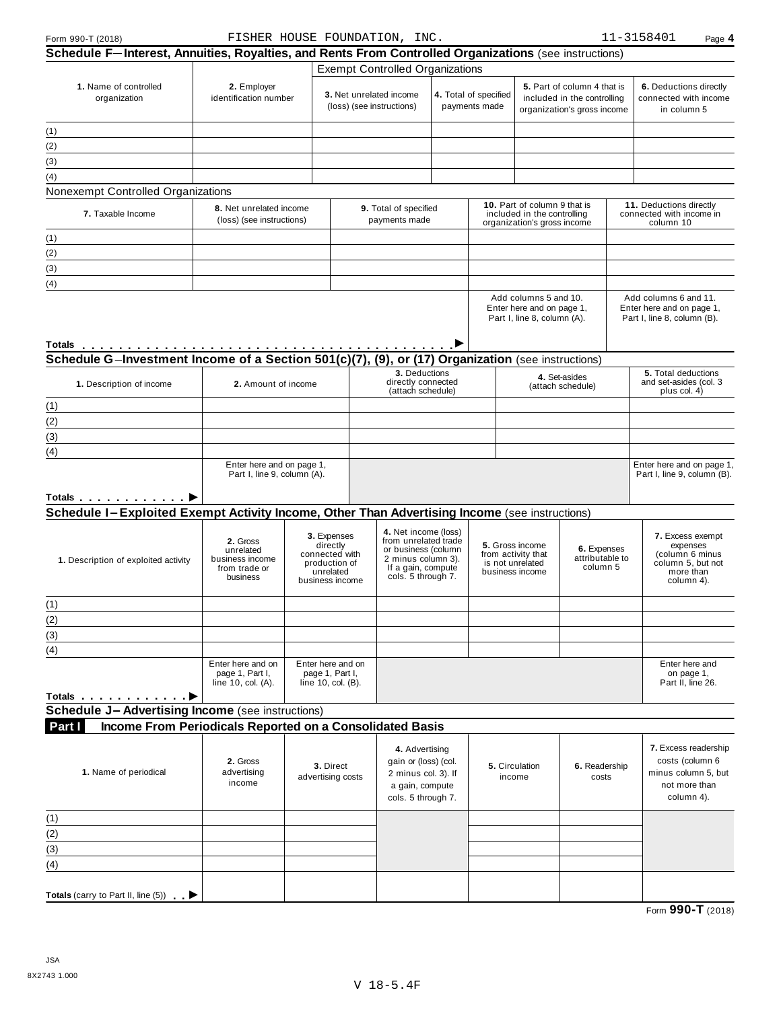| Form 990-T (2018)                                                                                                                                                                                                                  |                                                                                                                          |                                                                                            | FISHER HOUSE FOUNDATION, INC.                            |                                                                                                                                       |                                                                                                                            |                                                                                   |                                                                                                 |  | 11-3158401<br>Page 4                                                                          |  |
|------------------------------------------------------------------------------------------------------------------------------------------------------------------------------------------------------------------------------------|--------------------------------------------------------------------------------------------------------------------------|--------------------------------------------------------------------------------------------|----------------------------------------------------------|---------------------------------------------------------------------------------------------------------------------------------------|----------------------------------------------------------------------------------------------------------------------------|-----------------------------------------------------------------------------------|-------------------------------------------------------------------------------------------------|--|-----------------------------------------------------------------------------------------------|--|
| Schedule F-Interest, Annuities, Royalties, and Rents From Controlled Organizations (see instructions)                                                                                                                              |                                                                                                                          |                                                                                            |                                                          |                                                                                                                                       |                                                                                                                            |                                                                                   |                                                                                                 |  |                                                                                               |  |
|                                                                                                                                                                                                                                    |                                                                                                                          |                                                                                            | <b>Exempt Controlled Organizations</b>                   |                                                                                                                                       |                                                                                                                            |                                                                                   |                                                                                                 |  |                                                                                               |  |
| 1. Name of controlled<br>organization                                                                                                                                                                                              | 2. Employer<br>identification number                                                                                     |                                                                                            | 3. Net unrelated income<br>(loss) (see instructions)     |                                                                                                                                       | 4. Total of specified<br>payments made                                                                                     |                                                                                   | 5. Part of column 4 that is<br>included in the controlling<br>organization's gross income       |  | 6. Deductions directly<br>connected with income<br>in column 5                                |  |
| (1)                                                                                                                                                                                                                                |                                                                                                                          |                                                                                            |                                                          |                                                                                                                                       |                                                                                                                            |                                                                                   |                                                                                                 |  |                                                                                               |  |
| (2)                                                                                                                                                                                                                                |                                                                                                                          |                                                                                            |                                                          |                                                                                                                                       |                                                                                                                            |                                                                                   |                                                                                                 |  |                                                                                               |  |
| (3)                                                                                                                                                                                                                                |                                                                                                                          |                                                                                            |                                                          |                                                                                                                                       |                                                                                                                            |                                                                                   |                                                                                                 |  |                                                                                               |  |
| (4)                                                                                                                                                                                                                                |                                                                                                                          |                                                                                            |                                                          |                                                                                                                                       |                                                                                                                            |                                                                                   |                                                                                                 |  |                                                                                               |  |
| Nonexempt Controlled Organizations                                                                                                                                                                                                 |                                                                                                                          |                                                                                            |                                                          |                                                                                                                                       |                                                                                                                            |                                                                                   |                                                                                                 |  |                                                                                               |  |
| 7. Taxable Income                                                                                                                                                                                                                  | 8. Net unrelated income<br>(loss) (see instructions)                                                                     |                                                                                            | 9. Total of specified<br>payments made                   |                                                                                                                                       | 10. Part of column 9 that is<br>included in the controlling<br>organization's gross income                                 |                                                                                   |                                                                                                 |  | 11. Deductions directly<br>connected with income in<br>column 10                              |  |
| (1)                                                                                                                                                                                                                                |                                                                                                                          |                                                                                            |                                                          |                                                                                                                                       |                                                                                                                            |                                                                                   |                                                                                                 |  |                                                                                               |  |
| (2)                                                                                                                                                                                                                                |                                                                                                                          |                                                                                            |                                                          |                                                                                                                                       |                                                                                                                            |                                                                                   |                                                                                                 |  |                                                                                               |  |
| (3)                                                                                                                                                                                                                                |                                                                                                                          |                                                                                            |                                                          |                                                                                                                                       |                                                                                                                            |                                                                                   |                                                                                                 |  |                                                                                               |  |
| (4)                                                                                                                                                                                                                                |                                                                                                                          |                                                                                            |                                                          |                                                                                                                                       |                                                                                                                            |                                                                                   |                                                                                                 |  |                                                                                               |  |
|                                                                                                                                                                                                                                    |                                                                                                                          |                                                                                            |                                                          |                                                                                                                                       |                                                                                                                            | Add columns 5 and 10.<br>Enter here and on page 1,<br>Part I, line 8, column (A). |                                                                                                 |  | Add columns 6 and 11.<br>Enter here and on page 1,<br>Part I, line 8, column (B).             |  |
| Schedule G-Investment Income of a Section 501(c)(7), (9), or (17) Organization (see instructions)                                                                                                                                  |                                                                                                                          |                                                                                            |                                                          |                                                                                                                                       |                                                                                                                            |                                                                                   |                                                                                                 |  |                                                                                               |  |
| 1. Description of income                                                                                                                                                                                                           | 2. Amount of income                                                                                                      |                                                                                            | 3. Deductions<br>directly connected<br>(attach schedule) |                                                                                                                                       |                                                                                                                            |                                                                                   | 4. Set-asides<br>(attach schedule)                                                              |  | 5. Total deductions<br>and set-asides (col. 3<br>plus col. 4)                                 |  |
| (1)                                                                                                                                                                                                                                |                                                                                                                          |                                                                                            |                                                          |                                                                                                                                       |                                                                                                                            |                                                                                   |                                                                                                 |  |                                                                                               |  |
| (2)                                                                                                                                                                                                                                |                                                                                                                          |                                                                                            |                                                          |                                                                                                                                       |                                                                                                                            |                                                                                   |                                                                                                 |  |                                                                                               |  |
| (3)                                                                                                                                                                                                                                |                                                                                                                          |                                                                                            |                                                          |                                                                                                                                       |                                                                                                                            |                                                                                   |                                                                                                 |  |                                                                                               |  |
| (4)                                                                                                                                                                                                                                |                                                                                                                          |                                                                                            |                                                          |                                                                                                                                       |                                                                                                                            |                                                                                   |                                                                                                 |  |                                                                                               |  |
| Totals <b>Definition</b> Definition Definition Definition Definition Definition Definition Definition Definition Definition Definition Definition Definition Definition Definition Definition Definition Definition Definition Def | Enter here and on page 1,<br>Part I, line 9, column (A).                                                                 |                                                                                            |                                                          |                                                                                                                                       |                                                                                                                            |                                                                                   |                                                                                                 |  | Enter here and on page 1,<br>Part I, line 9, column (B).                                      |  |
| Schedule I-Exploited Exempt Activity Income, Other Than Advertising Income (see instructions)                                                                                                                                      |                                                                                                                          |                                                                                            |                                                          |                                                                                                                                       |                                                                                                                            |                                                                                   |                                                                                                 |  |                                                                                               |  |
| 1. Description of exploited activity                                                                                                                                                                                               | 2. Gross<br>unrelated<br>business income<br>from trade or<br>business                                                    | 3. Expenses<br>directly<br>connected with<br>production of<br>unrelated<br>business income |                                                          | 4. Net income (loss)<br>from unrelated trade<br>or business (column<br>2 minus column 3).<br>If a gain, compute<br>cols. 5 through 7. | 5. Gross income<br>6. Expenses<br>from activity that<br>attributable to<br>is not unrelated<br>column 5<br>business income |                                                                                   | 7. Excess exempt<br>expenses<br>(column 6 minus<br>column 5, but not<br>more than<br>column 4). |  |                                                                                               |  |
| (1)                                                                                                                                                                                                                                |                                                                                                                          |                                                                                            |                                                          |                                                                                                                                       |                                                                                                                            |                                                                                   |                                                                                                 |  |                                                                                               |  |
| (2)                                                                                                                                                                                                                                |                                                                                                                          |                                                                                            |                                                          |                                                                                                                                       |                                                                                                                            |                                                                                   |                                                                                                 |  |                                                                                               |  |
| (3)                                                                                                                                                                                                                                |                                                                                                                          |                                                                                            |                                                          |                                                                                                                                       |                                                                                                                            |                                                                                   |                                                                                                 |  |                                                                                               |  |
| (4)                                                                                                                                                                                                                                |                                                                                                                          |                                                                                            |                                                          |                                                                                                                                       |                                                                                                                            |                                                                                   |                                                                                                 |  |                                                                                               |  |
|                                                                                                                                                                                                                                    | Enter here and on<br>Enter here and on<br>page 1, Part I,<br>page 1, Part I,<br>line 10, col. (A).<br>line 10, col. (B). |                                                                                            |                                                          |                                                                                                                                       |                                                                                                                            |                                                                                   |                                                                                                 |  | Enter here and<br>on page 1,<br>Part II, line 26.                                             |  |
| Totals ▶<br><b>Schedule J-Advertising Income (see instructions)</b>                                                                                                                                                                |                                                                                                                          |                                                                                            |                                                          |                                                                                                                                       |                                                                                                                            |                                                                                   |                                                                                                 |  |                                                                                               |  |
| Income From Periodicals Reported on a Consolidated Basis                                                                                                                                                                           |                                                                                                                          |                                                                                            |                                                          |                                                                                                                                       |                                                                                                                            |                                                                                   |                                                                                                 |  |                                                                                               |  |
| Part I                                                                                                                                                                                                                             |                                                                                                                          |                                                                                            |                                                          |                                                                                                                                       |                                                                                                                            |                                                                                   |                                                                                                 |  |                                                                                               |  |
| 1. Name of periodical                                                                                                                                                                                                              | 2. Gross<br>3. Direct<br>advertising<br>advertising costs<br>income                                                      |                                                                                            |                                                          | 4. Advertising<br>gain or (loss) (col.<br>2 minus col. 3). If<br>a gain, compute<br>cols. 5 through 7.                                |                                                                                                                            | 5. Circulation<br>income                                                          | 6. Readership<br>costs                                                                          |  | 7. Excess readership<br>costs (column 6<br>minus column 5, but<br>not more than<br>column 4). |  |
| (1)                                                                                                                                                                                                                                |                                                                                                                          |                                                                                            |                                                          |                                                                                                                                       |                                                                                                                            |                                                                                   |                                                                                                 |  |                                                                                               |  |
| (2)                                                                                                                                                                                                                                |                                                                                                                          |                                                                                            |                                                          |                                                                                                                                       |                                                                                                                            |                                                                                   |                                                                                                 |  |                                                                                               |  |
| (3)                                                                                                                                                                                                                                |                                                                                                                          |                                                                                            |                                                          |                                                                                                                                       |                                                                                                                            |                                                                                   |                                                                                                 |  |                                                                                               |  |
| (4)                                                                                                                                                                                                                                |                                                                                                                          |                                                                                            |                                                          |                                                                                                                                       |                                                                                                                            |                                                                                   |                                                                                                 |  |                                                                                               |  |
| Totals (carry to Part II, line $(5)$ )                                                                                                                                                                                             |                                                                                                                          |                                                                                            |                                                          |                                                                                                                                       |                                                                                                                            |                                                                                   |                                                                                                 |  |                                                                                               |  |

Form **990-T** (2018)